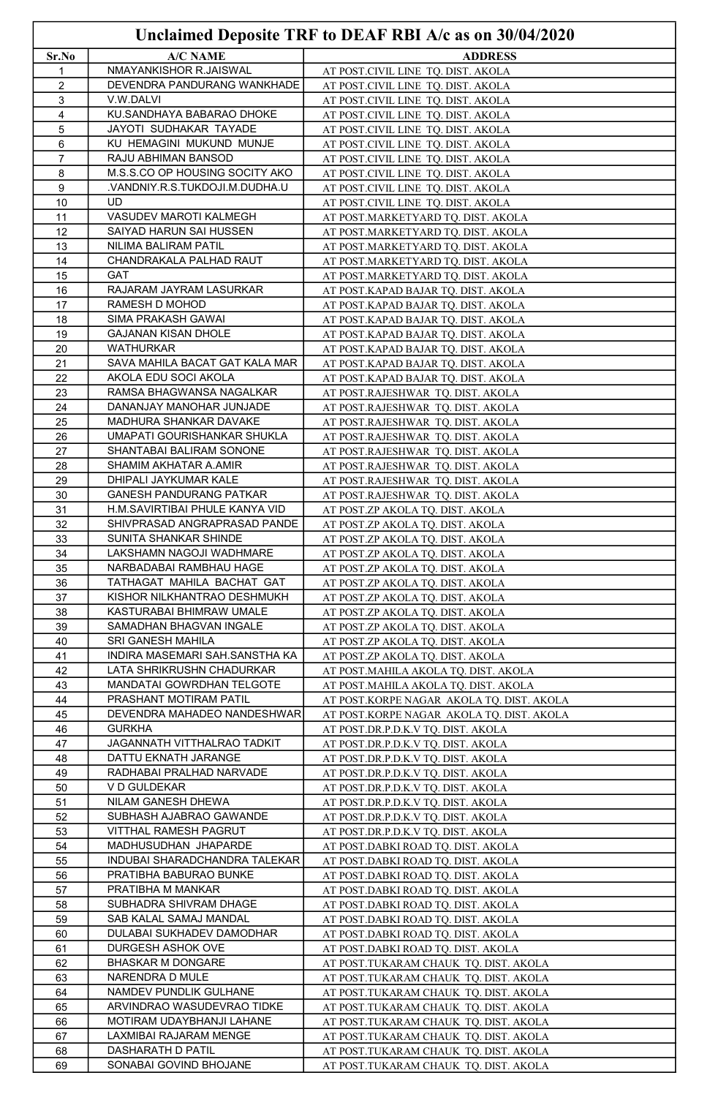|          |                                                         | Unclaimed Deposite TRF to DEAF RBI A/c as on 30/04/2020                        |
|----------|---------------------------------------------------------|--------------------------------------------------------------------------------|
| Sr.No    | <b>A/C NAME</b>                                         | <b>ADDRESS</b>                                                                 |
| 1        | NMAYANKISHOR R.JAISWAL                                  | AT POST.CIVIL LINE TQ. DIST. AKOLA                                             |
| 2        | DEVENDRA PANDURANG WANKHADE                             | AT POST.CIVIL LINE TQ. DIST. AKOLA                                             |
| 3        | V.W.DALVI                                               | AT POST.CIVIL LINE TQ. DIST. AKOLA                                             |
| 4        | KU.SANDHAYA BABARAO DHOKE                               | AT POST.CIVIL LINE TQ. DIST. AKOLA                                             |
| 5        | JAYOTI SUDHAKAR TAYADE                                  | AT POST.CIVIL LINE TQ. DIST. AKOLA                                             |
| 6        | KU HEMAGINI MUKUND MUNJE                                | AT POST.CIVIL LINE TQ. DIST. AKOLA                                             |
| 7<br>8   | RAJU ABHIMAN BANSOD<br>M.S.S.CO OP HOUSING SOCITY AKO   | AT POST.CIVIL LINE TQ. DIST. AKOLA                                             |
| 9        | .VANDNIY.R.S.TUKDOJI.M.DUDHA.U                          | AT POST.CIVIL LINE TQ. DIST. AKOLA<br>AT POST.CIVIL LINE TQ. DIST. AKOLA       |
| 10       | UD                                                      | AT POST.CIVIL LINE TQ. DIST. AKOLA                                             |
| 11       | VASUDEV MAROTI KALMEGH                                  | AT POST.MARKETYARD TQ. DIST. AKOLA                                             |
| 12       | SAIYAD HARUN SAI HUSSEN                                 | AT POST.MARKETYARD TQ. DIST. AKOLA                                             |
| 13       | NILIMA BALIRAM PATIL                                    | AT POST.MARKETYARD TQ. DIST. AKOLA                                             |
| 14       | CHANDRAKALA PALHAD RAUT                                 | AT POST.MARKETYARD TQ. DIST. AKOLA                                             |
| 15       | GAT                                                     | AT POST.MARKETYARD TQ. DIST. AKOLA                                             |
| 16       | RAJARAM JAYRAM LASURKAR                                 | AT POST.KAPAD BAJAR TQ. DIST. AKOLA                                            |
| 17       | RAMESH D MOHOD                                          | AT POST.KAPAD BAJAR TQ. DIST. AKOLA                                            |
| 18<br>19 | SIMA PRAKASH GAWAI<br>GAJANAN KISAN DHOLE               | AT POST.KAPAD BAJAR TQ. DIST. AKOLA                                            |
| 20       | WATHURKAR                                               | AT POST.KAPAD BAJAR TQ. DIST. AKOLA<br>AT POST.KAPAD BAJAR TQ. DIST. AKOLA     |
| 21       | SAVA MAHILA BACAT GAT KALA MAR                          | AT POST.KAPAD BAJAR TQ. DIST. AKOLA                                            |
| 22       | AKOLA EDU SOCI AKOLA                                    | AT POST.KAPAD BAJAR TQ. DIST. AKOLA                                            |
| 23       | RAMSA BHAGWANSA NAGALKAR                                | AT POST.RAJESHWAR TQ. DIST. AKOLA                                              |
| 24       | DANANJAY MANOHAR JUNJADE                                | AT POST.RAJESHWAR TO. DIST. AKOLA                                              |
| 25       | MADHURA SHANKAR DAVAKE                                  | AT POST.RAJESHWAR TQ. DIST. AKOLA                                              |
| 26       | UMAPATI GOURISHANKAR SHUKLA                             | AT POST.RAJESHWAR TQ. DIST. AKOLA                                              |
| 27       | SHANTABAI BALIRAM SONONE                                | AT POST.RAJESHWAR TQ. DIST. AKOLA                                              |
| 28<br>29 | SHAMIM AKHATAR A.AMIR<br>DHIPALI JAYKUMAR KALE          | AT POST.RAJESHWAR TQ. DIST. AKOLA<br>AT POST.RAJESHWAR TQ. DIST. AKOLA         |
| 30       | GANESH PANDURANG PATKAR                                 | AT POST.RAJESHWAR TQ. DIST. AKOLA                                              |
| 31       | H.M.SAVIRTIBAI PHULE KANYA VID                          | AT POST.ZP AKOLA TQ. DIST. AKOLA                                               |
| 32       | SHIVPRASAD ANGRAPRASAD PANDE                            | AT POST.ZP AKOLA TQ. DIST. AKOLA                                               |
| 33       | SUNITA SHANKAR SHINDE                                   | AT POST.ZP AKOLA TQ. DIST. AKOLA                                               |
| 34       | LAKSHAMN NAGOJI WADHMARE                                | AT POST.ZP AKOLA TQ. DIST. AKOLA                                               |
| 35       | NARBADABAI RAMBHAU HAGE                                 | AT POST.ZP AKOLA TQ. DIST. AKOLA                                               |
| 36       | TATHAGAT MAHILA BACHAT GAT                              | AT POST.ZP AKOLA TQ. DIST. AKOLA                                               |
| 37       | KISHOR NILKHANTRAO DESHMUKH<br>KASTURABAI BHIMRAW UMALE | AT POST.ZP AKOLA TQ. DIST. AKOLA                                               |
| 38<br>39 | SAMADHAN BHAGVAN INGALE                                 | AT POST.ZP AKOLA TQ. DIST. AKOLA<br>AT POST.ZP AKOLA TQ. DIST. AKOLA           |
| 40       | SRI GANESH MAHILA                                       | AT POST.ZP AKOLA TQ. DIST. AKOLA                                               |
| 41       | INDIRA MASEMARI SAH.SANSTHA KA                          | AT POST.ZP AKOLA TQ. DIST. AKOLA                                               |
| 42       | LATA SHRIKRUSHN CHADURKAR                               | AT POST.MAHILA AKOLA TQ. DIST. AKOLA                                           |
| 43       | MANDATAI GOWRDHAN TELGOTE                               | AT POST.MAHILA AKOLA TQ. DIST. AKOLA                                           |
| 44       | PRASHANT MOTIRAM PATIL                                  | AT POST.KORPE NAGAR AKOLA TQ. DIST. AKOLA                                      |
| 45       | DEVENDRA MAHADEO NANDESHWAR                             | AT POST.KORPE NAGAR AKOLA TQ. DIST. AKOLA                                      |
| 46       | <b>GURKHA</b>                                           | AT POST.DR.P.D.K.V TQ. DIST. AKOLA                                             |
| 47<br>48 | JAGANNATH VITTHALRAO TADKIT<br>DATTU EKNATH JARANGE     | AT POST.DR.P.D.K.V TQ. DIST. AKOLA<br>AT POST.DR.P.D.K.V TQ. DIST. AKOLA       |
| 49       | RADHABAI PRALHAD NARVADE                                | AT POST.DR.P.D.K.V TQ. DIST. AKOLA                                             |
| 50       | V D GULDEKAR                                            | AT POST.DR.P.D.K.V TQ. DIST. AKOLA                                             |
| 51       | NILAM GANESH DHEWA                                      | AT POST.DR.P.D.K.V TQ. DIST. AKOLA                                             |
| 52       | SUBHASH AJABRAO GAWANDE                                 | AT POST.DR.P.D.K.V TQ. DIST. AKOLA                                             |
| 53       | VITTHAL RAMESH PAGRUT                                   | AT POST.DR.P.D.K.V TQ. DIST. AKOLA                                             |
| 54       | MADHUSUDHAN JHAPARDE                                    | AT POST.DABKI ROAD TQ. DIST. AKOLA                                             |
| 55       | INDUBAI SHARADCHANDRA TALEKAR                           | AT POST.DABKI ROAD TQ. DIST. AKOLA                                             |
| 56<br>57 | PRATIBHA BABURAO BUNKE<br>PRATIBHA M MANKAR             | AT POST.DABKI ROAD TQ. DIST. AKOLA                                             |
| 58       | SUBHADRA SHIVRAM DHAGE                                  | AT POST.DABKI ROAD TQ. DIST. AKOLA<br>AT POST.DABKI ROAD TQ. DIST. AKOLA       |
| 59       | SAB KALAL SAMAJ MANDAL                                  | AT POST.DABKI ROAD TQ. DIST. AKOLA                                             |
| 60       | DULABAI SUKHADEV DAMODHAR                               | AT POST.DABKI ROAD TQ. DIST. AKOLA                                             |
| 61       | DURGESH ASHOK OVE                                       | AT POST.DABKI ROAD TQ. DIST. AKOLA                                             |
| 62       | <b>BHASKAR M DONGARE</b>                                | AT POST.TUKARAM CHAUK TQ. DIST. AKOLA                                          |
| 63       | NARENDRA D MULE                                         | AT POST.TUKARAM CHAUK TQ. DIST. AKOLA                                          |
| 64       | NAMDEV PUNDLIK GULHANE                                  | AT POST.TUKARAM CHAUK TQ. DIST. AKOLA                                          |
| 65       | ARVINDRAO WASUDEVRAO TIDKE                              | AT POST.TUKARAM CHAUK TQ. DIST. AKOLA                                          |
| 66<br>67 | MOTIRAM UDAYBHANJI LAHANE<br>LAXMIBAI RAJARAM MENGE     | AT POST.TUKARAM CHAUK TQ. DIST. AKOLA<br>AT POST.TUKARAM CHAUK TQ. DIST. AKOLA |
| 68       | DASHARATH D PATIL                                       | AT POST.TUKARAM CHAUK TQ. DIST. AKOLA                                          |
| 69       | SONABAI GOVIND BHOJANE                                  | AT POST.TUKARAM CHAUK TQ. DIST. AKOLA                                          |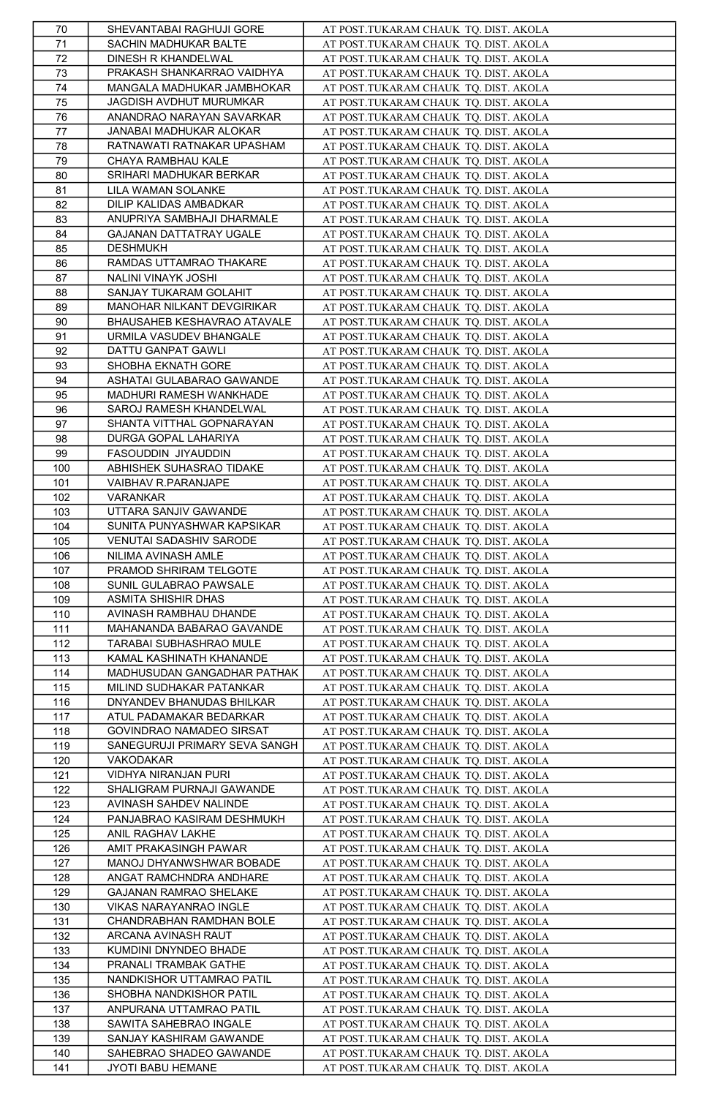| 70         | SHEVANTABAI RAGHUJI GORE                   | AT POST.TUKARAM CHAUK TQ. DIST. AKOLA                                          |
|------------|--------------------------------------------|--------------------------------------------------------------------------------|
| 71         | SACHIN MADHUKAR BALTE                      | AT POST.TUKARAM CHAUK TQ. DIST. AKOLA                                          |
| 72         | DINESH R KHANDELWAL                        | AT POST.TUKARAM CHAUK TQ. DIST. AKOLA                                          |
| 73         | PRAKASH SHANKARRAO VAIDHYA                 | AT POST.TUKARAM CHAUK TQ. DIST. AKOLA                                          |
| 74         | MANGALA MADHUKAR JAMBHOKAR                 | AT POST.TUKARAM CHAUK TQ. DIST. AKOLA                                          |
| 75         | JAGDISH AVDHUT MURUMKAR                    | AT POST.TUKARAM CHAUK TQ. DIST. AKOLA                                          |
| 76         | ANANDRAO NARAYAN SAVARKAR                  | AT POST.TUKARAM CHAUK TQ. DIST. AKOLA                                          |
| 77         | JANABAI MADHUKAR ALOKAR                    | AT POST.TUKARAM CHAUK TQ. DIST. AKOLA                                          |
| 78         | RATNAWATI RATNAKAR UPASHAM                 | AT POST.TUKARAM CHAUK TQ. DIST. AKOLA                                          |
| 79         | CHAYA RAMBHAU KALE                         | AT POST.TUKARAM CHAUK TQ. DIST. AKOLA                                          |
| 80         | SRIHARI MADHUKAR BERKAR                    | AT POST.TUKARAM CHAUK TQ. DIST. AKOLA                                          |
| 81         | LILA WAMAN SOLANKE                         | AT POST.TUKARAM CHAUK TQ. DIST. AKOLA                                          |
|            | DILIP KALIDAS AMBADKAR                     | AT POST.TUKARAM CHAUK TQ. DIST. AKOLA                                          |
| 82<br>83   | ANUPRIYA SAMBHAJI DHARMALE                 | AT POST.TUKARAM CHAUK TQ. DIST. AKOLA                                          |
| 84         |                                            |                                                                                |
|            | GAJANAN DATTATRAY UGALE<br><b>DESHMUKH</b> | AT POST.TUKARAM CHAUK TQ. DIST. AKOLA                                          |
| 85         |                                            | AT POST.TUKARAM CHAUK TQ. DIST. AKOLA                                          |
| 86         | RAMDAS UTTAMRAO THAKARE                    | AT POST.TUKARAM CHAUK TQ. DIST. AKOLA                                          |
| 87         | NALINI VINAYK JOSHI                        | AT POST.TUKARAM CHAUK TQ. DIST. AKOLA                                          |
| 88         | SANJAY TUKARAM GOLAHIT                     | AT POST.TUKARAM CHAUK TQ. DIST. AKOLA                                          |
| 89         | MANOHAR NILKANT DEVGIRIKAR                 | AT POST.TUKARAM CHAUK TQ. DIST. AKOLA                                          |
| 90         | BHAUSAHEB KESHAVRAO ATAVALE                | AT POST.TUKARAM CHAUK TQ. DIST. AKOLA                                          |
| 91         | URMILA VASUDEV BHANGALE                    | AT POST.TUKARAM CHAUK TQ. DIST. AKOLA                                          |
| 92         | DATTU GANPAT GAWLI                         | AT POST.TUKARAM CHAUK TQ. DIST. AKOLA                                          |
| 93         | SHOBHA EKNATH GORE                         | AT POST.TUKARAM CHAUK TQ. DIST. AKOLA                                          |
| 94         | ASHATAI GULABARAO GAWANDE                  | AT POST.TUKARAM CHAUK TQ. DIST. AKOLA                                          |
| 95         | MADHURI RAMESH WANKHADE                    | AT POST.TUKARAM CHAUK TQ. DIST. AKOLA                                          |
| 96         | SAROJ RAMESH KHANDELWAL                    | AT POST.TUKARAM CHAUK TQ. DIST. AKOLA                                          |
| 97         | SHANTA VITTHAL GOPNARAYAN                  | AT POST.TUKARAM CHAUK TQ. DIST. AKOLA                                          |
| 98         | DURGA GOPAL LAHARIYA                       | AT POST.TUKARAM CHAUK TQ. DIST. AKOLA                                          |
| 99         | FASOUDDIN JIYAUDDIN                        | AT POST.TUKARAM CHAUK TQ. DIST. AKOLA                                          |
| 100        | ABHISHEK SUHASRAO TIDAKE                   | AT POST.TUKARAM CHAUK TQ. DIST. AKOLA                                          |
| 101        | VAIBHAV R.PARANJAPE                        | AT POST.TUKARAM CHAUK TQ. DIST. AKOLA                                          |
| 102        | VARANKAR                                   | AT POST.TUKARAM CHAUK TQ. DIST. AKOLA                                          |
| 103        | UTTARA SANJIV GAWANDE                      | AT POST.TUKARAM CHAUK TQ. DIST. AKOLA                                          |
| 104        | SUNITA PUNYASHWAR KAPSIKAR                 | AT POST.TUKARAM CHAUK TQ. DIST. AKOLA                                          |
| 105        | VENUTAI SADASHIV SARODE                    | AT POST.TUKARAM CHAUK TQ. DIST. AKOLA                                          |
| 106        | NILIMA AVINASH AMLE                        | AT POST.TUKARAM CHAUK TQ. DIST. AKOLA                                          |
| 107        | PRAMOD SHRIRAM TELGOTE                     | AT POST.TUKARAM CHAUK TQ. DIST. AKOLA                                          |
| 108        | SUNIL GULABRAO PAWSALE                     | AT POST.TUKARAM CHAUK TQ. DIST. AKOLA                                          |
| 109        | ASMITA SHISHIR DHAS                        | AT POST.TUKARAM CHAUK TQ. DIST. AKOLA                                          |
| 110        | AVINASH RAMBHAU DHANDE                     | AT POST.TUKARAM CHAUK TQ. DIST. AKOLA                                          |
| 111        | MAHANANDA BABARAO GAVANDE                  | AT POST.TUKARAM CHAUK TQ. DIST. AKOLA                                          |
| 112        | TARABAI SUBHASHRAO MULE                    | AT POST.TUKARAM CHAUK TQ. DIST. AKOLA                                          |
| 113        | KAMAL KASHINATH KHANANDE                   | AT POST.TUKARAM CHAUK TQ. DIST. AKOLA                                          |
| 114        | MADHUSUDAN GANGADHAR PATHAK                | AT POST.TUKARAM CHAUK TQ. DIST. AKOLA                                          |
| 115        | MILIND SUDHAKAR PATANKAR                   | AT POST.TUKARAM CHAUK TQ. DIST. AKOLA                                          |
| 116        | DNYANDEV BHANUDAS BHILKAR                  | AT POST.TUKARAM CHAUK TQ. DIST. AKOLA                                          |
| 117        | ATUL PADAMAKAR BEDARKAR                    | AT POST.TUKARAM CHAUK TQ. DIST. AKOLA                                          |
| 118        | GOVINDRAO NAMADEO SIRSAT                   | AT POST.TUKARAM CHAUK TQ. DIST. AKOLA                                          |
| 119        | SANEGURUJI PRIMARY SEVA SANGH              | AT POST.TUKARAM CHAUK TQ. DIST. AKOLA                                          |
| 120        | VAKODAKAR                                  | AT POST.TUKARAM CHAUK TQ. DIST. AKOLA                                          |
| 121        | VIDHYA NIRANJAN PURI                       | AT POST.TUKARAM CHAUK TQ. DIST. AKOLA                                          |
| 122        | SHALIGRAM PURNAJI GAWANDE                  | AT POST.TUKARAM CHAUK TQ. DIST. AKOLA                                          |
| 123        | AVINASH SAHDEV NALINDE                     | AT POST.TUKARAM CHAUK TQ. DIST. AKOLA                                          |
| 124        | PANJABRAO KASIRAM DESHMUKH                 | AT POST.TUKARAM CHAUK TQ. DIST. AKOLA                                          |
| 125        | ANIL RAGHAV LAKHE                          | AT POST.TUKARAM CHAUK TQ. DIST. AKOLA                                          |
| 126        |                                            |                                                                                |
|            | AMIT PRAKASINGH PAWAR                      | AT POST.TUKARAM CHAUK TQ. DIST. AKOLA                                          |
| 127        | MANOJ DHYANWSHWAR BOBADE                   |                                                                                |
| 128        | ANGAT RAMCHNDRA ANDHARE                    | AT POST.TUKARAM CHAUK TQ. DIST. AKOLA<br>AT POST.TUKARAM CHAUK TQ. DIST. AKOLA |
| 129        | GAJANAN RAMRAO SHELAKE                     | AT POST.TUKARAM CHAUK TQ. DIST. AKOLA                                          |
| 130        | VIKAS NARAYANRAO INGLE                     | AT POST.TUKARAM CHAUK TQ. DIST. AKOLA                                          |
| 131        | CHANDRABHAN RAMDHAN BOLE                   | AT POST.TUKARAM CHAUK TQ. DIST. AKOLA                                          |
|            | ARCANA AVINASH RAUT                        |                                                                                |
| 132        | KUMDINI DNYNDEO BHADE                      | AT POST.TUKARAM CHAUK TQ. DIST. AKOLA<br>AT POST.TUKARAM CHAUK TQ. DIST. AKOLA |
| 133<br>134 | PRANALI TRAMBAK GATHE                      |                                                                                |
| 135        | NANDKISHOR UTTAMRAO PATIL                  | AT POST.TUKARAM CHAUK TQ. DIST. AKOLA                                          |
| 136        | SHOBHA NANDKISHOR PATIL                    | AT POST.TUKARAM CHAUK TQ. DIST. AKOLA                                          |
| 137        | ANPURANA UTTAMRAO PATIL                    | AT POST.TUKARAM CHAUK TQ. DIST. AKOLA                                          |
| 138        | SAWITA SAHEBRAO INGALE                     | AT POST.TUKARAM CHAUK TQ. DIST. AKOLA                                          |
| 139        | SANJAY KASHIRAM GAWANDE                    | AT POST.TUKARAM CHAUK TQ. DIST. AKOLA<br>AT POST.TUKARAM CHAUK TQ. DIST. AKOLA |
| 140        | SAHEBRAO SHADEO GAWANDE                    | AT POST.TUKARAM CHAUK TQ. DIST. AKOLA                                          |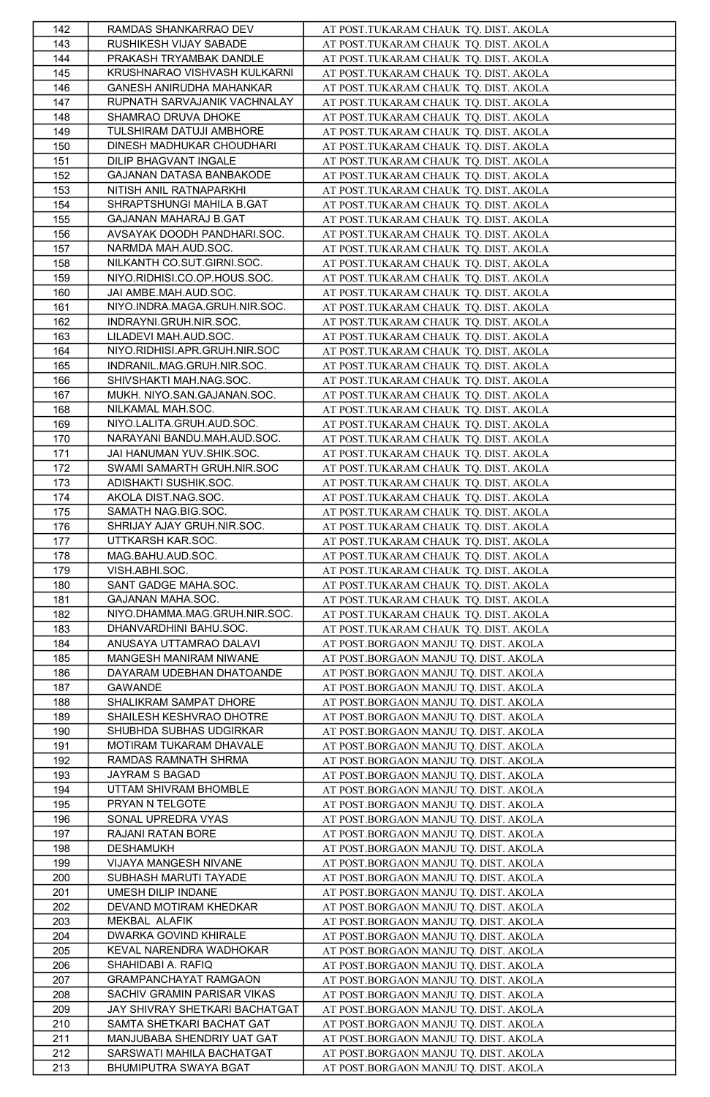| 142 | RAMDAS SHANKARRAO DEV          | AT POST.TUKARAM CHAUK TQ. DIST. AKOLA                                          |
|-----|--------------------------------|--------------------------------------------------------------------------------|
| 143 | RUSHIKESH VIJAY SABADE         | AT POST.TUKARAM CHAUK TQ. DIST. AKOLA                                          |
| 144 | PRAKASH TRYAMBAK DANDLE        | AT POST.TUKARAM CHAUK TQ. DIST. AKOLA                                          |
| 145 | KRUSHNARAO VISHVASH KULKARNI   | AT POST.TUKARAM CHAUK TQ. DIST. AKOLA                                          |
| 146 | GANESH ANIRUDHA MAHANKAR       | AT POST.TUKARAM CHAUK TQ. DIST. AKOLA                                          |
| 147 | RUPNATH SARVAJANIK VACHNALAY   | AT POST.TUKARAM CHAUK TQ. DIST. AKOLA                                          |
| 148 | SHAMRAO DRUVA DHOKE            | AT POST.TUKARAM CHAUK TQ. DIST. AKOLA                                          |
| 149 | TULSHIRAM DATUJI AMBHORE       | AT POST.TUKARAM CHAUK TQ. DIST. AKOLA                                          |
|     |                                |                                                                                |
| 150 | DINESH MADHUKAR CHOUDHARI      | AT POST.TUKARAM CHAUK TQ. DIST. AKOLA                                          |
| 151 | DILIP BHAGVANT INGALE          | AT POST.TUKARAM CHAUK TQ. DIST. AKOLA                                          |
| 152 | GAJANAN DATASA BANBAKODE       | AT POST.TUKARAM CHAUK TQ. DIST. AKOLA                                          |
| 153 | NITISH ANIL RATNAPARKHI        | AT POST.TUKARAM CHAUK TQ. DIST. AKOLA                                          |
| 154 | SHRAPTSHUNGI MAHILA B.GAT      | AT POST.TUKARAM CHAUK TQ. DIST. AKOLA                                          |
| 155 | GAJANAN MAHARAJ B.GAT          | AT POST.TUKARAM CHAUK TQ. DIST. AKOLA                                          |
| 156 | AVSAYAK DOODH PANDHARI.SOC.    | AT POST.TUKARAM CHAUK TQ. DIST. AKOLA                                          |
| 157 | NARMDA MAH.AUD.SOC.            | AT POST.TUKARAM CHAUK TQ. DIST. AKOLA                                          |
| 158 | NILKANTH CO.SUT.GIRNI.SOC.     | AT POST.TUKARAM CHAUK TQ. DIST. AKOLA                                          |
| 159 | NIYO.RIDHISI.CO.OP.HOUS.SOC.   | AT POST.TUKARAM CHAUK TQ. DIST. AKOLA                                          |
| 160 | JAI AMBE.MAH.AUD.SOC.          | AT POST.TUKARAM CHAUK TQ. DIST. AKOLA                                          |
| 161 | NIYO.INDRA.MAGA.GRUH.NIR.SOC.  | AT POST.TUKARAM CHAUK TQ. DIST. AKOLA                                          |
| 162 | INDRAYNI.GRUH.NIR.SOC.         | AT POST.TUKARAM CHAUK TQ. DIST. AKOLA                                          |
| 163 | LILADEVI MAH.AUD.SOC.          | AT POST.TUKARAM CHAUK TQ. DIST. AKOLA                                          |
| 164 | NIYO.RIDHISI.APR.GRUH.NIR.SOC  | AT POST.TUKARAM CHAUK TQ. DIST. AKOLA                                          |
| 165 | INDRANIL.MAG.GRUH.NIR.SOC.     |                                                                                |
|     | SHIVSHAKTI MAH.NAG.SOC.        | AT POST.TUKARAM CHAUK TQ. DIST. AKOLA<br>AT POST.TUKARAM CHAUK TQ. DIST. AKOLA |
| 166 |                                |                                                                                |
| 167 | MUKH. NIYO.SAN.GAJANAN.SOC.    | AT POST.TUKARAM CHAUK TQ. DIST. AKOLA                                          |
| 168 | NILKAMAL MAH.SOC.              | AT POST.TUKARAM CHAUK TQ. DIST. AKOLA                                          |
| 169 | NIYO.LALITA.GRUH.AUD.SOC.      | AT POST.TUKARAM CHAUK TQ. DIST. AKOLA                                          |
| 170 | NARAYANI BANDU.MAH.AUD.SOC.    | AT POST.TUKARAM CHAUK TQ. DIST. AKOLA                                          |
| 171 | JAI HANUMAN YUV.SHIK.SOC.      | AT POST.TUKARAM CHAUK TQ. DIST. AKOLA                                          |
| 172 | SWAMI SAMARTH GRUH.NIR.SOC     | AT POST.TUKARAM CHAUK TQ. DIST. AKOLA                                          |
| 173 | ADISHAKTI SUSHIK.SOC.          | AT POST.TUKARAM CHAUK TQ. DIST. AKOLA                                          |
| 174 | AKOLA DIST.NAG.SOC.            | AT POST.TUKARAM CHAUK TQ. DIST. AKOLA                                          |
| 175 | SAMATH NAG.BIG.SOC.            | AT POST.TUKARAM CHAUK TQ. DIST. AKOLA                                          |
| 176 | SHRIJAY AJAY GRUH.NIR.SOC.     | AT POST.TUKARAM CHAUK TQ. DIST. AKOLA                                          |
| 177 | UTTKARSH KAR.SOC.              | AT POST.TUKARAM CHAUK TQ. DIST. AKOLA                                          |
| 178 | MAG.BAHU.AUD.SOC.              | AT POST.TUKARAM CHAUK TQ. DIST. AKOLA                                          |
| 179 | VISH.ABHI.SOC.                 | AT POST.TUKARAM CHAUK TQ. DIST. AKOLA                                          |
| 180 | SANT GADGE MAHA.SOC.           | AT POST.TUKARAM CHAUK TQ. DIST. AKOLA                                          |
| 181 | GAJANAN MAHA.SOC.              | AT POST.TUKARAM CHAUK TQ. DIST. AKOLA                                          |
| 182 | NIYO.DHAMMA.MAG.GRUH.NIR.SOC.  |                                                                                |
|     |                                | AT POST.TUKARAM CHAUK TQ. DIST. AKOLA                                          |
| 183 | DHANVARDHINI BAHU.SOC.         | AT POST.TUKARAM CHAUK TQ. DIST. AKOLA                                          |
| 184 | ANUSAYA UTTAMRAO DALAVI        | AT POST.BORGAON MANJU TQ. DIST. AKOLA                                          |
| 185 | MANGESH MANIRAM NIWANE         | AT POST.BORGAON MANJU TQ. DIST. AKOLA                                          |
| 186 | DAYARAM UDEBHAN DHATOANDE      | AT POST.BORGAON MANJU TQ. DIST. AKOLA                                          |
| 187 | GAWANDE                        | AT POST.BORGAON MANJU TQ. DIST. AKOLA                                          |
| 188 | SHALIKRAM SAMPAT DHORE         | AT POST.BORGAON MANJU TQ. DIST. AKOLA                                          |
| 189 | SHAILESH KESHVRAO DHOTRE       | AT POST.BORGAON MANJU TQ. DIST. AKOLA                                          |
| 190 | SHUBHDA SUBHAS UDGIRKAR        | AT POST.BORGAON MANJU TQ. DIST. AKOLA                                          |
| 191 | MOTIRAM TUKARAM DHAVALE        | AT POST.BORGAON MANJU TQ. DIST. AKOLA                                          |
| 192 | RAMDAS RAMNATH SHRMA           | AT POST.BORGAON MANJU TQ. DIST. AKOLA                                          |
| 193 | JAYRAM S BAGAD                 | AT POST.BORGAON MANJU TQ. DIST. AKOLA                                          |
| 194 | UTTAM SHIVRAM BHOMBLE          | AT POST.BORGAON MANJU TQ. DIST. AKOLA                                          |
| 195 | PRYAN N TELGOTE                | AT POST.BORGAON MANJU TQ. DIST. AKOLA                                          |
| 196 | SONAL UPREDRA VYAS             | AT POST.BORGAON MANJU TQ. DIST. AKOLA                                          |
| 197 | RAJANI RATAN BORE              | AT POST.BORGAON MANJU TQ. DIST. AKOLA                                          |
| 198 | <b>DESHAMUKH</b>               | AT POST.BORGAON MANJU TQ. DIST. AKOLA                                          |
| 199 | VIJAYA MANGESH NIVANE          | AT POST.BORGAON MANJU TQ. DIST. AKOLA                                          |
|     | SUBHASH MARUTI TAYADE          |                                                                                |
| 200 | UMESH DILIP INDANE             | AT POST.BORGAON MANJU TQ. DIST. AKOLA                                          |
| 201 |                                | AT POST.BORGAON MANJU TQ. DIST. AKOLA                                          |
| 202 | DEVAND MOTIRAM KHEDKAR         | AT POST.BORGAON MANJU TQ. DIST. AKOLA                                          |
| 203 | MEKBAL ALAFIK                  | AT POST.BORGAON MANJU TQ. DIST. AKOLA                                          |
| 204 | DWARKA GOVIND KHIRALE          | AT POST.BORGAON MANJU TQ. DIST. AKOLA                                          |
| 205 | KEVAL NARENDRA WADHOKAR        | AT POST.BORGAON MANJU TQ. DIST. AKOLA                                          |
| 206 | SHAHIDABI A. RAFIQ             | AT POST.BORGAON MANJU TQ. DIST. AKOLA                                          |
| 207 | GRAMPANCHAYAT RAMGAON          | AT POST.BORGAON MANJU TQ. DIST. AKOLA                                          |
| 208 | SACHIV GRAMIN PARISAR VIKAS    | AT POST.BORGAON MANJU TQ. DIST. AKOLA                                          |
|     |                                | AT POST.BORGAON MANJU TQ. DIST. AKOLA                                          |
| 209 | JAY SHIVRAY SHETKARI BACHATGAT |                                                                                |
| 210 | SAMTA SHETKARI BACHAT GAT      | AT POST.BORGAON MANJU TQ. DIST. AKOLA                                          |
| 211 | MANJUBABA SHENDRIY UAT GAT     | AT POST.BORGAON MANJU TQ. DIST. AKOLA                                          |
| 212 | SARSWATI MAHILA BACHATGAT      | AT POST.BORGAON MANJU TQ. DIST. AKOLA                                          |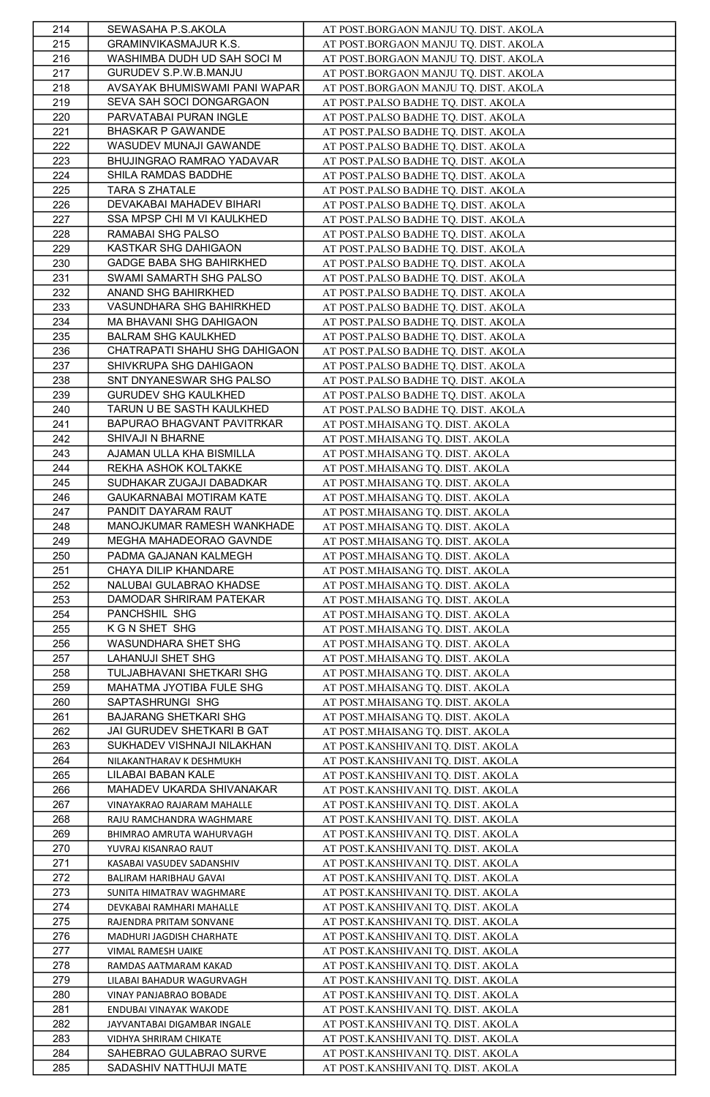| 214        | SEWASAHA P.S.AKOLA                              | AT POST.BORGAON MANJU TQ. DIST. AKOLA                                |
|------------|-------------------------------------------------|----------------------------------------------------------------------|
| 215        | GRAMINVIKASMAJUR K.S.                           | AT POST.BORGAON MANJU TQ. DIST. AKOLA                                |
| 216        | WASHIMBA DUDH UD SAH SOCI M                     | AT POST.BORGAON MANJU TQ. DIST. AKOLA                                |
| 217        | GURUDEV S.P.W.B.MANJU                           | AT POST.BORGAON MANJU TQ. DIST. AKOLA                                |
| 218        | AVSAYAK BHUMISWAMI PANI WAPAR                   | AT POST.BORGAON MANJU TQ. DIST. AKOLA                                |
| 219        | SEVA SAH SOCI DONGARGAON                        | AT POST.PALSO BADHE TQ. DIST. AKOLA                                  |
| 220        | PARVATABAI PURAN INGLE                          | AT POST.PALSO BADHE TQ. DIST. AKOLA                                  |
| 221        | <b>BHASKAR P GAWANDE</b>                        | AT POST.PALSO BADHE TQ. DIST. AKOLA                                  |
| 222        | WASUDEV MUNAJI GAWANDE                          | AT POST.PALSO BADHE TQ. DIST. AKOLA                                  |
| 223        | BHUJINGRAO RAMRAO YADAVAR                       | AT POST.PALSO BADHE TQ. DIST. AKOLA                                  |
| 224        | SHILA RAMDAS BADDHE                             | AT POST.PALSO BADHE TQ. DIST. AKOLA                                  |
| 225        | <b>TARA S ZHATALE</b>                           | AT POST.PALSO BADHE TQ. DIST. AKOLA                                  |
| 226        | DEVAKABAI MAHADEV BIHARI                        | AT POST.PALSO BADHE TQ. DIST. AKOLA                                  |
| 227        | SSA MPSP CHI M VI KAULKHED                      | AT POST.PALSO BADHE TQ. DIST. AKOLA                                  |
| 228        | RAMABAI SHG PALSO                               | AT POST.PALSO BADHE TQ. DIST. AKOLA                                  |
| 229        | KASTKAR SHG DAHIGAON                            | AT POST.PALSO BADHE TQ. DIST. AKOLA                                  |
| 230        | <b>GADGE BABA SHG BAHIRKHED</b>                 | AT POST.PALSO BADHE TQ. DIST. AKOLA                                  |
| 231        | SWAMI SAMARTH SHG PALSO                         | AT POST.PALSO BADHE TQ. DIST. AKOLA                                  |
| 232        | ANAND SHG BAHIRKHED                             | AT POST.PALSO BADHE TQ. DIST. AKOLA                                  |
| 233        | VASUNDHARA SHG BAHIRKHED                        | AT POST.PALSO BADHE TQ. DIST. AKOLA                                  |
| 234        | MA BHAVANI SHG DAHIGAON                         | AT POST.PALSO BADHE TQ. DIST. AKOLA                                  |
| 235        | <b>BALRAM SHG KAULKHED</b>                      | AT POST.PALSO BADHE TQ. DIST. AKOLA                                  |
| 236        | CHATRAPATI SHAHU SHG DAHIGAON                   | AT POST.PALSO BADHE TQ. DIST. AKOLA                                  |
| 237        | SHIVKRUPA SHG DAHIGAON                          | AT POST.PALSO BADHE TQ. DIST. AKOLA                                  |
| 238        | SNT DNYANESWAR SHG PALSO                        | AT POST.PALSO BADHE TQ. DIST. AKOLA                                  |
| 239        | <b>GURUDEV SHG KAULKHED</b>                     | AT POST.PALSO BADHE TQ. DIST. AKOLA                                  |
| 240        | TARUN U BE SASTH KAULKHED                       | AT POST.PALSO BADHE TQ. DIST. AKOLA                                  |
| 241        | BAPURAO BHAGVANT PAVITRKAR                      | AT POST.MHAISANG TQ. DIST. AKOLA                                     |
| 242        | SHIVAJI N BHARNE                                | AT POST.MHAISANG TQ. DIST. AKOLA                                     |
| 243        | AJAMAN ULLA KHA BISMILLA                        | AT POST.MHAISANG TQ. DIST. AKOLA                                     |
| 244        | REKHA ASHOK KOLTAKKE                            | AT POST.MHAISANG TQ. DIST. AKOLA                                     |
| 245        | SUDHAKAR ZUGAJI DABADKAR                        | AT POST.MHAISANG TQ. DIST. AKOLA                                     |
| 246        | GAUKARNABAI MOTIRAM KATE                        | AT POST.MHAISANG TQ. DIST. AKOLA                                     |
| 247        | PANDIT DAYARAM RAUT                             | AT POST.MHAISANG TQ. DIST. AKOLA                                     |
| 248        | MANOJKUMAR RAMESH WANKHADE                      | AT POST.MHAISANG TQ. DIST. AKOLA                                     |
| 249        | MEGHA MAHADEORAO GAVNDE                         | AT POST.MHAISANG TQ. DIST. AKOLA                                     |
| 250        | PADMA GAJANAN KALMEGH                           | AT POST.MHAISANG TQ. DIST. AKOLA                                     |
| 251<br>252 | CHAYA DILIP KHANDARE<br>NALUBAI GULABRAO KHADSE | AT POST.MHAISANG TQ. DIST. AKOLA<br>AT POST.MHAISANG TQ. DIST. AKOLA |
| 253        | DAMODAR SHRIRAM PATEKAR                         | AT POST.MHAISANG TQ. DIST. AKOLA                                     |
| 254        | PANCHSHIL SHG                                   | AT POST.MHAISANG TQ. DIST. AKOLA                                     |
| 255        | K G N SHET SHG                                  |                                                                      |
| 256        | WASUNDHARA SHET SHG                             | AT POST.MHAISANG TQ. DIST. AKOLA<br>AT POST.MHAISANG TQ. DIST. AKOLA |
| 257        | LAHANUJI SHET SHG                               | AT POST.MHAISANG TQ. DIST. AKOLA                                     |
| 258        | TULJABHAVANI SHETKARI SHG                       | AT POST.MHAISANG TQ. DIST. AKOLA                                     |
| 259        | MAHATMA JYOTIBA FULE SHG                        | AT POST.MHAISANG TQ. DIST. AKOLA                                     |
| 260        | SAPTASHRUNGI SHG                                | AT POST.MHAISANG TQ. DIST. AKOLA                                     |
| 261        | <b>BAJARANG SHETKARI SHG</b>                    | AT POST.MHAISANG TQ. DIST. AKOLA                                     |
| 262        | JAI GURUDEV SHETKARI B GAT                      | AT POST.MHAISANG TQ. DIST. AKOLA                                     |
| 263        | SUKHADEV VISHNAJI NILAKHAN                      | AT POST.KANSHIVANI TQ. DIST. AKOLA                                   |
| 264        | NILAKANTHARAV K DESHMUKH                        | AT POST.KANSHIVANI TQ. DIST. AKOLA                                   |
| 265        | LILABAI BABAN KALE                              | AT POST.KANSHIVANI TQ. DIST. AKOLA                                   |
| 266        | MAHADEV UKARDA SHIVANAKAR                       | AT POST.KANSHIVANI TQ. DIST. AKOLA                                   |
| 267        | VINAYAKRAO RAJARAM MAHALLE                      | AT POST.KANSHIVANI TQ. DIST. AKOLA                                   |
| 268        | RAJU RAMCHANDRA WAGHMARE                        | <u>AT POST.KANSHIVANI TQ. DIST. AKOLA</u>                            |
| 269        | BHIMRAO AMRUTA WAHURVAGH                        | AT POST.KANSHIVANI TQ. DIST. AKOLA                                   |
| 270        | YUVRAJ KISANRAO RAUT                            | AT POST.KANSHIVANI TQ. DIST. AKOLA                                   |
| 271        | KASABAI VASUDEV SADANSHIV                       | AT POST.KANSHIVANI TQ. DIST. AKOLA                                   |
| 272        | BALIRAM HARIBHAU GAVAI                          | AT POST.KANSHIVANI TQ. DIST. AKOLA                                   |
| 273        | SUNITA HIMATRAV WAGHMARE                        | AT POST.KANSHIVANI TQ. DIST. AKOLA                                   |
| 274        | DEVKABAI RAMHARI MAHALLE                        | AT POST.KANSHIVANI TQ. DIST. AKOLA                                   |
| 275        | RAJENDRA PRITAM SONVANE                         | AT POST.KANSHIVANI TQ. DIST. AKOLA                                   |
| 276        | MADHURI JAGDISH CHARHATE                        | AT POST.KANSHIVANI TQ. DIST. AKOLA                                   |
| 277        | VIMAL RAMESH UAIKE                              | AT POST.KANSHIVANI TQ. DIST. AKOLA                                   |
| 278        | RAMDAS AATMARAM KAKAD                           | AT POST.KANSHIVANI TQ. DIST. AKOLA                                   |
| 279        | LILABAI BAHADUR WAGURVAGH                       | AT POST.KANSHIVANI TQ. DIST. AKOLA                                   |
| 280        | VINAY PANJABRAO BOBADE                          | AT POST.KANSHIVANI TQ. DIST. AKOLA                                   |
| 281        | ENDUBAI VINAYAK WAKODE                          | AT POST.KANSHIVANI TQ. DIST. AKOLA                                   |
| 282        | JAYVANTABAI DIGAMBAR INGALE                     | AT POST.KANSHIVANI TQ. DIST. AKOLA                                   |
| 283        | VIDHYA SHRIRAM CHIKATE                          | AT POST.KANSHIVANI TQ. DIST. AKOLA                                   |
| 284        | SAHEBRAO GULABRAO SURVE                         | AT POST.KANSHIVANI TQ. DIST. AKOLA                                   |
| 285        | SADASHIV NATTHUJI MATE                          | AT POST.KANSHIVANI TQ. DIST. AKOLA                                   |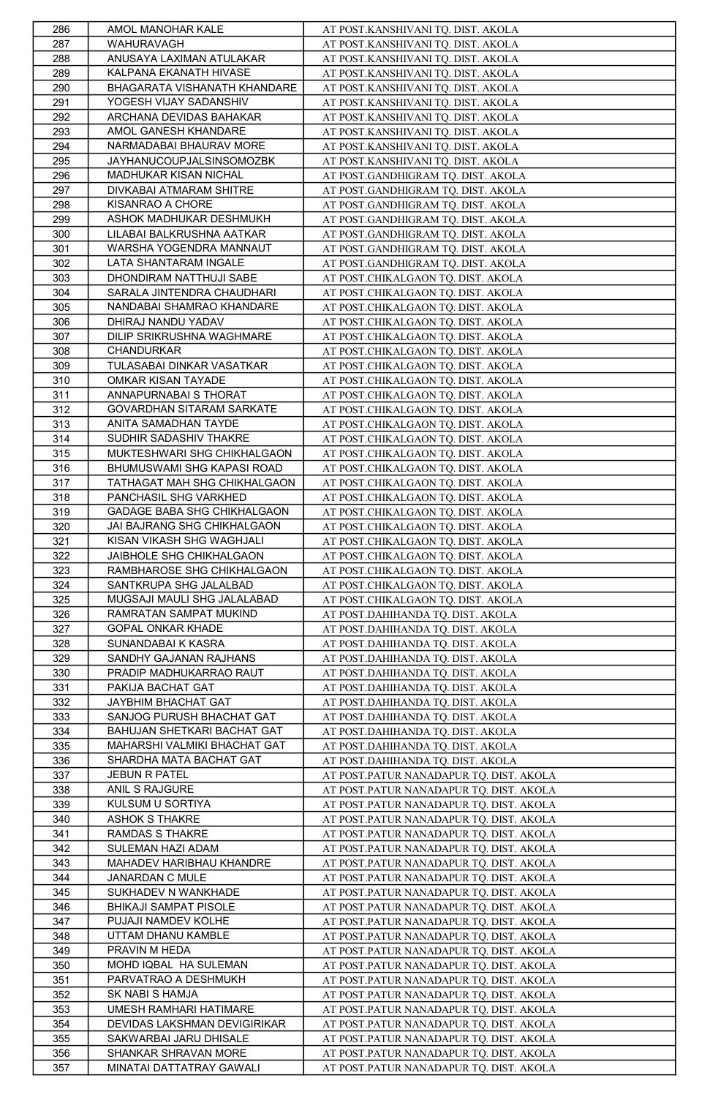| 286        | AMOL MANOHAR KALE                                 | AT POST.KANSHIVANI TQ. DIST. AKOLA                                                 |
|------------|---------------------------------------------------|------------------------------------------------------------------------------------|
| 287        | WAHURAVAGH                                        | AT POST.KANSHIVANI TQ. DIST. AKOLA                                                 |
| 288        | ANUSAYA LAXIMAN ATULAKAR                          | AT POST.KANSHIVANI TQ. DIST. AKOLA                                                 |
| 289        | KALPANA EKANATH HIVASE                            | AT POST.KANSHIVANI TQ. DIST. AKOLA                                                 |
| 290        | BHAGARATA VISHANATH KHANDARE                      | AT POST.KANSHIVANI TQ. DIST. AKOLA                                                 |
| 291        | YOGESH VIJAY SADANSHIV                            | AT POST.KANSHIVANI TQ. DIST. AKOLA                                                 |
| 292        | ARCHANA DEVIDAS BAHAKAR                           | AT POST.KANSHIVANI TQ. DIST. AKOLA                                                 |
| 293        | AMOL GANESH KHANDARE                              | AT POST.KANSHIVANI TQ. DIST. AKOLA                                                 |
| 294        | NARMADABAI BHAURAV MORE                           | AT POST.KANSHIVANI TQ. DIST. AKOLA                                                 |
| 295        | JAYHANUCOUPJALSINSOMOZBK                          | AT POST.KANSHIVANI TQ. DIST. AKOLA                                                 |
| 296        | MADHUKAR KISAN NICHAL                             | AT POST.GANDHIGRAM TQ. DIST. AKOLA                                                 |
| 297        | DIVKABAI ATMARAM SHITRE                           | AT POST.GANDHIGRAM TQ. DIST. AKOLA                                                 |
| 298        | KISANRAO A CHORE                                  | AT POST.GANDHIGRAM TQ. DIST. AKOLA                                                 |
| 299        | ASHOK MADHUKAR DESHMUKH                           | AT POST.GANDHIGRAM TQ. DIST. AKOLA                                                 |
| 300        | LILABAI BALKRUSHNA AATKAR                         | AT POST.GANDHIGRAM TQ. DIST. AKOLA                                                 |
| 301        | WARSHA YOGENDRA MANNAUT                           | AT POST.GANDHIGRAM TQ. DIST. AKOLA                                                 |
| 302        | LATA SHANTARAM INGALE                             | AT POST.GANDHIGRAM TQ. DIST. AKOLA                                                 |
| 303        | DHONDIRAM NATTHUJI SABE                           | AT POST.CHIKALGAON TQ. DIST. AKOLA                                                 |
| 304        | SARALA JINTENDRA CHAUDHARI                        | AT POST.CHIKALGAON TQ. DIST. AKOLA                                                 |
| 305        | NANDABAI SHAMRAO KHANDARE                         | AT POST.CHIKALGAON TQ. DIST. AKOLA                                                 |
| 306        | DHIRAJ NANDU YADAV                                | AT POST.CHIKALGAON TQ. DIST. AKOLA                                                 |
| 307        | DILIP SRIKRUSHNA WAGHMARE                         | AT POST.CHIKALGAON TQ. DIST. AKOLA                                                 |
| 308        | CHANDURKAR                                        | AT POST.CHIKALGAON TQ. DIST. AKOLA                                                 |
| 309        | TULASABAI DINKAR VASATKAR                         | AT POST.CHIKALGAON TQ. DIST. AKOLA                                                 |
| 310<br>311 | OMKAR KISAN TAYADE                                | AT POST.CHIKALGAON TQ. DIST. AKOLA                                                 |
|            | ANNAPURNABAI S THORAT                             | AT POST.CHIKALGAON TQ. DIST. AKOLA                                                 |
| 312<br>313 | GOVARDHAN SITARAM SARKATE<br>ANITA SAMADHAN TAYDE | AT POST.CHIKALGAON TQ. DIST. AKOLA                                                 |
| 314        | SUDHIR SADASHIV THAKRE                            | AT POST.CHIKALGAON TQ. DIST. AKOLA                                                 |
| 315        | MUKTESHWARI SHG CHIKHALGAON                       | AT POST.CHIKALGAON TQ. DIST. AKOLA<br>AT POST.CHIKALGAON TQ. DIST. AKOLA           |
| 316        | BHUMUSWAMI SHG KAPASI ROAD                        | AT POST.CHIKALGAON TQ. DIST. AKOLA                                                 |
| 317        | TATHAGAT MAH SHG CHIKHALGAON                      | AT POST.CHIKALGAON TQ. DIST. AKOLA                                                 |
| 318        | PANCHASIL SHG VARKHED                             | AT POST.CHIKALGAON TQ. DIST. AKOLA                                                 |
| 319        | GADAGE BABA SHG CHIKHALGAON                       | AT POST.CHIKALGAON TQ. DIST. AKOLA                                                 |
| 320        | JAI BAJRANG SHG CHIKHALGAON                       | AT POST.CHIKALGAON TQ. DIST. AKOLA                                                 |
| 321        | KISAN VIKASH SHG WAGHJALI                         | AT POST.CHIKALGAON TQ. DIST. AKOLA                                                 |
| 322        | JAIBHOLE SHG CHIKHALGAON                          | AT POST.CHIKALGAON TQ. DIST. AKOLA                                                 |
| 323        | RAMBHAROSE SHG CHIKHALGAON                        | AT POST.CHIKALGAON TQ. DIST. AKOLA                                                 |
| 324        | SANTKRUPA SHG JALALBAD                            | AT POST.CHIKALGAON TQ. DIST. AKOLA                                                 |
| 325        | MUGSAJI MAULI SHG JALALABAD                       | AT POST.CHIKALGAON TQ. DIST. AKOLA                                                 |
| 326        | RAMRATAN SAMPAT MUKIND                            | AT POST.DAHIHANDA TQ. DIST. AKOLA                                                  |
| 327        | GOPAL ONKAR KHADE                                 | AT POST.DAHIHANDA TQ. DIST. AKOLA                                                  |
| 328        | SUNANDABAI K KASRA                                | AT POST.DAHIHANDA TQ. DIST. AKOLA                                                  |
| 329        | SANDHY GAJANAN RAJHANS                            | AT POST.DAHIHANDA TQ. DIST. AKOLA                                                  |
| 330        | PRADIP MADHUKARRAO RAUT                           | AT POST.DAHIHANDA TQ. DIST. AKOLA                                                  |
| 331        | PAKIJA BACHAT GAT                                 | AT POST.DAHIHANDA TQ. DIST. AKOLA                                                  |
| 332        | JAYBHIM BHACHAT GAT                               | AT POST.DAHIHANDA TQ. DIST. AKOLA                                                  |
| 333        | SANJOG PURUSH BHACHAT GAT                         | AT POST.DAHIHANDA TQ. DIST. AKOLA                                                  |
| 334        | BAHUJAN SHETKARI BACHAT GAT                       | AT POST.DAHIHANDA TQ. DIST. AKOLA                                                  |
| 335        | MAHARSHI VALMIKI BHACHAT GAT                      | AT POST.DAHIHANDA TQ. DIST. AKOLA                                                  |
| 336        | SHARDHA MATA BACHAT GAT                           | AT POST.DAHIHANDA TQ. DIST. AKOLA                                                  |
| 337        | <b>JEBUN R PATEL</b>                              | AT POST.PATUR NANADAPUR TQ. DIST. AKOLA                                            |
| 338        | ANIL S RAJGURE                                    | AT POST.PATUR NANADAPUR TQ. DIST. AKOLA                                            |
| 339        | KULSUM U SORTIYA                                  | AT POST.PATUR NANADAPUR TQ. DIST. AKOLA                                            |
| 340        | ASHOK S THAKRE                                    | AT POST.PATUR NANADAPUR TQ. DIST. AKOLA                                            |
| 341        | RAMDAS S THAKRE                                   | AT POST.PATUR NANADAPUR TQ. DIST. AKOLA                                            |
| 342        | SULEMAN HAZI ADAM                                 | AT POST.PATUR NANADAPUR TQ. DIST. AKOLA                                            |
| 343        | MAHADEV HARIBHAU KHANDRE                          | AT POST.PATUR NANADAPUR TQ. DIST. AKOLA                                            |
| 344        | JANARDAN C MULE                                   | AT POST.PATUR NANADAPUR TQ. DIST. AKOLA                                            |
| 345        | SUKHADEV N WANKHADE                               | AT POST.PATUR NANADAPUR TQ. DIST. AKOLA                                            |
| 346        | BHIKAJI SAMPAT PISOLE                             | AT POST.PATUR NANADAPUR TQ. DIST. AKOLA                                            |
| 347        | PUJAJI NAMDEV KOLHE                               | AT POST.PATUR NANADAPUR TQ. DIST. AKOLA                                            |
| 348        | UTTAM DHANU KAMBLE                                | AT POST.PATUR NANADAPUR TQ. DIST. AKOLA                                            |
| 349        | PRAVIN M HEDA                                     | AT POST.PATUR NANADAPUR TQ. DIST. AKOLA                                            |
| 350        | MOHD IQBAL HA SULEMAN<br>PARVATRAO A DESHMUKH     | AT POST.PATUR NANADAPUR TQ. DIST. AKOLA<br>AT POST.PATUR NANADAPUR TQ. DIST. AKOLA |
| 351        | SK NABI S HAMJA                                   |                                                                                    |
| 352<br>353 | UMESH RAMHARI HATIMARE                            | AT POST.PATUR NANADAPUR TQ. DIST. AKOLA<br>AT POST.PATUR NANADAPUR TQ. DIST. AKOLA |
| 354        | DEVIDAS LAKSHMAN DEVIGIRIKAR                      | AT POST.PATUR NANADAPUR TQ. DIST. AKOLA                                            |
| 355        | SAKWARBAI JARU DHISALE                            | AT POST.PATUR NANADAPUR TQ. DIST. AKOLA                                            |
| 356        | SHANKAR SHRAVAN MORE                              | AT POST.PATUR NANADAPUR TQ. DIST. AKOLA                                            |
| 357        | MINATAI DATTATRAY GAWALI                          | AT POST.PATUR NANADAPUR TQ. DIST. AKOLA                                            |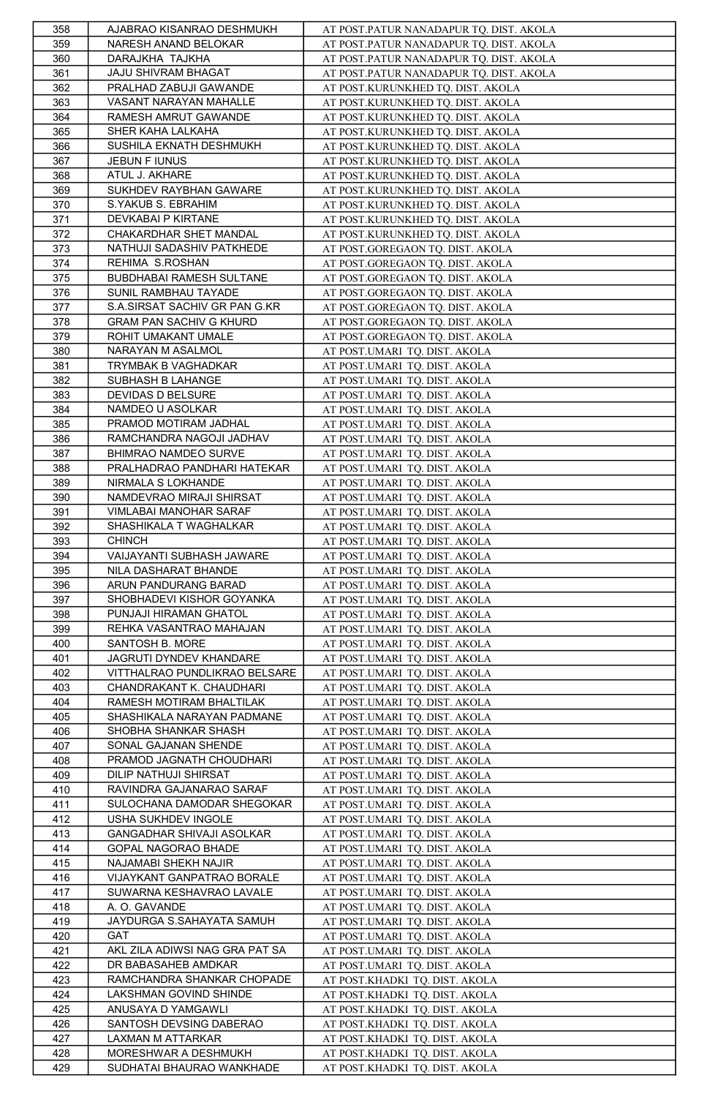| 358 | AJABRAO KISANRAO DESHMUKH      | AT POST.PATUR NANADAPUR TQ. DIST. AKOLA |
|-----|--------------------------------|-----------------------------------------|
| 359 | NARESH ANAND BELOKAR           | AT POST.PATUR NANADAPUR TQ. DIST. AKOLA |
| 360 | DARAJKHA TAJKHA                | AT POST.PATUR NANADAPUR TQ. DIST. AKOLA |
| 361 | JAJU SHIVRAM BHAGAT            | AT POST.PATUR NANADAPUR TQ. DIST. AKOLA |
| 362 | PRALHAD ZABUJI GAWANDE         | AT POST.KURUNKHED TQ. DIST. AKOLA       |
| 363 | VASANT NARAYAN MAHALLE         | AT POST.KURUNKHED TQ. DIST. AKOLA       |
| 364 | RAMESH AMRUT GAWANDE           | AT POST.KURUNKHED TQ. DIST. AKOLA       |
| 365 | SHER KAHA LALKAHA              | AT POST.KURUNKHED TQ. DIST. AKOLA       |
| 366 | SUSHILA EKNATH DESHMUKH        | AT POST.KURUNKHED TQ. DIST. AKOLA       |
| 367 | JEBUN F IUNUS                  | AT POST.KURUNKHED TQ. DIST. AKOLA       |
| 368 | ATUL J. AKHARE                 | AT POST.KURUNKHED TQ. DIST. AKOLA       |
| 369 | SUKHDEV RAYBHAN GAWARE         | AT POST.KURUNKHED TQ. DIST. AKOLA       |
| 370 | S.YAKUB S. EBRAHIM             | AT POST.KURUNKHED TQ. DIST. AKOLA       |
| 371 | DEVKABAI P KIRTANE             | AT POST.KURUNKHED TQ. DIST. AKOLA       |
| 372 | CHAKARDHAR SHET MANDAL         | AT POST.KURUNKHED TQ. DIST. AKOLA       |
|     | NATHUJI SADASHIV PATKHEDE      |                                         |
| 373 | REHIMA S.ROSHAN                | AT POST.GOREGAON TQ. DIST. AKOLA        |
| 374 |                                | AT POST.GOREGAON TQ. DIST. AKOLA        |
| 375 | BUBDHABAI RAMESH SULTANE       | AT POST.GOREGAON TQ. DIST. AKOLA        |
| 376 | SUNIL RAMBHAU TAYADE           | AT POST.GOREGAON TQ. DIST. AKOLA        |
| 377 | S.A.SIRSAT SACHIV GR PAN G.KR  | AT POST.GOREGAON TQ. DIST. AKOLA        |
| 378 | <b>GRAM PAN SACHIV G KHURD</b> | AT POST.GOREGAON TQ. DIST. AKOLA        |
| 379 | ROHIT UMAKANT UMALE            | AT POST.GOREGAON TQ. DIST. AKOLA        |
| 380 | NARAYAN M ASALMOL              | AT POST.UMARI TQ. DIST. AKOLA           |
| 381 | TRYMBAK B VAGHADKAR            | AT POST.UMARI TQ. DIST. AKOLA           |
| 382 | SUBHASH B LAHANGE              | AT POST.UMARI TQ. DIST. AKOLA           |
| 383 | DEVIDAS D BELSURE              | AT POST.UMARI TQ. DIST. AKOLA           |
| 384 | NAMDEO U ASOLKAR               | AT POST.UMARI TQ. DIST. AKOLA           |
| 385 | PRAMOD MOTIRAM JADHAL          | AT POST.UMARI TQ. DIST. AKOLA           |
| 386 | RAMCHANDRA NAGOJI JADHAV       | AT POST.UMARI TQ. DIST. AKOLA           |
| 387 | BHIMRAO NAMDEO SURVE           | AT POST.UMARI TQ. DIST. AKOLA           |
| 388 | PRALHADRAO PANDHARI HATEKAR    | AT POST.UMARI TQ. DIST. AKOLA           |
| 389 | NIRMALA S LOKHANDE             | AT POST.UMARI TQ. DIST. AKOLA           |
| 390 | NAMDEVRAO MIRAJI SHIRSAT       | AT POST.UMARI TQ. DIST. AKOLA           |
| 391 | VIMLABAI MANOHAR SARAF         | AT POST.UMARI TQ. DIST. AKOLA           |
| 392 | SHASHIKALA T WAGHALKAR         | AT POST.UMARI TQ. DIST. AKOLA           |
| 393 | <b>CHINCH</b>                  | AT POST.UMARI TQ. DIST. AKOLA           |
| 394 | VAIJAYANTI SUBHASH JAWARE      | AT POST.UMARI TQ. DIST. AKOLA           |
| 395 | NILA DASHARAT BHANDE           | AT POST.UMARI TQ. DIST. AKOLA           |
| 396 | ARUN PANDURANG BARAD           | AT POST.UMARI TQ. DIST. AKOLA           |
| 397 | SHOBHADEVI KISHOR GOYANKA      | AT POST.UMARI TQ. DIST. AKOLA           |
| 398 | PUNJAJI HIRAMAN GHATOL         | AT POST.UMARI TQ. DIST. AKOLA           |
| 399 | REHKA VASANTRAO MAHAJAN        | AT POST.UMARI TQ. DIST. AKOLA           |
| 400 | SANTOSH B. MORE                | AT POST.UMARI TQ. DIST. AKOLA           |
| 401 | JAGRUTI DYNDEV KHANDARE        | AT POST.UMARI TQ. DIST. AKOLA           |
| 402 | VITTHALRAO PUNDLIKRAO BELSARE  | AT POST.UMARI TQ. DIST. AKOLA           |
| 403 | CHANDRAKANT K. CHAUDHARI       | AT POST.UMARI TQ. DIST. AKOLA           |
| 404 | RAMESH MOTIRAM BHALTILAK       | AT POST.UMARI TQ. DIST. AKOLA           |
| 405 | SHASHIKALA NARAYAN PADMANE     | AT POST.UMARI TQ. DIST. AKOLA           |
| 406 | SHOBHA SHANKAR SHASH           | AT POST.UMARI TQ. DIST. AKOLA           |
| 407 | SONAL GAJANAN SHENDE           | AT POST.UMARI TQ. DIST. AKOLA           |
| 408 | PRAMOD JAGNATH CHOUDHARI       | AT POST.UMARI TQ. DIST. AKOLA           |
| 409 | DILIP NATHUJI SHIRSAT          | AT POST.UMARI TQ. DIST. AKOLA           |
| 410 | RAVINDRA GAJANARAO SARAF       | AT POST.UMARI TQ. DIST. AKOLA           |
| 411 | SULOCHANA DAMODAR SHEGOKAR     | AT POST.UMARI TQ. DIST. AKOLA           |
| 412 | USHA SUKHDEV INGOLE            | AT POST.UMARI TQ. DIST. AKOLA           |
| 413 | GANGADHAR SHIVAJI ASOLKAR      | AT POST.UMARI TQ. DIST. AKOLA           |
| 414 | GOPAL NAGORAO BHADE            | AT POST.UMARI TQ. DIST. AKOLA           |
| 415 | NAJAMABI SHEKH NAJIR           | AT POST.UMARI TQ. DIST. AKOLA           |
| 416 | VIJAYKANT GANPATRAO BORALE     | AT POST.UMARI TQ. DIST. AKOLA           |
| 417 | SUWARNA KESHAVRAO LAVALE       | AT POST.UMARI TQ. DIST. AKOLA           |
| 418 | A. O. GAVANDE                  | AT POST.UMARI TQ. DIST. AKOLA           |
| 419 | JAYDURGA S.SAHAYATA SAMUH      | AT POST.UMARI TQ. DIST. AKOLA           |
| 420 | <b>GAT</b>                     | AT POST.UMARI TQ. DIST. AKOLA           |
| 421 | AKL ZILA ADIWSI NAG GRA PAT SA | AT POST.UMARI TQ. DIST. AKOLA           |
| 422 | DR BABASAHEB AMDKAR            | AT POST.UMARI TQ. DIST. AKOLA           |
| 423 | RAMCHANDRA SHANKAR CHOPADE     | AT POST.KHADKI TQ. DIST. AKOLA          |
| 424 | LAKSHMAN GOVIND SHINDE         | AT POST.KHADKI TQ. DIST. AKOLA          |
|     |                                |                                         |
| 425 | ANUSAYA D YAMGAWLI             | AT POST.KHADKI TQ. DIST. AKOLA          |
| 426 | SANTOSH DEVSING DABERAO        | AT POST.KHADKI TQ. DIST. AKOLA          |
| 427 | LAXMAN M ATTARKAR              | AT POST.KHADKI TQ. DIST. AKOLA          |
| 428 | MORESHWAR A DESHMUKH           | AT POST.KHADKI TQ. DIST. AKOLA          |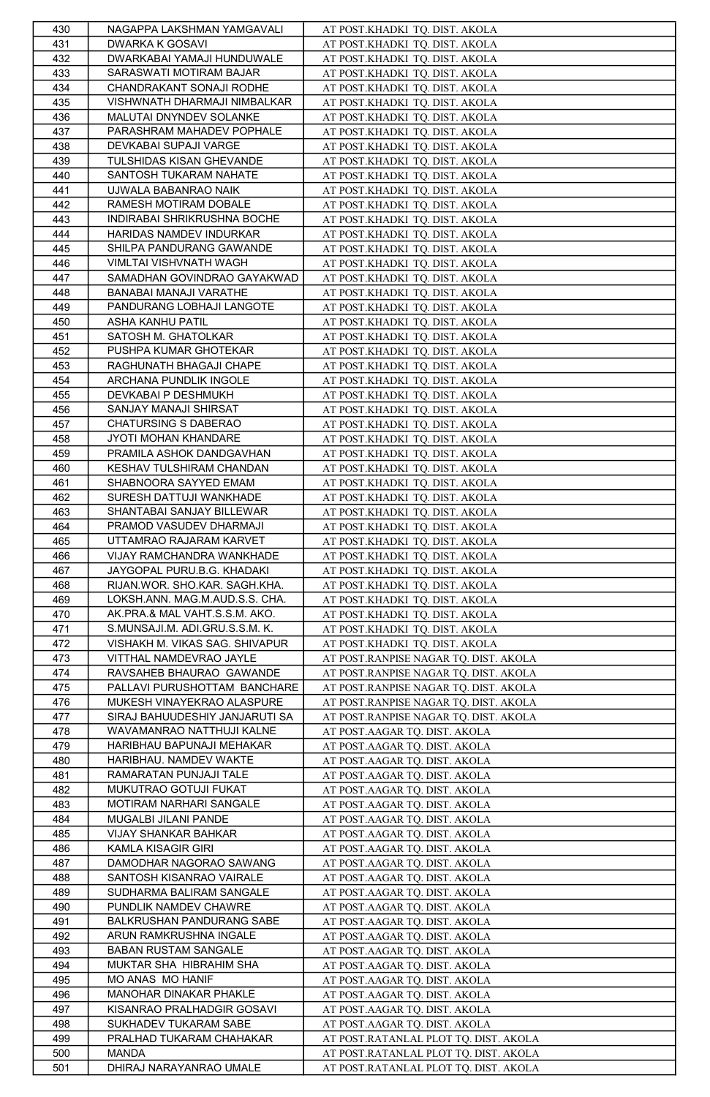| 430 | NAGAPPA LAKSHMAN YAMGAVALI                          | AT POST.KHADKI TQ. DIST. AKOLA        |
|-----|-----------------------------------------------------|---------------------------------------|
| 431 | DWARKA K GOSAVI                                     | AT POST.KHADKI TQ. DIST. AKOLA        |
| 432 | DWARKABAI YAMAJI HUNDUWALE                          | AT POST.KHADKI TQ. DIST. AKOLA        |
| 433 | SARASWATI MOTIRAM BAJAR                             | AT POST.KHADKI TQ. DIST. AKOLA        |
| 434 | CHANDRAKANT SONAJI RODHE                            | AT POST.KHADKI TQ. DIST. AKOLA        |
| 435 | VISHWNATH DHARMAJI NIMBALKAR                        | AT POST.KHADKI TQ. DIST. AKOLA        |
| 436 | MALUTAI DNYNDEV SOLANKE                             |                                       |
|     | PARASHRAM MAHADEV POPHALE                           | AT POST.KHADKI TQ. DIST. AKOLA        |
| 437 |                                                     | AT POST.KHADKI TQ. DIST. AKOLA        |
| 438 | DEVKABAI SUPAJI VARGE                               | AT POST.KHADKI TQ. DIST. AKOLA        |
| 439 | TULSHIDAS KISAN GHEVANDE                            | AT POST.KHADKI TQ. DIST. AKOLA        |
| 440 | SANTOSH TUKARAM NAHATE                              | AT POST.KHADKI TQ. DIST. AKOLA        |
| 441 | UJWALA BABANRAO NAIK                                | AT POST.KHADKI_TQ. DIST. AKOLA        |
| 442 | RAMESH MOTIRAM DOBALE                               | AT POST.KHADKI TQ. DIST. AKOLA        |
| 443 | INDIRABAI SHRIKRUSHNA BOCHE                         | AT POST.KHADKI TQ. DIST. AKOLA        |
| 444 | HARIDAS NAMDEV INDURKAR                             | AT POST.KHADKI TQ. DIST. AKOLA        |
| 445 | SHILPA PANDURANG GAWANDE                            | AT POST.KHADKI TQ. DIST. AKOLA        |
| 446 | VIMLTAI VISHVNATH WAGH                              | AT POST.KHADKI TQ. DIST. AKOLA        |
| 447 | SAMADHAN GOVINDRAO GAYAKWAD                         | AT POST.KHADKI TQ. DIST. AKOLA        |
| 448 | BANABAI MANAJI VARATHE                              | AT POST.KHADKI TQ. DIST. AKOLA        |
| 449 | PANDURANG LOBHAJI LANGOTE                           | AT POST.KHADKI TQ. DIST. AKOLA        |
| 450 | ASHA KANHU PATIL                                    | AT POST.KHADKI TQ. DIST. AKOLA        |
| 451 | SATOSH M. GHATOLKAR                                 | AT POST.KHADKI TQ. DIST. AKOLA        |
| 452 | PUSHPA KUMAR GHOTEKAR                               | AT POST.KHADKI TQ. DIST. AKOLA        |
| 453 | RAGHUNATH BHAGAJI CHAPE                             | AT POST.KHADKI TQ. DIST. AKOLA        |
| 454 | ARCHANA PUNDLIK INGOLE                              | AT POST.KHADKI TQ. DIST. AKOLA        |
| 455 | DEVKABAI P DESHMUKH                                 | AT POST.KHADKI TQ. DIST. AKOLA        |
| 456 | SANJAY MANAJI SHIRSAT                               |                                       |
| 457 | CHATURSING S DABERAO                                | AT POST.KHADKI TQ. DIST. AKOLA        |
|     |                                                     | AT POST.KHADKI TQ. DIST. AKOLA        |
| 458 | JYOTI MOHAN KHANDARE                                | AT POST.KHADKI TQ. DIST. AKOLA        |
| 459 | PRAMILA ASHOK DANDGAVHAN                            | AT POST.KHADKI TQ. DIST. AKOLA        |
| 460 | KESHAV TULSHIRAM CHANDAN                            | AT POST.KHADKI TQ. DIST. AKOLA        |
| 461 | SHABNOORA SAYYED EMAM                               | AT POST.KHADKI TQ. DIST. AKOLA        |
| 462 | SURESH DATTUJI WANKHADE                             | AT POST.KHADKI TQ. DIST. AKOLA        |
| 463 | SHANTABAI SANJAY BILLEWAR                           | AT POST.KHADKI TQ. DIST. AKOLA        |
| 464 | PRAMOD VASUDEV DHARMAJI                             | AT POST.KHADKI TQ. DIST. AKOLA        |
| 465 | UTTAMRAO RAJARAM KARVET                             | AT POST.KHADKI TQ. DIST. AKOLA        |
| 466 | VIJAY RAMCHANDRA WANKHADE                           | AT POST.KHADKI TQ. DIST. AKOLA        |
| 467 | JAYGOPAL PURU.B.G. KHADAKI                          | AT POST.KHADKI TQ. DIST. AKOLA        |
| 468 | RIJAN.WOR. SHO.KAR. SAGH.KHA.                       | AT POST.KHADKI TQ. DIST. AKOLA        |
| 469 | LOKSH.ANN. MAG.M.AUD.S.S. CHA.                      | AT POST.KHADKI TQ. DIST. AKOLA        |
| 470 | AK.PRA.& MAL VAHT.S.S.M. AKO.                       | AT POST.KHADKI TQ. DIST. AKOLA        |
| 471 | S.MUNSAJI.M. ADI.GRU.S.S.M. K.                      | AT POST.KHADKI TQ. DIST. AKOLA        |
| 472 | VISHAKH M. VIKAS SAG. SHIVAPUR                      | AT POST.KHADKI TQ. DIST. AKOLA        |
| 473 | VITTHAL NAMDEVRAO JAYLE                             | AT POST.RANPISE NAGAR TQ. DIST. AKOLA |
| 474 | RAVSAHEB BHAURAO GAWANDE                            | AT POST.RANPISE NAGAR TQ. DIST. AKOLA |
| 475 | PALLAVI PURUSHOTTAM BANCHARE                        | AT POST.RANPISE NAGAR TQ. DIST. AKOLA |
| 476 | MUKESH VINAYEKRAO ALASPURE                          | AT POST.RANPISE NAGAR TQ. DIST. AKOLA |
| 477 | SIRAJ BAHUUDESHIY JANJARUTI SA                      | AT POST.RANPISE NAGAR TQ. DIST. AKOLA |
| 478 | WAVAMANRAO NATTHUJI KALNE                           |                                       |
|     |                                                     | AT POST.AAGAR TQ. DIST. AKOLA         |
| 479 | HARIBHAU BAPUNAJI MEHAKAR<br>HARIBHAU. NAMDEV WAKTE | AT POST.AAGAR TQ. DIST. AKOLA         |
| 480 |                                                     | AT POST.AAGAR TQ. DIST. AKOLA         |
| 481 | RAMARATAN PUNJAJI TALE<br>MUKUTRAO GOTUJI FUKAT     | AT POST.AAGAR TQ. DIST. AKOLA         |
| 482 |                                                     | AT POST.AAGAR TQ. DIST. AKOLA         |
| 483 | MOTIRAM NARHARI SANGALE                             | AT POST.AAGAR TQ. DIST. AKOLA         |
| 484 | MUGALBI JILANI PANDE                                | AT POST.AAGAR TQ. DIST. AKOLA         |
| 485 | VIJAY SHANKAR BAHKAR                                | AT POST.AAGAR TQ. DIST. AKOLA         |
| 486 | KAMLA KISAGIR GIRI                                  | AT POST.AAGAR TQ. DIST. AKOLA         |
| 487 | DAMODHAR NAGORAO SAWANG                             | AT POST.AAGAR TQ. DIST. AKOLA         |
| 488 | SANTOSH KISANRAO VAIRALE                            | AT POST.AAGAR TQ. DIST. AKOLA         |
| 489 | SUDHARMA BALIRAM SANGALE                            | AT POST.AAGAR TQ. DIST. AKOLA         |
| 490 | PUNDLIK NAMDEV CHAWRE                               | AT POST.AAGAR TQ. DIST. AKOLA         |
| 491 | BALKRUSHAN PANDURANG SABE                           | AT POST.AAGAR TQ. DIST. AKOLA         |
| 492 | ARUN RAMKRUSHNA INGALE                              | AT POST.AAGAR TO. DIST. AKOLA         |
| 493 | BABAN RUSTAM SANGALE                                | AT POST.AAGAR TQ. DIST. AKOLA         |
| 494 | MUKTAR SHA HIBRAHIM SHA                             | AT POST.AAGAR TQ. DIST. AKOLA         |
| 495 | MO ANAS MO HANIF                                    | AT POST.AAGAR TQ. DIST. AKOLA         |
| 496 | MANOHAR DINAKAR PHAKLE                              | AT POST.AAGAR TQ. DIST. AKOLA         |
| 497 | KISANRAO PRALHADGIR GOSAVI                          | AT POST.AAGAR TQ. DIST. AKOLA         |
| 498 | SUKHADEV TUKARAM SABE                               | AT POST.AAGAR TO. DIST. AKOLA         |
| 499 | PRALHAD TUKARAM CHAHAKAR                            | AT POST.RATANLAL PLOT TQ. DIST. AKOLA |
| 500 | MANDA                                               | AT POST.RATANLAL PLOT TQ. DIST. AKOLA |
|     | DHIRAJ NARAYANRAO UMALE                             | AT POST.RATANLAL PLOT TQ. DIST. AKOLA |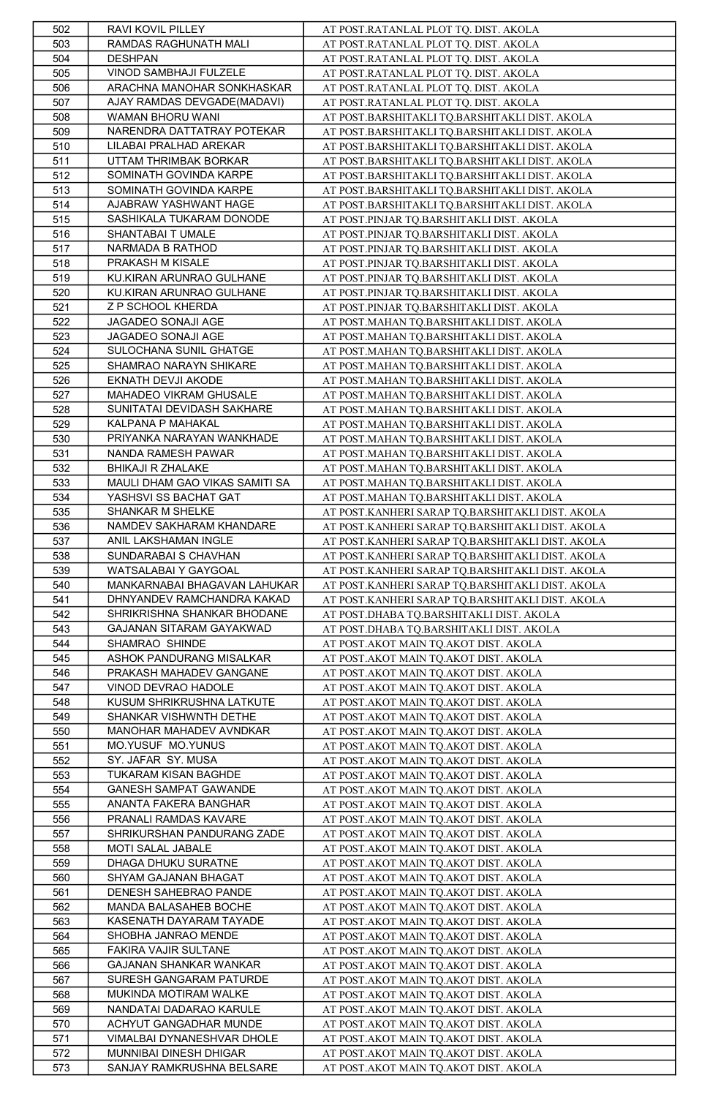| 502        | RAVI KOVIL PILLEY                                    | AT POST.RATANLAL PLOT TQ. DIST. AKOLA                                          |
|------------|------------------------------------------------------|--------------------------------------------------------------------------------|
| 503        | RAMDAS RAGHUNATH MALI                                | AT POST.RATANLAL PLOT TQ. DIST. AKOLA                                          |
| 504        | <b>DESHPAN</b>                                       | AT POST.RATANLAL PLOT TQ. DIST. AKOLA                                          |
| 505        | VINOD SAMBHAJI FULZELE                               | AT POST.RATANLAL PLOT TQ. DIST. AKOLA                                          |
| 506        | ARACHNA MANOHAR SONKHASKAR                           | AT POST.RATANLAL PLOT TQ. DIST. AKOLA                                          |
| 507        | AJAY RAMDAS DEVGADE(MADAVI)                          | AT POST.RATANLAL PLOT TQ. DIST. AKOLA                                          |
| 508        | WAMAN BHORU WANI                                     | AT POST.BARSHITAKLI TQ.BARSHITAKLI DIST. AKOLA                                 |
| 509        | NARENDRA DATTATRAY POTEKAR                           | AT POST.BARSHITAKLI TQ.BARSHITAKLI DIST. AKOLA                                 |
| 510        | LILABAI PRALHAD AREKAR                               | AT POST.BARSHITAKLI TQ.BARSHITAKLI DIST. AKOLA                                 |
| 511        | UTTAM THRIMBAK BORKAR                                | AT POST.BARSHITAKLI TQ.BARSHITAKLI DIST. AKOLA                                 |
| 512        |                                                      |                                                                                |
|            | SOMINATH GOVINDA KARPE                               | AT POST.BARSHITAKLI TQ.BARSHITAKLI DIST. AKOLA                                 |
| 513        | SOMINATH GOVINDA KARPE                               | AT POST.BARSHITAKLI TQ.BARSHITAKLI DIST. AKOLA                                 |
| 514        | AJABRAW YASHWANT HAGE                                | AT POST.BARSHITAKLI TQ.BARSHITAKLI DIST. AKOLA                                 |
| 515        | SASHIKALA TUKARAM DONODE                             | AT POST.PINJAR TQ.BARSHITAKLI DIST. AKOLA                                      |
| 516        | SHANTABAI T UMALE                                    | AT POST.PINJAR TQ.BARSHITAKLI DIST. AKOLA                                      |
| 517        | NARMADA B RATHOD                                     | AT POST.PINJAR TQ.BARSHITAKLI DIST. AKOLA                                      |
| 518        | PRAKASH M KISALE                                     | AT POST.PINJAR TQ.BARSHITAKLI DIST. AKOLA                                      |
| 519        | KU.KIRAN ARUNRAO GULHANE                             | AT POST.PINJAR TQ.BARSHITAKLI DIST. AKOLA                                      |
| 520        | KU.KIRAN ARUNRAO GULHANE                             | AT POST.PINJAR TQ.BARSHITAKLI DIST. AKOLA                                      |
| 521        | Z P SCHOOL KHERDA                                    | AT POST.PINJAR TQ.BARSHITAKLI DIST. AKOLA                                      |
| 522        | JAGADEO SONAJI AGE                                   | AT POST.MAHAN TQ.BARSHITAKLI DIST. AKOLA                                       |
| 523        | JAGADEO SONAJI AGE                                   | AT POST.MAHAN TQ.BARSHITAKLI DIST. AKOLA                                       |
| 524        | SULOCHANA SUNIL GHATGE                               | AT POST.MAHAN TQ.BARSHITAKLI DIST. AKOLA                                       |
| 525        | SHAMRAO NARAYN SHIKARE                               | AT POST.MAHAN TQ.BARSHITAKLI DIST. AKOLA                                       |
| 526        | EKNATH DEVJI AKODE                                   | AT POST.MAHAN TO.BARSHITAKLI DIST. AKOLA                                       |
| 527        | MAHADEO VIKRAM GHUSALE                               | AT POST.MAHAN TO.BARSHITAKLI DIST. AKOLA                                       |
| 528        | SUNITATAI DEVIDASH SAKHARE                           | AT POST.MAHAN TQ.BARSHITAKLI DIST. AKOLA                                       |
| 529        | KALPANA P MAHAKAL                                    | AT POST.MAHAN TQ.BARSHITAKLI DIST. AKOLA                                       |
| 530        | PRIYANKA NARAYAN WANKHADE                            | AT POST.MAHAN TQ.BARSHITAKLI DIST. AKOLA                                       |
| 531        | NANDA RAMESH PAWAR                                   | AT POST.MAHAN TO.BARSHITAKLI DIST. AKOLA                                       |
| 532        | <b>BHIKAJI R ZHALAKE</b>                             | AT POST.MAHAN TQ.BARSHITAKLI DIST. AKOLA                                       |
| 533        | MAULI DHAM GAO VIKAS SAMITI SA                       | AT POST.MAHAN TQ.BARSHITAKLI DIST. AKOLA                                       |
| 534        | YASHSVI SS BACHAT GAT                                | AT POST.MAHAN TQ.BARSHITAKLI DIST. AKOLA                                       |
| 535        | SHANKAR M SHELKE                                     | AT POST.KANHERI SARAP TQ.BARSHITAKLI DIST. AKOLA                               |
| 536        | NAMDEV SAKHARAM KHANDARE                             | AT POST.KANHERI SARAP TQ.BARSHITAKLI DIST. AKOLA                               |
| 537        | ANIL LAKSHAMAN INGLE                                 | AT POST.KANHERI SARAP TQ.BARSHITAKLI DIST. AKOLA                               |
| 538        | SUNDARABAI S CHAVHAN                                 | AT POST.KANHERI SARAP TQ.BARSHITAKLI DIST. AKOLA                               |
| 539        | WATSALABAI Y GAYGOAL                                 | AT POST.KANHERI SARAP TQ.BARSHITAKLI DIST. AKOLA                               |
| 540        | MANKARNABAI BHAGAVAN LAHUKAR                         | AT POST.KANHERI SARAP TQ.BARSHITAKLI DIST. AKOLA                               |
| 541        | DHNYANDEV RAMCHANDRA KAKAD                           |                                                                                |
|            |                                                      | AT POST.KANHERI SARAP TQ.BARSHITAKLI DIST. AKOLA                               |
| 542        | SHRIKRISHNA SHANKAR BHODANE                          | AT POST.DHABA TQ.BARSHITAKLI DIST. AKOLA                                       |
| 543        | GAJANAN SITARAM GAYAKWAD                             | AT POST.DHABA TQ.BARSHITAKLI DIST. AKOLA                                       |
| 544        | SHAMRAO SHINDE                                       | AT POST.AKOT MAIN TQ.AKOT DIST. AKOLA                                          |
| 545        | ASHOK PANDURANG MISALKAR                             | AT POST.AKOT MAIN TQ.AKOT DIST. AKOLA                                          |
| 546        | PRAKASH MAHADEV GANGANE                              | AT POST.AKOT MAIN TQ.AKOT DIST. AKOLA                                          |
| 547        | VINOD DEVRAO HADOLE                                  | AT POST.AKOT MAIN TQ.AKOT DIST. AKOLA                                          |
| 548        | KUSUM SHRIKRUSHNA LATKUTE                            | AT POST.AKOT MAIN TQ.AKOT DIST. AKOLA                                          |
| 549        | SHANKAR VISHWNTH DETHE                               | AT POST.AKOT MAIN TQ.AKOT DIST. AKOLA                                          |
| 550        | MANOHAR MAHADEV AVNDKAR                              | AT POST.AKOT MAIN TQ.AKOT DIST. AKOLA                                          |
| 551        | MO.YUSUF MO.YUNUS                                    | AT POST.AKOT MAIN TQ.AKOT DIST. AKOLA                                          |
| 552        | SY. JAFAR SY. MUSA                                   | AT POST.AKOT MAIN TQ.AKOT DIST. AKOLA                                          |
| 553        |                                                      |                                                                                |
| 554        | TUKARAM KISAN BAGHDE                                 | AT POST.AKOT MAIN TQ.AKOT DIST. AKOLA                                          |
|            | <b>GANESH SAMPAT GAWANDE</b>                         | AT POST. AKOT MAIN TQ. AKOT DIST. AKOLA                                        |
| 555        | ANANTA FAKERA BANGHAR                                | AT POST. AKOT MAIN TQ. AKOT DIST. AKOLA                                        |
| 556        | PRANALI RAMDAS KAVARE                                | AT POST. AKOT MAIN TQ. AKOT DIST. AKOLA                                        |
| 557        | SHRIKURSHAN PANDURANG ZADE                           | AT POST.AKOT MAIN TQ.AKOT DIST. AKOLA                                          |
| 558        | MOTI SALAL JABALE                                    | AT POST.AKOT MAIN TQ.AKOT DIST. AKOLA                                          |
| 559        | DHAGA DHUKU SURATNE                                  | AT POST.AKOT MAIN TQ.AKOT DIST. AKOLA                                          |
| 560        | SHYAM GAJANAN BHAGAT                                 | AT POST.AKOT MAIN TQ.AKOT DIST. AKOLA                                          |
| 561        | DENESH SAHEBRAO PANDE                                | AT POST.AKOT MAIN TQ.AKOT DIST. AKOLA                                          |
| 562        | MANDA BALASAHEB BOCHE                                | AT POST.AKOT MAIN TQ.AKOT DIST. AKOLA                                          |
| 563        | KASENATH DAYARAM TAYADE                              | AT POST. AKOT MAIN TQ. AKOT DIST. AKOLA                                        |
| 564        | SHOBHA JANRAO MENDE                                  | AT POST.AKOT MAIN TQ.AKOT DIST. AKOLA                                          |
| 565        | FAKIRA VAJIR SULTANE                                 | AT POST.AKOT MAIN TQ.AKOT DIST. AKOLA                                          |
| 566        | <b>GAJANAN SHANKAR WANKAR</b>                        | AT POST.AKOT MAIN TQ.AKOT DIST. AKOLA                                          |
| 567        | SURESH GANGARAM PATURDE                              | AT POST.AKOT MAIN TO.AKOT DIST. AKOLA                                          |
|            | MUKINDA MOTIRAM WALKE                                |                                                                                |
| 568        | NANDATAI DADARAO KARULE                              | AT POST.AKOT MAIN TQ.AKOT DIST. AKOLA<br>AT POST.AKOT MAIN TO.AKOT DIST. AKOLA |
| 569        | ACHYUT GANGADHAR MUNDE                               |                                                                                |
| 570        |                                                      | AT POST.AKOT MAIN TQ.AKOT DIST. AKOLA                                          |
| 571<br>572 | VIMALBAI DYNANESHVAR DHOLE<br>MUNNIBAI DINESH DHIGAR | AT POST.AKOT MAIN TQ.AKOT DIST. AKOLA<br>AT POST.AKOT MAIN TO.AKOT DIST. AKOLA |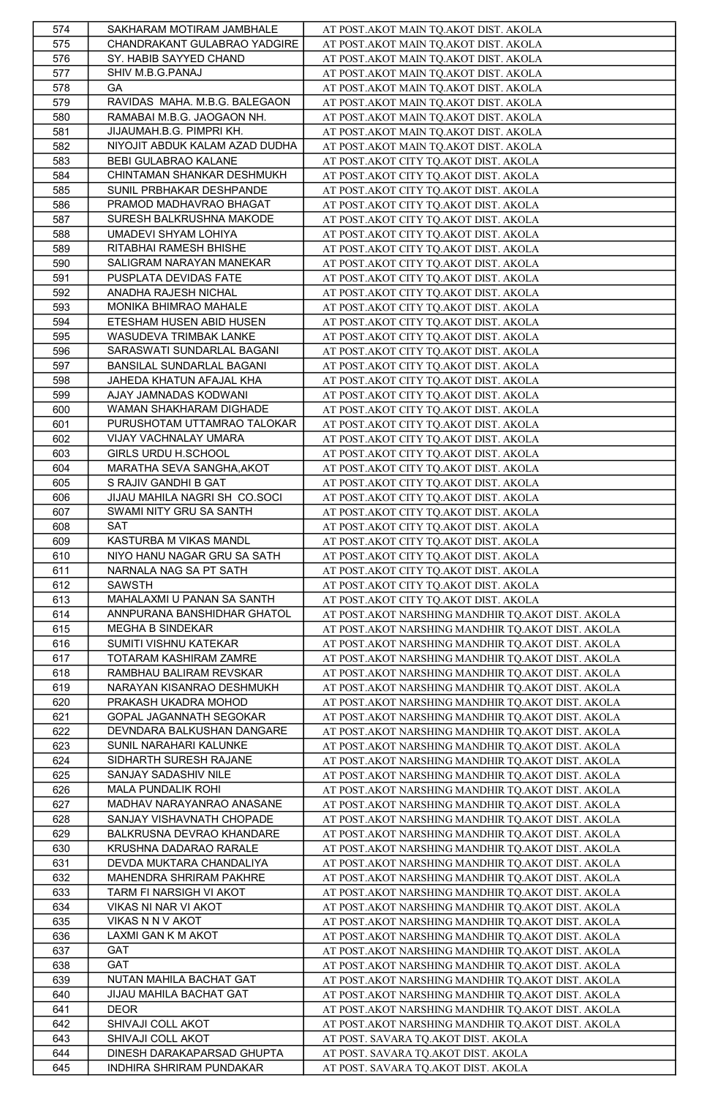| 574 | SAKHARAM MOTIRAM JAMBHALE      | AT POST.AKOT MAIN TQ.AKOT DIST. AKOLA                    |
|-----|--------------------------------|----------------------------------------------------------|
| 575 | CHANDRAKANT GULABRAO YADGIRE   | AT POST.AKOT MAIN TQ.AKOT DIST. AKOLA                    |
| 576 | SY. HABIB SAYYED CHAND         | AT POST.AKOT MAIN TQ.AKOT DIST. AKOLA                    |
| 577 | SHIV M.B.G.PANAJ               | AT POST.AKOT MAIN TQ.AKOT DIST. AKOLA                    |
| 578 | GA                             | AT POST.AKOT MAIN TQ.AKOT DIST. AKOLA                    |
| 579 | RAVIDAS MAHA. M.B.G. BALEGAON  | AT POST.AKOT MAIN TQ.AKOT DIST. AKOLA                    |
| 580 | RAMABAI M.B.G. JAOGAON NH.     | AT POST.AKOT MAIN TQ.AKOT DIST. AKOLA                    |
| 581 | JIJAUMAH.B.G. PIMPRI KH.       | AT POST.AKOT MAIN TQ.AKOT DIST. AKOLA                    |
| 582 | NIYOJIT ABDUK KALAM AZAD DUDHA | AT POST.AKOT MAIN TQ.AKOT DIST. AKOLA                    |
| 583 | BEBI GULABRAO KALANE           | AT POST.AKOT CITY TQ.AKOT DIST. AKOLA                    |
| 584 | CHINTAMAN SHANKAR DESHMUKH     | AT POST.AKOT CITY TQ.AKOT DIST. AKOLA                    |
| 585 | SUNIL PRBHAKAR DESHPANDE       | AT POST.AKOT CITY TQ.AKOT DIST. AKOLA                    |
| 586 | PRAMOD MADHAVRAO BHAGAT        | AT POST.AKOT CITY TQ.AKOT DIST. AKOLA                    |
| 587 | SURESH BALKRUSHNA MAKODE       | AT POST.AKOT CITY TQ.AKOT DIST. AKOLA                    |
| 588 | UMADEVI SHYAM LOHIYA           | AT POST.AKOT CITY TQ.AKOT DIST. AKOLA                    |
| 589 | RITABHAI RAMESH BHISHE         | AT POST.AKOT CITY TQ.AKOT DIST. AKOLA                    |
| 590 | SALIGRAM NARAYAN MANEKAR       | AT POST.AKOT CITY TQ.AKOT DIST. AKOLA                    |
| 591 | PUSPLATA DEVIDAS FATE          | AT POST.AKOT CITY TQ.AKOT DIST. AKOLA                    |
| 592 | ANADHA RAJESH NICHAL           | AT POST.AKOT CITY TQ.AKOT DIST. AKOLA                    |
| 593 | MONIKA BHIMRAO MAHALE          | AT POST.AKOT CITY TQ.AKOT DIST. AKOLA                    |
| 594 | ETESHAM HUSEN ABID HUSEN       | AT POST.AKOT CITY TQ.AKOT DIST. AKOLA                    |
| 595 | WASUDEVA TRIMBAK LANKE         | AT POST.AKOT CITY TQ.AKOT DIST. AKOLA                    |
| 596 | SARASWATI SUNDARLAL BAGANI     | AT POST.AKOT CITY TQ.AKOT DIST. AKOLA                    |
| 597 | BANSILAL SUNDARLAL BAGANI      | AT POST.AKOT CITY TQ.AKOT DIST. AKOLA                    |
| 598 | JAHEDA KHATUN AFAJAL KHA       |                                                          |
|     |                                | AT POST.AKOT CITY TQ.AKOT DIST. AKOLA                    |
| 599 | AJAY JAMNADAS KODWANI          | AT POST.AKOT CITY TQ.AKOT DIST. AKOLA                    |
| 600 | WAMAN SHAKHARAM DIGHADE        | AT POST.AKOT CITY TQ.AKOT DIST. AKOLA                    |
| 601 | PURUSHOTAM UTTAMRAO TALOKAR    | AT POST.AKOT CITY TQ.AKOT DIST. AKOLA                    |
| 602 | VIJAY VACHNALAY UMARA          | AT POST.AKOT CITY TQ.AKOT DIST. AKOLA                    |
| 603 | GIRLS URDU H.SCHOOL            | AT POST.AKOT CITY TQ.AKOT DIST. AKOLA                    |
| 604 | MARATHA SEVA SANGHA, AKOT      | AT POST.AKOT CITY TQ.AKOT DIST. AKOLA                    |
| 605 | S RAJIV GANDHI B GAT           | AT POST.AKOT CITY TQ.AKOT DIST. AKOLA                    |
| 606 | JIJAU MAHILA NAGRI SH CO.SOCI  | AT POST.AKOT CITY TQ.AKOT DIST. AKOLA                    |
| 607 | SWAMI NITY GRU SA SANTH        | AT POST.AKOT CITY TQ.AKOT DIST. AKOLA                    |
| 608 | <b>SAT</b>                     | AT POST.AKOT CITY TQ.AKOT DIST. AKOLA                    |
| 609 | KASTURBA M VIKAS MANDL         | AT POST.AKOT CITY TQ.AKOT DIST. AKOLA                    |
| 610 | NIYO HANU NAGAR GRU SA SATH    | AT POST.AKOT CITY TQ.AKOT DIST. AKOLA                    |
| 611 | NARNALA NAG SA PT SATH         | AT POST.AKOT CITY TQ.AKOT DIST. AKOLA                    |
| 612 | <b>SAWSTH</b>                  | AT POST.AKOT CITY TQ.AKOT DIST. AKOLA                    |
| 613 | MAHALAXMI U PANAN SA SANTH     | AT POST.AKOT CITY TQ.AKOT DIST. AKOLA                    |
| 614 | ANNPURANA BANSHIDHAR GHATOL    | AT POST.AKOT NARSHING MANDHIR TQ.AKOT DIST. AKOLA        |
| 615 | MEGHA B SINDEKAR               | AT POST. AKOT NARSHING MANDHIR TQ. AKOT DIST. AKOLA      |
| 616 | SUMITI VISHNU KATEKAR          | AT POST. AKOT NARSHING MANDHIR TQ. AKOT DIST. AKOLA      |
| 617 | TOTARAM KASHIRAM ZAMRE         | AT POST.AKOT NARSHING MANDHIR TQ.AKOT DIST. AKOLA        |
| 618 | RAMBHAU BALIRAM REVSKAR        | AT POST.AKOT NARSHING MANDHIR TQ.AKOT DIST. AKOLA        |
| 619 | NARAYAN KISANRAO DESHMUKH      | AT POST. AKOT NARSHING MANDHIR TQ. AKOT DIST. AKOLA      |
| 620 | PRAKASH UKADRA MOHOD           | AT POST.AKOT NARSHING MANDHIR TQ.AKOT DIST. AKOLA        |
| 621 | GOPAL JAGANNATH SEGOKAR        | AT POST.AKOT NARSHING MANDHIR TQ.AKOT DIST. AKOLA        |
| 622 | DEVNDARA BALKUSHAN DANGARE     | AT POST.AKOT NARSHING MANDHIR TQ.AKOT DIST. AKOLA        |
| 623 | SUNIL NARAHARI KALUNKE         | AT POST.AKOT NARSHING MANDHIR TQ.AKOT DIST. AKOLA        |
| 624 | SIDHARTH SURESH RAJANE         | AT POST. AKOT NARSHING MANDHIR TQ. AKOT DIST. AKOLA      |
| 625 | SANJAY SADASHIV NILE           | AT POST.AKOT NARSHING MANDHIR TQ.AKOT DIST. AKOLA        |
| 626 | MALA PUNDALIK ROHI             | AT POST. AKOT NARSHING MANDHIR TQ. AKOT DIST. AKOLA      |
| 627 | MADHAV NARAYANRAO ANASANE      | AT POST. AKOT NARSHING MANDHIR TQ. AKOT DIST. AKOLA      |
| 628 | SANJAY VISHAVNATH CHOPADE      | <u>AT POST.AKOT NARSHING MANDHIR TQ.AKOT DIST. AKOLA</u> |
| 629 | BALKRUSNA DEVRAO KHANDARE      | AT POST.AKOT NARSHING MANDHIR TQ.AKOT DIST. AKOLA        |
| 630 | KRUSHNA DADARAO RARALE         | AT POST.AKOT NARSHING MANDHIR TO.AKOT DIST. AKOLA        |
| 631 | DEVDA MUKTARA CHANDALIYA       | AT POST.AKOT NARSHING MANDHIR TQ.AKOT DIST. AKOLA        |
| 632 | MAHENDRA SHRIRAM PAKHRE        | AT POST.AKOT NARSHING MANDHIR TO.AKOT DIST. AKOLA        |
| 633 | TARM FI NARSIGH VI AKOT        | AT POST.AKOT NARSHING MANDHIR TQ.AKOT DIST. AKOLA        |
|     |                                |                                                          |
| 634 | VIKAS NI NAR VI AKOT           | AT POST. AKOT NARSHING MANDHIR TQ. AKOT DIST. AKOLA      |
| 635 | VIKAS N N V AKOT               | AT POST.AKOT NARSHING MANDHIR TQ.AKOT DIST. AKOLA        |
| 636 | LAXMI GAN K M AKOT             | AT POST.AKOT NARSHING MANDHIR TQ.AKOT DIST. AKOLA        |
| 637 | <b>GAT</b>                     | AT POST.AKOT NARSHING MANDHIR TQ.AKOT DIST. AKOLA        |
| 638 | GAT                            | AT POST. AKOT NARSHING MANDHIR TQ. AKOT DIST. AKOLA      |
| 639 | NUTAN MAHILA BACHAT GAT        | AT POST.AKOT NARSHING MANDHIR TQ.AKOT DIST. AKOLA        |
| 640 | JIJAU MAHILA BACHAT GAT        | AT POST.AKOT NARSHING MANDHIR TQ.AKOT DIST. AKOLA        |
| 641 | <b>DEOR</b>                    | AT POST.AKOT NARSHING MANDHIR TQ.AKOT DIST. AKOLA        |
| 642 | SHIVAJI COLL AKOT              | AT POST.AKOT NARSHING MANDHIR TQ.AKOT DIST. AKOLA        |
| 643 | SHIVAJI COLL AKOT              | AT POST. SAVARA TQ.AKOT DIST. AKOLA                      |
| 644 | DINESH DARAKAPARSAD GHUPTA     | AT POST. SAVARA TQ.AKOT DIST. AKOLA                      |
| 645 | INDHIRA SHRIRAM PUNDAKAR       | AT POST. SAVARA TQ.AKOT DIST. AKOLA                      |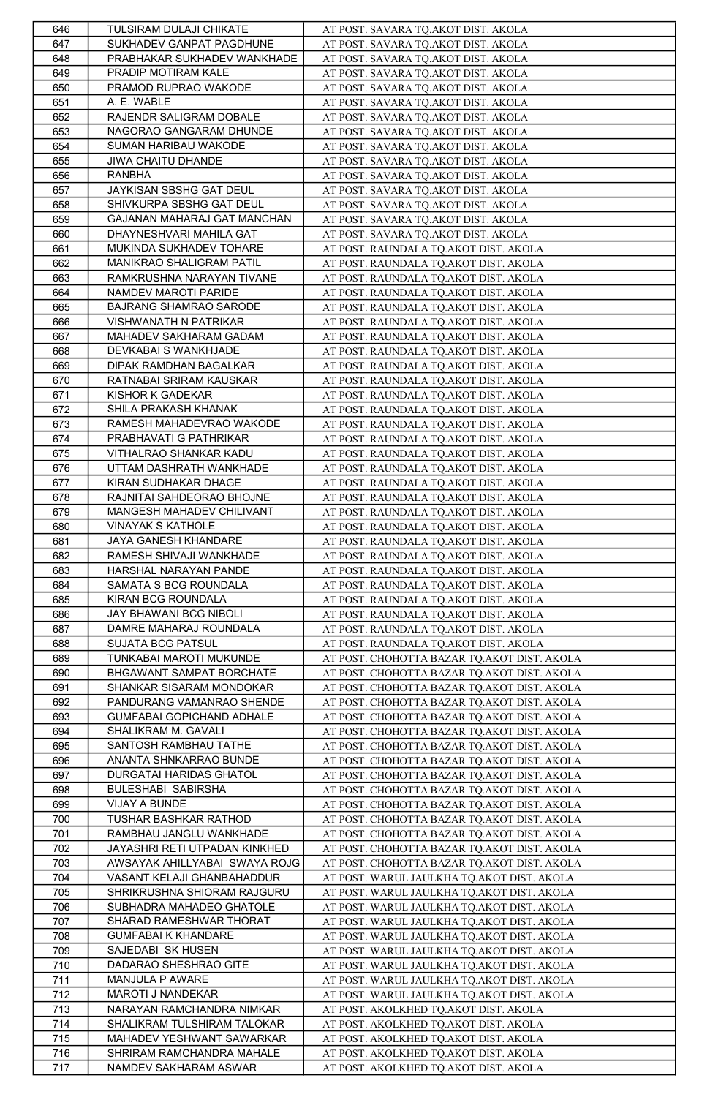| 646 | TULSIRAM DULAJI CHIKATE       | AT POST. SAVARA TQ.AKOT DIST. AKOLA                |
|-----|-------------------------------|----------------------------------------------------|
| 647 | SUKHADEV GANPAT PAGDHUNE      | AT POST. SAVARA TQ.AKOT DIST. AKOLA                |
| 648 | PRABHAKAR SUKHADEV WANKHADE   | AT POST. SAVARA TQ.AKOT DIST. AKOLA                |
| 649 | PRADIP MOTIRAM KALE           | AT POST. SAVARA TQ.AKOT DIST. AKOLA                |
| 650 | PRAMOD RUPRAO WAKODE          | AT POST. SAVARA TQ.AKOT DIST. AKOLA                |
| 651 | A. E. WABLE                   |                                                    |
|     |                               | AT POST. SAVARA TQ.AKOT DIST. AKOLA                |
| 652 | RAJENDR SALIGRAM DOBALE       | AT POST. SAVARA TQ.AKOT DIST. AKOLA                |
| 653 | NAGORAO GANGARAM DHUNDE       | AT POST. SAVARA TQ.AKOT DIST. AKOLA                |
| 654 | SUMAN HARIBAU WAKODE          | AT POST. SAVARA TQ.AKOT DIST. AKOLA                |
| 655 | JIWA CHAITU DHANDE            | AT POST. SAVARA TQ.AKOT DIST. AKOLA                |
| 656 | <b>RANBHA</b>                 | AT POST. SAVARA TQ.AKOT DIST. AKOLA                |
| 657 | JAYKISAN SBSHG GAT DEUL       | AT POST. SAVARA TQ.AKOT DIST. AKOLA                |
| 658 | SHIVKURPA SBSHG GAT DEUL      | AT POST. SAVARA TQ.AKOT DIST. AKOLA                |
| 659 | GAJANAN MAHARAJ GAT MANCHAN   | AT POST. SAVARA TQ.AKOT DIST. AKOLA                |
| 660 | DHAYNESHVARI MAHILA GAT       | AT POST. SAVARA TQ.AKOT DIST. AKOLA                |
| 661 | MUKINDA SUKHADEV TOHARE       | AT POST. RAUNDALA TQ.AKOT DIST. AKOLA              |
| 662 | MANIKRAO SHALIGRAM PATIL      | AT POST. RAUNDALA TQ.AKOT DIST. AKOLA              |
| 663 | RAMKRUSHNA NARAYAN TIVANE     | AT POST. RAUNDALA TQ.AKOT DIST. AKOLA              |
| 664 | NAMDEV MAROTI PARIDE          | AT POST. RAUNDALA TQ.AKOT DIST. AKOLA              |
| 665 | BAJRANG SHAMRAO SARODE        | AT POST. RAUNDALA TQ.AKOT DIST. AKOLA              |
|     | VISHWANATH N PATRIKAR         |                                                    |
| 666 |                               | AT POST. RAUNDALA TQ.AKOT DIST. AKOLA              |
| 667 | MAHADEV SAKHARAM GADAM        | AT POST. RAUNDALA TQ.AKOT DIST. AKOLA              |
| 668 | DEVKABAI S WANKHJADE          | AT POST. RAUNDALA TQ.AKOT DIST. AKOLA              |
| 669 | DIPAK RAMDHAN BAGALKAR        | AT POST. RAUNDALA TQ.AKOT DIST. AKOLA              |
| 670 | RATNABAI SRIRAM KAUSKAR       | AT POST. RAUNDALA TQ.AKOT DIST. AKOLA              |
| 671 | KISHOR K GADEKAR              | AT POST. RAUNDALA TQ.AKOT DIST. AKOLA              |
| 672 | SHILA PRAKASH KHANAK          | AT POST. RAUNDALA TQ.AKOT DIST. AKOLA              |
| 673 | RAMESH MAHADEVRAO WAKODE      | AT POST. RAUNDALA TQ.AKOT DIST. AKOLA              |
| 674 | PRABHAVATI G PATHRIKAR        | AT POST. RAUNDALA TQ.AKOT DIST. AKOLA              |
| 675 | VITHALRAO SHANKAR KADU        | AT POST. RAUNDALA TO.AKOT DIST. AKOLA              |
| 676 | UTTAM DASHRATH WANKHADE       | AT POST. RAUNDALA TQ.AKOT DIST. AKOLA              |
| 677 | KIRAN SUDHAKAR DHAGE          | AT POST. RAUNDALA TQ.AKOT DIST. AKOLA              |
| 678 | RAJNITAI SAHDEORAO BHOJNE     | AT POST. RAUNDALA TQ.AKOT DIST. AKOLA              |
|     | MANGESH MAHADEV CHILIVANT     |                                                    |
| 679 |                               | AT POST. RAUNDALA TQ.AKOT DIST. AKOLA              |
| 680 | <b>VINAYAK S KATHOLE</b>      | AT POST. RAUNDALA TQ.AKOT DIST. AKOLA              |
| 681 | JAYA GANESH KHANDARE          | AT POST. RAUNDALA TQ.AKOT DIST. AKOLA              |
| 682 | RAMESH SHIVAJI WANKHADE       | AT POST. RAUNDALA TQ.AKOT DIST. AKOLA              |
| 683 | HARSHAL NARAYAN PANDE         | AT POST. RAUNDALA TQ.AKOT DIST. AKOLA              |
| 684 | SAMATA S BCG ROUNDALA         | AT POST. RAUNDALA TQ.AKOT DIST. AKOLA              |
| 685 | KIRAN BCG ROUNDALA            | AT POST. RAUNDALA TQ.AKOT DIST. AKOLA              |
| 686 | JAY BHAWANI BCG NIBOLI        | AT POST. RAUNDALA TQ.AKOT DIST. AKOLA              |
| 687 | DAMRE MAHARAJ ROUNDALA        | AT POST. RAUNDALA TQ.AKOT DIST. AKOLA              |
| 688 | <b>SUJATA BCG PATSUL</b>      | AT POST. RAUNDALA TQ.AKOT DIST. AKOLA              |
| 689 | TUNKABAI MAROTI MUKUNDE       | AT POST. CHOHOTTA BAZAR TQ.AKOT DIST. AKOLA        |
| 690 | BHGAWANT SAMPAT BORCHATE      | AT POST. CHOHOTTA BAZAR TQ.AKOT DIST. AKOLA        |
| 691 | SHANKAR SISARAM MONDOKAR      | AT POST. CHOHOTTA BAZAR TQ.AKOT DIST. AKOLA        |
| 692 | PANDURANG VAMANRAO SHENDE     | AT POST. CHOHOTTA BAZAR TQ.AKOT DIST. AKOLA        |
|     | GUMFABAI GOPICHAND ADHALE     | AT POST. CHOHOTTA BAZAR TQ.AKOT DIST. AKOLA        |
| 693 | SHALIKRAM M. GAVALI           |                                                    |
| 694 |                               | AT POST. CHOHOTTA BAZAR TQ.AKOT DIST. AKOLA        |
| 695 | SANTOSH RAMBHAU TATHE         | AT POST. CHOHOTTA BAZAR TQ.AKOT DIST. AKOLA        |
| 696 | ANANTA SHNKARRAO BUNDE        | AT POST. CHOHOTTA BAZAR TQ.AKOT DIST. AKOLA        |
| 697 | DURGATAI HARIDAS GHATOL       | AT POST. CHOHOTTA BAZAR TQ.AKOT DIST. AKOLA        |
| 698 | <b>BULESHABI SABIRSHA</b>     | AT POST. CHOHOTTA BAZAR TQ.AKOT DIST. AKOLA        |
| 699 | VIJAY A BUNDE                 | AT POST. CHOHOTTA BAZAR TQ.AKOT DIST. AKOLA        |
| 700 | TUSHAR BASHKAR RATHOD         | <u>AT POST. CHOHOTTA BAZAR TQ.AKOT DIST. AKOLA</u> |
| 701 | RAMBHAU JANGLU WANKHADE       | AT POST. CHOHOTTA BAZAR TQ.AKOT DIST. AKOLA        |
| 702 | JAYASHRI RETI UTPADAN KINKHED | AT POST. CHOHOTTA BAZAR TQ.AKOT DIST. AKOLA        |
| 703 | AWSAYAK AHILLYABAI SWAYA ROJG | AT POST. CHOHOTTA BAZAR TQ.AKOT DIST. AKOLA        |
| 704 | VASANT KELAJI GHANBAHADDUR    | AT POST. WARUL JAULKHA TQ.AKOT DIST. AKOLA         |
| 705 | SHRIKRUSHNA SHIORAM RAJGURU   | AT POST. WARUL JAULKHA TQ.AKOT DIST. AKOLA         |
| 706 | SUBHADRA MAHADEO GHATOLE      | AT POST. WARUL JAULKHA TQ.AKOT DIST. AKOLA         |
| 707 | SHARAD RAMESHWAR THORAT       | AT POST. WARUL JAULKHA TQ.AKOT DIST. AKOLA         |
|     | <b>GUMFABAI K KHANDARE</b>    | AT POST. WARUL JAULKHA TQ.AKOT DIST. AKOLA         |
| 708 | SAJEDABI SK HUSEN             |                                                    |
| 709 |                               | AT POST. WARUL JAULKHA TQ.AKOT DIST. AKOLA         |
| 710 | DADARAO SHESHRAO GITE         | AT POST. WARUL JAULKHA TQ.AKOT DIST. AKOLA         |
| 711 | MANJULA P AWARE               | AT POST. WARUL JAULKHA TQ.AKOT DIST. AKOLA         |
| 712 | MAROTI J NANDEKAR             | AT POST. WARUL JAULKHA TQ.AKOT DIST. AKOLA         |
| 713 | NARAYAN RAMCHANDRA NIMKAR     | AT POST. AKOLKHED TQ.AKOT DIST. AKOLA              |
| 714 | SHALIKRAM TULSHIRAM TALOKAR   | AT POST. AKOLKHED TQ.AKOT DIST. AKOLA              |
| 715 | MAHADEV YESHWANT SAWARKAR     | AT POST. AKOLKHED TQ.AKOT DIST. AKOLA              |
| 716 | SHRIRAM RAMCHANDRA MAHALE     | AT POST. AKOLKHED TQ.AKOT DIST. AKOLA              |
| 717 | NAMDEV SAKHARAM ASWAR         | AT POST. AKOLKHED TQ.AKOT DIST. AKOLA              |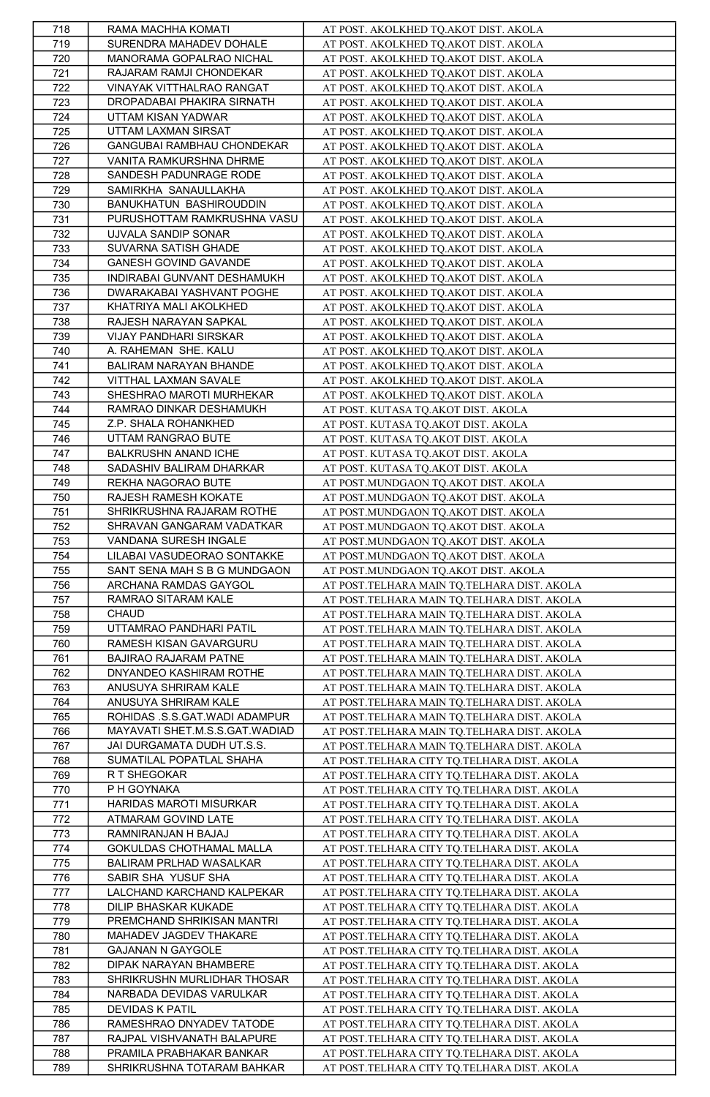| 718 | RAMA MACHHA KOMATI             | AT POST. AKOLKHED TQ.AKOT DIST. AKOLA       |
|-----|--------------------------------|---------------------------------------------|
| 719 | SURENDRA MAHADEV DOHALE        | AT POST. AKOLKHED TQ.AKOT DIST. AKOLA       |
| 720 | MANORAMA GOPALRAO NICHAL       | AT POST. AKOLKHED TQ.AKOT DIST. AKOLA       |
| 721 | RAJARAM RAMJI CHONDEKAR        | AT POST. AKOLKHED TQ.AKOT DIST. AKOLA       |
| 722 | VINAYAK VITTHALRAO RANGAT      | AT POST. AKOLKHED TQ.AKOT DIST. AKOLA       |
| 723 | DROPADABAI PHAKIRA SIRNATH     | AT POST. AKOLKHED TQ.AKOT DIST. AKOLA       |
| 724 | UTTAM KISAN YADWAR             | AT POST. AKOLKHED TQ.AKOT DIST. AKOLA       |
| 725 | UTTAM LAXMAN SIRSAT            | AT POST. AKOLKHED TQ.AKOT DIST. AKOLA       |
|     | GANGUBAI RAMBHAU CHONDEKAR     |                                             |
| 726 |                                | AT POST. AKOLKHED TQ.AKOT DIST. AKOLA       |
| 727 | VANITA RAMKURSHNA DHRME        | AT POST. AKOLKHED TQ.AKOT DIST. AKOLA       |
| 728 | SANDESH PADUNRAGE RODE         | AT POST. AKOLKHED TQ.AKOT DIST. AKOLA       |
| 729 | SAMIRKHA SANAULLAKHA           | AT POST. AKOLKHED TQ.AKOT DIST. AKOLA       |
| 730 | BANUKHATUN BASHIROUDDIN        | AT POST. AKOLKHED TQ.AKOT DIST. AKOLA       |
| 731 | PURUSHOTTAM RAMKRUSHNA VASU    | AT POST. AKOLKHED TQ.AKOT DIST. AKOLA       |
| 732 | UJVALA SANDIP SONAR            | AT POST. AKOLKHED TQ.AKOT DIST. AKOLA       |
| 733 | SUVARNA SATISH GHADE           | AT POST. AKOLKHED TQ.AKOT DIST. AKOLA       |
| 734 | GANESH GOVIND GAVANDE          | AT POST. AKOLKHED TQ.AKOT DIST. AKOLA       |
| 735 | INDIRABAI GUNVANT DESHAMUKH    | AT POST. AKOLKHED TO AKOT DIST. AKOLA       |
| 736 | DWARAKABAI YASHVANT POGHE      | AT POST. AKOLKHED TQ.AKOT DIST. AKOLA       |
| 737 | KHATRIYA MALI AKOLKHED         | AT POST. AKOLKHED TQ.AKOT DIST. AKOLA       |
| 738 | RAJESH NARAYAN SAPKAL          | AT POST. AKOLKHED TQ.AKOT DIST. AKOLA       |
| 739 | VIJAY PANDHARI SIRSKAR         | AT POST. AKOLKHED TQ.AKOT DIST. AKOLA       |
| 740 | A. RAHEMAN SHE. KALU           | AT POST. AKOLKHED TQ.AKOT DIST. AKOLA       |
| 741 | BALIRAM NARAYAN BHANDE         | AT POST. AKOLKHED TQ.AKOT DIST. AKOLA       |
| 742 | VITTHAL LAXMAN SAVALE          | AT POST. AKOLKHED TQ.AKOT DIST. AKOLA       |
| 743 | SHESHRAO MAROTI MURHEKAR       | AT POST. AKOLKHED TQ.AKOT DIST. AKOLA       |
| 744 | RAMRAO DINKAR DESHAMUKH        | AT POST. KUTASA TQ.AKOT DIST. AKOLA         |
| 745 | Z.P. SHALA ROHANKHED           | AT POST. KUTASA TQ.AKOT DIST. AKOLA         |
| 746 | UTTAM RANGRAO BUTE             |                                             |
|     |                                | AT POST. KUTASA TQ.AKOT DIST. AKOLA         |
| 747 | BALKRUSHN ANAND ICHE           | AT POST. KUTASA TQ.AKOT DIST. AKOLA         |
| 748 | SADASHIV BALIRAM DHARKAR       | AT POST. KUTASA TQ.AKOT DIST. AKOLA         |
| 749 | REKHA NAGORAO BUTE             | AT POST.MUNDGAON TQ.AKOT DIST. AKOLA        |
| 750 | RAJESH RAMESH KOKATE           | AT POST.MUNDGAON TQ.AKOT DIST. AKOLA        |
| 751 | SHRIKRUSHNA RAJARAM ROTHE      | AT POST.MUNDGAON TQ.AKOT DIST. AKOLA        |
| 752 | SHRAVAN GANGARAM VADATKAR      | AT POST.MUNDGAON TQ.AKOT DIST. AKOLA        |
| 753 | VANDANA SURESH INGALE          | AT POST.MUNDGAON TQ.AKOT DIST. AKOLA        |
| 754 | LILABAI VASUDEORAO SONTAKKE    | AT POST.MUNDGAON TQ.AKOT DIST. AKOLA        |
|     |                                |                                             |
| 755 | SANT SENA MAH S B G MUNDGAON   | AT POST.MUNDGAON TQ.AKOT DIST. AKOLA        |
| 756 | ARCHANA RAMDAS GAYGOL          | AT POST.TELHARA MAIN TQ.TELHARA DIST. AKOLA |
| 757 | RAMRAO SITARAM KALE            | AT POST.TELHARA MAIN TQ.TELHARA DIST. AKOLA |
| 758 | <b>CHAUD</b>                   | AT POST.TELHARA MAIN TQ.TELHARA DIST. AKOLA |
| 759 | UTTAMRAO PANDHARI PATIL        | AT POST.TELHARA MAIN TQ.TELHARA DIST. AKOLA |
| 760 | RAMESH KISAN GAVARGURU         | AT POST.TELHARA MAIN TQ.TELHARA DIST. AKOLA |
| 761 | BAJIRAO RAJARAM PATNE          | AT POST.TELHARA MAIN TQ.TELHARA DIST. AKOLA |
| 762 | DNYANDEO KASHIRAM ROTHE        | AT POST.TELHARA MAIN TQ.TELHARA DIST. AKOLA |
| 763 | ANUSUYA SHRIRAM KALE           |                                             |
|     | ANUSUYA SHRIRAM KALE           | AT POST.TELHARA MAIN TQ.TELHARA DIST. AKOLA |
| 764 |                                | AT POST.TELHARA MAIN TO.TELHARA DIST. AKOLA |
| 765 | ROHIDAS .S.S.GAT.WADI ADAMPUR  | AT POST.TELHARA MAIN TQ.TELHARA DIST. AKOLA |
| 766 | MAYAVATI SHET.M.S.S.GAT.WADIAD | AT POST.TELHARA MAIN TQ.TELHARA DIST. AKOLA |
| 767 | JAI DURGAMATA DUDH UT.S.S.     | AT POST.TELHARA MAIN TQ.TELHARA DIST. AKOLA |
| 768 | SUMATILAL POPATLAL SHAHA       | AT POST.TELHARA CITY TQ.TELHARA DIST. AKOLA |
| 769 | R T SHEGOKAR                   | AT POST.TELHARA CITY TQ.TELHARA DIST. AKOLA |
| 770 | P H GOYNAKA                    | AT POST.TELHARA CITY TQ.TELHARA DIST. AKOLA |
| 771 | HARIDAS MAROTI MISURKAR        | AT POST.TELHARA CITY TQ.TELHARA DIST. AKOLA |
| 772 | ATMARAM GOVIND LATE            | AT POST.TELHARA CITY TQ.TELHARA DIST. AKOLA |
| 773 | RAMNIRANJAN H BAJAJ            | AT POST.TELHARA CITY TQ.TELHARA DIST. AKOLA |
| 774 | GOKULDAS CHOTHAMAL MALLA       | AT POST.TELHARA CITY TQ.TELHARA DIST. AKOLA |
| 775 | BALIRAM PRLHAD WASALKAR        | AT POST.TELHARA CITY TQ.TELHARA DIST. AKOLA |
| 776 | SABIR SHA YUSUF SHA            | AT POST.TELHARA CITY TQ.TELHARA DIST. AKOLA |
| 777 | LALCHAND KARCHAND KALPEKAR     | AT POST.TELHARA CITY TQ.TELHARA DIST. AKOLA |
| 778 | DILIP BHASKAR KUKADE           | AT POST.TELHARA CITY TQ.TELHARA DIST. AKOLA |
| 779 | PREMCHAND SHRIKISAN MANTRI     | AT POST.TELHARA CITY TQ.TELHARA DIST. AKOLA |
| 780 | MAHADEV JAGDEV THAKARE         | AT POST.TELHARA CITY TQ.TELHARA DIST. AKOLA |
| 781 | <b>GAJANAN N GAYGOLE</b>       | AT POST.TELHARA CITY TQ.TELHARA DIST. AKOLA |
| 782 | DIPAK NARAYAN BHAMBERE         | AT POST.TELHARA CITY TQ.TELHARA DIST. AKOLA |
| 783 | SHRIKRUSHN MURLIDHAR THOSAR    | AT POST.TELHARA CITY TQ.TELHARA DIST. AKOLA |
| 784 | NARBADA DEVIDAS VARULKAR       | AT POST.TELHARA CITY TQ.TELHARA DIST. AKOLA |
| 785 | <b>DEVIDAS K PATIL</b>         | AT POST.TELHARA CITY TQ.TELHARA DIST. AKOLA |
| 786 | RAMESHRAO DNYADEV TATODE       | AT POST.TELHARA CITY TQ.TELHARA DIST. AKOLA |
| 787 | RAJPAL VISHVANATH BALAPURE     | AT POST.TELHARA CITY TQ.TELHARA DIST. AKOLA |
| 788 | PRAMILA PRABHAKAR BANKAR       | AT POST.TELHARA CITY TQ.TELHARA DIST. AKOLA |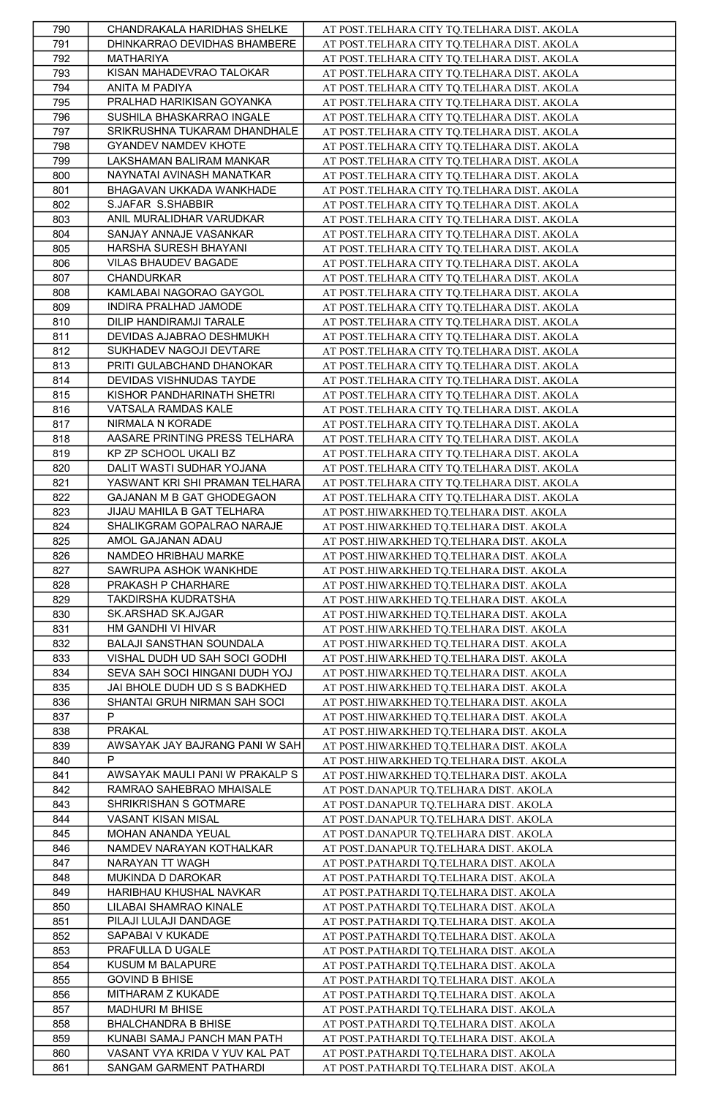| 790 | CHANDRAKALA HARIDHAS SHELKE    | AT POST.TELHARA CITY TQ.TELHARA DIST. AKOLA |
|-----|--------------------------------|---------------------------------------------|
| 791 | DHINKARRAO DEVIDHAS BHAMBERE   | AT POST.TELHARA CITY TQ.TELHARA DIST. AKOLA |
| 792 | MATHARIYA                      | AT POST.TELHARA CITY TQ.TELHARA DIST. AKOLA |
|     |                                |                                             |
| 793 | KISAN MAHADEVRAO TALOKAR       | AT POST.TELHARA CITY TQ.TELHARA DIST. AKOLA |
| 794 | ANITA M PADIYA                 | AT POST.TELHARA CITY TO.TELHARA DIST. AKOLA |
| 795 | PRALHAD HARIKISAN GOYANKA      | AT POST.TELHARA CITY TQ.TELHARA DIST. AKOLA |
| 796 | SUSHILA BHASKARRAO INGALE      | AT POST.TELHARA CITY TQ.TELHARA DIST. AKOLA |
| 797 | SRIKRUSHNA TUKARAM DHANDHALE   | AT POST.TELHARA CITY TQ.TELHARA DIST. AKOLA |
| 798 | GYANDEV NAMDEV KHOTE           | AT POST.TELHARA CITY TQ.TELHARA DIST. AKOLA |
| 799 | LAKSHAMAN BALIRAM MANKAR       | AT POST.TELHARA CITY TQ.TELHARA DIST. AKOLA |
| 800 | NAYNATAI AVINASH MANATKAR      | AT POST.TELHARA CITY TQ.TELHARA DIST. AKOLA |
| 801 | BHAGAVAN UKKADA WANKHADE       | AT POST.TELHARA CITY TQ.TELHARA DIST. AKOLA |
| 802 | S.JAFAR S.SHABBIR              |                                             |
|     |                                | AT POST.TELHARA CITY TQ.TELHARA DIST. AKOLA |
| 803 | ANIL MURALIDHAR VARUDKAR       | AT POST.TELHARA CITY TQ.TELHARA DIST. AKOLA |
| 804 | SANJAY ANNAJE VASANKAR         | AT POST.TELHARA CITY TQ.TELHARA DIST. AKOLA |
| 805 | HARSHA SURESH BHAYANI          | AT POST.TELHARA CITY TQ.TELHARA DIST. AKOLA |
| 806 | VILAS BHAUDEV BAGADE           | AT POST.TELHARA CITY TQ.TELHARA DIST. AKOLA |
| 807 | CHANDURKAR                     | AT POST.TELHARA CITY TO.TELHARA DIST. AKOLA |
| 808 | KAMLABAI NAGORAO GAYGOL        | AT POST.TELHARA CITY TQ.TELHARA DIST. AKOLA |
| 809 | INDIRA PRALHAD JAMODE          | AT POST.TELHARA CITY TQ.TELHARA DIST. AKOLA |
| 810 | DILIP HANDIRAMJI TARALE        | AT POST.TELHARA CITY TO.TELHARA DIST. AKOLA |
| 811 | DEVIDAS AJABRAO DESHMUKH       | AT POST.TELHARA CITY TQ.TELHARA DIST. AKOLA |
| 812 | SUKHADEV NAGOJI DEVTARE        | AT POST.TELHARA CITY TQ.TELHARA DIST. AKOLA |
| 813 | PRITI GULABCHAND DHANOKAR      | AT POST.TELHARA CITY TQ.TELHARA DIST. AKOLA |
| 814 | DEVIDAS VISHNUDAS TAYDE        | AT POST.TELHARA CITY TQ.TELHARA DIST. AKOLA |
| 815 | KISHOR PANDHARINATH SHETRI     | AT POST.TELHARA CITY TQ.TELHARA DIST. AKOLA |
|     |                                |                                             |
| 816 | VATSALA RAMDAS KALE            | AT POST.TELHARA CITY TQ.TELHARA DIST. AKOLA |
| 817 | NIRMALA N KORADE               | AT POST.TELHARA CITY TQ.TELHARA DIST. AKOLA |
| 818 | AASARE PRINTING PRESS TELHARA  | AT POST.TELHARA CITY TQ.TELHARA DIST. AKOLA |
| 819 | KP ZP SCHOOL UKALI BZ          | AT POST.TELHARA CITY TO.TELHARA DIST. AKOLA |
| 820 | DALIT WASTI SUDHAR YOJANA      | AT POST.TELHARA CITY TQ.TELHARA DIST. AKOLA |
| 821 | YASWANT KRI SHI PRAMAN TELHARA | AT POST.TELHARA CITY TQ.TELHARA DIST. AKOLA |
| 822 | GAJANAN M B GAT GHODEGAON      | AT POST.TELHARA CITY TQ.TELHARA DIST. AKOLA |
| 823 | JIJAU MAHILA B GAT TELHARA     | AT POST.HIWARKHED TQ.TELHARA DIST. AKOLA    |
| 824 | SHALIKGRAM GOPALRAO NARAJE     | AT POST.HIWARKHED TQ.TELHARA DIST. AKOLA    |
| 825 | AMOL GAJANAN ADAU              | AT POST.HIWARKHED TQ.TELHARA DIST. AKOLA    |
| 826 | NAMDEO HRIBHAU MARKE           | AT POST.HIWARKHED TQ.TELHARA DIST. AKOLA    |
|     |                                |                                             |
|     |                                |                                             |
| 827 | SAWRUPA ASHOK WANKHDE          | AT POST.HIWARKHED TQ.TELHARA DIST. AKOLA    |
| 828 | PRAKASH P CHARHARE             | AT POST.HIWARKHED TQ.TELHARA DIST. AKOLA    |
| 829 | TAKDIRSHA KUDRATSHA            | AT POST.HIWARKHED TQ.TELHARA DIST. AKOLA    |
| 830 | SK.ARSHAD SK.AJGAR             | AT POST.HIWARKHED TQ.TELHARA DIST. AKOLA    |
| 831 | HM GANDHI VI HIVAR             | AT POST.HIWARKHED TQ.TELHARA DIST. AKOLA    |
| 832 | BALAJI SANSTHAN SOUNDALA       | AT POST.HIWARKHED TQ.TELHARA DIST. AKOLA    |
| 833 | VISHAL DUDH UD SAH SOCI GODHI  | AT POST.HIWARKHED TQ.TELHARA DIST. AKOLA    |
| 834 | SEVA SAH SOCI HINGANI DUDH YOJ | AT POST.HIWARKHED TQ.TELHARA DIST. AKOLA    |
| 835 | JAI BHOLE DUDH UD S S BADKHED  | AT POST.HIWARKHED TQ.TELHARA DIST. AKOLA    |
| 836 | SHANTAI GRUH NIRMAN SAH SOCI   | AT POST.HIWARKHED TQ.TELHARA DIST. AKOLA    |
| 837 | P                              | AT POST.HIWARKHED TQ.TELHARA DIST. AKOLA    |
| 838 | <b>PRAKAL</b>                  | AT POST.HIWARKHED TQ.TELHARA DIST. AKOLA    |
| 839 | AWSAYAK JAY BAJRANG PANI W SAH | AT POST.HIWARKHED TQ.TELHARA DIST. AKOLA    |
| 840 | P                              | AT POST.HIWARKHED TQ.TELHARA DIST. AKOLA    |
| 841 | AWSAYAK MAULI PANI W PRAKALP S | AT POST.HIWARKHED TQ.TELHARA DIST. AKOLA    |
| 842 | RAMRAO SAHEBRAO MHAISALE       | AT POST.DANAPUR TQ.TELHARA DIST. AKOLA      |
| 843 | SHRIKRISHAN S GOTMARE          |                                             |
|     | VASANT KISAN MISAL             | AT POST.DANAPUR TQ.TELHARA DIST. AKOLA      |
| 844 |                                | AT POST.DANAPUR TQ.TELHARA DIST. AKOLA      |
| 845 | MOHAN ANANDA YEUAL             | AT POST.DANAPUR TQ.TELHARA DIST. AKOLA      |
| 846 | NAMDEV NARAYAN KOTHALKAR       | AT POST.DANAPUR TQ.TELHARA DIST. AKOLA      |
| 847 | NARAYAN TT WAGH                | AT POST.PATHARDI TQ.TELHARA DIST. AKOLA     |
| 848 | MUKINDA D DAROKAR              | AT POST.PATHARDI TQ.TELHARA DIST. AKOLA     |
| 849 | HARIBHAU KHUSHAL NAVKAR        | AT POST.PATHARDI TQ.TELHARA DIST. AKOLA     |
| 850 | LILABAI SHAMRAO KINALE         | AT POST.PATHARDI TQ.TELHARA DIST. AKOLA     |
| 851 | PILAJI LULAJI DANDAGE          | AT POST.PATHARDI TQ.TELHARA DIST. AKOLA     |
| 852 | SAPABAI V KUKADE               | AT POST.PATHARDI TQ.TELHARA DIST. AKOLA     |
| 853 | PRAFULLA D UGALE               | AT POST.PATHARDI TQ.TELHARA DIST. AKOLA     |
| 854 | KUSUM M BALAPURE               | AT POST.PATHARDI TQ.TELHARA DIST. AKOLA     |
| 855 | <b>GOVIND B BHISE</b>          | AT POST.PATHARDI TQ.TELHARA DIST. AKOLA     |
| 856 | MITHARAM Z KUKADE              | AT POST.PATHARDI TQ.TELHARA DIST. AKOLA     |
| 857 | MADHURI M BHISE                | AT POST.PATHARDI TQ.TELHARA DIST. AKOLA     |
| 858 | BHALCHANDRA B BHISE            | AT POST.PATHARDI TQ.TELHARA DIST. AKOLA     |
| 859 | KUNABI SAMAJ PANCH MAN PATH    | AT POST.PATHARDI TQ.TELHARA DIST. AKOLA     |
| 860 | VASANT VYA KRIDA V YUV KAL PAT | AT POST.PATHARDI TQ.TELHARA DIST. AKOLA     |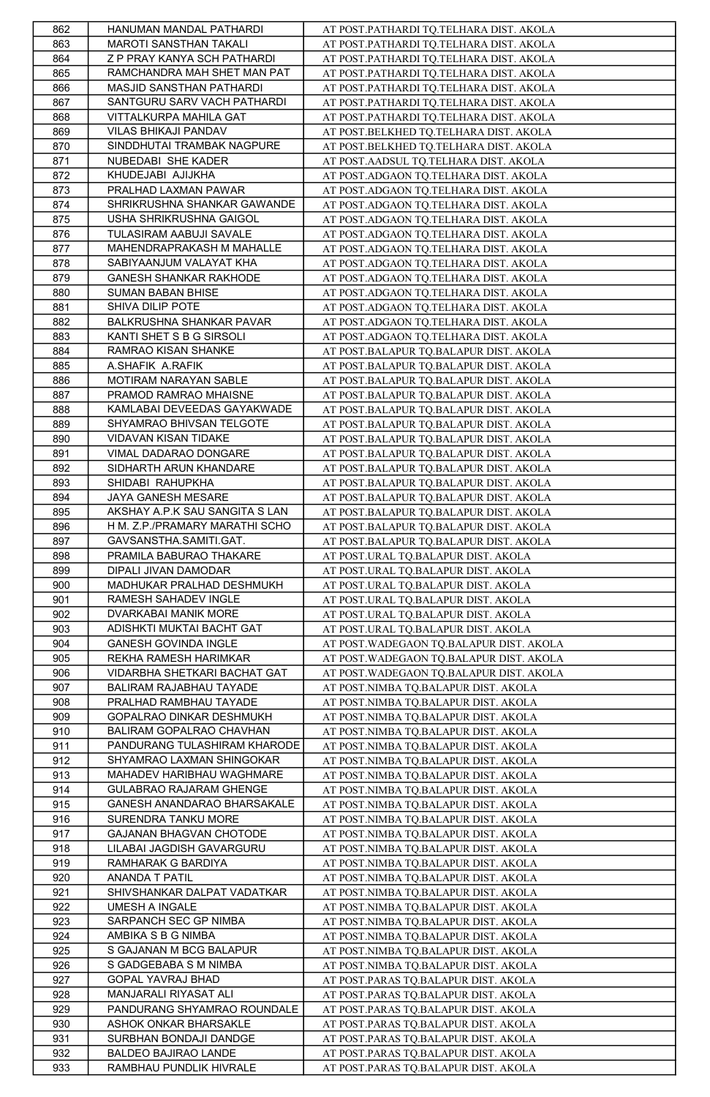| 862        | HANUMAN MANDAL PATHARDI                         | AT POST.PATHARDI TQ.TELHARA DIST. AKOLA                                        |
|------------|-------------------------------------------------|--------------------------------------------------------------------------------|
| 863        | MAROTI SANSTHAN TAKALI                          | AT POST.PATHARDI TQ.TELHARA DIST. AKOLA                                        |
| 864        | Z P PRAY KANYA SCH PATHARDI                     | AT POST.PATHARDI TQ.TELHARA DIST. AKOLA                                        |
| 865        | RAMCHANDRA MAH SHET MAN PAT                     | AT POST.PATHARDI TQ.TELHARA DIST. AKOLA                                        |
| 866        | MASJID SANSTHAN PATHARDI                        | AT POST.PATHARDI TQ.TELHARA DIST. AKOLA                                        |
| 867        | SANTGURU SARV VACH PATHARDI                     | AT POST.PATHARDI TQ.TELHARA DIST. AKOLA                                        |
| 868        | VITTALKURPA MAHILA GAT                          | AT POST.PATHARDI TQ.TELHARA DIST. AKOLA                                        |
| 869        | VILAS BHIKAJI PANDAV                            | AT POST.BELKHED TQ.TELHARA DIST. AKOLA                                         |
| 870        | SINDDHUTAI TRAMBAK NAGPURE                      | AT POST.BELKHED TQ.TELHARA DIST. AKOLA                                         |
| 871        | NUBEDABI SHE KADER                              | AT POST.AADSUL TQ.TELHARA DIST. AKOLA                                          |
| 872        | KHUDEJABI AJIJKHA                               | AT POST.ADGAON TQ.TELHARA DIST. AKOLA                                          |
| 873        | PRALHAD LAXMAN PAWAR                            |                                                                                |
|            | SHRIKRUSHNA SHANKAR GAWANDE                     | AT POST.ADGAON TQ.TELHARA DIST. AKOLA<br>AT POST.ADGAON TO.TELHARA DIST. AKOLA |
| 874<br>875 | USHA SHRIKRUSHNA GAIGOL                         |                                                                                |
|            |                                                 | AT POST.ADGAON TQ.TELHARA DIST. AKOLA                                          |
| 876        | TULASIRAM AABUJI SAVALE                         | AT POST.ADGAON TQ.TELHARA DIST. AKOLA                                          |
| 877        | MAHENDRAPRAKASH M MAHALLE                       | AT POST.ADGAON TQ.TELHARA DIST. AKOLA                                          |
| 878        | SABIYAANJUM VALAYAT KHA                         | AT POST.ADGAON TQ.TELHARA DIST. AKOLA                                          |
| 879        | <b>GANESH SHANKAR RAKHODE</b>                   | AT POST.ADGAON TQ.TELHARA DIST. AKOLA                                          |
| 880        | SUMAN BABAN BHISE                               | AT POST.ADGAON TQ.TELHARA DIST. AKOLA                                          |
| 881        | SHIVA DILIP POTE                                | AT POST.ADGAON TQ.TELHARA DIST. AKOLA                                          |
| 882        | BALKRUSHNA SHANKAR PAVAR                        | AT POST.ADGAON TQ.TELHARA DIST. AKOLA                                          |
| 883        | KANTI SHET S B G SIRSOLI                        | AT POST.ADGAON TQ.TELHARA DIST. AKOLA                                          |
| 884        | RAMRAO KISAN SHANKE                             | AT POST.BALAPUR TQ.BALAPUR DIST. AKOLA                                         |
| 885        | A.SHAFIK A.RAFIK                                | AT POST.BALAPUR TQ.BALAPUR DIST. AKOLA                                         |
| 886        | MOTIRAM NARAYAN SABLE                           | AT POST.BALAPUR TQ.BALAPUR DIST. AKOLA                                         |
| 887        | PRAMOD RAMRAO MHAISNE                           | AT POST.BALAPUR TO.BALAPUR DIST. AKOLA                                         |
| 888        | KAMLABAI DEVEEDAS GAYAKWADE                     | AT POST.BALAPUR TQ.BALAPUR DIST. AKOLA                                         |
| 889        | SHYAMRAO BHIVSAN TELGOTE                        | AT POST.BALAPUR TQ.BALAPUR DIST. AKOLA                                         |
| 890        | VIDAVAN KISAN TIDAKE                            | AT POST.BALAPUR TQ.BALAPUR DIST. AKOLA                                         |
| 891        | VIMAL DADARAO DONGARE                           | AT POST.BALAPUR TQ.BALAPUR DIST. AKOLA                                         |
| 892        | SIDHARTH ARUN KHANDARE                          | AT POST.BALAPUR TQ.BALAPUR DIST. AKOLA                                         |
| 893        | SHIDABI RAHUPKHA                                | AT POST.BALAPUR TQ.BALAPUR DIST. AKOLA                                         |
| 894        | JAYA GANESH MESARE                              | AT POST.BALAPUR TQ.BALAPUR DIST. AKOLA                                         |
| 895        | AKSHAY A.P.K SAU SANGITA S LAN                  | AT POST.BALAPUR TO.BALAPUR DIST. AKOLA                                         |
| 896        | H M. Z.P./PRAMARY MARATHI SCHO                  | AT POST.BALAPUR TQ.BALAPUR DIST. AKOLA                                         |
| 897        | GAVSANSTHA.SAMITI.GAT.                          | AT POST.BALAPUR TQ.BALAPUR DIST. AKOLA                                         |
| 898        | PRAMILA BABURAO THAKARE                         | AT POST.URAL TQ.BALAPUR DIST. AKOLA                                            |
| 899        | DIPALI JIVAN DAMODAR                            | AT POST.URAL TQ.BALAPUR DIST. AKOLA                                            |
| 900        | MADHUKAR PRALHAD DESHMUKH                       | AT POST.URAL TQ.BALAPUR DIST. AKOLA                                            |
| 901        | RAMESH SAHADEV INGLE                            | AT POST.URAL TQ.BALAPUR DIST. AKOLA                                            |
| 902        | DVARKABAI MANIK MORE                            | AT POST.URAL TQ.BALAPUR DIST. AKOLA                                            |
| 903        | ADISHKTI MUKTAI BACHT GAT                       | AT POST.URAL TQ.BALAPUR DIST. AKOLA                                            |
| 904        | GANESH GOVINDA INGLE                            | AT POST. WADEGAON TQ.BALAPUR DIST. AKOLA                                       |
| 905        | REKHA RAMESH HARIMKAR                           | AT POST. WADEGAON TQ.BALAPUR DIST. AKOLA                                       |
| 906        | VIDARBHA SHETKARI BACHAT GAT                    | AT POST. WADEGAON TQ.BALAPUR DIST. AKOLA                                       |
| 907        | BALIRAM RAJABHAU TAYADE                         | AT POST.NIMBA TQ.BALAPUR DIST. AKOLA                                           |
| 908        | PRALHAD RAMBHAU TAYADE                          | AT POST.NIMBA TQ.BALAPUR DIST. AKOLA                                           |
| 909        | GOPALRAO DINKAR DESHMUKH                        | AT POST.NIMBA TQ.BALAPUR DIST. AKOLA                                           |
| 910        | BALIRAM GOPALRAO CHAVHAN                        | AT POST.NIMBA TQ.BALAPUR DIST. AKOLA                                           |
| 911        | PANDURANG TULASHIRAM KHARODE                    | AT POST.NIMBA TQ.BALAPUR DIST. AKOLA                                           |
| 912        | SHYAMRAO LAXMAN SHINGOKAR                       | AT POST.NIMBA TQ.BALAPUR DIST. AKOLA                                           |
| 913        | MAHADEV HARIBHAU WAGHMARE                       | AT POST.NIMBA TQ.BALAPUR DIST. AKOLA                                           |
| 914        | GULABRAO RAJARAM GHENGE                         | AT POST.NIMBA TQ.BALAPUR DIST. AKOLA                                           |
| 915        | GANESH ANANDARAO BHARSAKALE                     | AT POST.NIMBA TQ.BALAPUR DIST. AKOLA                                           |
| 916        | SURENDRA TANKU MORE                             | AT POST.NIMBA TQ.BALAPUR DIST. AKOLA                                           |
| 917        | GAJANAN BHAGVAN CHOTODE                         | AT POST.NIMBA TQ.BALAPUR DIST. AKOLA                                           |
| 918        |                                                 |                                                                                |
| 919        |                                                 |                                                                                |
|            | LILABAI JAGDISH GAVARGURU                       | AT POST.NIMBA TQ.BALAPUR DIST. AKOLA                                           |
|            | RAMHARAK G BARDIYA                              | AT POST.NIMBA TQ.BALAPUR DIST. AKOLA                                           |
| 920        | ANANDA T PATIL                                  | AT POST.NIMBA TQ.BALAPUR DIST. AKOLA                                           |
| 921        | SHIVSHANKAR DALPAT VADATKAR                     | AT POST.NIMBA TQ.BALAPUR DIST. AKOLA                                           |
| 922        | UMESH A INGALE                                  | AT POST.NIMBA TQ.BALAPUR DIST. AKOLA                                           |
| 923        | SARPANCH SEC GP NIMBA                           | AT POST.NIMBA TQ.BALAPUR DIST. AKOLA                                           |
| 924        | AMBIKA S B G NIMBA                              | AT POST.NIMBA TQ.BALAPUR DIST. AKOLA                                           |
| 925        | S GAJANAN M BCG BALAPUR                         | AT POST.NIMBA TQ.BALAPUR DIST. AKOLA                                           |
| 926        | S GADGEBABA S M NIMBA                           | AT POST.NIMBA TQ.BALAPUR DIST. AKOLA                                           |
| 927        | GOPAL YAVRAJ BHAD                               | AT POST.PARAS TQ.BALAPUR DIST. AKOLA                                           |
| 928        | MANJARALI RIYASAT ALI                           | AT POST.PARAS TQ.BALAPUR DIST. AKOLA                                           |
| 929        | PANDURANG SHYAMRAO ROUNDALE                     | AT POST.PARAS TO.BALAPUR DIST. AKOLA                                           |
| 930        | ASHOK ONKAR BHARSAKLE                           | AT POST.PARAS TQ.BALAPUR DIST. AKOLA                                           |
| 931        | SURBHAN BONDAJI DANDGE                          | AT POST.PARAS TQ.BALAPUR DIST. AKOLA                                           |
| 932<br>933 | BALDEO BAJIRAO LANDE<br>RAMBHAU PUNDLIK HIVRALE | AT POST.PARAS TQ.BALAPUR DIST. AKOLA<br>AT POST.PARAS TQ.BALAPUR DIST. AKOLA   |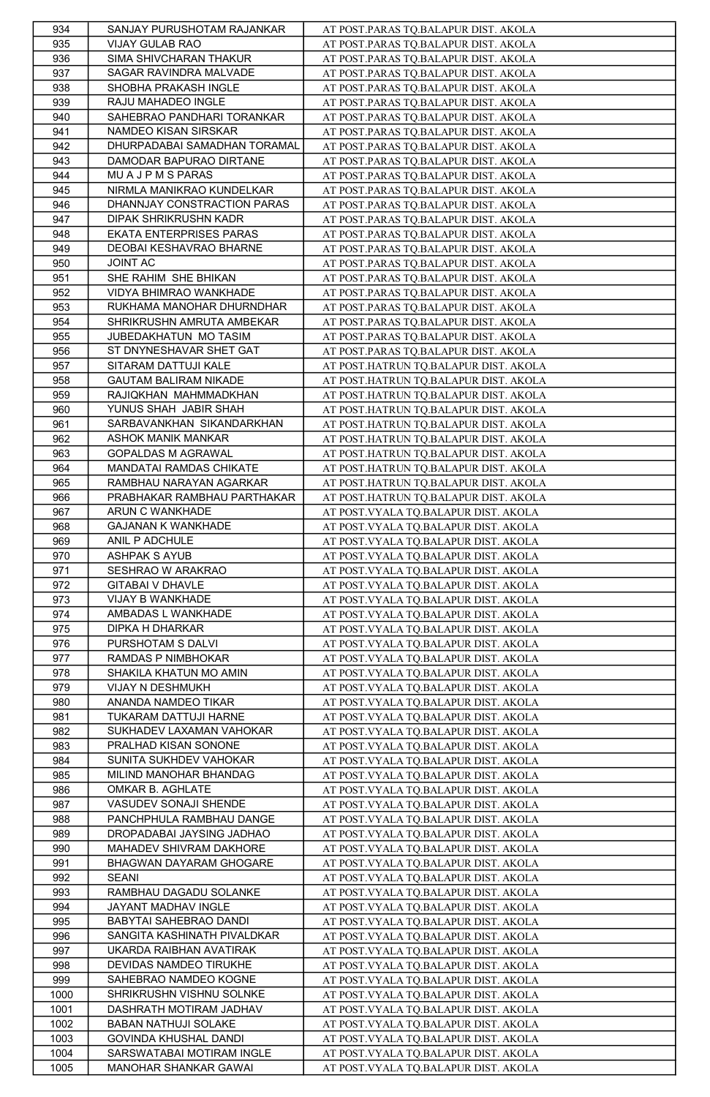| 934  | SANJAY PURUSHOTAM RAJANKAR   | AT POST.PARAS TQ.BALAPUR DIST. AKOLA   |
|------|------------------------------|----------------------------------------|
| 935  | VIJAY GULAB RAO              | AT POST.PARAS TQ.BALAPUR DIST. AKOLA   |
| 936  | SIMA SHIVCHARAN THAKUR       | AT POST.PARAS TQ.BALAPUR DIST. AKOLA   |
| 937  | SAGAR RAVINDRA MALVADE       | AT POST.PARAS TQ.BALAPUR DIST. AKOLA   |
| 938  | SHOBHA PRAKASH INGLE         | AT POST.PARAS TQ.BALAPUR DIST. AKOLA   |
| 939  | RAJU MAHADEO INGLE           | AT POST.PARAS TQ.BALAPUR DIST. AKOLA   |
| 940  | SAHEBRAO PANDHARI TORANKAR   | AT POST.PARAS TQ.BALAPUR DIST. AKOLA   |
| 941  | NAMDEO KISAN SIRSKAR         | AT POST.PARAS TQ.BALAPUR DIST. AKOLA   |
| 942  | DHURPADABAI SAMADHAN TORAMAL | AT POST.PARAS TQ.BALAPUR DIST. AKOLA   |
| 943  | DAMODAR BAPURAO DIRTANE      | AT POST.PARAS TQ.BALAPUR DIST. AKOLA   |
| 944  | MU A J P M S PARAS           | AT POST.PARAS TQ.BALAPUR DIST. AKOLA   |
| 945  | NIRMLA MANIKRAO KUNDELKAR    | AT POST.PARAS TQ.BALAPUR DIST. AKOLA   |
| 946  | DHANNJAY CONSTRACTION PARAS  | AT POST.PARAS TO.BALAPUR DIST. AKOLA   |
| 947  | DIPAK SHRIKRUSHN KADR        | AT POST.PARAS TQ.BALAPUR DIST. AKOLA   |
| 948  | EKATA ENTERPRISES PARAS      |                                        |
|      | DEOBAI KESHAVRAO BHARNE      | AT POST.PARAS TQ.BALAPUR DIST. AKOLA   |
| 949  |                              | AT POST.PARAS TQ.BALAPUR DIST. AKOLA   |
| 950  | <b>JOINT AC</b>              | AT POST.PARAS TQ.BALAPUR DIST. AKOLA   |
| 951  | SHE RAHIM SHE BHIKAN         | AT POST.PARAS TQ.BALAPUR DIST. AKOLA   |
| 952  | VIDYA BHIMRAO WANKHADE       | AT POST.PARAS TQ.BALAPUR DIST. AKOLA   |
| 953  | RUKHAMA MANOHAR DHURNDHAR    | AT POST.PARAS TQ.BALAPUR DIST. AKOLA   |
| 954  | SHRIKRUSHN AMRUTA AMBEKAR    | AT POST.PARAS TQ.BALAPUR DIST. AKOLA   |
| 955  | JUBEDAKHATUN MO TASIM        | AT POST.PARAS TQ.BALAPUR DIST. AKOLA   |
| 956  | ST DNYNESHAVAR SHET GAT      | AT POST.PARAS TQ.BALAPUR DIST. AKOLA   |
| 957  | SITARAM DATTUJI KALE         | AT POST.HATRUN TQ.BALAPUR DIST. AKOLA  |
| 958  | <b>GAUTAM BALIRAM NIKADE</b> | AT POST.HATRUN TQ.BALAPUR DIST. AKOLA  |
| 959  | RAJIQKHAN MAHMMADKHAN        | AT POST.HATRUN TQ.BALAPUR DIST. AKOLA  |
| 960  | YUNUS SHAH JABIR SHAH        | AT POST.HATRUN TQ.BALAPUR DIST. AKOLA  |
| 961  | SARBAVANKHAN SIKANDARKHAN    | AT POST.HATRUN TQ.BALAPUR DIST. AKOLA  |
| 962  | ASHOK MANIK MANKAR           | AT POST.HATRUN TQ.BALAPUR DIST. AKOLA  |
| 963  | GOPALDAS M AGRAWAL           | AT POST.HATRUN TQ.BALAPUR DIST. AKOLA  |
| 964  | MANDATAI RAMDAS CHIKATE      | AT POST.HATRUN TQ.BALAPUR DIST. AKOLA  |
| 965  | RAMBHAU NARAYAN AGARKAR      | AT POST.HATRUN TQ.BALAPUR DIST. AKOLA  |
| 966  | PRABHAKAR RAMBHAU PARTHAKAR  | AT POST.HATRUN TQ.BALAPUR DIST. AKOLA  |
| 967  | ARUN C WANKHADE              | AT POST. VYALA TQ.BALAPUR DIST. AKOLA  |
| 968  | <b>GAJANAN K WANKHADE</b>    | AT POST.VYALA TQ.BALAPUR DIST. AKOLA   |
| 969  | ANIL P ADCHULE               | AT POST. VYALA TQ.BALAPUR DIST. AKOLA  |
| 970  | ASHPAK S AYUB                | AT POST. VYALA TQ. BALAPUR DIST. AKOLA |
| 971  | SESHRAO W ARAKRAO            | AT POST.VYALA TQ.BALAPUR DIST. AKOLA   |
| 972  | GITABAI V DHAVLE             | AT POST.VYALA TQ.BALAPUR DIST. AKOLA   |
|      |                              |                                        |
| 973  | VIJAY B WANKHADE             | AT POST.VYALA TQ.BALAPUR DIST. AKOLA   |
| 974  | AMBADAS L WANKHADE           | AT POST.VYALA TQ.BALAPUR DIST. AKOLA   |
| 975  | DIPKA H DHARKAR              | AT POST.VYALA TQ.BALAPUR DIST. AKOLA   |
| 976  | PURSHOTAM S DALVI            | AT POST. VYALA TQ. BALAPUR DIST. AKOLA |
| 977  | RAMDAS P NIMBHOKAR           | AT POST.VYALA TQ.BALAPUR DIST. AKOLA   |
| 978  | SHAKILA KHATUN MO AMIN       | AT POST.VYALA TQ.BALAPUR DIST. AKOLA   |
| 979  | VIJAY N DESHMUKH             | AT POST. VYALA TQ. BALAPUR DIST. AKOLA |
| 980  | ANANDA NAMDEO TIKAR          | AT POST.VYALA TQ.BALAPUR DIST. AKOLA   |
| 981  | TUKARAM DATTUJI HARNE        | AT POST.VYALA TQ.BALAPUR DIST. AKOLA   |
| 982  | SUKHADEV LAXAMAN VAHOKAR     | AT POST.VYALA TQ.BALAPUR DIST. AKOLA   |
| 983  | PRALHAD KISAN SONONE         | AT POST.VYALA TQ.BALAPUR DIST. AKOLA   |
| 984  | SUNITA SUKHDEV VAHOKAR       | AT POST. VYALA TQ.BALAPUR DIST. AKOLA  |
| 985  | MILIND MANOHAR BHANDAG       | AT POST. VYALA TQ.BALAPUR DIST. AKOLA  |
| 986  | OMKAR B. AGHLATE             | AT POST.VYALA TQ.BALAPUR DIST. AKOLA   |
| 987  | VASUDEV SONAJI SHENDE        | AT POST. VYALA TQ.BALAPUR DIST. AKOLA  |
| 988  | PANCHPHULA RAMBHAU DANGE     | AT POST. VYALA TQ. BALAPUR DIST. AKOLA |
| 989  | DROPADABAI JAYSING JADHAO    | AT POST.VYALA TQ.BALAPUR DIST. AKOLA   |
| 990  | MAHADEV SHIVRAM DAKHORE      | AT POST.VYALA TQ.BALAPUR DIST. AKOLA   |
| 991  | BHAGWAN DAYARAM GHOGARE      | AT POST.VYALA TQ.BALAPUR DIST. AKOLA   |
| 992  | <b>SEANI</b>                 | AT POST.VYALA TQ.BALAPUR DIST. AKOLA   |
| 993  | RAMBHAU DAGADU SOLANKE       | AT POST.VYALA TQ.BALAPUR DIST. AKOLA   |
| 994  | JAYANT MADHAV INGLE          | AT POST.VYALA TQ.BALAPUR DIST. AKOLA   |
| 995  | BABYTAI SAHEBRAO DANDI       | AT POST.VYALA TQ.BALAPUR DIST. AKOLA   |
| 996  | SANGITA KASHINATH PIVALDKAR  | AT POST.VYALA TQ.BALAPUR DIST. AKOLA   |
| 997  | UKARDA RAIBHAN AVATIRAK      | AT POST. VYALA TQ.BALAPUR DIST. AKOLA  |
| 998  | DEVIDAS NAMDEO TIRUKHE       | AT POST.VYALA TQ.BALAPUR DIST. AKOLA   |
| 999  | SAHEBRAO NAMDEO KOGNE        | AT POST.VYALA TQ.BALAPUR DIST. AKOLA   |
| 1000 | SHRIKRUSHN VISHNU SOLNKE     | AT POST. VYALA TQ.BALAPUR DIST. AKOLA  |
| 1001 | DASHRATH MOTIRAM JADHAV      | AT POST.VYALA TQ.BALAPUR DIST. AKOLA   |
| 1002 | BABAN NATHUJI SOLAKE         | AT POST.VYALA TQ.BALAPUR DIST. AKOLA   |
| 1003 | GOVINDA KHUSHAL DANDI        | AT POST.VYALA TQ.BALAPUR DIST. AKOLA   |
| 1004 | SARSWATABAI MOTIRAM INGLE    | AT POST.VYALA TQ.BALAPUR DIST. AKOLA   |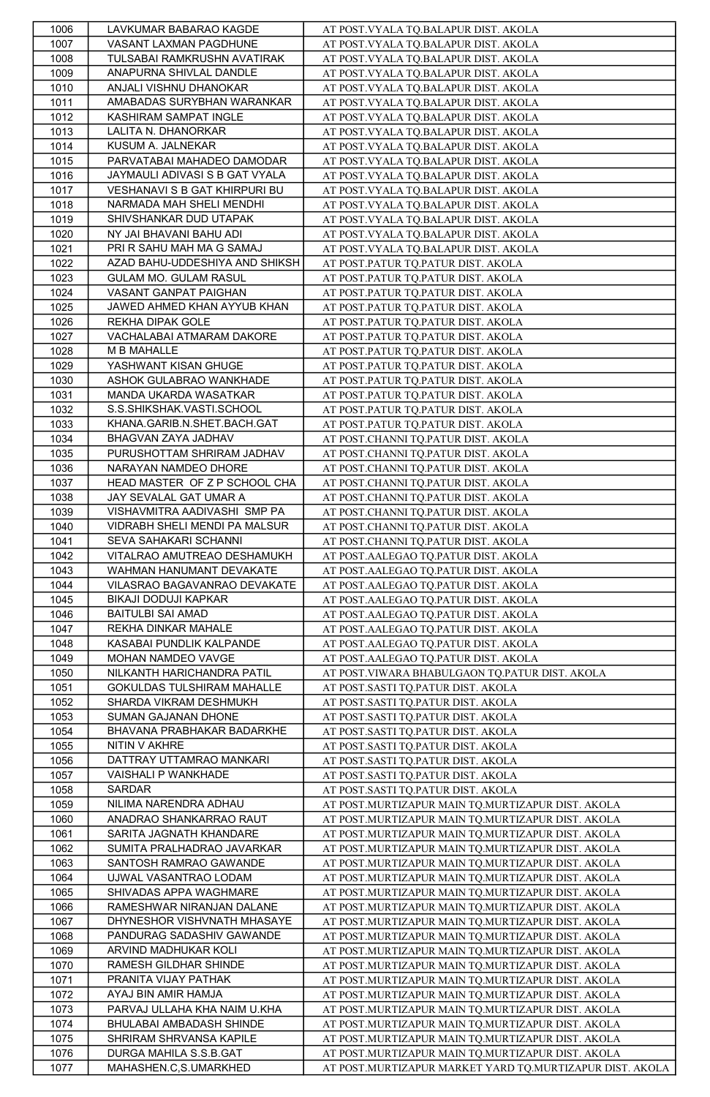| 1006         | LAVKUMAR BABARAO KAGDE         | AT POST.VYALA TQ.BALAPUR DIST. AKOLA                     |
|--------------|--------------------------------|----------------------------------------------------------|
| 1007         | VASANT LAXMAN PAGDHUNE         | AT POST.VYALA TQ.BALAPUR DIST. AKOLA                     |
| 1008         | TULSABAI RAMKRUSHN AVATIRAK    | AT POST. VYALA TQ.BALAPUR DIST. AKOLA                    |
| 1009         | ANAPURNA SHIVLAL DANDLE        | AT POST. VYALA TQ. BALAPUR DIST. AKOLA                   |
| 1010         | ANJALI VISHNU DHANOKAR         | AT POST. VYALA TQ.BALAPUR DIST. AKOLA                    |
| 1011         | AMABADAS SURYBHAN WARANKAR     | AT POST. VYALA TQ. BALAPUR DIST. AKOLA                   |
| 1012         | KASHIRAM SAMPAT INGLE          | AT POST. VYALA TQ. BALAPUR DIST. AKOLA                   |
| 1013         | LALITA N. DHANORKAR            | AT POST. VYALA TQ.BALAPUR DIST. AKOLA                    |
| 1014         | KUSUM A. JALNEKAR              | AT POST. VYALA TQ. BALAPUR DIST. AKOLA                   |
| 1015         | PARVATABAI MAHADEO DAMODAR     |                                                          |
|              |                                | AT POST. VYALA TQ. BALAPUR DIST. AKOLA                   |
| 1016         | JAYMAULI ADIVASI S B GAT VYALA | AT POST. VYALA TQ. BALAPUR DIST. AKOLA                   |
| 1017         | VESHANAVI S B GAT KHIRPURI BU  | AT POST.VYALA TQ.BALAPUR DIST. AKOLA                     |
| 1018         | NARMADA MAH SHELI MENDHI       | AT POST.VYALA TQ.BALAPUR DIST. AKOLA                     |
| 1019         | SHIVSHANKAR DUD UTAPAK         | AT POST. VYALA TQ.BALAPUR DIST. AKOLA                    |
| 1020         | NY JAI BHAVANI BAHU ADI        | AT POST.VYALA TQ.BALAPUR DIST. AKOLA                     |
| 1021         | PRI R SAHU MAH MA G SAMAJ      | AT POST.VYALA TQ.BALAPUR DIST. AKOLA                     |
| 1022         | AZAD BAHU-UDDESHIYA AND SHIKSH | AT POST.PATUR TO.PATUR DIST. AKOLA                       |
| 1023         | GULAM MO. GULAM RASUL          | AT POST.PATUR TQ.PATUR DIST. AKOLA                       |
| 1024         | VASANT GANPAT PAIGHAN          | AT POST.PATUR TQ.PATUR DIST. AKOLA                       |
| 1025         | JAWED AHMED KHAN AYYUB KHAN    | AT POST.PATUR TQ.PATUR DIST. AKOLA                       |
| 1026         | REKHA DIPAK GOLE               | AT POST.PATUR TQ.PATUR DIST. AKOLA                       |
| 1027         | VACHALABAI ATMARAM DAKORE      | AT POST.PATUR TQ.PATUR DIST. AKOLA                       |
| 1028         | M B MAHALLE                    | AT POST.PATUR TQ.PATUR DIST. AKOLA                       |
| 1029         | YASHWANT KISAN GHUGE           | AT POST.PATUR TQ.PATUR DIST. AKOLA                       |
| 1030         | ASHOK GULABRAO WANKHADE        | AT POST.PATUR TQ.PATUR DIST. AKOLA                       |
| 1031         | MANDA UKARDA WASATKAR          | AT POST.PATUR TQ.PATUR DIST. AKOLA                       |
| 1032         | S.S.SHIKSHAK.VASTI.SCHOOL      | AT POST.PATUR TQ.PATUR DIST. AKOLA                       |
| 1033         | KHANA.GARIB.N.SHET.BACH.GAT    | AT POST.PATUR TQ.PATUR DIST. AKOLA                       |
| 1034         | BHAGVAN ZAYA JADHAV            | AT POST.CHANNI TQ.PATUR DIST. AKOLA                      |
| 1035         | PURUSHOTTAM SHRIRAM JADHAV     | AT POST.CHANNI TQ.PATUR DIST. AKOLA                      |
| 1036         | NARAYAN NAMDEO DHORE           | AT POST.CHANNI TQ.PATUR DIST. AKOLA                      |
| 1037         | HEAD MASTER OF Z P SCHOOL CHA  | AT POST.CHANNI TQ.PATUR DIST. AKOLA                      |
| 1038         | JAY SEVALAL GAT UMAR A         | AT POST.CHANNI TQ.PATUR DIST. AKOLA                      |
| 1039         | VISHAVMITRA AADIVASHI SMP PA   | AT POST.CHANNI TQ.PATUR DIST. AKOLA                      |
| 1040         | VIDRABH SHELI MENDI PA MALSUR  | AT POST.CHANNI TQ.PATUR DIST. AKOLA                      |
| 1041         | SEVA SAHAKARI SCHANNI          | AT POST.CHANNI TQ.PATUR DIST. AKOLA                      |
| 1042         | VITALRAO AMUTREAO DESHAMUKH    | AT POST.AALEGAO TQ.PATUR DIST. AKOLA                     |
| 1043         | WAHMAN HANUMANT DEVAKATE       | AT POST.AALEGAO TQ.PATUR DIST. AKOLA                     |
| 1044         | VILASRAO BAGAVANRAO DEVAKATE   | AT POST.AALEGAO TQ.PATUR DIST. AKOLA                     |
| 1045         | BIKAJI DODUJI KAPKAR           | AT POST.AALEGAO TQ.PATUR DIST. AKOLA                     |
| 1046         | <b>BAITULBI SAI AMAD</b>       | AT POST.AALEGAO TQ.PATUR DIST. AKOLA                     |
| 1047         | REKHA DINKAR MAHALE            | AT POST.AALEGAO TQ.PATUR DIST. AKOLA                     |
| 1048         | KASABAI PUNDLIK KALPANDE       | AT POST.AALEGAO TQ.PATUR DIST. AKOLA                     |
| 1049         | MOHAN NAMDEO VAVGE             | AT POST.AALEGAO TQ.PATUR DIST. AKOLA                     |
| 1050         | NILKANTH HARICHANDRA PATIL     | AT POST.VIWARA BHABULGAON TQ.PATUR DIST. AKOLA           |
| 1051         | GOKULDAS TULSHIRAM MAHALLE     | AT POST.SASTI TQ.PATUR DIST. AKOLA                       |
| 1052         | SHARDA VIKRAM DESHMUKH         | AT POST.SASTI TQ.PATUR DIST. AKOLA                       |
| 1053         | SUMAN GAJANAN DHONE            | AT POST.SASTI TQ.PATUR DIST. AKOLA                       |
| 1054         | BHAVANA PRABHAKAR BADARKHE     | AT POST.SASTI TQ.PATUR DIST. AKOLA                       |
| 1055         | NITIN V AKHRE                  | AT POST.SASTI TQ.PATUR DIST. AKOLA                       |
|              | DATTRAY UTTAMRAO MANKARI       | AT POST.SASTI TQ.PATUR DIST. AKOLA                       |
| 1056<br>1057 | VAISHALI P WANKHADE            | AT POST.SASTI TQ.PATUR DIST. AKOLA                       |
| 1058         | SARDAR                         | AT POST.SASTI TQ.PATUR DIST. AKOLA                       |
|              | NILIMA NARENDRA ADHAU          |                                                          |
| 1059         | ANADRAO SHANKARRAO RAUT        | AT POST.MURTIZAPUR MAIN TQ.MURTIZAPUR DIST. AKOLA        |
| 1060         |                                | AT POST.MURTIZAPUR MAIN TQ.MURTIZAPUR DIST. AKOLA        |
| 1061         | SARITA JAGNATH KHANDARE        | AT POST.MURTIZAPUR MAIN TQ.MURTIZAPUR DIST. AKOLA        |
| 1062         | SUMITA PRALHADRAO JAVARKAR     | AT POST.MURTIZAPUR MAIN TQ.MURTIZAPUR DIST. AKOLA        |
| 1063         | SANTOSH RAMRAO GAWANDE         | AT POST.MURTIZAPUR MAIN TQ.MURTIZAPUR DIST. AKOLA        |
| 1064         | UJWAL VASANTRAO LODAM          | AT POST.MURTIZAPUR MAIN TQ.MURTIZAPUR DIST. AKOLA        |
| 1065         | SHIVADAS APPA WAGHMARE         | AT POST.MURTIZAPUR MAIN TQ.MURTIZAPUR DIST. AKOLA        |
| 1066         | RAMESHWAR NIRANJAN DALANE      | AT POST.MURTIZAPUR MAIN TQ.MURTIZAPUR DIST. AKOLA        |
| 1067         | DHYNESHOR VISHVNATH MHASAYE    | AT POST.MURTIZAPUR MAIN TQ.MURTIZAPUR DIST. AKOLA        |
| 1068         | PANDURAG SADASHIV GAWANDE      | AT POST.MURTIZAPUR MAIN TQ.MURTIZAPUR DIST. AKOLA        |
| 1069         | ARVIND MADHUKAR KOLI           | AT POST.MURTIZAPUR MAIN TQ.MURTIZAPUR DIST. AKOLA        |
| 1070         | RAMESH GILDHAR SHINDE          | AT POST.MURTIZAPUR MAIN TQ.MURTIZAPUR DIST. AKOLA        |
| 1071         | PRANITA VIJAY PATHAK           | AT POST.MURTIZAPUR MAIN TQ.MURTIZAPUR DIST. AKOLA        |
| 1072         | AYAJ BIN AMIR HAMJA            | AT POST.MURTIZAPUR MAIN TQ.MURTIZAPUR DIST. AKOLA        |
| 1073         | PARVAJ ULLAHA KHA NAIM U.KHA   | AT POST.MURTIZAPUR MAIN TQ.MURTIZAPUR DIST. AKOLA        |
| 1074         | BHULABAI AMBADASH SHINDE       | AT POST.MURTIZAPUR MAIN TQ.MURTIZAPUR DIST. AKOLA        |
| 1075         | SHRIRAM SHRVANSA KAPILE        | AT POST.MURTIZAPUR MAIN TQ.MURTIZAPUR DIST. AKOLA        |
| 1076         | DURGA MAHILA S.S.B.GAT         | AT POST.MURTIZAPUR MAIN TQ.MURTIZAPUR DIST. AKOLA        |
| 1077         | MAHASHEN.C,S.UMARKHED          | AT POST.MURTIZAPUR MARKET YARD TQ.MURTIZAPUR DIST. AKOLA |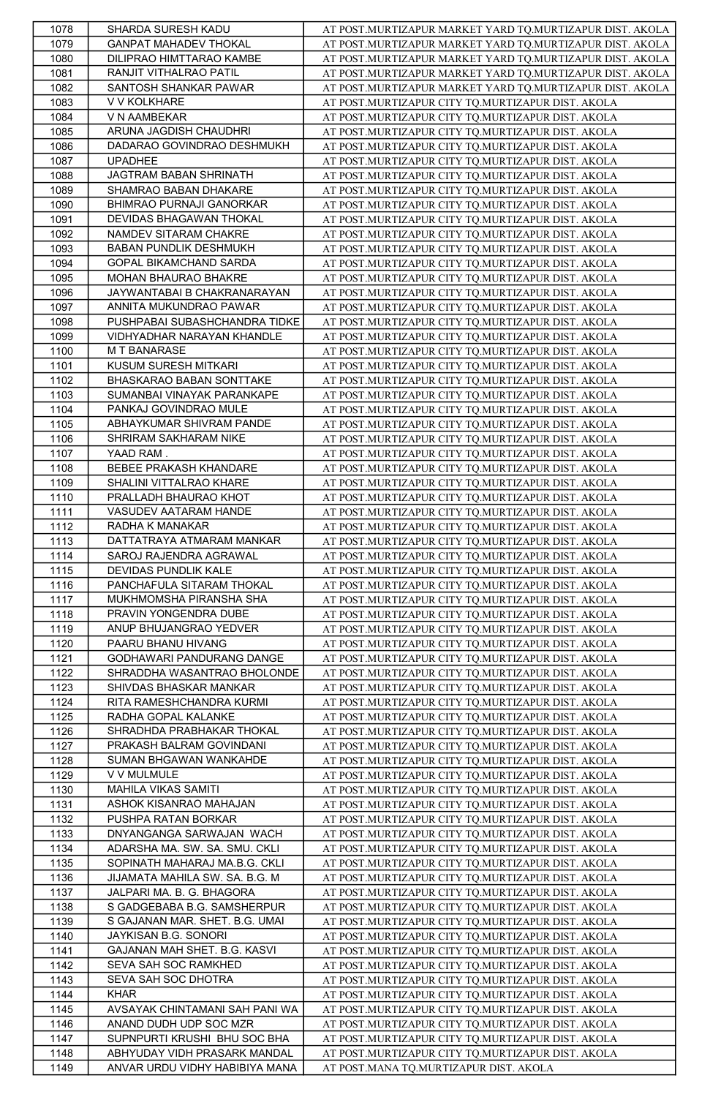| 1078 | SHARDA SURESH KADU             | AT POST.MURTIZAPUR MARKET YARD TQ.MURTIZAPUR DIST. AKOLA |
|------|--------------------------------|----------------------------------------------------------|
| 1079 | <b>GANPAT MAHADEV THOKAL</b>   | AT POST.MURTIZAPUR MARKET YARD TQ.MURTIZAPUR DIST. AKOLA |
| 1080 | DILIPRAO HIMTTARAO KAMBE       | AT POST.MURTIZAPUR MARKET YARD TQ.MURTIZAPUR DIST. AKOLA |
| 1081 | RANJIT VITHALRAO PATIL         | AT POST.MURTIZAPUR MARKET YARD TQ.MURTIZAPUR DIST. AKOLA |
| 1082 | SANTOSH SHANKAR PAWAR          | AT POST.MURTIZAPUR MARKET YARD TQ.MURTIZAPUR DIST. AKOLA |
| 1083 | V V KOLKHARE                   | AT POST.MURTIZAPUR CITY TQ.MURTIZAPUR DIST. AKOLA        |
|      |                                |                                                          |
| 1084 | V N AAMBEKAR                   | AT POST.MURTIZAPUR CITY TQ.MURTIZAPUR DIST. AKOLA        |
| 1085 | ARUNA JAGDISH CHAUDHRI         | AT POST.MURTIZAPUR CITY TQ.MURTIZAPUR DIST. AKOLA        |
| 1086 | DADARAO GOVINDRAO DESHMUKH     | AT POST.MURTIZAPUR CITY TO.MURTIZAPUR DIST. AKOLA        |
| 1087 | <b>UPADHEE</b>                 | AT POST.MURTIZAPUR CITY TQ.MURTIZAPUR DIST. AKOLA        |
| 1088 | JAGTRAM BABAN SHRINATH         | AT POST.MURTIZAPUR CITY TQ.MURTIZAPUR DIST. AKOLA        |
| 1089 | SHAMRAO BABAN DHAKARE          | AT POST.MURTIZAPUR CITY TQ.MURTIZAPUR DIST. AKOLA        |
| 1090 | BHIMRAO PURNAJI GANORKAR       | AT POST.MURTIZAPUR CITY TQ.MURTIZAPUR DIST. AKOLA        |
| 1091 | DEVIDAS BHAGAWAN THOKAL        | AT POST.MURTIZAPUR CITY TQ.MURTIZAPUR DIST. AKOLA        |
| 1092 | NAMDEV SITARAM CHAKRE          | AT POST.MURTIZAPUR CITY TQ.MURTIZAPUR DIST. AKOLA        |
| 1093 | BABAN PUNDLIK DESHMUKH         | AT POST.MURTIZAPUR CITY TQ.MURTIZAPUR DIST. AKOLA        |
|      |                                |                                                          |
| 1094 | GOPAL BIKAMCHAND SARDA         | AT POST.MURTIZAPUR CITY TQ.MURTIZAPUR DIST. AKOLA        |
| 1095 | MOHAN BHAURAO BHAKRE           | AT POST.MURTIZAPUR CITY TQ.MURTIZAPUR DIST. AKOLA        |
| 1096 | JAYWANTABAI B CHAKRANARAYAN    | AT POST.MURTIZAPUR CITY TQ.MURTIZAPUR DIST. AKOLA        |
| 1097 | ANNITA MUKUNDRAO PAWAR         | AT POST.MURTIZAPUR CITY TQ.MURTIZAPUR DIST. AKOLA        |
| 1098 | PUSHPABAI SUBASHCHANDRA TIDKE  | AT POST.MURTIZAPUR CITY TO.MURTIZAPUR DIST. AKOLA        |
| 1099 | VIDHYADHAR NARAYAN KHANDLE     | AT POST.MURTIZAPUR CITY TQ.MURTIZAPUR DIST. AKOLA        |
| 1100 | M T BANARASE                   | AT POST.MURTIZAPUR CITY TQ.MURTIZAPUR DIST. AKOLA        |
| 1101 | KUSUM SURESH MITKARI           | AT POST.MURTIZAPUR CITY TQ.MURTIZAPUR DIST. AKOLA        |
| 1102 | BHASKARAO BABAN SONTTAKE       | AT POST.MURTIZAPUR CITY TQ.MURTIZAPUR DIST. AKOLA        |
|      | SUMANBAI VINAYAK PARANKAPE     |                                                          |
| 1103 |                                | AT POST.MURTIZAPUR CITY TQ.MURTIZAPUR DIST. AKOLA        |
| 1104 | PANKAJ GOVINDRAO MULE          | AT POST.MURTIZAPUR CITY TQ.MURTIZAPUR DIST. AKOLA        |
| 1105 | ABHAYKUMAR SHIVRAM PANDE       | AT POST.MURTIZAPUR CITY TQ.MURTIZAPUR DIST. AKOLA        |
| 1106 | SHRIRAM SAKHARAM NIKE          | AT POST.MURTIZAPUR CITY TQ.MURTIZAPUR DIST. AKOLA        |
| 1107 | YAAD RAM                       | AT POST.MURTIZAPUR CITY TQ.MURTIZAPUR DIST. AKOLA        |
| 1108 | BEBEE PRAKASH KHANDARE         | AT POST.MURTIZAPUR CITY TQ.MURTIZAPUR DIST. AKOLA        |
| 1109 | SHALINI VITTALRAO KHARE        | AT POST.MURTIZAPUR CITY TQ.MURTIZAPUR DIST. AKOLA        |
| 1110 | PRALLADH BHAURAO KHOT          | AT POST.MURTIZAPUR CITY TQ.MURTIZAPUR DIST. AKOLA        |
| 1111 | VASUDEV AATARAM HANDE          |                                                          |
|      |                                | AT POST.MURTIZAPUR CITY TQ.MURTIZAPUR DIST. AKOLA        |
| 1112 | RADHA K MANAKAR                | AT POST.MURTIZAPUR CITY TQ.MURTIZAPUR DIST. AKOLA        |
| 1113 | DATTATRAYA ATMARAM MANKAR      | AT POST.MURTIZAPUR CITY TQ.MURTIZAPUR DIST. AKOLA        |
| 1114 | SAROJ RAJENDRA AGRAWAL         | AT POST.MURTIZAPUR CITY TQ.MURTIZAPUR DIST. AKOLA        |
| 1115 | DEVIDAS PUNDLIK KALE           | AT POST.MURTIZAPUR CITY TQ.MURTIZAPUR DIST. AKOLA        |
| 1116 | PANCHAFULA SITARAM THOKAL      | AT POST.MURTIZAPUR CITY TQ.MURTIZAPUR DIST. AKOLA        |
| 1117 | MUKHMOMSHA PIRANSHA SHA        | AT POST.MURTIZAPUR CITY TQ.MURTIZAPUR DIST. AKOLA        |
| 1118 | PRAVIN YONGENDRA DUBE          | AT POST.MURTIZAPUR CITY TQ.MURTIZAPUR DIST. AKOLA        |
| 1119 | ANUP BHUJANGRAO YEDVER         | AT POST.MURTIZAPUR CITY TQ.MURTIZAPUR DIST. AKOLA        |
| 1120 | PAARU BHANU HIVANG             |                                                          |
|      |                                | AT POST.MURTIZAPUR CITY TQ.MURTIZAPUR DIST. AKOLA        |
| 1121 | GODHAWARI PANDURANG DANGE      | AT POST.MURTIZAPUR CITY TQ.MURTIZAPUR DIST. AKOLA        |
| 1122 | SHRADDHA WASANTRAO BHOLONDE    | AT POST.MURTIZAPUR CITY TQ.MURTIZAPUR DIST. AKOLA        |
| 1123 | SHIVDAS BHASKAR MANKAR         | AT POST.MURTIZAPUR CITY TQ.MURTIZAPUR DIST. AKOLA        |
| 1124 | RITA RAMESHCHANDRA KURMI       | AT POST.MURTIZAPUR CITY TQ.MURTIZAPUR DIST. AKOLA        |
| 1125 | RADHA GOPAL KALANKE            | AT POST.MURTIZAPUR CITY TQ.MURTIZAPUR DIST. AKOLA        |
| 1126 | SHRADHDA PRABHAKAR THOKAL      | AT POST.MURTIZAPUR CITY TQ.MURTIZAPUR DIST. AKOLA        |
| 1127 | PRAKASH BALRAM GOVINDANI       | AT POST.MURTIZAPUR CITY TQ.MURTIZAPUR DIST. AKOLA        |
| 1128 | SUMAN BHGAWAN WANKAHDE         | AT POST.MURTIZAPUR CITY TQ.MURTIZAPUR DIST. AKOLA        |
| 1129 | V V MULMULE                    | AT POST.MURTIZAPUR CITY TQ.MURTIZAPUR DIST. AKOLA        |
|      |                                |                                                          |
| 1130 | MAHILA VIKAS SAMITI            | AT POST.MURTIZAPUR CITY TQ.MURTIZAPUR DIST. AKOLA        |
| 1131 | ASHOK KISANRAO MAHAJAN         | AT POST.MURTIZAPUR CITY TQ.MURTIZAPUR DIST. AKOLA        |
| 1132 | PUSHPA RATAN BORKAR            | AT POST.MURTIZAPUR CITY TQ.MURTIZAPUR DIST. AKOLA        |
| 1133 | DNYANGANGA SARWAJAN WACH       | AT POST.MURTIZAPUR CITY TQ.MURTIZAPUR DIST. AKOLA        |
| 1134 | ADARSHA MA. SW. SA. SMU. CKLI  | AT POST.MURTIZAPUR CITY TQ.MURTIZAPUR DIST. AKOLA        |
| 1135 | SOPINATH MAHARAJ MA.B.G. CKLI  | AT POST.MURTIZAPUR CITY TQ.MURTIZAPUR DIST. AKOLA        |
| 1136 | JIJAMATA MAHILA SW. SA. B.G. M | AT POST.MURTIZAPUR CITY TQ.MURTIZAPUR DIST. AKOLA        |
| 1137 | JALPARI MA. B. G. BHAGORA      | AT POST.MURTIZAPUR CITY TQ.MURTIZAPUR DIST. AKOLA        |
| 1138 | S GADGEBABA B.G. SAMSHERPUR    | AT POST.MURTIZAPUR CITY TQ.MURTIZAPUR DIST. AKOLA        |
|      |                                |                                                          |
| 1139 | S GAJANAN MAR. SHET. B.G. UMAI | AT POST.MURTIZAPUR CITY TQ.MURTIZAPUR DIST. AKOLA        |
| 1140 | JAYKISAN B.G. SONORI           | AT POST.MURTIZAPUR CITY TQ.MURTIZAPUR DIST. AKOLA        |
| 1141 | GAJANAN MAH SHET. B.G. KASVI   | AT POST.MURTIZAPUR CITY TQ.MURTIZAPUR DIST. AKOLA        |
| 1142 | SEVA SAH SOC RAMKHED           | AT POST.MURTIZAPUR CITY TQ.MURTIZAPUR DIST. AKOLA        |
| 1143 | SEVA SAH SOC DHOTRA            | AT POST.MURTIZAPUR CITY TQ.MURTIZAPUR DIST. AKOLA        |
| 1144 | <b>KHAR</b>                    | AT POST.MURTIZAPUR CITY TQ.MURTIZAPUR DIST. AKOLA        |
| 1145 | AVSAYAK CHINTAMANI SAH PANI WA | AT POST.MURTIZAPUR CITY TQ.MURTIZAPUR DIST. AKOLA        |
| 1146 | ANAND DUDH UDP SOC MZR         | AT POST.MURTIZAPUR CITY TQ.MURTIZAPUR DIST. AKOLA        |
|      | SUPNPURTI KRUSHI BHU SOC BHA   |                                                          |
| 1147 |                                | AT POST.MURTIZAPUR CITY TQ.MURTIZAPUR DIST. AKOLA        |
| 1148 | ABHYUDAY VIDH PRASARK MANDAL   | AT POST.MURTIZAPUR CITY TQ.MURTIZAPUR DIST. AKOLA        |
| 1149 | ANVAR URDU VIDHY HABIBIYA MANA | AT POST.MANA TQ.MURTIZAPUR DIST. AKOLA                   |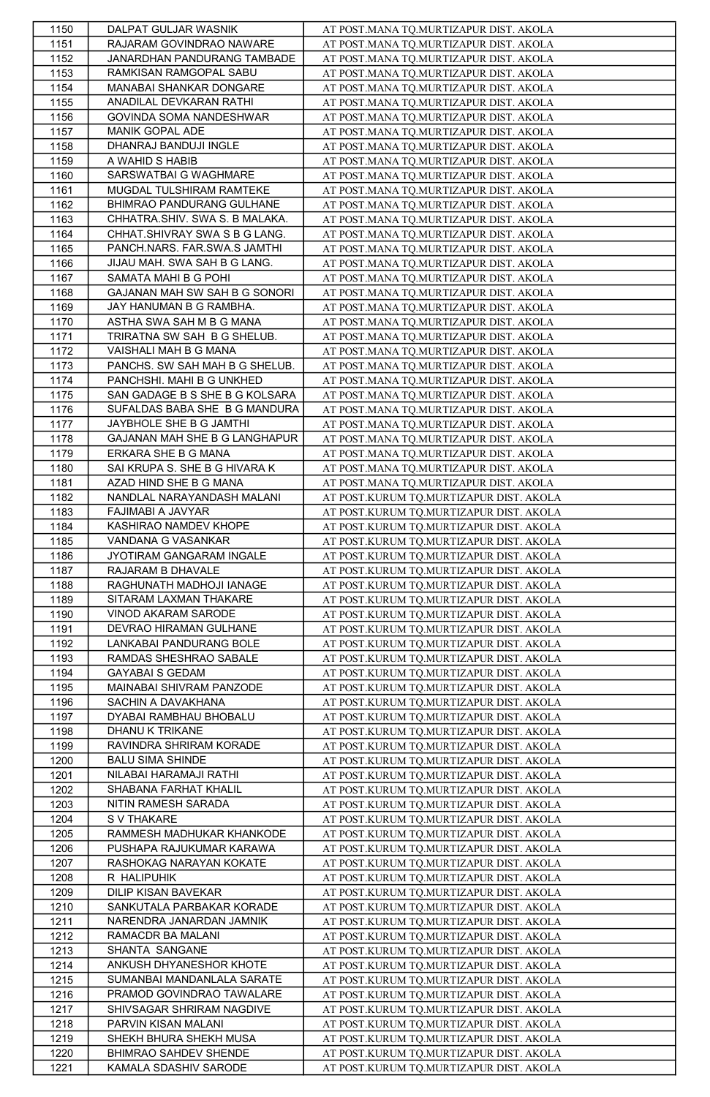| 1150 | DALPAT GULJAR WASNIK           | AT POST.MANA TO.MURTIZAPUR DIST. AKOLA  |
|------|--------------------------------|-----------------------------------------|
| 1151 | RAJARAM GOVINDRAO NAWARE       | AT POST.MANA TQ.MURTIZAPUR DIST. AKOLA  |
| 1152 | JANARDHAN PANDURANG TAMBADE    | AT POST.MANA TQ.MURTIZAPUR DIST. AKOLA  |
| 1153 | RAMKISAN RAMGOPAL SABU         | AT POST.MANA TQ.MURTIZAPUR DIST. AKOLA  |
| 1154 | MANABAI SHANKAR DONGARE        | AT POST.MANA TO.MURTIZAPUR DIST. AKOLA  |
| 1155 | ANADILAL DEVKARAN RATHI        | AT POST.MANA TQ.MURTIZAPUR DIST. AKOLA  |
| 1156 | GOVINDA SOMA NANDESHWAR        | AT POST.MANA TQ.MURTIZAPUR DIST. AKOLA  |
| 1157 | MANIK GOPAL ADE                | AT POST.MANA TQ.MURTIZAPUR DIST. AKOLA  |
| 1158 | DHANRAJ BANDUJI INGLE          | AT POST.MANA TQ.MURTIZAPUR DIST. AKOLA  |
| 1159 | A WAHID S HABIB                | AT POST.MANA TQ.MURTIZAPUR DIST. AKOLA  |
| 1160 | SARSWATBAI G WAGHMARE          |                                         |
|      | MUGDAL TULSHIRAM RAMTEKE       | AT POST.MANA TQ.MURTIZAPUR DIST. AKOLA  |
| 1161 |                                | AT POST.MANA TQ.MURTIZAPUR DIST. AKOLA  |
| 1162 | BHIMRAO PANDURANG GULHANE      | AT POST.MANA TQ.MURTIZAPUR DIST. AKOLA  |
| 1163 | CHHATRA.SHIV. SWA S. B MALAKA. | AT POST.MANA TQ.MURTIZAPUR DIST. AKOLA  |
| 1164 | CHHAT.SHIVRAY SWA S B G LANG.  | AT POST.MANA TQ.MURTIZAPUR DIST. AKOLA  |
| 1165 | PANCH.NARS. FAR.SWA.S JAMTHI   | AT POST.MANA TQ.MURTIZAPUR DIST. AKOLA  |
| 1166 | JIJAU MAH. SWA SAH B G LANG.   | AT POST.MANA TQ.MURTIZAPUR DIST. AKOLA  |
| 1167 | SAMATA MAHI B G POHI           | AT POST.MANA TO.MURTIZAPUR DIST. AKOLA  |
| 1168 | GAJANAN MAH SW SAH B G SONORI  | AT POST.MANA TQ.MURTIZAPUR DIST. AKOLA  |
| 1169 | JAY HANUMAN B G RAMBHA.        | AT POST.MANA TQ.MURTIZAPUR DIST. AKOLA  |
| 1170 | ASTHA SWA SAH M B G MANA       | AT POST.MANA TQ.MURTIZAPUR DIST. AKOLA  |
| 1171 | TRIRATNA SW SAH B G SHELUB.    | AT POST.MANA TQ.MURTIZAPUR DIST. AKOLA  |
| 1172 | VAISHALI MAH B G MANA          | AT POST.MANA TQ.MURTIZAPUR DIST. AKOLA  |
| 1173 | PANCHS. SW SAH MAH B G SHELUB. | AT POST.MANA TQ.MURTIZAPUR DIST. AKOLA  |
| 1174 | PANCHSHI. MAHI B G UNKHED      | AT POST.MANA TQ.MURTIZAPUR DIST. AKOLA  |
| 1175 | SAN GADAGE B S SHE B G KOLSARA | AT POST.MANA TQ.MURTIZAPUR DIST. AKOLA  |
| 1176 | SUFALDAS BABA SHE B G MANDURA  | AT POST.MANA TQ.MURTIZAPUR DIST. AKOLA  |
| 1177 | JAYBHOLE SHE B G JAMTHI        | AT POST.MANA TQ.MURTIZAPUR DIST. AKOLA  |
| 1178 | GAJANAN MAH SHE B G LANGHAPUR  | AT POST.MANA TO.MURTIZAPUR DIST. AKOLA  |
| 1179 | ERKARA SHE B G MANA            | AT POST.MANA TO.MURTIZAPUR DIST. AKOLA  |
| 1180 | SAI KRUPA S. SHE B G HIVARA K  | AT POST.MANA TQ.MURTIZAPUR DIST. AKOLA  |
| 1181 | AZAD HIND SHE B G MANA         | AT POST.MANA TQ.MURTIZAPUR DIST. AKOLA  |
| 1182 | NANDLAL NARAYANDASH MALANI     | AT POST.KURUM TQ.MURTIZAPUR DIST. AKOLA |
| 1183 | FAJIMABI A JAVYAR              |                                         |
|      | KASHIRAO NAMDEV KHOPE          | AT POST.KURUM TQ.MURTIZAPUR DIST. AKOLA |
| 1184 |                                | AT POST.KURUM TQ.MURTIZAPUR DIST. AKOLA |
| 1185 | VANDANA G VASANKAR             | AT POST.KURUM TQ.MURTIZAPUR DIST. AKOLA |
| 1186 | JYOTIRAM GANGARAM INGALE       | AT POST.KURUM TQ.MURTIZAPUR DIST. AKOLA |
| 1187 | RAJARAM B DHAVALE              | AT POST.KURUM TQ.MURTIZAPUR DIST. AKOLA |
| 1188 | RAGHUNATH MADHOJI IANAGE       | AT POST.KURUM TQ.MURTIZAPUR DIST. AKOLA |
| 1189 | SITARAM LAXMAN THAKARE         | AT POST.KURUM TQ.MURTIZAPUR DIST. AKOLA |
| 1190 | VINOD AKARAM SARODE            | AT POST.KURUM TQ.MURTIZAPUR DIST. AKOLA |
| 1191 | DEVRAO HIRAMAN GULHANE         | AT POST.KURUM TQ.MURTIZAPUR DIST. AKOLA |
| 1192 | LANKABAI PANDURANG BOLE        | AT POST.KURUM TQ.MURTIZAPUR DIST. AKOLA |
| 1193 | RAMDAS SHESHRAO SABALE         | AT POST.KURUM TQ.MURTIZAPUR DIST. AKOLA |
| 1194 | <b>GAYABAI S GEDAM</b>         | AT POST.KURUM TQ.MURTIZAPUR DIST. AKOLA |
| 1195 | MAINABAI SHIVRAM PANZODE       | AT POST.KURUM TQ.MURTIZAPUR DIST. AKOLA |
| 1196 | SACHIN A DAVAKHANA             | AT POST.KURUM TQ.MURTIZAPUR DIST. AKOLA |
| 1197 | DYABAI RAMBHAU BHOBALU         | AT POST.KURUM TQ.MURTIZAPUR DIST. AKOLA |
| 1198 | DHANU K TRIKANE                | AT POST.KURUM TQ.MURTIZAPUR DIST. AKOLA |
| 1199 | RAVINDRA SHRIRAM KORADE        | AT POST.KURUM TQ.MURTIZAPUR DIST. AKOLA |
| 1200 | <b>BALU SIMA SHINDE</b>        | AT POST.KURUM TQ.MURTIZAPUR DIST. AKOLA |
| 1201 | NILABAI HARAMAJI RATHI         | AT POST.KURUM TQ.MURTIZAPUR DIST. AKOLA |
| 1202 | SHABANA FARHAT KHALIL          | AT POST.KURUM TQ.MURTIZAPUR DIST. AKOLA |
| 1203 | NITIN RAMESH SARADA            | AT POST.KURUM TQ.MURTIZAPUR DIST. AKOLA |
| 1204 | S V THAKARE                    | AT POST.KURUM TQ.MURTIZAPUR DIST. AKOLA |
| 1205 | RAMMESH MADHUKAR KHANKODE      | AT POST.KURUM TQ.MURTIZAPUR DIST. AKOLA |
| 1206 | PUSHAPA RAJUKUMAR KARAWA       | AT POST.KURUM TQ.MURTIZAPUR DIST. AKOLA |
| 1207 | RASHOKAG NARAYAN KOKATE        | AT POST.KURUM TQ.MURTIZAPUR DIST. AKOLA |
| 1208 | R HALIPUHIK                    | AT POST.KURUM TQ.MURTIZAPUR DIST. AKOLA |
| 1209 | DILIP KISAN BAVEKAR            | AT POST.KURUM TQ.MURTIZAPUR DIST. AKOLA |
| 1210 | SANKUTALA PARBAKAR KORADE      | AT POST.KURUM TQ.MURTIZAPUR DIST. AKOLA |
| 1211 | NARENDRA JANARDAN JAMNIK       | AT POST.KURUM TQ.MURTIZAPUR DIST. AKOLA |
| 1212 | RAMACDR BA MALANI              | AT POST.KURUM TQ.MURTIZAPUR DIST. AKOLA |
| 1213 | SHANTA SANGANE                 | AT POST.KURUM TQ.MURTIZAPUR DIST. AKOLA |
| 1214 | ANKUSH DHYANESHOR KHOTE        |                                         |
|      | SUMANBAI MANDANLALA SARATE     | AT POST.KURUM TQ.MURTIZAPUR DIST. AKOLA |
| 1215 |                                | AT POST.KURUM TQ.MURTIZAPUR DIST. AKOLA |
| 1216 | PRAMOD GOVINDRAO TAWALARE      | AT POST.KURUM TQ.MURTIZAPUR DIST. AKOLA |
| 1217 | SHIVSAGAR SHRIRAM NAGDIVE      | AT POST.KURUM TQ.MURTIZAPUR DIST. AKOLA |
| 1218 | PARVIN KISAN MALANI            | AT POST.KURUM TQ.MURTIZAPUR DIST. AKOLA |
| 1219 | SHEKH BHURA SHEKH MUSA         | AT POST.KURUM TQ.MURTIZAPUR DIST. AKOLA |
| 1220 | BHIMRAO SAHDEV SHENDE          | AT POST.KURUM TQ.MURTIZAPUR DIST. AKOLA |
| 1221 | KAMALA SDASHIV SARODE          | AT POST.KURUM TQ.MURTIZAPUR DIST. AKOLA |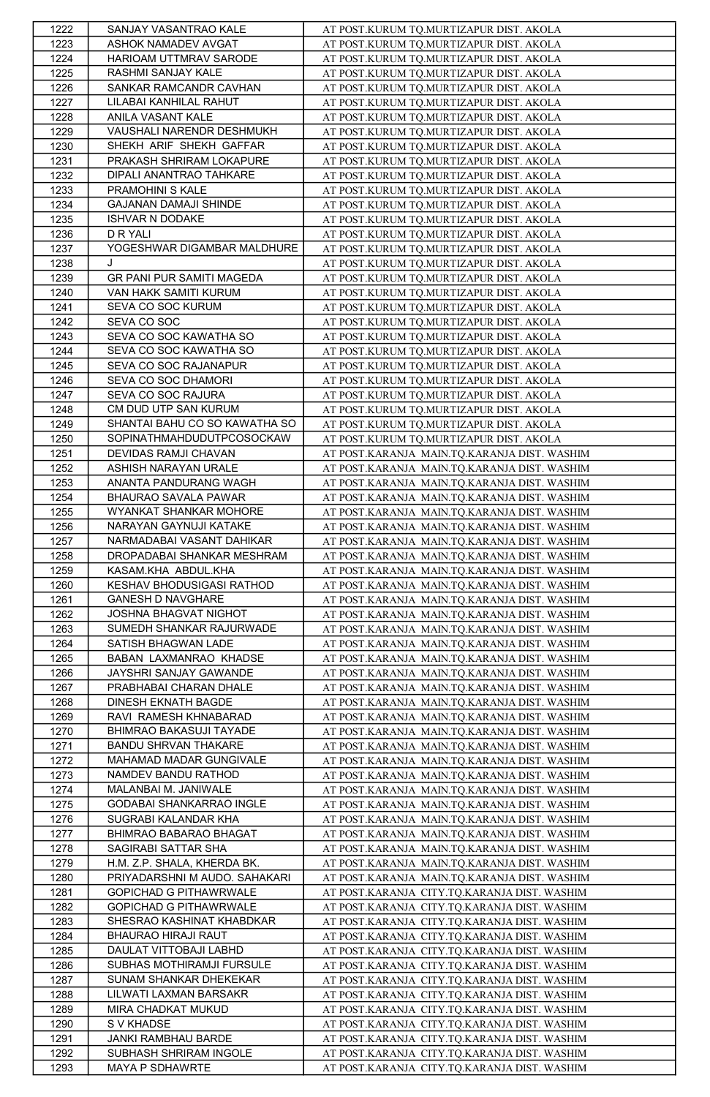| 1222 | SANJAY VASANTRAO KALE         | AT POST.KURUM TQ.MURTIZAPUR DIST. AKOLA      |
|------|-------------------------------|----------------------------------------------|
| 1223 | ASHOK NAMADEV AVGAT           | AT POST.KURUM TQ.MURTIZAPUR DIST. AKOLA      |
| 1224 | HARIOAM UTTMRAV SARODE        | AT POST.KURUM TQ.MURTIZAPUR DIST. AKOLA      |
| 1225 | RASHMI SANJAY KALE            | AT POST.KURUM TO.MURTIZAPUR DIST. AKOLA      |
| 1226 | SANKAR RAMCANDR CAVHAN        | AT POST.KURUM TO.MURTIZAPUR DIST. AKOLA      |
| 1227 | LILABAI KANHILAL RAHUT        | AT POST.KURUM TQ.MURTIZAPUR DIST. AKOLA      |
| 1228 | ANILA VASANT KALE             | AT POST.KURUM TQ.MURTIZAPUR DIST. AKOLA      |
| 1229 | VAUSHALI NARENDR DESHMUKH     |                                              |
|      |                               | AT POST.KURUM TQ.MURTIZAPUR DIST. AKOLA      |
| 1230 | SHEKH ARIF SHEKH GAFFAR       | AT POST.KURUM TQ.MURTIZAPUR DIST. AKOLA      |
| 1231 | PRAKASH SHRIRAM LOKAPURE      | AT POST.KURUM TQ.MURTIZAPUR DIST. AKOLA      |
| 1232 | DIPALI ANANTRAO TAHKARE       | AT POST.KURUM TQ.MURTIZAPUR DIST. AKOLA      |
| 1233 | PRAMOHINI S KALE              | AT POST.KURUM TQ.MURTIZAPUR DIST. AKOLA      |
| 1234 | GAJANAN DAMAJI SHINDE         | AT POST.KURUM TQ.MURTIZAPUR DIST. AKOLA      |
| 1235 | <b>ISHVAR N DODAKE</b>        | AT POST.KURUM TQ.MURTIZAPUR DIST. AKOLA      |
| 1236 | D R YALI                      | AT POST.KURUM TQ.MURTIZAPUR DIST. AKOLA      |
| 1237 | YOGESHWAR DIGAMBAR MALDHURE   | AT POST.KURUM TQ.MURTIZAPUR DIST. AKOLA      |
| 1238 | J                             | AT POST.KURUM TO.MURTIZAPUR DIST. AKOLA      |
| 1239 | GR PANI PUR SAMITI MAGEDA     | AT POST.KURUM TQ.MURTIZAPUR DIST. AKOLA      |
| 1240 | VAN HAKK SAMITI KURUM         | AT POST.KURUM TQ.MURTIZAPUR DIST. AKOLA      |
| 1241 | SEVA CO SOC KURUM             | AT POST.KURUM TQ.MURTIZAPUR DIST. AKOLA      |
| 1242 | SEVA CO SOC                   | AT POST.KURUM TQ.MURTIZAPUR DIST. AKOLA      |
| 1243 | SEVA CO SOC KAWATHA SO        | AT POST.KURUM TQ.MURTIZAPUR DIST. AKOLA      |
| 1244 | SEVA CO SOC KAWATHA SO        | AT POST.KURUM TQ.MURTIZAPUR DIST. AKOLA      |
| 1245 | SEVA CO SOC RAJANAPUR         | AT POST.KURUM TQ.MURTIZAPUR DIST. AKOLA      |
| 1246 | SEVA CO SOC DHAMORI           | AT POST.KURUM TO.MURTIZAPUR DIST. AKOLA      |
|      | SEVA CO SOC RAJURA            | AT POST.KURUM TO.MURTIZAPUR DIST. AKOLA      |
| 1247 |                               | AT POST.KURUM TQ.MURTIZAPUR DIST. AKOLA      |
| 1248 | CM DUD UTP SAN KURUM          |                                              |
| 1249 | SHANTAI BAHU CO SO KAWATHA SO | AT POST.KURUM TQ.MURTIZAPUR DIST. AKOLA      |
| 1250 | SOPINATHMAHDUDUTPCOSOCKAW     | AT POST.KURUM TQ.MURTIZAPUR DIST. AKOLA      |
| 1251 | DEVIDAS RAMJI CHAVAN          | AT POST.KARANJA MAIN.TQ.KARANJA DIST. WASHIM |
| 1252 | ASHISH NARAYAN URALE          | AT POST.KARANJA MAIN.TQ.KARANJA DIST. WASHIM |
| 1253 | ANANTA PANDURANG WAGH         | AT POST.KARANJA MAIN.TQ.KARANJA DIST. WASHIM |
| 1254 | BHAURAO SAVALA PAWAR          | AT POST.KARANJA MAIN.TQ.KARANJA DIST. WASHIM |
| 1255 | WYANKAT SHANKAR MOHORE        | AT POST.KARANJA MAIN.TQ.KARANJA DIST. WASHIM |
| 1256 | NARAYAN GAYNUJI KATAKE        | AT POST.KARANJA MAIN.TQ.KARANJA DIST. WASHIM |
| 1257 | NARMADABAI VASANT DAHIKAR     | AT POST.KARANJA MAIN.TQ.KARANJA DIST. WASHIM |
| 1258 | DROPADABAI SHANKAR MESHRAM    | AT POST.KARANJA MAIN.TQ.KARANJA DIST. WASHIM |
| 1259 | KASAM.KHA ABDUL.KHA           | AT POST.KARANJA MAIN.TQ.KARANJA DIST. WASHIM |
| 1260 | KESHAV BHODUSIGASI RATHOD     | AT POST.KARANJA MAIN.TQ.KARANJA DIST. WASHIM |
| 1261 | GANESH D NAVGHARE             | AT POST.KARANJA MAIN.TQ.KARANJA DIST. WASHIM |
| 1262 | JOSHNA BHAGVAT NIGHOT         | AT POST.KARANJA MAIN.TQ.KARANJA DIST. WASHIM |
| 1263 | SUMEDH SHANKAR RAJURWADE      | AT POST.KARANJA MAIN.TQ.KARANJA DIST. WASHIM |
| 1264 | SATISH BHAGWAN LADE           | AT POST.KARANJA MAIN.TQ.KARANJA DIST. WASHIM |
| 1265 | BABAN LAXMANRAO KHADSE        | AT POST.KARANJA MAIN.TQ.KARANJA DIST. WASHIM |
| 1266 | JAYSHRI SANJAY GAWANDE        | AT POST.KARANJA MAIN.TQ.KARANJA DIST. WASHIM |
|      | PRABHABAI CHARAN DHALE        |                                              |
| 1267 |                               | AT POST.KARANJA MAIN.TQ.KARANJA DIST. WASHIM |
| 1268 | DINESH EKNATH BAGDE           | AT POST.KARANJA MAIN.TQ.KARANJA DIST. WASHIM |
| 1269 | RAVI RAMESH KHNABARAD         | AT POST.KARANJA MAIN.TQ.KARANJA DIST. WASHIM |
| 1270 | BHIMRAO BAKASUJI TAYADE       | AT POST.KARANJA MAIN.TQ.KARANJA DIST. WASHIM |
| 1271 | <b>BANDU SHRVAN THAKARE</b>   | AT POST.KARANJA MAIN.TQ.KARANJA DIST. WASHIM |
| 1272 | MAHAMAD MADAR GUNGIVALE       | AT POST.KARANJA MAIN.TQ.KARANJA DIST. WASHIM |
| 1273 | NAMDEV BANDU RATHOD           | AT POST.KARANJA MAIN.TQ.KARANJA DIST. WASHIM |
| 1274 | MALANBAI M. JANIWALE          | AT POST.KARANJA MAIN.TQ.KARANJA DIST. WASHIM |
| 1275 | GODABAI SHANKARRAO INGLE      | AT POST.KARANJA MAIN.TQ.KARANJA DIST. WASHIM |
| 1276 | SUGRABI KALANDAR KHA          | AT POST.KARANJA MAIN.TQ.KARANJA DIST. WASHIM |
| 1277 | BHIMRAO BABARAO BHAGAT        | AT POST.KARANJA MAIN.TQ.KARANJA DIST. WASHIM |
| 1278 | SAGIRABI SATTAR SHA           | AT POST.KARANJA MAIN.TQ.KARANJA DIST. WASHIM |
| 1279 | H.M. Z.P. SHALA, KHERDA BK.   | AT POST.KARANJA MAIN.TQ.KARANJA DIST. WASHIM |
| 1280 | PRIYADARSHNI M AUDO. SAHAKARI | AT POST.KARANJA MAIN.TQ.KARANJA DIST. WASHIM |
| 1281 | GOPICHAD G PITHAWRWALE        | AT POST.KARANJA CITY.TQ.KARANJA DIST. WASHIM |
| 1282 | GOPICHAD G PITHAWRWALE        | AT POST.KARANJA CITY.TQ.KARANJA DIST. WASHIM |
| 1283 | SHESRAO KASHINAT KHABDKAR     | AT POST.KARANJA CITY.TQ.KARANJA DIST. WASHIM |
| 1284 | BHAURAO HIRAJI RAUT           | AT POST.KARANJA CITY.TQ.KARANJA DIST. WASHIM |
| 1285 | DAULAT VITTOBAJI LABHD        | AT POST.KARANJA CITY.TQ.KARANJA DIST. WASHIM |
| 1286 | SUBHAS MOTHIRAMJI FURSULE     | AT POST.KARANJA CITY.TQ.KARANJA DIST. WASHIM |
| 1287 | SUNAM SHANKAR DHEKEKAR        | AT POST.KARANJA CITY.TQ.KARANJA DIST. WASHIM |
|      | LILWATI LAXMAN BARSAKR        |                                              |
| 1288 |                               | AT POST.KARANJA CITY.TQ.KARANJA DIST. WASHIM |
| 1289 | MIRA CHADKAT MUKUD            | AT POST.KARANJA CITY.TQ.KARANJA DIST. WASHIM |
| 1290 | S V KHADSE                    | AT POST.KARANJA CITY.TQ.KARANJA DIST. WASHIM |
| 1291 | JANKI RAMBHAU BARDE           | AT POST.KARANJA CITY.TQ.KARANJA DIST. WASHIM |
| 1292 | SUBHASH SHRIRAM INGOLE        | AT POST.KARANJA CITY.TQ.KARANJA DIST. WASHIM |
| 1293 | MAYA P SDHAWRTE               | AT POST.KARANJA CITY.TQ.KARANJA DIST. WASHIM |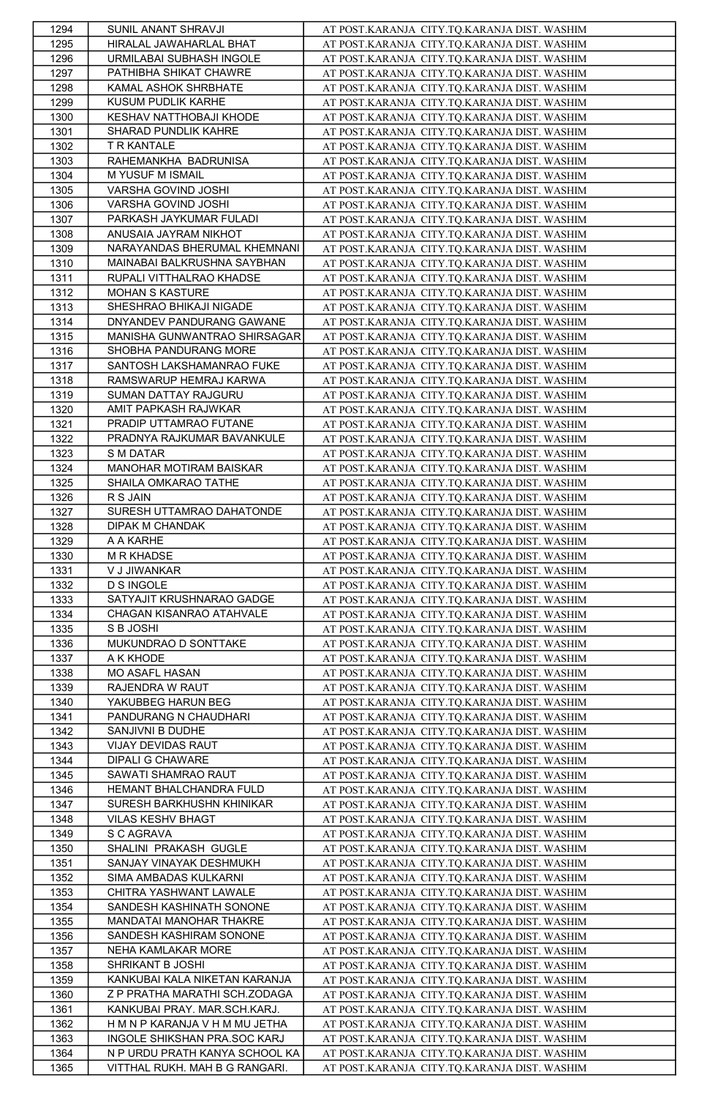| 1294         | SUNIL ANANT SHRAVJI                              | AT POST.KARANJA CITY.TQ.KARANJA DIST. WASHIM |
|--------------|--------------------------------------------------|----------------------------------------------|
| 1295         | HIRALAL JAWAHARLAL BHAT                          | AT POST.KARANJA CITY.TQ.KARANJA DIST. WASHIM |
| 1296         | URMILABAI SUBHASH INGOLE                         | AT POST.KARANJA CITY.TQ.KARANJA DIST. WASHIM |
| 1297         | PATHIBHA SHIKAT CHAWRE                           | AT POST.KARANJA CITY.TQ.KARANJA DIST. WASHIM |
| 1298         | KAMAL ASHOK SHRBHATE                             | AT POST.KARANJA CITY.TQ.KARANJA DIST. WASHIM |
| 1299         | KUSUM PUDLIK KARHE                               | AT POST.KARANJA CITY.TQ.KARANJA DIST. WASHIM |
| 1300         | KESHAV NATTHOBAJI KHODE                          | AT POST.KARANJA CITY.TQ.KARANJA DIST. WASHIM |
| 1301         | SHARAD PUNDLIK KAHRE                             | AT POST.KARANJA CITY.TQ.KARANJA DIST. WASHIM |
| 1302         | T R KANTALE                                      | AT POST.KARANJA CITY.TQ.KARANJA DIST. WASHIM |
| 1303         | RAHEMANKHA BADRUNISA                             | AT POST.KARANJA CITY.TQ.KARANJA DIST. WASHIM |
| 1304         | M YUSUF M ISMAIL                                 | AT POST.KARANJA CITY.TQ.KARANJA DIST. WASHIM |
| 1305         | VARSHA GOVIND JOSHI                              | AT POST.KARANJA CITY.TQ.KARANJA DIST. WASHIM |
| 1306         | VARSHA GOVIND JOSHI                              | AT POST.KARANJA CITY.TQ.KARANJA DIST. WASHIM |
| 1307         | PARKASH JAYKUMAR FULADI                          | AT POST.KARANJA CITY.TQ.KARANJA DIST. WASHIM |
| 1308         | ANUSAIA JAYRAM NIKHOT                            | AT POST.KARANJA CITY.TQ.KARANJA DIST. WASHIM |
| 1309         | NARAYANDAS BHERUMAL KHEMNANI                     | AT POST.KARANJA CITY.TQ.KARANJA DIST. WASHIM |
| 1310         | MAINABAI BALKRUSHNA SAYBHAN                      | AT POST.KARANJA CITY.TQ.KARANJA DIST. WASHIM |
| 1311         | RUPALI VITTHALRAO KHADSE                         | AT POST.KARANJA CITY.TQ.KARANJA DIST. WASHIM |
| 1312         | <b>MOHAN S KASTURE</b>                           | AT POST.KARANJA CITY.TQ.KARANJA DIST. WASHIM |
| 1313         | SHESHRAO BHIKAJI NIGADE                          | AT POST.KARANJA CITY.TQ.KARANJA DIST. WASHIM |
|              | DNYANDEV PANDURANG GAWANE                        |                                              |
| 1314         | MANISHA GUNWANTRAO SHIRSAGAR                     | AT POST.KARANJA CITY.TQ.KARANJA DIST. WASHIM |
| 1315         | SHOBHA PANDURANG MORE                            | AT POST.KARANJA CITY.TQ.KARANJA DIST. WASHIM |
| 1316         | SANTOSH LAKSHAMANRAO FUKE                        | AT POST.KARANJA CITY.TQ.KARANJA DIST. WASHIM |
| 1317         |                                                  | AT POST.KARANJA CITY.TQ.KARANJA DIST. WASHIM |
| 1318         | RAMSWARUP HEMRAJ KARWA<br>SUMAN DATTAY RAJGURU   | AT POST.KARANJA CITY.TQ.KARANJA DIST. WASHIM |
| 1319         |                                                  | AT POST.KARANJA CITY.TQ.KARANJA DIST. WASHIM |
| 1320         | AMIT PAPKASH RAJWKAR<br>PRADIP UTTAMRAO FUTANE   | AT POST.KARANJA CITY.TQ.KARANJA DIST. WASHIM |
| 1321         |                                                  | AT POST.KARANJA CITY.TQ.KARANJA DIST. WASHIM |
| 1322         | PRADNYA RAJKUMAR BAVANKULE                       | AT POST.KARANJA CITY.TQ.KARANJA DIST. WASHIM |
| 1323         | S M DATAR                                        | AT POST.KARANJA CITY.TQ.KARANJA DIST. WASHIM |
| 1324         | MANOHAR MOTIRAM BAISKAR                          | AT POST.KARANJA CITY.TQ.KARANJA DIST. WASHIM |
| 1325         | SHAILA OMKARAO TATHE                             | AT POST.KARANJA CITY.TQ.KARANJA DIST. WASHIM |
| 1326         | R S JAIN                                         | AT POST.KARANJA CITY.TQ.KARANJA DIST. WASHIM |
| 1327         | SURESH UTTAMRAO DAHATONDE                        | AT POST.KARANJA CITY.TQ.KARANJA DIST. WASHIM |
| 1328         | DIPAK M CHANDAK                                  | AT POST.KARANJA CITY.TQ.KARANJA DIST. WASHIM |
| 1329         | A A KARHE                                        | AT POST.KARANJA CITY.TQ.KARANJA DIST. WASHIM |
| 1330         | <b>M R KHADSE</b>                                | AT POST.KARANJA CITY.TQ.KARANJA DIST. WASHIM |
| 1331         | V J JIWANKAR                                     | AT POST.KARANJA CITY.TQ.KARANJA DIST. WASHIM |
| 1332         | <b>D S INGOLE</b>                                | AT POST.KARANJA CITY.TQ.KARANJA DIST. WASHIM |
| 1333         | SATYAJIT KRUSHNARAO GADGE                        | AT POST.KARANJA CITY.TQ.KARANJA DIST. WASHIM |
| 1334         | CHAGAN KISANRAO ATAHVALE                         | AT POST.KARANJA CITY.TQ.KARANJA DIST. WASHIM |
| 1335         | S B JOSHI                                        | AT POST.KARANJA CITY.TQ.KARANJA DIST. WASHIM |
| 1336         | MUKUNDRAO D SONTTAKE                             | AT POST.KARANJA CITY.TQ.KARANJA DIST. WASHIM |
| 1337         | A K KHODE                                        | AT POST.KARANJA CITY.TQ.KARANJA DIST. WASHIM |
| 1338         | MO ASAFL HASAN                                   | AT POST.KARANJA CITY.TQ.KARANJA DIST. WASHIM |
| 1339         | RAJENDRA W RAUT                                  | AT POST.KARANJA CITY.TQ.KARANJA DIST. WASHIM |
| 1340         | YAKUBBEG HARUN BEG                               | AT POST.KARANJA CITY.TQ.KARANJA DIST. WASHIM |
| 1341         | PANDURANG N CHAUDHARI<br>SANJIVNI B DUDHE        | AT POST.KARANJA CITY.TQ.KARANJA DIST. WASHIM |
| 1342         |                                                  | AT POST.KARANJA CITY.TQ.KARANJA DIST. WASHIM |
| 1343<br>1344 | VIJAY DEVIDAS RAUT<br>DIPALI G CHAWARE           | AT POST.KARANJA CITY.TQ.KARANJA DIST. WASHIM |
|              |                                                  | AT POST.KARANJA CITY.TQ.KARANJA DIST. WASHIM |
| 1345         | SAWATI SHAMRAO RAUT                              | AT POST.KARANJA CITY.TQ.KARANJA DIST. WASHIM |
| 1346         | HEMANT BHALCHANDRA FULD                          | AT POST.KARANJA CITY.TQ.KARANJA DIST. WASHIM |
| 1347         | SURESH BARKHUSHN KHINIKAR                        | AT POST.KARANJA CITY.TQ.KARANJA DIST. WASHIM |
| 1348         | VILAS KESHV BHAGT                                | AT POST.KARANJA CITY.TQ.KARANJA DIST. WASHIM |
| 1349         | S C AGRAVA<br>SHALINI PRAKASH GUGLE              | AT POST.KARANJA CITY.TQ.KARANJA DIST. WASHIM |
| 1350         |                                                  | AT POST.KARANJA CITY.TQ.KARANJA DIST. WASHIM |
| 1351         | SANJAY VINAYAK DESHMUKH<br>SIMA AMBADAS KULKARNI | AT POST.KARANJA CITY.TQ.KARANJA DIST. WASHIM |
| 1352         |                                                  | AT POST.KARANJA CITY.TQ.KARANJA DIST. WASHIM |
| 1353         | CHITRA YASHWANT LAWALE                           | AT POST.KARANJA CITY.TQ.KARANJA DIST. WASHIM |
| 1354         | SANDESH KASHINATH SONONE                         | AT POST.KARANJA CITY.TQ.KARANJA DIST. WASHIM |
| 1355         | MANDATAI MANOHAR THAKRE                          | AT POST.KARANJA CITY.TQ.KARANJA DIST. WASHIM |
| 1356         | SANDESH KASHIRAM SONONE                          | AT POST.KARANJA CITY.TQ.KARANJA DIST. WASHIM |
| 1357         | NEHA KAMLAKAR MORE                               | AT POST.KARANJA CITY.TQ.KARANJA DIST. WASHIM |
| 1358         | SHRIKANT B JOSHI                                 | AT POST.KARANJA CITY.TQ.KARANJA DIST. WASHIM |
| 1359         | KANKUBAI KALA NIKETAN KARANJA                    | AT POST.KARANJA CITY.TQ.KARANJA DIST. WASHIM |
| 1360         | Z P PRATHA MARATHI SCH.ZODAGA                    | AT POST.KARANJA CITY.TQ.KARANJA DIST. WASHIM |
| 1361         | KANKUBAI PRAY. MAR.SCH.KARJ.                     | AT POST.KARANJA CITY.TQ.KARANJA DIST. WASHIM |
| 1362         | H M N P KARANJA V H M MU JETHA                   | AT POST.KARANJA CITY.TQ.KARANJA DIST. WASHIM |
| 1363         | INGOLE SHIKSHAN PRA.SOC KARJ                     | AT POST.KARANJA CITY.TQ.KARANJA DIST. WASHIM |
| 1364         | N P URDU PRATH KANYA SCHOOL KA                   | AT POST.KARANJA CITY.TQ.KARANJA DIST. WASHIM |
| 1365         | VITTHAL RUKH. MAH B G RANGARI.                   | AT POST.KARANJA CITY.TQ.KARANJA DIST. WASHIM |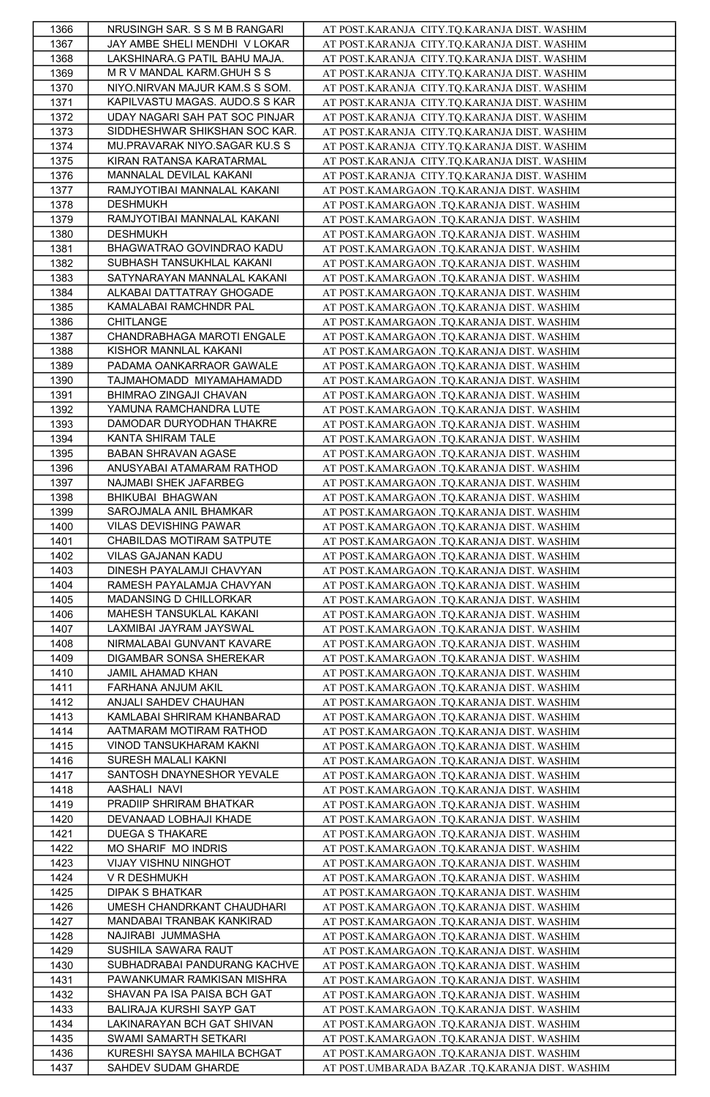| 1366         | NRUSINGH SAR. S S M B RANGARI  | AT POST.KARANJA CITY.TQ.KARANJA DIST. WASHIM                                             |
|--------------|--------------------------------|------------------------------------------------------------------------------------------|
| 1367         | JAY AMBE SHELI MENDHI V LOKAR  | AT POST.KARANJA CITY.TQ.KARANJA DIST. WASHIM                                             |
| 1368         | LAKSHINARA.G PATIL BAHU MAJA.  | AT POST.KARANJA CITY.TQ.KARANJA DIST. WASHIM                                             |
| 1369         | M R V MANDAL KARM.GHUH S S     | AT POST.KARANJA CITY.TQ.KARANJA DIST. WASHIM                                             |
| 1370         | NIYO.NIRVAN MAJUR KAM.S S SOM. | AT POST.KARANJA CITY.TQ.KARANJA DIST. WASHIM                                             |
| 1371         | KAPILVASTU MAGAS. AUDO.S S KAR | AT POST.KARANJA CITY.TQ.KARANJA DIST. WASHIM                                             |
| 1372         | UDAY NAGARI SAH PAT SOC PINJAR | AT POST.KARANJA CITY.TQ.KARANJA DIST. WASHIM                                             |
| 1373         | SIDDHESHWAR SHIKSHAN SOC KAR.  | AT POST.KARANJA CITY.TQ.KARANJA DIST. WASHIM                                             |
| 1374         | MU.PRAVARAK NIYO.SAGAR KU.S S  | AT POST.KARANJA CITY.TQ.KARANJA DIST. WASHIM                                             |
| 1375         | KIRAN RATANSA KARATARMAL       | AT POST.KARANJA CITY.TQ.KARANJA DIST. WASHIM                                             |
| 1376         | MANNALAL DEVILAL KAKANI        | AT POST.KARANJA CITY.TQ.KARANJA DIST. WASHIM                                             |
| 1377         | RAMJYOTIBAI MANNALAL KAKANI    | AT POST.KAMARGAON .TQ.KARANJA DIST. WASHIM                                               |
|              | <b>DESHMUKH</b>                | AT POST.KAMARGAON .TQ.KARANJA DIST. WASHIM                                               |
| 1378<br>1379 | RAMJYOTIBAI MANNALAL KAKANI    |                                                                                          |
|              | <b>DESHMUKH</b>                | AT POST.KAMARGAON .TQ.KARANJA DIST. WASHIM                                               |
| 1380         |                                | AT POST.KAMARGAON .TQ.KARANJA DIST. WASHIM                                               |
| 1381         | BHAGWATRAO GOVINDRAO KADU      | AT POST.KAMARGAON .TQ.KARANJA DIST. WASHIM                                               |
| 1382         | SUBHASH TANSUKHLAL KAKANI      | AT POST.KAMARGAON .TQ.KARANJA DIST. WASHIM                                               |
| 1383         | SATYNARAYAN MANNALAL KAKANI    | AT POST.KAMARGAON .TQ.KARANJA DIST. WASHIM                                               |
| 1384         | ALKABAI DATTATRAY GHOGADE      | AT POST.KAMARGAON .TQ.KARANJA DIST. WASHIM                                               |
| 1385         | KAMALABAI RAMCHNDR PAL         | AT POST.KAMARGAON .TQ.KARANJA DIST. WASHIM                                               |
| 1386         | CHITLANGE                      | AT POST.KAMARGAON .TQ.KARANJA DIST. WASHIM                                               |
| 1387         | CHANDRABHAGA MAROTI ENGALE     | AT POST.KAMARGAON .TQ.KARANJA DIST. WASHIM                                               |
| 1388         | KISHOR MANNLAL KAKANI          | AT POST.KAMARGAON .TQ.KARANJA DIST. WASHIM                                               |
| 1389         | PADAMA OANKARRAOR GAWALE       | AT POST.KAMARGAON .TQ.KARANJA DIST. WASHIM                                               |
| 1390         | TAJMAHOMADD MIYAMAHAMADD       | AT POST.KAMARGAON .TQ.KARANJA DIST. WASHIM                                               |
| 1391         | BHIMRAO ZINGAJI CHAVAN         | AT POST.KAMARGAON .TQ.KARANJA DIST. WASHIM                                               |
| 1392         | YAMUNA RAMCHANDRA LUTE         | AT POST.KAMARGAON .TQ.KARANJA DIST. WASHIM                                               |
| 1393         | DAMODAR DURYODHAN THAKRE       | AT POST.KAMARGAON .TQ.KARANJA DIST. WASHIM                                               |
| 1394         | KANTA SHIRAM TALE              | AT POST.KAMARGAON .TQ.KARANJA DIST. WASHIM                                               |
| 1395         | BABAN SHRAVAN AGASE            | AT POST.KAMARGAON .TQ.KARANJA DIST. WASHIM                                               |
| 1396         | ANUSYABAI ATAMARAM RATHOD      | AT POST.KAMARGAON .TQ.KARANJA DIST. WASHIM                                               |
| 1397         | NAJMABI SHEK JAFARBEG          | AT POST.KAMARGAON .TQ.KARANJA DIST. WASHIM                                               |
| 1398         | BHIKUBAI BHAGWAN               | AT POST.KAMARGAON .TQ.KARANJA DIST. WASHIM                                               |
| 1399         | SAROJMALA ANIL BHAMKAR         | AT POST.KAMARGAON .TQ.KARANJA DIST. WASHIM                                               |
| 1400         | VILAS DEVISHING PAWAR          | AT POST.KAMARGAON .TQ.KARANJA DIST. WASHIM                                               |
| 1401         | CHABILDAS MOTIRAM SATPUTE      | AT POST.KAMARGAON .TQ.KARANJA DIST. WASHIM                                               |
| 1402         | VILAS GAJANAN KADU             | AT POST.KAMARGAON .TQ.KARANJA DIST. WASHIM                                               |
| 1403         | DINESH PAYALAMJI CHAVYAN       | AT POST.KAMARGAON .TQ.KARANJA DIST. WASHIM                                               |
| 1404         | RAMESH PAYALAMJA CHAVYAN       | AT POST.KAMARGAON .TQ.KARANJA DIST. WASHIM                                               |
| 1405         | MADANSING D CHILLORKAR         | AT POST.KAMARGAON .TQ.KARANJA DIST. WASHIM                                               |
| 1406         | MAHESH TANSUKLAL KAKANI        | AT POST.KAMARGAON .TQ.KARANJA DIST. WASHIM                                               |
| 1407         | LAXMIBAI JAYRAM JAYSWAL        | AT POST.KAMARGAON .TQ.KARANJA DIST. WASHIM                                               |
| 1408         | NIRMALABAI GUNVANT KAVARE      | AT POST.KAMARGAON .TQ.KARANJA DIST. WASHIM                                               |
| 1409         | DIGAMBAR SONSA SHEREKAR        | AT POST.KAMARGAON .TQ.KARANJA DIST. WASHIM                                               |
| 1410         | JAMIL AHAMAD KHAN              | AT POST.KAMARGAON .TQ.KARANJA DIST. WASHIM                                               |
| 1411         | FARHANA ANJUM AKIL             | AT POST.KAMARGAON .TQ.KARANJA DIST. WASHIM                                               |
| 1412         | ANJALI SAHDEV CHAUHAN          | AT POST.KAMARGAON .TQ.KARANJA DIST. WASHIM                                               |
| 1413         | KAMLABAI SHRIRAM KHANBARAD     | AT POST.KAMARGAON .TQ.KARANJA DIST. WASHIM                                               |
| 1414         | AATMARAM MOTIRAM RATHOD        | AT POST.KAMARGAON .TQ.KARANJA DIST. WASHIM                                               |
| 1415         | VINOD TANSUKHARAM KAKNI        | AT POST.KAMARGAON .TQ.KARANJA DIST. WASHIM                                               |
| 1416         | SURESH MALALI KAKNI            | AT POST.KAMARGAON .TQ.KARANJA DIST. WASHIM                                               |
| 1417         | SANTOSH DNAYNESHOR YEVALE      | AT POST.KAMARGAON .TQ.KARANJA DIST. WASHIM                                               |
| 1418         | AASHALI NAVI                   | AT POST.KAMARGAON .TQ.KARANJA DIST. WASHIM                                               |
| 1419         | PRADIIP SHRIRAM BHATKAR        | AT POST.KAMARGAON .TQ.KARANJA DIST. WASHIM                                               |
| 1420         | DEVANAAD LOBHAJI KHADE         | AT POST.KAMARGAON .TQ.KARANJA DIST. WASHIM                                               |
| 1421         | <b>DUEGA S THAKARE</b>         | AT POST.KAMARGAON .TQ.KARANJA DIST. WASHIM                                               |
| 1422         | MO SHARIF MO INDRIS            | AT POST.KAMARGAON .TQ.KARANJA DIST. WASHIM                                               |
| 1423         | VIJAY VISHNU NINGHOT           |                                                                                          |
|              | V R DESHMUKH                   | AT POST.KAMARGAON .TQ.KARANJA DIST. WASHIM                                               |
| 1424<br>1425 | <b>DIPAK S BHATKAR</b>         | AT POST.KAMARGAON .TQ.KARANJA DIST. WASHIM<br>AT POST.KAMARGAON .TQ.KARANJA DIST. WASHIM |
|              | UMESH CHANDRKANT CHAUDHARI     | AT POST.KAMARGAON .TQ.KARANJA DIST. WASHIM                                               |
| 1426         | MANDABAI TRANBAK KANKIRAD      |                                                                                          |
| 1427         |                                | AT POST.KAMARGAON .TQ.KARANJA DIST. WASHIM                                               |
| 1428         | NAJIRABI JUMMASHA              | AT POST.KAMARGAON .TQ.KARANJA DIST. WASHIM                                               |
| 1429         | SUSHILA SAWARA RAUT            | AT POST.KAMARGAON .TQ.KARANJA DIST. WASHIM                                               |
| 1430         | SUBHADRABAI PANDURANG KACHVE   | AT POST.KAMARGAON .TQ.KARANJA DIST. WASHIM                                               |
| 1431         | PAWANKUMAR RAMKISAN MISHRA     | AT POST.KAMARGAON .TQ.KARANJA DIST. WASHIM                                               |
| 1432         | SHAVAN PA ISA PAISA BCH GAT    | AT POST.KAMARGAON .TQ.KARANJA DIST. WASHIM                                               |
| 1433         | BALIRAJA KURSHI SAYP GAT       | AT POST.KAMARGAON .TQ.KARANJA DIST. WASHIM                                               |
| 1434         | LAKINARAYAN BCH GAT SHIVAN     | AT POST.KAMARGAON .TQ.KARANJA DIST. WASHIM                                               |
| 1435         | SWAMI SAMARTH SETKARI          | AT POST.KAMARGAON .TQ.KARANJA DIST. WASHIM                                               |
| 1436         | KURESHI SAYSA MAHILA BCHGAT    | AT POST.KAMARGAON .TQ.KARANJA DIST. WASHIM                                               |
| 1437         | SAHDEV SUDAM GHARDE            | AT POST.UMBARADA BAZAR .TQ.KARANJA DIST. WASHIM                                          |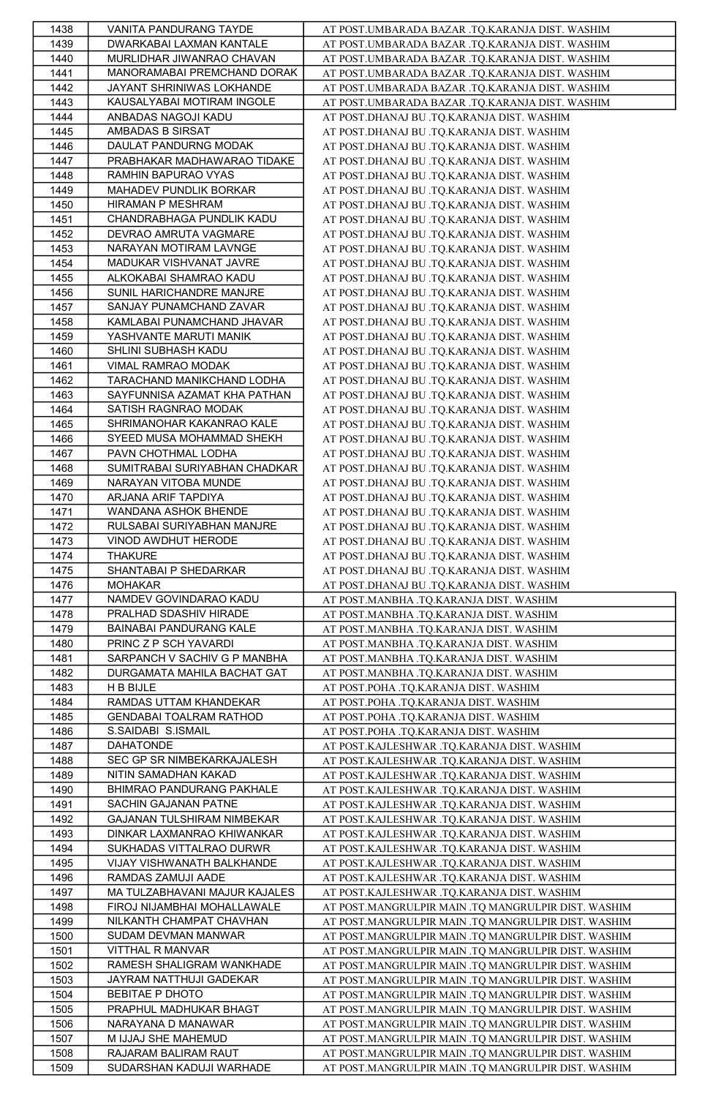| 1438         | VANITA PANDURANG TAYDE        | AT POST.UMBARADA BAZAR .TQ.KARANJA DIST. WASHIM     |
|--------------|-------------------------------|-----------------------------------------------------|
| 1439         | DWARKABAI LAXMAN KANTALE      | AT POST.UMBARADA BAZAR .TQ.KARANJA DIST. WASHIM     |
| 1440         | MURLIDHAR JIWANRAO CHAVAN     | AT POST.UMBARADA BAZAR .TQ.KARANJA DIST. WASHIM     |
| 1441         | MANORAMABAI PREMCHAND DORAK   | AT POST.UMBARADA BAZAR .TQ.KARANJA DIST. WASHIM     |
| 1442         | JAYANT SHRINIWAS LOKHANDE     | AT POST.UMBARADA BAZAR .TQ.KARANJA DIST. WASHIM     |
| 1443         | KAUSALYABAI MOTIRAM INGOLE    | AT POST.UMBARADA BAZAR .TQ.KARANJA DIST. WASHIM     |
| 1444         | ANBADAS NAGOJI KADU           | AT POST.DHANAJ BU .TQ.KARANJA DIST. WASHIM          |
|              |                               |                                                     |
| 1445         | AMBADAS B SIRSAT              | AT POST.DHANAJ BU .TQ.KARANJA DIST. WASHIM          |
| 1446         | DAULAT PANDURNG MODAK         | AT POST.DHANAJ BU .TQ.KARANJA DIST. WASHIM          |
| 1447         | PRABHAKAR MADHAWARAO TIDAKE   | AT POST.DHANAJ BU .TQ.KARANJA DIST. WASHIM          |
| 1448         | RAMHIN BAPURAO VYAS           | AT POST.DHANAJ BU .TQ.KARANJA DIST. WASHIM          |
| 1449         | MAHADEV PUNDLIK BORKAR        | AT POST.DHANAJ BU .TQ.KARANJA DIST. WASHIM          |
| 1450         | HIRAMAN P MESHRAM             | AT POST.DHANAJ BU .TQ.KARANJA DIST. WASHIM          |
| 1451         | CHANDRABHAGA PUNDLIK KADU     | AT POST.DHANAJ BU .TQ.KARANJA DIST. WASHIM          |
| 1452         | DEVRAO AMRUTA VAGMARE         | AT POST.DHANAJ BU .TQ.KARANJA DIST. WASHIM          |
| 1453         | NARAYAN MOTIRAM LAVNGE        | AT POST.DHANAJ BU .TQ.KARANJA DIST. WASHIM          |
| 1454         | MADUKAR VISHVANAT JAVRE       | AT POST.DHANAJ BU .TQ.KARANJA DIST. WASHIM          |
| 1455         | ALKOKABAI SHAMRAO KADU        | AT POST.DHANAJ BU .TQ.KARANJA DIST. WASHIM          |
| 1456         | SUNIL HARICHANDRE MANJRE      | AT POST.DHANAJ BU .TQ.KARANJA DIST. WASHIM          |
| 1457         | SANJAY PUNAMCHAND ZAVAR       | AT POST.DHANAJ BU .TQ.KARANJA DIST. WASHIM          |
| 1458         | KAMLABAI PUNAMCHAND JHAVAR    | AT POST.DHANAJ BU .TQ.KARANJA DIST. WASHIM          |
|              |                               |                                                     |
| 1459         | YASHVANTE MARUTI MANIK        | AT POST.DHANAJ BU .TQ.KARANJA DIST. WASHIM          |
| 1460         | SHLINI SUBHASH KADU           | AT POST.DHANAJ BU .TQ.KARANJA DIST. WASHIM          |
| 1461         | VIMAL RAMRAO MODAK            | AT POST.DHANAJ BU .TQ.KARANJA DIST. WASHIM          |
| 1462         | TARACHAND MANIKCHAND LODHA    | AT POST.DHANAJ BU .TQ.KARANJA DIST. WASHIM          |
| 1463         | SAYFUNNISA AZAMAT KHA PATHAN  | AT POST.DHANAJ BU .TQ.KARANJA DIST. WASHIM          |
| 1464         | SATISH RAGNRAO MODAK          | AT POST.DHANAJ BU .TQ.KARANJA DIST. WASHIM          |
| 1465         | SHRIMANOHAR KAKANRAO KALE     | AT POST.DHANAJ BU .TQ.KARANJA DIST. WASHIM          |
| 1466         | SYEED MUSA MOHAMMAD SHEKH     | AT POST.DHANAJ BU .TQ.KARANJA DIST. WASHIM          |
| 1467         | PAVN CHOTHMAL LODHA           | AT POST.DHANAJ BU .TQ.KARANJA DIST. WASHIM          |
| 1468         | SUMITRABAI SURIYABHAN CHADKAR | AT POST.DHANAJ BU .TQ.KARANJA DIST. WASHIM          |
| 1469         | NARAYAN VITOBA MUNDE          | AT POST.DHANAJ BU .TQ.KARANJA DIST. WASHIM          |
| 1470         | ARJANA ARIF TAPDIYA           | AT POST.DHANAJ BU .TQ.KARANJA DIST. WASHIM          |
| 1471         | WANDANA ASHOK BHENDE          | AT POST.DHANAJ BU .TQ.KARANJA DIST. WASHIM          |
| 1472         | RULSABAI SURIYABHAN MANJRE    | AT POST.DHANAJ BU .TQ.KARANJA DIST. WASHIM          |
|              |                               |                                                     |
| 1473         | VINOD AWDHUT HERODE           | AT POST.DHANAJ BU .TQ.KARANJA DIST. WASHIM          |
| 1474         | THAKURE                       | AT POST.DHANAJ BU .TQ.KARANJA DIST. WASHIM          |
| 1475         | SHANTABAI P SHEDARKAR         | AT POST.DHANAJ BU .TQ.KARANJA DIST. WASHIM          |
| 1476         | <b>MOHAKAR</b>                | AT POST.DHANAJ BU .TQ.KARANJA DIST. WASHIM          |
| 1477         | NAMDEV GOVINDARAO KADU        | AT POST.MANBHA .TQ.KARANJA DIST. WASHIM             |
| 1478         | PRALHAD SDASHIV HIRADE        | AT POST.MANBHA .TQ.KARANJA DIST. WASHIM             |
| 1479         | BAINABAI PANDURANG KALE       | AT POST.MANBHA .TQ.KARANJA DIST. WASHIM             |
| 1480         | PRINC Z P SCH YAVARDI         | AT POST.MANBHA .TQ.KARANJA DIST. WASHIM             |
| 1481         | SARPANCH V SACHIV G P MANBHA  | AT POST.MANBHA .TQ.KARANJA DIST. WASHIM             |
| 1482         | DURGAMATA MAHILA BACHAT GAT   | AT POST.MANBHA .TQ.KARANJA DIST. WASHIM             |
| 1483         | H B BIJLE                     | AT POST.POHA .TQ.KARANJA DIST. WASHIM               |
| 1484         | RAMDAS UTTAM KHANDEKAR        | AT POST.POHA .TQ.KARANJA DIST. WASHIM               |
| 1485         | GENDABAI TOALRAM RATHOD       | AT POST.POHA .TQ.KARANJA DIST. WASHIM               |
| 1486         | S.SAIDABI S.ISMAIL            |                                                     |
| 1487         | DAHATONDE                     | AT POST.POHA .TQ.KARANJA DIST. WASHIM               |
|              | SEC GP SR NIMBEKARKAJALESH    | AT POST.KAJLESHWAR .TQ.KARANJA DIST. WASHIM         |
| 1488         |                               | AT POST.KAJLESHWAR .TQ.KARANJA DIST. WASHIM         |
| 1489         | NITIN SAMADHAN KAKAD          | AT POST.KAJLESHWAR .TQ.KARANJA DIST. WASHIM         |
| 1490         | BHIMRAO PANDURANG PAKHALE     | AT POST.KAJLESHWAR .TQ.KARANJA DIST. WASHIM         |
| 1491         | SACHIN GAJANAN PATNE          | AT POST.KAJLESHWAR .TQ.KARANJA DIST. WASHIM         |
| 1492         | GAJANAN TULSHIRAM NIMBEKAR    | AT POST.KAJLESHWAR .TQ.KARANJA DIST. WASHIM         |
| 1493         | DINKAR LAXMANRAO KHIWANKAR    | AT POST.KAJLESHWAR .TQ.KARANJA DIST. WASHIM         |
| 1494         | SUKHADAS VITTALRAO DURWR      | AT POST.KAJLESHWAR .TQ.KARANJA DIST. WASHIM         |
| 1495         | VIJAY VISHWANATH BALKHANDE    | AT POST.KAJLESHWAR .TQ.KARANJA DIST. WASHIM         |
| 1496         | RAMDAS ZAMUJI AADE            | AT POST.KAJLESHWAR .TQ.KARANJA DIST. WASHIM         |
| 1497         | MA TULZABHAVANI MAJUR KAJALES | AT POST.KAJLESHWAR .TQ.KARANJA DIST. WASHIM         |
| 1498         | FIROJ NIJAMBHAI MOHALLAWALE   | AT POST.MANGRULPIR MAIN .TQ MANGRULPIR DIST. WASHIM |
| 1499         | NILKANTH CHAMPAT CHAVHAN      | AT POST.MANGRULPIR MAIN .TQ MANGRULPIR DIST. WASHIM |
| 1500         | SUDAM DEVMAN MANWAR           | AT POST.MANGRULPIR MAIN .TQ MANGRULPIR DIST. WASHIM |
| 1501         | VITTHAL R MANVAR              | AT POST.MANGRULPIR MAIN .TQ MANGRULPIR DIST. WASHIM |
| 1502         | RAMESH SHALIGRAM WANKHADE     | AT POST.MANGRULPIR MAIN .TQ MANGRULPIR DIST. WASHIM |
| 1503         | JAYRAM NATTHUJI GADEKAR       | AT POST.MANGRULPIR MAIN .TQ MANGRULPIR DIST. WASHIM |
|              | BEBITAE P DHOTO               |                                                     |
| 1504         |                               | AT POST.MANGRULPIR MAIN .TQ MANGRULPIR DIST. WASHIM |
| 1505         | PRAPHUL MADHUKAR BHAGT        | AT POST.MANGRULPIR MAIN .TO MANGRULPIR DIST. WASHIM |
| 1506         | NARAYANA D MANAWAR            | AT POST.MANGRULPIR MAIN .TQ MANGRULPIR DIST. WASHIM |
| 1507         | M IJJAJ SHE MAHEMUD           | AT POST.MANGRULPIR MAIN .TQ MANGRULPIR DIST. WASHIM |
|              | RAJARAM BALIRAM RAUT          | AT POST.MANGRULPIR MAIN .TQ MANGRULPIR DIST. WASHIM |
| 1508<br>1509 | SUDARSHAN KADUJI WARHADE      | AT POST.MANGRULPIR MAIN .TQ MANGRULPIR DIST. WASHIM |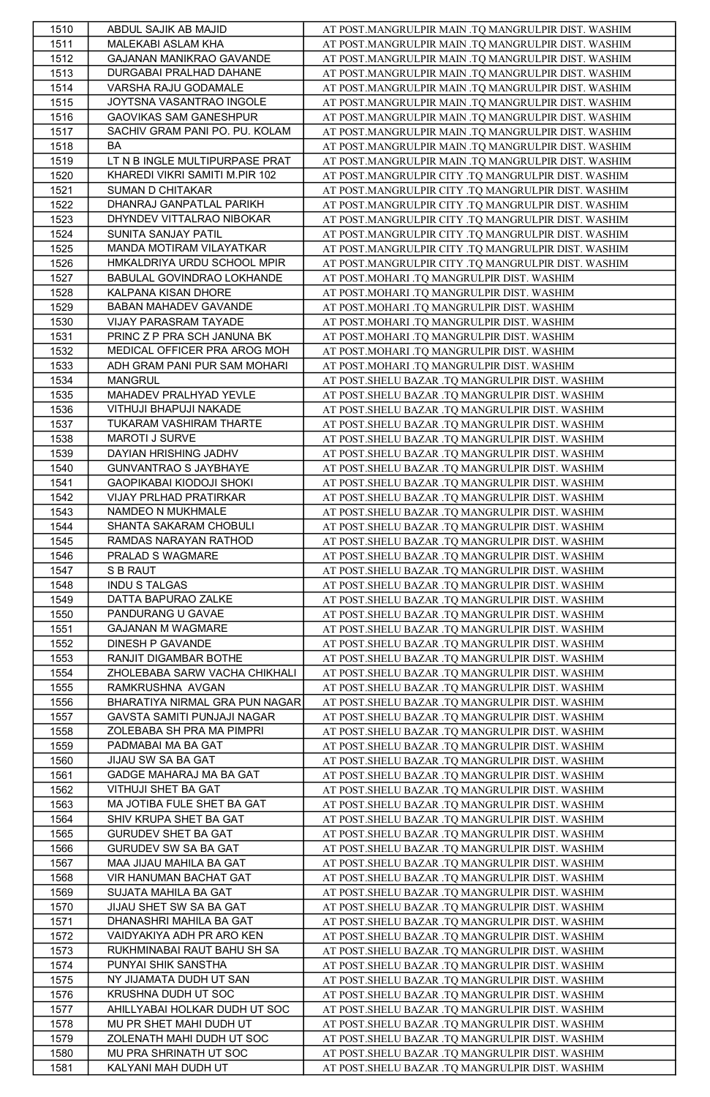| 1510         | ABDUL SAJIK AB MAJID                          | AT POST.MANGRULPIR MAIN .TQ MANGRULPIR DIST. WASHIM                                                 |
|--------------|-----------------------------------------------|-----------------------------------------------------------------------------------------------------|
| 1511         | MALEKABI ASLAM KHA                            | AT POST.MANGRULPIR MAIN .TQ MANGRULPIR DIST. WASHIM                                                 |
| 1512         | GAJANAN MANIKRAO GAVANDE                      | AT POST.MANGRULPIR MAIN .TQ MANGRULPIR DIST. WASHIM                                                 |
| 1513         | DURGABAI PRALHAD DAHANE                       | AT POST.MANGRULPIR MAIN .TQ MANGRULPIR DIST. WASHIM                                                 |
| 1514         | VARSHA RAJU GODAMALE                          | AT POST.MANGRULPIR MAIN .TO MANGRULPIR DIST. WASHIM                                                 |
| 1515         | JOYTSNA VASANTRAO INGOLE                      | AT POST.MANGRULPIR MAIN .TQ MANGRULPIR DIST. WASHIM                                                 |
|              |                                               |                                                                                                     |
| 1516         | GAOVIKAS SAM GANESHPUR                        | AT POST.MANGRULPIR MAIN .TQ MANGRULPIR DIST. WASHIM                                                 |
| 1517         | SACHIV GRAM PANI PO. PU. KOLAM                | AT POST.MANGRULPIR MAIN .TQ MANGRULPIR DIST. WASHIM                                                 |
| 1518         | BA                                            | AT POST.MANGRULPIR MAIN .TO MANGRULPIR DIST. WASHIM                                                 |
| 1519         | LT N B INGLE MULTIPURPASE PRAT                | AT POST.MANGRULPIR MAIN .TQ MANGRULPIR DIST. WASHIM                                                 |
| 1520         | KHAREDI VIKRI SAMITI M.PIR 102                | AT POST.MANGRULPIR CITY .TQ MANGRULPIR DIST. WASHIM                                                 |
| 1521         | SUMAN D CHITAKAR                              | AT POST.MANGRULPIR CITY .TQ MANGRULPIR DIST. WASHIM                                                 |
| 1522         | DHANRAJ GANPATLAL PARIKH                      | AT POST.MANGRULPIR CITY .TQ MANGRULPIR DIST. WASHIM                                                 |
| 1523         | DHYNDEV VITTALRAO NIBOKAR                     | AT POST.MANGRULPIR CITY .TQ MANGRULPIR DIST. WASHIM                                                 |
| 1524         | SUNITA SANJAY PATIL                           | AT POST.MANGRULPIR CITY .TQ MANGRULPIR DIST. WASHIM                                                 |
| 1525         | MANDA MOTIRAM VILAYATKAR                      | AT POST.MANGRULPIR CITY .TQ MANGRULPIR DIST. WASHIM                                                 |
|              | HMKALDRIYA URDU SCHOOL MPIR                   |                                                                                                     |
| 1526         |                                               | AT POST.MANGRULPIR CITY .TQ MANGRULPIR DIST. WASHIM                                                 |
| 1527         | BABULAL GOVINDRAO LOKHANDE                    | AT POST.MOHARI .TQ MANGRULPIR DIST. WASHIM                                                          |
| 1528         | KALPANA KISAN DHORE                           | AT POST.MOHARI .TQ MANGRULPIR DIST. WASHIM                                                          |
| 1529         | BABAN MAHADEV GAVANDE                         | AT POST.MOHARI .TQ MANGRULPIR DIST. WASHIM                                                          |
| 1530         | VIJAY PARASRAM TAYADE                         | AT POST.MOHARI .TQ MANGRULPIR DIST. WASHIM                                                          |
| 1531         | PRINC Z P PRA SCH JANUNA BK                   | AT POST.MOHARI .TQ MANGRULPIR DIST. WASHIM                                                          |
| 1532         | MEDICAL OFFICER PRA AROG MOH                  | AT POST.MOHARI .TQ MANGRULPIR DIST. WASHIM                                                          |
| 1533         | ADH GRAM PANI PUR SAM MOHARI                  | AT POST.MOHARI .TQ MANGRULPIR DIST. WASHIM                                                          |
| 1534         | <b>MANGRUL</b>                                | AT POST. SHELU BAZAR .TQ MANGRULPIR DIST. WASHIM                                                    |
|              | MAHADEV PRALHYAD YEVLE                        | AT POST. SHELU BAZAR .TQ MANGRULPIR DIST. WASHIM                                                    |
| 1535         |                                               |                                                                                                     |
| 1536         | VITHUJI BHAPUJI NAKADE                        | AT POST. SHELU BAZAR .TQ MANGRULPIR DIST. WASHIM                                                    |
| 1537         | TUKARAM VASHIRAM THARTE                       | AT POST. SHELU BAZAR .TQ MANGRULPIR DIST. WASHIM                                                    |
| 1538         | MAROTI J SURVE                                | AT POST. SHELU BAZAR .TQ MANGRULPIR DIST. WASHIM                                                    |
| 1539         | DAYIAN HRISHING JADHV                         | AT POST. SHELU BAZAR .TQ MANGRULPIR DIST. WASHIM                                                    |
| 1540         | GUNVANTRAO S JAYBHAYE                         | AT POST. SHELU BAZAR .TQ MANGRULPIR DIST. WASHIM                                                    |
| 1541         | GAOPIKABAI KIODOJI SHOKI                      | AT POST. SHELU BAZAR .TQ MANGRULPIR DIST. WASHIM                                                    |
| 1542         | VIJAY PRLHAD PRATIRKAR                        | AT POST. SHELU BAZAR .TQ MANGRULPIR DIST. WASHIM                                                    |
| 1543         | NAMDEO N MUKHMALE                             | AT POST. SHELU BAZAR .TQ MANGRULPIR DIST. WASHIM                                                    |
| 1544         |                                               |                                                                                                     |
|              | SHANTA SAKARAM CHOBULI                        | AT POST. SHELU BAZAR .TQ MANGRULPIR DIST. WASHIM                                                    |
| 1545         | RAMDAS NARAYAN RATHOD                         | AT POST. SHELU BAZAR .TQ MANGRULPIR DIST. WASHIM                                                    |
| 1546         | PRALAD S WAGMARE                              | AT POST. SHELU BAZAR .TQ MANGRULPIR DIST. WASHIM                                                    |
| 1547         | S B RAUT                                      | AT POST. SHELU BAZAR .TQ MANGRULPIR DIST. WASHIM                                                    |
| 1548         | <b>INDU S TALGAS</b>                          | AT POST. SHELU BAZAR .TQ MANGRULPIR DIST. WASHIM                                                    |
| 1549         | DATTA BAPURAO ZALKE                           | AT POST.SHELU BAZAR .TQ MANGRULPIR DIST. WASHIM                                                     |
| 1550         | PANDURANG U GAVAE                             | AT POST. SHELU BAZAR .TQ MANGRULPIR DIST. WASHIM                                                    |
| 1551         | GAJANAN M WAGMARE                             | AT POST. SHELU BAZAR .TQ MANGRULPIR DIST. WASHIM                                                    |
|              | DINESH P GAVANDE                              |                                                                                                     |
| 1552         |                                               | AT POST. SHELU BAZAR .TQ MANGRULPIR DIST. WASHIM                                                    |
| 1553         | RANJIT DIGAMBAR BOTHE                         | AT POST. SHELU BAZAR .TQ MANGRULPIR DIST. WASHIM                                                    |
| 1554         |                                               |                                                                                                     |
| 1555         | ZHOLEBABA SARW VACHA CHIKHALI                 | AT POST. SHELU BAZAR .TQ MANGRULPIR DIST. WASHIM                                                    |
|              | RAMKRUSHNA AVGAN                              | AT POST. SHELU BAZAR .TQ MANGRULPIR DIST. WASHIM                                                    |
| 1556         | BHARATIYA NIRMAL GRA PUN NAGAR                | AT POST. SHELU BAZAR .TQ MANGRULPIR DIST. WASHIM                                                    |
| 1557         | GAVSTA SAMITI PUNJAJI NAGAR                   | AT POST.SHELU BAZAR .TO MANGRULPIR DIST. WASHIM                                                     |
|              |                                               |                                                                                                     |
| 1558         | ZOLEBABA SH PRA MA PIMPRI                     | AT POST. SHELU BAZAR .TQ MANGRULPIR DIST. WASHIM                                                    |
| 1559         | PADMABAI MA BA GAT                            | AT POST. SHELU BAZAR .TQ MANGRULPIR DIST. WASHIM                                                    |
| 1560         | JIJAU SW SA BA GAT                            | AT POST. SHELU BAZAR .TQ MANGRULPIR DIST. WASHIM                                                    |
| 1561         | GADGE MAHARAJ MA BA GAT                       | AT POST. SHELU BAZAR .TQ MANGRULPIR DIST. WASHIM                                                    |
| 1562         | VITHUJI SHET BA GAT                           | AT POST. SHELU BAZAR .TQ MANGRULPIR DIST. WASHIM                                                    |
| 1563         | MA JOTIBA FULE SHET BA GAT                    | AT POST. SHELU BAZAR .TQ MANGRULPIR DIST. WASHIM                                                    |
| 1564         | SHIV KRUPA SHET BA GAT                        | AT POST. SHELU BAZAR .TQ MANGRULPIR DIST. WASHIM                                                    |
| 1565         | GURUDEV SHET BA GAT                           | AT POST.SHELU BAZAR .TQ MANGRULPIR DIST. WASHIM                                                     |
| 1566         | GURUDEV SW SA BA GAT                          | AT POST. SHELU BAZAR .TQ MANGRULPIR DIST. WASHIM                                                    |
|              | MAA JIJAU MAHILA BA GAT                       |                                                                                                     |
| 1567         |                                               | AT POST. SHELU BAZAR .TQ MANGRULPIR DIST. WASHIM                                                    |
| 1568         | VIR HANUMAN BACHAT GAT                        | AT POST.SHELU BAZAR .TQ MANGRULPIR DIST. WASHIM                                                     |
| 1569         | SUJATA MAHILA BA GAT                          | AT POST. SHELU BAZAR .TQ MANGRULPIR DIST. WASHIM                                                    |
| 1570         | JIJAU SHET SW SA BA GAT                       | AT POST. SHELU BAZAR .TQ MANGRULPIR DIST. WASHIM                                                    |
| 1571         | DHANASHRI MAHILA BA GAT                       | AT POST.SHELU BAZAR .TQ MANGRULPIR DIST. WASHIM                                                     |
| 1572         | VAIDYAKIYA ADH PR ARO KEN                     | AT POST. SHELU BAZAR .TQ MANGRULPIR DIST. WASHIM                                                    |
| 1573         | RUKHMINABAI RAUT BAHU SH SA                   | AT POST. SHELU BAZAR .TQ MANGRULPIR DIST. WASHIM                                                    |
| 1574         | PUNYAI SHIK SANSTHA                           | AT POST. SHELU BAZAR .TQ MANGRULPIR DIST. WASHIM                                                    |
| 1575         | NY JIJAMATA DUDH UT SAN                       | AT POST. SHELU BAZAR .TQ MANGRULPIR DIST. WASHIM                                                    |
|              |                                               |                                                                                                     |
| 1576         | KRUSHNA DUDH UT SOC                           | AT POST. SHELU BAZAR .TQ MANGRULPIR DIST. WASHIM                                                    |
| 1577         | AHILLYABAI HOLKAR DUDH UT SOC                 | AT POST.SHELU BAZAR .TO MANGRULPIR DIST. WASHIM                                                     |
| 1578         | MU PR SHET MAHI DUDH UT                       | AT POST. SHELU BAZAR .TQ MANGRULPIR DIST. WASHIM                                                    |
| 1579         | ZOLENATH MAHI DUDH UT SOC                     | AT POST.SHELU BAZAR .TO MANGRULPIR DIST. WASHIM                                                     |
| 1580<br>1581 | MU PRA SHRINATH UT SOC<br>KALYANI MAH DUDH UT | AT POST. SHELU BAZAR .TQ MANGRULPIR DIST. WASHIM<br>AT POST.SHELU BAZAR .TQ MANGRULPIR DIST. WASHIM |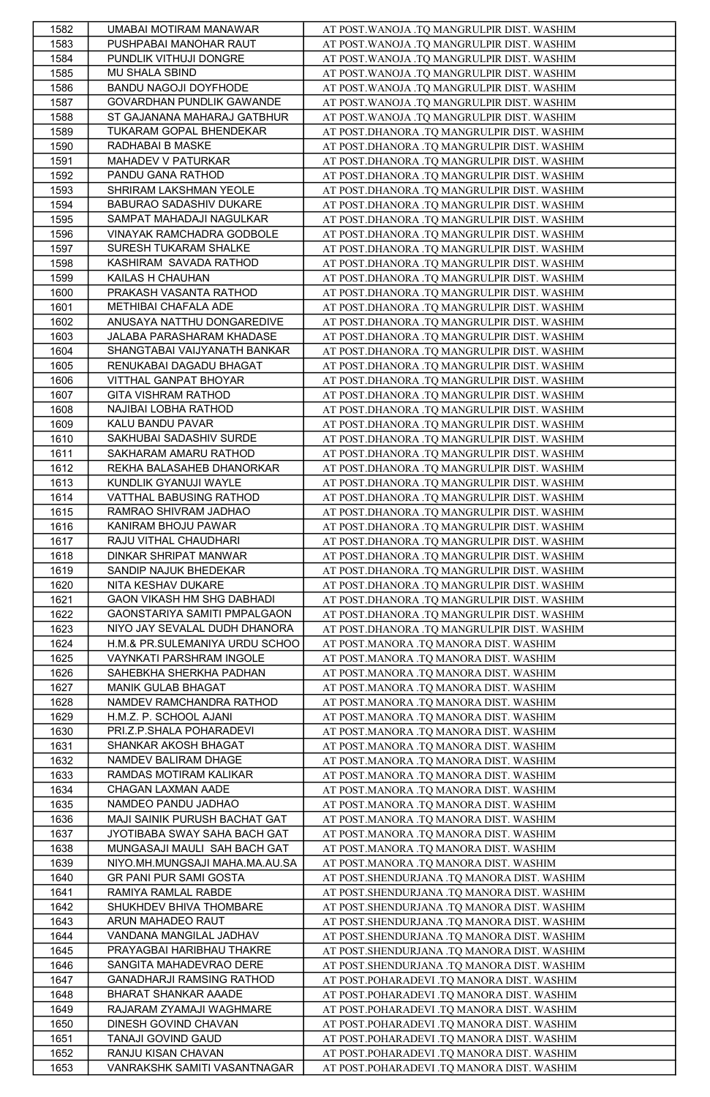| 1582 | UMABAI MOTIRAM MANAWAR         | AT POST. WANOJA .TQ MANGRULPIR DIST. WASHIM |
|------|--------------------------------|---------------------------------------------|
| 1583 | PUSHPABAI MANOHAR RAUT         | AT POST.WANOJA .TQ MANGRULPIR DIST. WASHIM  |
| 1584 | PUNDLIK VITHUJI DONGRE         | AT POST. WANOJA .TQ MANGRULPIR DIST. WASHIM |
|      | MU SHALA SBIND                 |                                             |
| 1585 |                                | AT POST. WANOJA .TQ MANGRULPIR DIST. WASHIM |
| 1586 | BANDU NAGOJI DOYFHODE          | AT POST. WANOJA .TQ MANGRULPIR DIST. WASHIM |
| 1587 | GOVARDHAN PUNDLIK GAWANDE      | AT POST. WANOJA .TQ MANGRULPIR DIST. WASHIM |
| 1588 | ST GAJANANA MAHARAJ GATBHUR    | AT POST. WANOJA .TQ MANGRULPIR DIST. WASHIM |
| 1589 | TUKARAM GOPAL BHENDEKAR        | AT POST.DHANORA .TQ MANGRULPIR DIST. WASHIM |
| 1590 | RADHABAI B MASKE               | AT POST.DHANORA .TQ MANGRULPIR DIST. WASHIM |
| 1591 | MAHADEV V PATURKAR             | AT POST.DHANORA .TQ MANGRULPIR DIST. WASHIM |
| 1592 | PANDU GANA RATHOD              | AT POST.DHANORA .TQ MANGRULPIR DIST. WASHIM |
| 1593 | SHRIRAM LAKSHMAN YEOLE         | AT POST.DHANORA .TQ MANGRULPIR DIST. WASHIM |
| 1594 | BABURAO SADASHIV DUKARE        | AT POST.DHANORA .TQ MANGRULPIR DIST. WASHIM |
|      |                                |                                             |
| 1595 | SAMPAT MAHADAJI NAGULKAR       | AT POST.DHANORA .TQ MANGRULPIR DIST. WASHIM |
| 1596 | VINAYAK RAMCHADRA GODBOLE      | AT POST.DHANORA .TQ MANGRULPIR DIST. WASHIM |
| 1597 | SURESH TUKARAM SHALKE          | AT POST.DHANORA .TQ MANGRULPIR DIST. WASHIM |
| 1598 | KASHIRAM SAVADA RATHOD         | AT POST.DHANORA .TQ MANGRULPIR DIST. WASHIM |
| 1599 | KAILAS H CHAUHAN               | AT POST.DHANORA .TQ MANGRULPIR DIST. WASHIM |
| 1600 | PRAKASH VASANTA RATHOD         | AT POST.DHANORA .TQ MANGRULPIR DIST. WASHIM |
| 1601 | METHIBAI CHAFALA ADE           | AT POST.DHANORA .TQ MANGRULPIR DIST. WASHIM |
| 1602 | ANUSAYA NATTHU DONGAREDIVE     | AT POST.DHANORA .TQ MANGRULPIR DIST. WASHIM |
| 1603 | JALABA PARASHARAM KHADASE      | AT POST.DHANORA .TQ MANGRULPIR DIST. WASHIM |
| 1604 | SHANGTABAI VAIJYANATH BANKAR   | AT POST.DHANORA .TQ MANGRULPIR DIST. WASHIM |
| 1605 | RENUKABAI DAGADU BHAGAT        | AT POST.DHANORA .TQ MANGRULPIR DIST. WASHIM |
| 1606 | VITTHAL GANPAT BHOYAR          |                                             |
|      | GITA VISHRAM RATHOD            | AT POST.DHANORA .TQ MANGRULPIR DIST. WASHIM |
| 1607 |                                | AT POST.DHANORA .TQ MANGRULPIR DIST. WASHIM |
| 1608 | NAJIBAI LOBHA RATHOD           | AT POST.DHANORA .TQ MANGRULPIR DIST. WASHIM |
| 1609 | KALU BANDU PAVAR               | AT POST.DHANORA .TQ MANGRULPIR DIST. WASHIM |
| 1610 | SAKHUBAI SADASHIV SURDE        | AT POST.DHANORA .TQ MANGRULPIR DIST. WASHIM |
| 1611 | SAKHARAM AMARU RATHOD          | AT POST.DHANORA .TQ MANGRULPIR DIST. WASHIM |
| 1612 | REKHA BALASAHEB DHANORKAR      | AT POST.DHANORA .TQ MANGRULPIR DIST. WASHIM |
| 1613 | KUNDLIK GYANUJI WAYLE          | AT POST.DHANORA .TQ MANGRULPIR DIST. WASHIM |
| 1614 | VATTHAL BABUSING RATHOD        | AT POST.DHANORA .TQ MANGRULPIR DIST. WASHIM |
| 1615 | RAMRAO SHIVRAM JADHAO          | AT POST.DHANORA .TQ MANGRULPIR DIST. WASHIM |
| 1616 | KANIRAM BHOJU PAWAR            | AT POST.DHANORA .TQ MANGRULPIR DIST. WASHIM |
| 1617 | RAJU VITHAL CHAUDHARI          | AT POST.DHANORA .TQ MANGRULPIR DIST. WASHIM |
| 1618 | DINKAR SHRIPAT MANWAR          | AT POST.DHANORA .TQ MANGRULPIR DIST. WASHIM |
| 1619 | SANDIP NAJUK BHEDEKAR          | AT POST.DHANORA .TQ MANGRULPIR DIST. WASHIM |
| 1620 | NITA KESHAV DUKARE             | AT POST.DHANORA .TQ MANGRULPIR DIST. WASHIM |
| 1621 | GAON VIKASH HM SHG DABHADI     | AT POST.DHANORA .TQ MANGRULPIR DIST. WASHIM |
| 1622 | GAONSTARIYA SAMITI PMPALGAON   | AT POST.DHANORA .TQ MANGRULPIR DIST. WASHIM |
|      |                                |                                             |
|      |                                |                                             |
| 1623 | NIYO JAY SEVALAL DUDH DHANORA  | AT POST.DHANORA .TQ MANGRULPIR DIST. WASHIM |
| 1624 | H.M.& PR.SULEMANIYA URDU SCHOO | AT POST.MANORA .TQ MANORA DIST. WASHIM      |
| 1625 | VAYNKATI PARSHRAM INGOLE       | AT POST.MANORA .TQ MANORA DIST. WASHIM      |
| 1626 | SAHEBKHA SHERKHA PADHAN        | AT POST.MANORA .TQ MANORA DIST. WASHIM      |
| 1627 | MANIK GULAB BHAGAT             | AT POST.MANORA .TQ MANORA DIST. WASHIM      |
| 1628 | NAMDEV RAMCHANDRA RATHOD       | AT POST.MANORA .TQ MANORA DIST. WASHIM      |
| 1629 | H.M.Z. P. SCHOOL AJANI         | AT POST.MANORA .TQ MANORA DIST. WASHIM      |
| 1630 | PRI.Z.P.SHALA POHARADEVI       | AT POST.MANORA .TQ MANORA DIST. WASHIM      |
| 1631 | SHANKAR AKOSH BHAGAT           | AT POST.MANORA .TQ MANORA DIST. WASHIM      |
| 1632 | NAMDEV BALIRAM DHAGE           | AT POST.MANORA .TQ MANORA DIST. WASHIM      |
| 1633 | RAMDAS MOTIRAM KALIKAR         | AT POST.MANORA .TQ MANORA DIST. WASHIM      |
| 1634 | CHAGAN LAXMAN AADE             | AT POST.MANORA .TQ MANORA DIST. WASHIM      |
| 1635 | NAMDEO PANDU JADHAO            | AT POST.MANORA .TQ MANORA DIST. WASHIM      |
| 1636 | MAJI SAINIK PURUSH BACHAT GAT  | AT POST.MANORA .TQ MANORA DIST. WASHIM      |
|      |                                |                                             |
| 1637 | JYOTIBABA SWAY SAHA BACH GAT   | AT POST.MANORA .TQ MANORA DIST. WASHIM      |
| 1638 | MUNGASAJI MAULI SAH BACH GAT   | AT POST.MANORA .TQ MANORA DIST. WASHIM      |
| 1639 | NIYO.MH.MUNGSAJI MAHA.MA.AU.SA | AT POST.MANORA .TQ MANORA DIST. WASHIM      |
| 1640 | GR PANI PUR SAMI GOSTA         | AT POST.SHENDURJANA .TQ MANORA DIST. WASHIM |
| 1641 | RAMIYA RAMLAL RABDE            | AT POST.SHENDURJANA .TQ MANORA DIST. WASHIM |
| 1642 | SHUKHDEV BHIVA THOMBARE        | AT POST.SHENDURJANA .TQ MANORA DIST. WASHIM |
| 1643 | ARUN MAHADEO RAUT              | AT POST.SHENDURJANA .TQ MANORA DIST. WASHIM |
| 1644 | VANDANA MANGILAL JADHAV        | AT POST.SHENDURJANA .TO MANORA DIST. WASHIM |
| 1645 | PRAYAGBAI HARIBHAU THAKRE      | AT POST.SHENDURJANA .TQ MANORA DIST. WASHIM |
| 1646 | SANGITA MAHADEVRAO DERE        | AT POST.SHENDURJANA .TQ MANORA DIST. WASHIM |
| 1647 | GANADHARJI RAMSING RATHOD      | AT POST.POHARADEVI .TQ MANORA DIST. WASHIM  |
| 1648 | BHARAT SHANKAR AAADE           | AT POST.POHARADEVI .TQ MANORA DIST. WASHIM  |
| 1649 | RAJARAM ZYAMAJI WAGHMARE       | AT POST. POHARADEVI .TQ MANORA DIST. WASHIM |
| 1650 | DINESH GOVIND CHAVAN           | AT POST.POHARADEVI .TQ MANORA DIST. WASHIM  |
| 1651 | TANAJI GOVIND GAUD             | AT POST.POHARADEVI .TQ MANORA DIST. WASHIM  |
| 1652 | RANJU KISAN CHAVAN             | AT POST.POHARADEVI .TQ MANORA DIST. WASHIM  |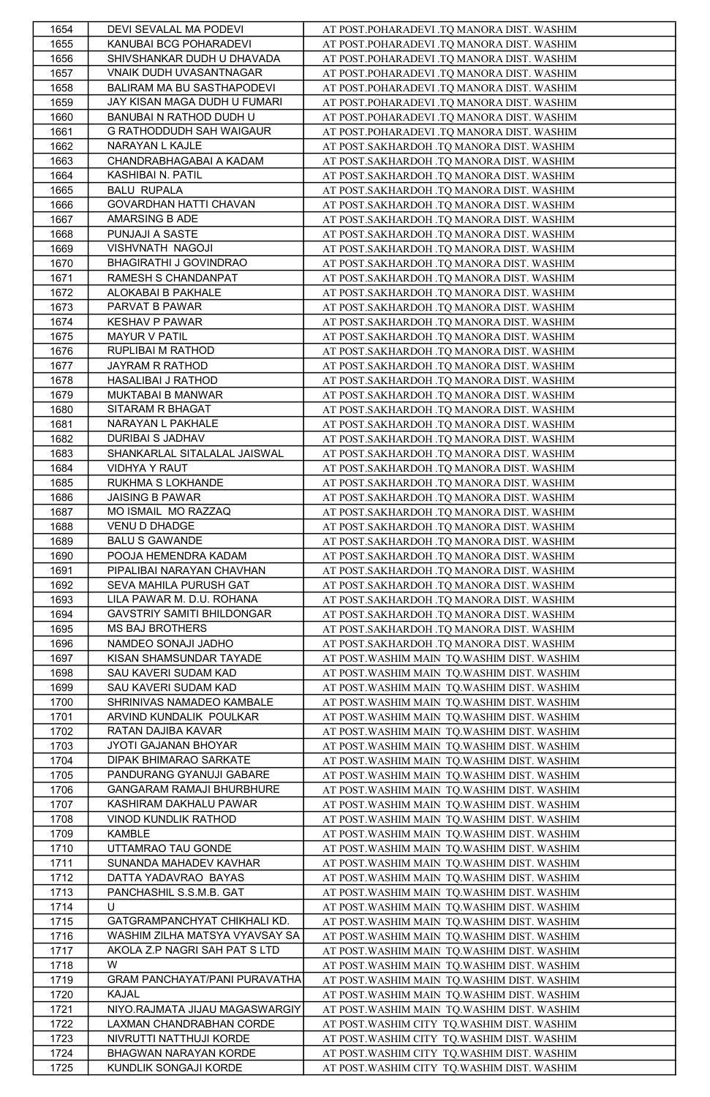| 1654 | DEVI SEVALAL MA PODEVI         | AT POST.POHARADEVI .TQ MANORA DIST. WASHIM   |
|------|--------------------------------|----------------------------------------------|
| 1655 | KANUBAI BCG POHARADEVI         | AT POST.POHARADEVI .TQ MANORA DIST. WASHIM   |
| 1656 | SHIVSHANKAR DUDH U DHAVADA     | AT POST.POHARADEVI .TQ MANORA DIST. WASHIM   |
| 1657 | VNAIK DUDH UVASANTNAGAR        | AT POST.POHARADEVI .TQ MANORA DIST. WASHIM   |
| 1658 | BALIRAM MA BU SASTHAPODEVI     | AT POST.POHARADEVI .TO MANORA DIST. WASHIM   |
| 1659 | JAY KISAN MAGA DUDH U FUMARI   | AT POST.POHARADEVI .TQ MANORA DIST. WASHIM   |
| 1660 | BANUBAI N RATHOD DUDH U        | AT POST.POHARADEVI .TQ MANORA DIST. WASHIM   |
| 1661 | G RATHODDUDH SAH WAIGAUR       | AT POST.POHARADEVI .TQ MANORA DIST. WASHIM   |
| 1662 | NARAYAN L KAJLE                | AT POST.SAKHARDOH .TQ MANORA DIST. WASHIM    |
| 1663 | CHANDRABHAGABAI A KADAM        | AT POST.SAKHARDOH .TQ MANORA DIST. WASHIM    |
|      |                                |                                              |
| 1664 | KASHIBAI N. PATIL              | AT POST.SAKHARDOH .TQ MANORA DIST. WASHIM    |
| 1665 | <b>BALU RUPALA</b>             | AT POST.SAKHARDOH .TQ MANORA DIST. WASHIM    |
| 1666 | GOVARDHAN HATTI CHAVAN         | AT POST.SAKHARDOH .TQ MANORA DIST. WASHIM    |
| 1667 | AMARSING B ADE                 | AT POST.SAKHARDOH .TQ MANORA DIST. WASHIM    |
| 1668 | PUNJAJI A SASTE                | AT POST.SAKHARDOH .TQ MANORA DIST. WASHIM    |
| 1669 | VISHVNATH NAGOJI               | AT POST.SAKHARDOH .TQ MANORA DIST. WASHIM    |
| 1670 | BHAGIRATHI J GOVINDRAO         | AT POST.SAKHARDOH .TQ MANORA DIST. WASHIM    |
| 1671 | RAMESH S CHANDANPAT            | AT POST.SAKHARDOH .TQ MANORA DIST. WASHIM    |
| 1672 | ALOKABAI B PAKHALE             | AT POST.SAKHARDOH .TQ MANORA DIST. WASHIM    |
| 1673 | PARVAT B PAWAR                 | AT POST.SAKHARDOH .TQ MANORA DIST. WASHIM    |
| 1674 | <b>KESHAV P PAWAR</b>          | AT POST.SAKHARDOH .TQ MANORA DIST. WASHIM    |
| 1675 | <b>MAYUR V PATIL</b>           | AT POST.SAKHARDOH .TQ MANORA DIST. WASHIM    |
| 1676 | RUPLIBAI M RATHOD              | AT POST.SAKHARDOH .TQ MANORA DIST. WASHIM    |
| 1677 | JAYRAM R RATHOD                | AT POST.SAKHARDOH .TQ MANORA DIST. WASHIM    |
| 1678 | HASALIBAI J RATHOD             | AT POST.SAKHARDOH .TQ MANORA DIST. WASHIM    |
| 1679 | MUKTABAI B MANWAR              | AT POST.SAKHARDOH .TQ MANORA DIST. WASHIM    |
| 1680 | SITARAM R BHAGAT               | AT POST.SAKHARDOH .TQ MANORA DIST. WASHIM    |
| 1681 | NARAYAN L PAKHALE              | AT POST.SAKHARDOH .TQ MANORA DIST. WASHIM    |
| 1682 | DURIBAI S JADHAV               | AT POST.SAKHARDOH .TQ MANORA DIST. WASHIM    |
| 1683 | SHANKARLAL SITALALAL JAISWAL   | AT POST.SAKHARDOH .TO MANORA DIST. WASHIM    |
| 1684 | VIDHYA Y RAUT                  | AT POST.SAKHARDOH .TQ MANORA DIST. WASHIM    |
| 1685 | RUKHMA S LOKHANDE              | AT POST.SAKHARDOH .TQ MANORA DIST. WASHIM    |
| 1686 | <b>JAISING B PAWAR</b>         | AT POST.SAKHARDOH .TQ MANORA DIST. WASHIM    |
| 1687 | MO ISMAIL MO RAZZAQ            | AT POST.SAKHARDOH .TQ MANORA DIST. WASHIM    |
| 1688 | VENU D DHADGE                  | AT POST.SAKHARDOH .TQ MANORA DIST. WASHIM    |
| 1689 | <b>BALU S GAWANDE</b>          | AT POST.SAKHARDOH .TQ MANORA DIST. WASHIM    |
|      | POOJA HEMENDRA KADAM           |                                              |
| 1690 |                                | AT POST.SAKHARDOH .TQ MANORA DIST. WASHIM    |
| 1691 | PIPALIBAI NARAYAN CHAVHAN      | AT POST.SAKHARDOH .TQ MANORA DIST. WASHIM    |
| 1692 | SEVA MAHILA PURUSH GAT         | AT POST.SAKHARDOH .TQ MANORA DIST. WASHIM    |
| 1693 | LILA PAWAR M. D.U. ROHANA      | AT POST.SAKHARDOH .TQ MANORA DIST. WASHIM    |
| 1694 | GAVSTRIY SAMITI BHILDONGAR     | AT POST.SAKHARDOH .TQ MANORA DIST. WASHIM    |
| 1695 | MS BAJ BROTHERS                | AT POST.SAKHARDOH .TQ MANORA DIST. WASHIM    |
| 1696 | NAMDEO SONAJI JADHO            | AT POST.SAKHARDOH .TQ MANORA DIST. WASHIM    |
| 1697 | KISAN SHAMSUNDAR TAYADE        | AT POST. WASHIM MAIN TQ. WASHIM DIST. WASHIM |
| 1698 | SAU KAVERI SUDAM KAD           | AT POST. WASHIM MAIN TQ. WASHIM DIST. WASHIM |
| 1699 | SAU KAVERI SUDAM KAD           | AT POST. WASHIM MAIN TQ. WASHIM DIST. WASHIM |
| 1700 | SHRINIVAS NAMADEO KAMBALE      | AT POST. WASHIM MAIN TQ. WASHIM DIST. WASHIM |
| 1701 | ARVIND KUNDALIK POULKAR        | AT POST. WASHIM MAIN TQ. WASHIM DIST. WASHIM |
| 1702 | RATAN DAJIBA KAVAR             | AT POST. WASHIM MAIN TQ. WASHIM DIST. WASHIM |
| 1703 | JYOTI GAJANAN BHOYAR           | AT POST. WASHIM MAIN TQ. WASHIM DIST. WASHIM |
| 1704 | DIPAK BHIMARAO SARKATE         | AT POST. WASHIM MAIN TQ. WASHIM DIST. WASHIM |
| 1705 | PANDURANG GYANUJI GABARE       | AT POST. WASHIM MAIN TQ. WASHIM DIST. WASHIM |
| 1706 | GANGARAM RAMAJI BHURBHURE      | AT POST. WASHIM MAIN TQ. WASHIM DIST. WASHIM |
| 1707 | KASHIRAM DAKHALU PAWAR         | AT POST. WASHIM MAIN TQ. WASHIM DIST. WASHIM |
| 1708 | VINOD KUNDLIK RATHOD           | AT POST. WASHIM MAIN TQ. WASHIM DIST. WASHIM |
| 1709 | KAMBLE                         | AT POST. WASHIM MAIN TQ. WASHIM DIST. WASHIM |
| 1710 | UTTAMRAO TAU GONDE             | AT POST. WASHIM MAIN TQ. WASHIM DIST. WASHIM |
| 1711 | SUNANDA MAHADEV KAVHAR         | AT POST. WASHIM MAIN TQ. WASHIM DIST. WASHIM |
| 1712 | DATTA YADAVRAO BAYAS           | AT POST. WASHIM MAIN TQ. WASHIM DIST. WASHIM |
| 1713 | PANCHASHIL S.S.M.B. GAT        | AT POST. WASHIM MAIN TQ. WASHIM DIST. WASHIM |
| 1714 | U                              | AT POST. WASHIM MAIN TQ. WASHIM DIST. WASHIM |
| 1715 | GATGRAMPANCHYAT CHIKHALI KD.   | AT POST. WASHIM MAIN TQ. WASHIM DIST. WASHIM |
| 1716 | WASHIM ZILHA MATSYA VYAVSAY SA | AT POST. WASHIM MAIN TO. WASHIM DIST. WASHIM |
| 1717 | AKOLA Z.P NAGRI SAH PAT S LTD  | AT POST. WASHIM MAIN TQ. WASHIM DIST. WASHIM |
| 1718 | W                              | AT POST. WASHIM MAIN TQ. WASHIM DIST. WASHIM |
| 1719 | GRAM PANCHAYAT/PANI PURAVATHA  | AT POST. WASHIM MAIN TQ. WASHIM DIST. WASHIM |
| 1720 | KAJAL                          | AT POST. WASHIM MAIN TQ. WASHIM DIST. WASHIM |
| 1721 | NIYO.RAJMATA JIJAU MAGASWARGIY | AT POST. WASHIM MAIN TQ. WASHIM DIST. WASHIM |
| 1722 | LAXMAN CHANDRABHAN CORDE       | AT POST. WASHIM CITY TQ. WASHIM DIST. WASHIM |
| 1723 | NIVRUTTI NATTHUJI KORDE        | AT POST. WASHIM CITY TQ. WASHIM DIST. WASHIM |
| 1724 | BHAGWAN NARAYAN KORDE          | AT POST. WASHIM CITY TQ. WASHIM DIST. WASHIM |
| 1725 | KUNDLIK SONGAJI KORDE          | AT POST. WASHIM CITY TQ. WASHIM DIST. WASHIM |
|      |                                |                                              |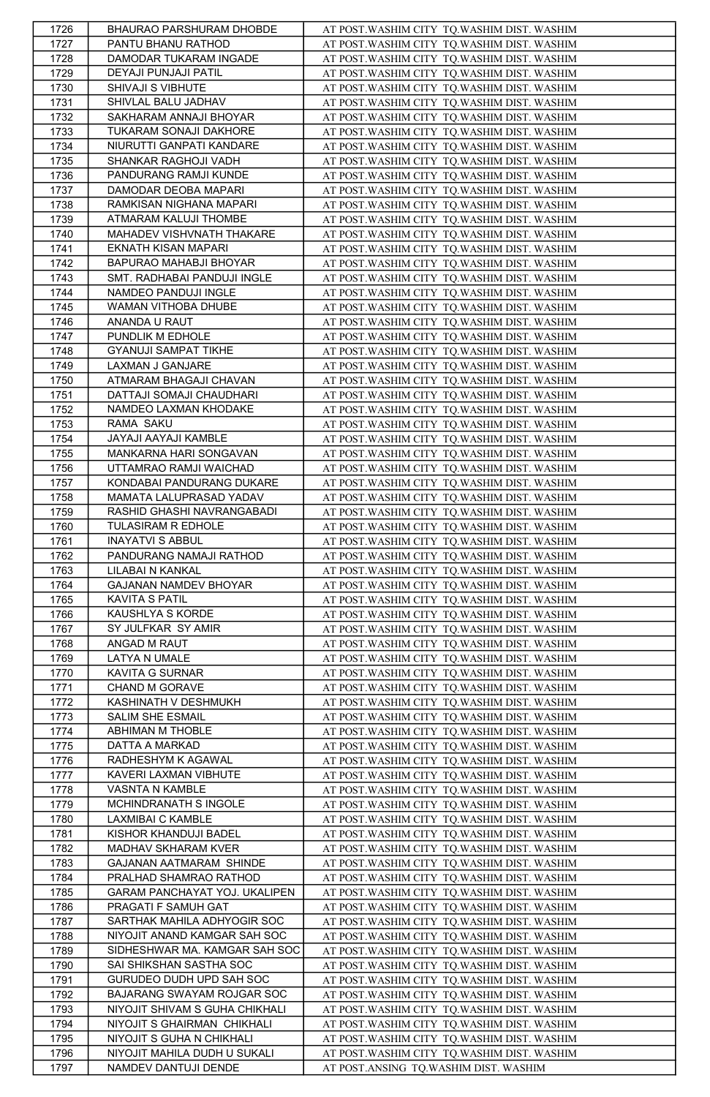| 1726         | BHAURAO PARSHURAM DHOBDE       | AT POST. WASHIM CITY TQ. WASHIM DIST. WASHIM |
|--------------|--------------------------------|----------------------------------------------|
| 1727         | PANTU BHANU RATHOD             | AT POST. WASHIM CITY TQ. WASHIM DIST. WASHIM |
| 1728         | DAMODAR TUKARAM INGADE         | AT POST. WASHIM CITY TQ. WASHIM DIST. WASHIM |
| 1729         | DEYAJI PUNJAJI PATIL           | AT POST. WASHIM CITY TQ. WASHIM DIST. WASHIM |
| 1730         | SHIVAJI S VIBHUTE              | AT POST. WASHIM CITY TQ. WASHIM DIST. WASHIM |
| 1731         | SHIVLAL BALU JADHAV            | AT POST. WASHIM CITY TQ. WASHIM DIST. WASHIM |
| 1732         | SAKHARAM ANNAJI BHOYAR         | AT POST. WASHIM CITY TQ. WASHIM DIST. WASHIM |
|              | TUKARAM SONAJI DAKHORE         | AT POST. WASHIM CITY TQ. WASHIM DIST. WASHIM |
| 1733         |                                |                                              |
| 1734         | NIURUTTI GANPATI KANDARE       | AT POST. WASHIM CITY TQ. WASHIM DIST. WASHIM |
| 1735         | SHANKAR RAGHOJI VADH           | AT POST. WASHIM CITY TQ. WASHIM DIST. WASHIM |
| 1736         | PANDURANG RAMJI KUNDE          | AT POST. WASHIM CITY TQ. WASHIM DIST. WASHIM |
| 1737         | DAMODAR DEOBA MAPARI           | AT POST. WASHIM CITY TQ. WASHIM DIST. WASHIM |
| 1738         | RAMKISAN NIGHANA MAPARI        | AT POST. WASHIM CITY TO. WASHIM DIST. WASHIM |
| 1739         | ATMARAM KALUJI THOMBE          | AT POST. WASHIM CITY TQ. WASHIM DIST. WASHIM |
| 1740         | MAHADEV VISHVNATH THAKARE      | AT POST. WASHIM CITY TQ. WASHIM DIST. WASHIM |
| 1741         | EKNATH KISAN MAPARI            | AT POST. WASHIM CITY TQ. WASHIM DIST. WASHIM |
| 1742         | BAPURAO MAHABJI BHOYAR         | AT POST. WASHIM CITY TQ. WASHIM DIST. WASHIM |
| 1743         | SMT. RADHABAI PANDUJI INGLE    | AT POST. WASHIM CITY TQ. WASHIM DIST. WASHIM |
| 1744         | NAMDEO PANDUJI INGLE           | AT POST. WASHIM CITY TQ. WASHIM DIST. WASHIM |
| 1745         | WAMAN VITHOBA DHUBE            | AT POST. WASHIM CITY TQ. WASHIM DIST. WASHIM |
| 1746         | ANANDA U RAUT                  | AT POST. WASHIM CITY TQ. WASHIM DIST. WASHIM |
| 1747         | PUNDLIK M EDHOLE               | AT POST. WASHIM CITY TQ. WASHIM DIST. WASHIM |
| 1748         | GYANUJI SAMPAT TIKHE           | AT POST. WASHIM CITY TQ. WASHIM DIST. WASHIM |
| 1749         | LAXMAN J GANJARE               | AT POST. WASHIM CITY TQ. WASHIM DIST. WASHIM |
| 1750         | ATMARAM BHAGAJI CHAVAN         | AT POST. WASHIM CITY TQ. WASHIM DIST. WASHIM |
| 1751         | DATTAJI SOMAJI CHAUDHARI       | AT POST. WASHIM CITY TQ. WASHIM DIST. WASHIM |
| 1752         | NAMDEO LAXMAN KHODAKE          | AT POST. WASHIM CITY TQ. WASHIM DIST. WASHIM |
| 1753         | RAMA SAKU                      | AT POST. WASHIM CITY TO. WASHIM DIST. WASHIM |
|              |                                |                                              |
| 1754         | JAYAJI AAYAJI KAMBLE           | AT POST. WASHIM CITY TQ. WASHIM DIST. WASHIM |
| 1755         | MANKARNA HARI SONGAVAN         | AT POST. WASHIM CITY TQ. WASHIM DIST. WASHIM |
| 1756         | UTTAMRAO RAMJI WAICHAD         | AT POST. WASHIM CITY TQ. WASHIM DIST. WASHIM |
| 1757         | KONDABAI PANDURANG DUKARE      | AT POST. WASHIM CITY TQ. WASHIM DIST. WASHIM |
| 1758         | MAMATA LALUPRASAD YADAV        | AT POST. WASHIM CITY TQ. WASHIM DIST. WASHIM |
| 1759         | RASHID GHASHI NAVRANGABADI     | AT POST. WASHIM CITY TQ. WASHIM DIST. WASHIM |
| 1760         | TULASIRAM R EDHOLE             | AT POST. WASHIM CITY TQ. WASHIM DIST. WASHIM |
| 1761         | <b>INAYATVI S ABBUL</b>        | AT POST. WASHIM CITY TQ. WASHIM DIST. WASHIM |
| 1762         | PANDURANG NAMAJI RATHOD        | AT POST. WASHIM CITY TQ. WASHIM DIST. WASHIM |
| 1763         | LILABAI N KANKAL               | AT POST. WASHIM CITY TQ. WASHIM DIST. WASHIM |
| 1764         | GAJANAN NAMDEV BHOYAR          | AT POST. WASHIM CITY TQ. WASHIM DIST. WASHIM |
| 1765         | <b>KAVITA S PATIL</b>          | AT POST. WASHIM CITY TQ. WASHIM DIST. WASHIM |
| 1766         | KAUSHLYA S KORDE               | AT POST. WASHIM CITY TQ. WASHIM DIST. WASHIM |
| 1767         | SY JULFKAR SY AMIR             | AT POST. WASHIM CITY TQ. WASHIM DIST. WASHIM |
| 1768         | ANGAD M RAUT                   | AT POST. WASHIM CITY TQ. WASHIM DIST. WASHIM |
| 1769         | LATYA N UMALE                  | AT POST. WASHIM CITY TQ. WASHIM DIST. WASHIM |
| 1770         | KAVITA G SURNAR                | AT POST. WASHIM CITY TQ. WASHIM DIST. WASHIM |
| 1771         | CHAND M GORAVE                 | AT POST. WASHIM CITY TQ. WASHIM DIST. WASHIM |
| 1772         | KASHINATH V DESHMUKH           | AT POST. WASHIM CITY TQ. WASHIM DIST. WASHIM |
| 1773         | SALIM SHE ESMAIL               | AT POST. WASHIM CITY TQ. WASHIM DIST. WASHIM |
|              | ABHIMAN M THOBLE               |                                              |
| 1774         |                                | AT POST. WASHIM CITY TQ. WASHIM DIST. WASHIM |
| 1775<br>1776 | DATTA A MARKAD                 | AT POST. WASHIM CITY TQ. WASHIM DIST. WASHIM |
|              | RADHESHYM K AGAWAL             | AT POST. WASHIM CITY TQ. WASHIM DIST. WASHIM |
| 1777         | KAVERI LAXMAN VIBHUTE          | AT POST. WASHIM CITY TQ. WASHIM DIST. WASHIM |
| 1778         | VASNTA N KAMBLE                | AT POST. WASHIM CITY TQ. WASHIM DIST. WASHIM |
| 1779         | MCHINDRANATH S INGOLE          | AT POST. WASHIM CITY TQ. WASHIM DIST. WASHIM |
| 1780         | LAXMIBAI C KAMBLE              | AT POST. WASHIM CITY TQ. WASHIM DIST. WASHIM |
| 1781         | KISHOR KHANDUJI BADEL          | AT POST. WASHIM CITY TQ. WASHIM DIST. WASHIM |
| 1782         | MADHAV SKHARAM KVER            | AT POST. WASHIM CITY TQ. WASHIM DIST. WASHIM |
| 1783         | GAJANAN AATMARAM SHINDE        | AT POST. WASHIM CITY TQ. WASHIM DIST. WASHIM |
| 1784         | PRALHAD SHAMRAO RATHOD         | AT POST. WASHIM CITY TQ. WASHIM DIST. WASHIM |
| 1785         | GARAM PANCHAYAT YOJ. UKALIPEN  | AT POST. WASHIM CITY TQ. WASHIM DIST. WASHIM |
| 1786         | PRAGATI F SAMUH GAT            | AT POST. WASHIM CITY TQ. WASHIM DIST. WASHIM |
| 1787         | SARTHAK MAHILA ADHYOGIR SOC    | AT POST. WASHIM CITY TQ. WASHIM DIST. WASHIM |
| 1788         | NIYOJIT ANAND KAMGAR SAH SOC   | AT POST. WASHIM CITY TQ. WASHIM DIST. WASHIM |
| 1789         | SIDHESHWAR MA. KAMGAR SAH SOC  | AT POST. WASHIM CITY TQ. WASHIM DIST. WASHIM |
| 1790         | SAI SHIKSHAN SASTHA SOC        | AT POST. WASHIM CITY TQ. WASHIM DIST. WASHIM |
| 1791         | GURUDEO DUDH UPD SAH SOC       | AT POST. WASHIM CITY TQ. WASHIM DIST. WASHIM |
| 1792         | BAJARANG SWAYAM ROJGAR SOC     | AT POST. WASHIM CITY TQ. WASHIM DIST. WASHIM |
| 1793         | NIYOJIT SHIVAM S GUHA CHIKHALI | AT POST. WASHIM CITY TO. WASHIM DIST. WASHIM |
| 1794         | NIYOJIT S GHAIRMAN CHIKHALI    | AT POST. WASHIM CITY TQ. WASHIM DIST. WASHIM |
| 1795         | NIYOJIT S GUHA N CHIKHALI      | AT POST. WASHIM CITY TQ. WASHIM DIST. WASHIM |
| 1796         | NIYOJIT MAHILA DUDH U SUKALI   | AT POST. WASHIM CITY TQ. WASHIM DIST. WASHIM |
| 1797         | NAMDEV DANTUJI DENDE           | AT POST.ANSING TQ.WASHIM DIST. WASHIM        |
|              |                                |                                              |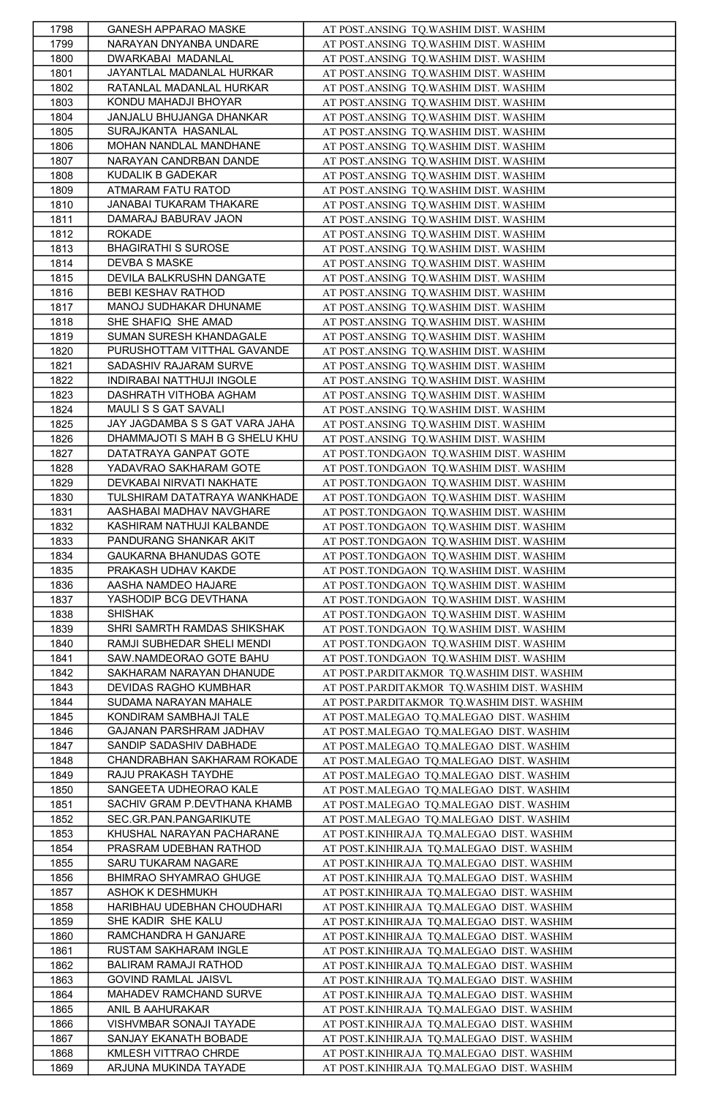| 1798         | GANESH APPARAO MASKE                          | AT POST.ANSING TO.WASHIM DIST. WASHIM                                                  |
|--------------|-----------------------------------------------|----------------------------------------------------------------------------------------|
| 1799         | NARAYAN DNYANBA UNDARE                        | AT POST.ANSING TQ.WASHIM DIST. WASHIM                                                  |
| 1800         | DWARKABAI MADANLAL                            | AT POST.ANSING TQ.WASHIM DIST. WASHIM                                                  |
| 1801         | JAYANTLAL MADANLAL HURKAR                     | AT POST.ANSING TQ.WASHIM DIST. WASHIM                                                  |
| 1802         | RATANLAL MADANLAL HURKAR                      | AT POST.ANSING TQ.WASHIM DIST. WASHIM                                                  |
| 1803         | KONDU MAHADJI BHOYAR                          | AT POST.ANSING TQ.WASHIM DIST. WASHIM                                                  |
| 1804         | JANJALU BHUJANGA DHANKAR                      | AT POST.ANSING TQ.WASHIM DIST. WASHIM                                                  |
| 1805         | SURAJKANTA HASANLAL                           | AT POST.ANSING TQ.WASHIM DIST. WASHIM                                                  |
|              | MOHAN NANDLAL MANDHANE                        |                                                                                        |
| 1806         |                                               | AT POST.ANSING TQ.WASHIM DIST. WASHIM                                                  |
| 1807         | NARAYAN CANDRBAN DANDE                        | AT POST.ANSING TQ.WASHIM DIST. WASHIM                                                  |
| 1808         | KUDALIK B GADEKAR                             | AT POST.ANSING TQ.WASHIM DIST. WASHIM                                                  |
| 1809         | ATMARAM FATU RATOD                            | AT POST.ANSING TQ.WASHIM DIST. WASHIM                                                  |
| 1810         | JANABAI TUKARAM THAKARE                       | AT POST.ANSING TO.WASHIM DIST. WASHIM                                                  |
| 1811         | DAMARAJ BABURAV JAON                          | AT POST.ANSING TQ.WASHIM DIST. WASHIM                                                  |
| 1812         | <b>ROKADE</b>                                 | AT POST.ANSING TQ.WASHIM DIST. WASHIM                                                  |
| 1813         | <b>BHAGIRATHI S SUROSE</b>                    | AT POST.ANSING TQ.WASHIM DIST. WASHIM                                                  |
| 1814         | DEVBA S MASKE                                 | AT POST.ANSING TQ.WASHIM DIST. WASHIM                                                  |
| 1815         | DEVILA BALKRUSHN DANGATE                      | AT POST.ANSING TQ.WASHIM DIST. WASHIM                                                  |
| 1816         | BEBI KESHAV RATHOD                            | AT POST.ANSING TQ.WASHIM DIST. WASHIM                                                  |
| 1817         | MANOJ SUDHAKAR DHUNAME                        | AT POST.ANSING TQ.WASHIM DIST. WASHIM                                                  |
| 1818         | SHE SHAFIQ SHE AMAD                           | AT POST.ANSING TQ.WASHIM DIST. WASHIM                                                  |
| 1819         | SUMAN SURESH KHANDAGALE                       | AT POST.ANSING TQ.WASHIM DIST. WASHIM                                                  |
| 1820         | PURUSHOTTAM VITTHAL GAVANDE                   | AT POST.ANSING TQ.WASHIM DIST. WASHIM                                                  |
| 1821         | SADASHIV RAJARAM SURVE                        | AT POST.ANSING TQ.WASHIM DIST. WASHIM                                                  |
| 1822         | INDIRABAI NATTHUJI INGOLE                     | AT POST.ANSING TQ.WASHIM DIST. WASHIM                                                  |
| 1823         | DASHRATH VITHOBA AGHAM                        | AT POST.ANSING TQ.WASHIM DIST. WASHIM                                                  |
|              |                                               |                                                                                        |
| 1824         | MAULI S S GAT SAVALI                          | AT POST.ANSING TQ.WASHIM DIST. WASHIM                                                  |
| 1825         | JAY JAGDAMBA S S GAT VARA JAHA                | AT POST.ANSING TQ.WASHIM DIST. WASHIM                                                  |
| 1826         | DHAMMAJOTI S MAH B G SHELU KHU                | AT POST.ANSING TQ.WASHIM DIST. WASHIM                                                  |
| 1827         | DATATRAYA GANPAT GOTE                         | AT POST.TONDGAON TQ.WASHIM DIST. WASHIM                                                |
| 1828         | YADAVRAO SAKHARAM GOTE                        | AT POST.TONDGAON TQ.WASHIM DIST. WASHIM                                                |
| 1829         | DEVKABAI NIRVATI NAKHATE                      | AT POST.TONDGAON TQ.WASHIM DIST. WASHIM                                                |
| 1830         | TULSHIRAM DATATRAYA WANKHADE                  | AT POST.TONDGAON TQ.WASHIM DIST. WASHIM                                                |
| 1831         | AASHABAI MADHAV NAVGHARE                      | AT POST.TONDGAON TQ.WASHIM DIST. WASHIM                                                |
| 1832         | KASHIRAM NATHUJI KALBANDE                     | AT POST.TONDGAON TQ.WASHIM DIST. WASHIM                                                |
| 1833         | PANDURANG SHANKAR AKIT                        | AT POST.TONDGAON TQ.WASHIM DIST. WASHIM                                                |
| 1834         | GAUKARNA BHANUDAS GOTE                        | AT POST.TONDGAON TQ.WASHIM DIST. WASHIM                                                |
| 1835         | PRAKASH UDHAV KAKDE                           | AT POST.TONDGAON TQ.WASHIM DIST. WASHIM                                                |
| 1836         | AASHA NAMDEO HAJARE                           | AT POST.TONDGAON TQ.WASHIM DIST. WASHIM                                                |
| 1837         | YASHODIP BCG DEVTHANA                         | AT POST.TONDGAON TQ.WASHIM DIST. WASHIM                                                |
| 1838         | <b>SHISHAK</b>                                | AT POST.TONDGAON TQ.WASHIM DIST. WASHIM                                                |
| 1839         | SHRI SAMRTH RAMDAS SHIKSHAK                   | AT POST.TONDGAON TQ.WASHIM DIST. WASHIM                                                |
| 1840         | RAMJI SUBHEDAR SHELI MENDI                    | AT POST.TONDGAON TQ.WASHIM DIST. WASHIM                                                |
| 1841         | SAW.NAMDEORAO GOTE BAHU                       | AT POST.TONDGAON TQ.WASHIM DIST. WASHIM                                                |
| 1842         | SAKHARAM NARAYAN DHANUDE                      | AT POST.PARDITAKMOR TQ.WASHIM DIST. WASHIM                                             |
|              | DEVIDAS RAGHO KUMBHAR                         |                                                                                        |
| 1843         | SUDAMA NARAYAN MAHALE                         | AT POST.PARDITAKMOR TQ.WASHIM DIST. WASHIM                                             |
| 1844         | KONDIRAM SAMBHAJI TALE                        | AT POST.PARDITAKMOR TQ.WASHIM DIST. WASHIM                                             |
| 1845         |                                               | AT POST.MALEGAO TQ.MALEGAO DIST. WASHIM                                                |
| 1846         | GAJANAN PARSHRAM JADHAV                       | AT POST.MALEGAO TQ.MALEGAO DIST. WASHIM                                                |
| 1847         | SANDIP SADASHIV DABHADE                       | AT POST.MALEGAO TQ.MALEGAO DIST. WASHIM                                                |
| 1848         | CHANDRABHAN SAKHARAM ROKADE                   | AT POST.MALEGAO TQ.MALEGAO DIST. WASHIM                                                |
| 1849         | RAJU PRAKASH TAYDHE                           | AT POST.MALEGAO TQ.MALEGAO DIST. WASHIM                                                |
| 1850         | SANGEETA UDHEORAO KALE                        | AT POST.MALEGAO TQ.MALEGAO DIST. WASHIM                                                |
| 1851         | SACHIV GRAM P.DEVTHANA KHAMB                  | AT POST.MALEGAO TQ.MALEGAO DIST. WASHIM                                                |
| 1852         | SEC.GR.PAN.PANGARIKUTE                        | AT POST.MALEGAO TQ.MALEGAO DIST. WASHIM                                                |
| 1853         | KHUSHAL NARAYAN PACHARANE                     | AT POST.KINHIRAJA TQ.MALEGAO DIST. WASHIM                                              |
| 1854         | PRASRAM UDEBHAN RATHOD                        | AT POST.KINHIRAJA TQ.MALEGAO DIST. WASHIM                                              |
| 1855         | SARU TUKARAM NAGARE                           | AT POST.KINHIRAJA TQ.MALEGAO DIST. WASHIM                                              |
| 1856         | BHIMRAO SHYAMRAO GHUGE                        | AT POST.KINHIRAJA TQ.MALEGAO DIST. WASHIM                                              |
| 1857         |                                               |                                                                                        |
| 1858         | ASHOK K DESHMUKH                              | AT POST.KINHIRAJA TQ.MALEGAO DIST. WASHIM                                              |
| 1859         | HARIBHAU UDEBHAN CHOUDHARI                    | AT POST.KINHIRAJA TQ.MALEGAO DIST. WASHIM                                              |
|              | SHE KADIR SHE KALU                            | AT POST.KINHIRAJA TQ.MALEGAO DIST. WASHIM                                              |
|              | RAMCHANDRA H GANJARE                          |                                                                                        |
| 1860         |                                               | AT POST.KINHIRAJA TQ.MALEGAO DIST. WASHIM                                              |
| 1861         | RUSTAM SAKHARAM INGLE                         | AT POST.KINHIRAJA TQ.MALEGAO DIST. WASHIM                                              |
| 1862         | BALIRAM RAMAJI RATHOD                         | AT POST.KINHIRAJA TQ.MALEGAO DIST. WASHIM                                              |
| 1863         | GOVIND RAMLAL JAISVL                          | AT POST.KINHIRAJA TQ.MALEGAO DIST. WASHIM                                              |
| 1864         | MAHADEV RAMCHAND SURVE                        | AT POST.KINHIRAJA TQ.MALEGAO DIST. WASHIM                                              |
| 1865         | ANIL B AAHURAKAR                              | AT POST.KINHIRAJA TQ.MALEGAO DIST. WASHIM                                              |
| 1866         | VISHVMBAR SONAJI TAYADE                       | AT POST.KINHIRAJA TQ.MALEGAO DIST. WASHIM                                              |
| 1867         | SANJAY EKANATH BOBADE                         | AT POST.KINHIRAJA TQ.MALEGAO DIST. WASHIM                                              |
| 1868<br>1869 | KMLESH VITTRAO CHRDE<br>ARJUNA MUKINDA TAYADE | AT POST.KINHIRAJA TQ.MALEGAO DIST. WASHIM<br>AT POST.KINHIRAJA TQ.MALEGAO DIST. WASHIM |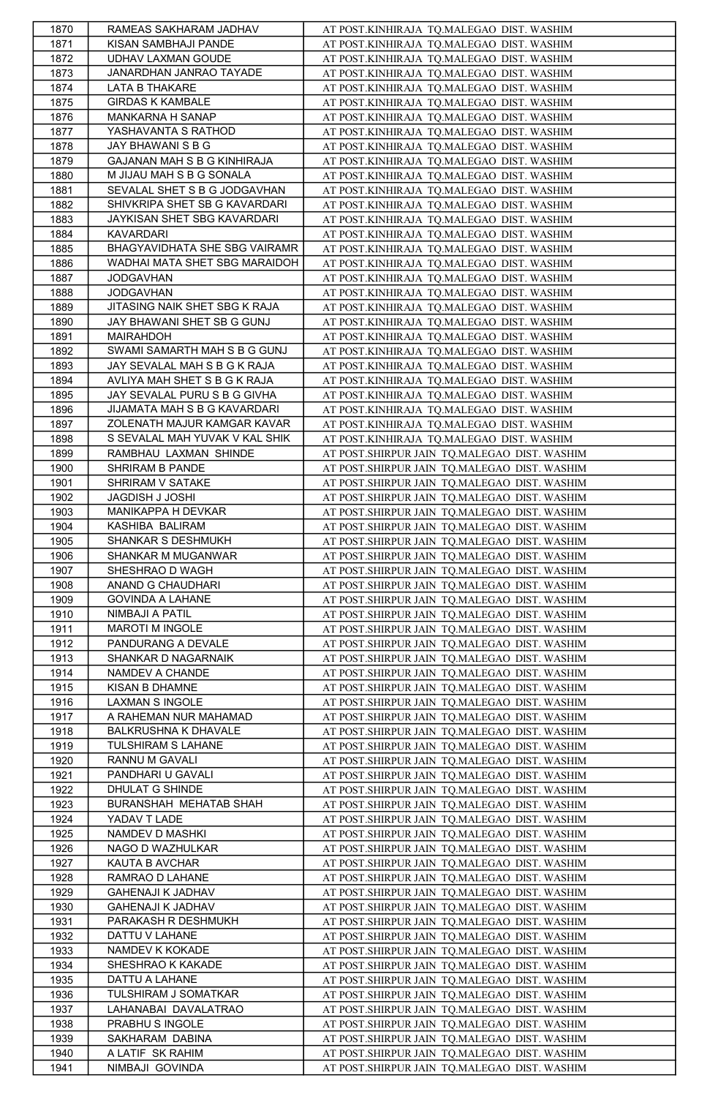| 1870 | RAMEAS SAKHARAM JADHAV         | AT POST.KINHIRAJA TQ.MALEGAO DIST. WASHIM    |
|------|--------------------------------|----------------------------------------------|
| 1871 | KISAN SAMBHAJI PANDE           | AT POST.KINHIRAJA TQ.MALEGAO DIST. WASHIM    |
| 1872 | UDHAV LAXMAN GOUDE             | AT POST.KINHIRAJA TQ.MALEGAO DIST. WASHIM    |
| 1873 | JANARDHAN JANRAO TAYADE        | AT POST.KINHIRAJA TQ.MALEGAO DIST. WASHIM    |
| 1874 | LATA B THAKARE                 | AT POST.KINHIRAJA TQ.MALEGAO DIST. WASHIM    |
| 1875 | <b>GIRDAS K KAMBALE</b>        | AT POST.KINHIRAJA TQ.MALEGAO DIST. WASHIM    |
| 1876 | MANKARNA H SANAP               | AT POST.KINHIRAJA TQ.MALEGAO DIST. WASHIM    |
| 1877 | YASHAVANTA S RATHOD            | AT POST.KINHIRAJA TQ.MALEGAO DIST. WASHIM    |
| 1878 | JAY BHAWANI S B G              | AT POST.KINHIRAJA TQ.MALEGAO DIST. WASHIM    |
| 1879 | GAJANAN MAH S B G KINHIRAJA    | AT POST.KINHIRAJA TQ.MALEGAO DIST. WASHIM    |
|      |                                |                                              |
| 1880 | M JIJAU MAH S B G SONALA       | AT POST.KINHIRAJA TQ.MALEGAO DIST. WASHIM    |
| 1881 | SEVALAL SHET S B G JODGAVHAN   | AT POST.KINHIRAJA TQ.MALEGAO DIST. WASHIM    |
| 1882 | SHIVKRIPA SHET SB G KAVARDARI  | AT POST.KINHIRAJA TQ.MALEGAO DIST. WASHIM    |
| 1883 | JAYKISAN SHET SBG KAVARDARI    | AT POST.KINHIRAJA TQ.MALEGAO DIST. WASHIM    |
| 1884 | KAVARDARI                      | AT POST.KINHIRAJA TQ.MALEGAO DIST. WASHIM    |
| 1885 | BHAGYAVIDHATA SHE SBG VAIRAMR  | AT POST.KINHIRAJA TQ.MALEGAO DIST. WASHIM    |
| 1886 | WADHAI MATA SHET SBG MARAIDOH  | AT POST.KINHIRAJA TQ.MALEGAO DIST. WASHIM    |
| 1887 | <b>JODGAVHAN</b>               | AT POST.KINHIRAJA TQ.MALEGAO DIST. WASHIM    |
| 1888 | <b>JODGAVHAN</b>               | AT POST.KINHIRAJA TQ.MALEGAO DIST. WASHIM    |
| 1889 | JITASING NAIK SHET SBG K RAJA  | AT POST.KINHIRAJA TQ.MALEGAO DIST. WASHIM    |
| 1890 | JAY BHAWANI SHET SB G GUNJ     | AT POST.KINHIRAJA TQ.MALEGAO DIST. WASHIM    |
| 1891 | MAIRAHDOH                      | AT POST.KINHIRAJA TQ.MALEGAO DIST. WASHIM    |
| 1892 | SWAMI SAMARTH MAH S B G GUNJ   | AT POST.KINHIRAJA TQ.MALEGAO DIST. WASHIM    |
| 1893 | JAY SEVALAL MAH S B G K RAJA   | AT POST.KINHIRAJA TQ.MALEGAO DIST. WASHIM    |
| 1894 | AVLIYA MAH SHET S B G K RAJA   | AT POST.KINHIRAJA TQ.MALEGAO DIST. WASHIM    |
| 1895 | JAY SEVALAL PURU S B G GIVHA   | AT POST.KINHIRAJA TQ.MALEGAO DIST. WASHIM    |
| 1896 | JIJAMATA MAH S B G KAVARDARI   | AT POST.KINHIRAJA TQ.MALEGAO DIST. WASHIM    |
| 1897 | ZOLENATH MAJUR KAMGAR KAVAR    | AT POST.KINHIRAJA TQ.MALEGAO DIST. WASHIM    |
| 1898 | S SEVALAL MAH YUVAK V KAL SHIK | AT POST.KINHIRAJA TQ.MALEGAO DIST. WASHIM    |
| 1899 | RAMBHAU LAXMAN SHINDE          | AT POST.SHIRPUR JAIN TQ.MALEGAO DIST. WASHIM |
| 1900 | SHRIRAM B PANDE                | AT POST.SHIRPUR JAIN TQ.MALEGAO DIST. WASHIM |
| 1901 | SHRIRAM V SATAKE               | AT POST.SHIRPUR JAIN TQ.MALEGAO DIST. WASHIM |
| 1902 | JAGDISH J JOSHI                | AT POST.SHIRPUR JAIN TQ.MALEGAO DIST. WASHIM |
| 1903 | MANIKAPPA H DEVKAR             | AT POST.SHIRPUR JAIN TQ.MALEGAO DIST. WASHIM |
| 1904 | KASHIBA BALIRAM                | AT POST.SHIRPUR JAIN TQ.MALEGAO DIST. WASHIM |
| 1905 | SHANKAR S DESHMUKH             | AT POST.SHIRPUR JAIN TQ.MALEGAO DIST. WASHIM |
|      | SHANKAR M MUGANWAR             |                                              |
| 1906 |                                | AT POST.SHIRPUR JAIN TQ.MALEGAO DIST. WASHIM |
| 1907 | SHESHRAO D WAGH                | AT POST.SHIRPUR JAIN TQ.MALEGAO DIST. WASHIM |
| 1908 | ANAND G CHAUDHARI              | AT POST.SHIRPUR JAIN TQ.MALEGAO DIST. WASHIM |
| 1909 | <b>GOVINDA A LAHANE</b>        | AT POST.SHIRPUR JAIN TQ.MALEGAO DIST. WASHIM |
| 1910 | NIMBAJI A PATIL                | AT POST.SHIRPUR JAIN TQ.MALEGAO DIST. WASHIM |
| 1911 | MAROTI M INGOLE                | AT POST.SHIRPUR JAIN TQ.MALEGAO DIST. WASHIM |
| 1912 | PANDURANG A DEVALE             | AT POST.SHIRPUR JAIN TQ.MALEGAO DIST. WASHIM |
| 1913 | SHANKAR D NAGARNAIK            | AT POST.SHIRPUR JAIN TQ.MALEGAO DIST. WASHIM |
| 1914 | NAMDEV A CHANDE                | AT POST.SHIRPUR JAIN TQ.MALEGAO DIST. WASHIM |
| 1915 | KISAN B DHAMNE                 | AT POST.SHIRPUR JAIN TQ.MALEGAO DIST. WASHIM |
| 1916 | LAXMAN S INGOLE                | AT POST.SHIRPUR JAIN TQ.MALEGAO DIST. WASHIM |
| 1917 | A RAHEMAN NUR MAHAMAD          | AT POST.SHIRPUR JAIN TQ.MALEGAO DIST. WASHIM |
| 1918 | BALKRUSHNA K DHAVALE           | AT POST.SHIRPUR JAIN TQ.MALEGAO DIST. WASHIM |
| 1919 | TULSHIRAM S LAHANE             | AT POST.SHIRPUR JAIN TQ.MALEGAO DIST. WASHIM |
| 1920 | RANNU M GAVALI                 | AT POST.SHIRPUR JAIN TQ.MALEGAO DIST. WASHIM |
| 1921 | PANDHARI U GAVALI              | AT POST.SHIRPUR JAIN TQ.MALEGAO DIST. WASHIM |
| 1922 | DHULAT G SHINDE                | AT POST.SHIRPUR JAIN TQ.MALEGAO DIST. WASHIM |
| 1923 | BURANSHAH MEHATAB SHAH         | AT POST.SHIRPUR JAIN TQ.MALEGAO DIST. WASHIM |
| 1924 | YADAV T LADE                   | AT POST.SHIRPUR JAIN TQ.MALEGAO DIST. WASHIM |
| 1925 | NAMDEV D MASHKI                | AT POST.SHIRPUR JAIN TQ.MALEGAO DIST. WASHIM |
| 1926 | NAGO D WAZHULKAR               | AT POST.SHIRPUR JAIN TO.MALEGAO DIST. WASHIM |
| 1927 | KAUTA B AVCHAR                 | AT POST.SHIRPUR JAIN TQ.MALEGAO DIST. WASHIM |
| 1928 | RAMRAO D LAHANE                | AT POST.SHIRPUR JAIN TQ.MALEGAO DIST. WASHIM |
| 1929 | GAHENAJI K JADHAV              | AT POST.SHIRPUR JAIN TQ.MALEGAO DIST. WASHIM |
| 1930 | GAHENAJI K JADHAV              | AT POST.SHIRPUR JAIN TQ.MALEGAO DIST. WASHIM |
| 1931 | PARAKASH R DESHMUKH            | AT POST.SHIRPUR JAIN TQ.MALEGAO DIST. WASHIM |
| 1932 | DATTU V LAHANE                 | AT POST.SHIRPUR JAIN TQ.MALEGAO DIST. WASHIM |
| 1933 | NAMDEV K KOKADE                | AT POST.SHIRPUR JAIN TQ.MALEGAO DIST. WASHIM |
| 1934 | SHESHRAO K KAKADE              | AT POST.SHIRPUR JAIN TQ.MALEGAO DIST. WASHIM |
| 1935 | DATTU A LAHANE                 | AT POST.SHIRPUR JAIN TQ.MALEGAO DIST. WASHIM |
| 1936 | TULSHIRAM J SOMATKAR           | AT POST.SHIRPUR JAIN TQ.MALEGAO DIST. WASHIM |
| 1937 | LAHANABAI DAVALATRAO           | AT POST.SHIRPUR JAIN TO.MALEGAO DIST. WASHIM |
| 1938 | PRABHU S INGOLE                | AT POST.SHIRPUR JAIN TQ.MALEGAO DIST. WASHIM |
| 1939 | SAKHARAM DABINA                | AT POST.SHIRPUR JAIN TQ.MALEGAO DIST. WASHIM |
| 1940 | A LATIF SK RAHIM               | AT POST.SHIRPUR JAIN TQ.MALEGAO DIST. WASHIM |
| 1941 | NIMBAJI GOVINDA                | AT POST.SHIRPUR JAIN TQ.MALEGAO DIST. WASHIM |
|      |                                |                                              |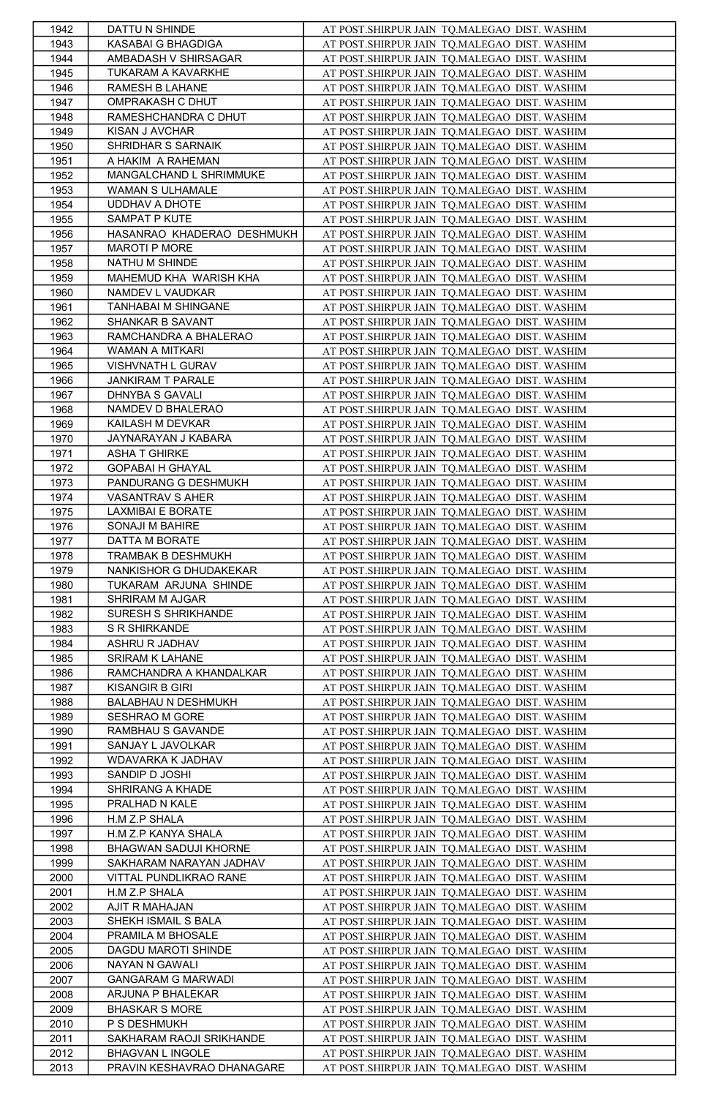| 1942 | DATTU N SHINDE             | AT POST.SHIRPUR JAIN TQ.MALEGAO DIST. WASHIM |
|------|----------------------------|----------------------------------------------|
| 1943 | KASABAI G BHAGDIGA         | AT POST.SHIRPUR JAIN TQ.MALEGAO DIST. WASHIM |
| 1944 | AMBADASH V SHIRSAGAR       | AT POST.SHIRPUR JAIN TQ.MALEGAO DIST. WASHIM |
| 1945 | TUKARAM A KAVARKHE         | AT POST.SHIRPUR JAIN TQ.MALEGAO DIST. WASHIM |
| 1946 | RAMESH B LAHANE            | AT POST.SHIRPUR JAIN TQ.MALEGAO DIST. WASHIM |
| 1947 | OMPRAKASH C DHUT           | AT POST.SHIRPUR JAIN TQ.MALEGAO DIST. WASHIM |
| 1948 | RAMESHCHANDRA C DHUT       | AT POST.SHIRPUR JAIN TQ.MALEGAO DIST. WASHIM |
| 1949 | KISAN J AVCHAR             | AT POST.SHIRPUR JAIN TQ.MALEGAO DIST. WASHIM |
| 1950 | SHRIDHAR S SARNAIK         | AT POST.SHIRPUR JAIN TQ.MALEGAO DIST. WASHIM |
| 1951 | A HAKIM A RAHEMAN          | AT POST.SHIRPUR JAIN TQ.MALEGAO DIST. WASHIM |
| 1952 | MANGALCHAND L SHRIMMUKE    | AT POST.SHIRPUR JAIN TQ.MALEGAO DIST. WASHIM |
| 1953 | WAMAN S ULHAMALE           | AT POST.SHIRPUR JAIN TQ.MALEGAO DIST. WASHIM |
| 1954 | UDDHAV A DHOTE             | AT POST.SHIRPUR JAIN TO.MALEGAO DIST. WASHIM |
| 1955 | SAMPAT P KUTE              | AT POST.SHIRPUR JAIN TQ.MALEGAO DIST. WASHIM |
| 1956 | HASANRAO KHADERAO DESHMUKH | AT POST.SHIRPUR JAIN TQ.MALEGAO DIST. WASHIM |
| 1957 | MAROTI P MORE              | AT POST.SHIRPUR JAIN TQ.MALEGAO DIST. WASHIM |
| 1958 | NATHU M SHINDE             | AT POST.SHIRPUR JAIN TO.MALEGAO DIST. WASHIM |
| 1959 | MAHEMUD KHA WARISH KHA     | AT POST.SHIRPUR JAIN TQ.MALEGAO DIST. WASHIM |
| 1960 | NAMDEV L VAUDKAR           | AT POST.SHIRPUR JAIN TQ.MALEGAO DIST. WASHIM |
| 1961 | TANHABAI M SHINGANE        | AT POST.SHIRPUR JAIN TQ.MALEGAO DIST. WASHIM |
| 1962 | SHANKAR B SAVANT           | AT POST.SHIRPUR JAIN TQ.MALEGAO DIST. WASHIM |
| 1963 | RAMCHANDRA A BHALERAO      | AT POST.SHIRPUR JAIN TQ.MALEGAO DIST. WASHIM |
| 1964 | WAMAN A MITKARI            | AT POST.SHIRPUR JAIN TQ.MALEGAO DIST. WASHIM |
| 1965 | VISHVNATH L GURAV          | AT POST.SHIRPUR JAIN TQ.MALEGAO DIST. WASHIM |
| 1966 | JANKIRAM T PARALE          | AT POST.SHIRPUR JAIN TO.MALEGAO DIST. WASHIM |
|      | DHNYBA S GAVALI            |                                              |
| 1967 |                            | AT POST.SHIRPUR JAIN TQ.MALEGAO DIST. WASHIM |
| 1968 | NAMDEV D BHALERAO          | AT POST.SHIRPUR JAIN TQ.MALEGAO DIST. WASHIM |
| 1969 | KAILASH M DEVKAR           | AT POST.SHIRPUR JAIN TQ.MALEGAO DIST. WASHIM |
| 1970 | JAYNARAYAN J KABARA        | AT POST.SHIRPUR JAIN TQ.MALEGAO DIST. WASHIM |
| 1971 | ASHA T GHIRKE              | AT POST.SHIRPUR JAIN TQ.MALEGAO DIST. WASHIM |
| 1972 | GOPABAI H GHAYAL           | AT POST.SHIRPUR JAIN TQ.MALEGAO DIST. WASHIM |
| 1973 | PANDURANG G DESHMUKH       | AT POST.SHIRPUR JAIN TQ.MALEGAO DIST. WASHIM |
| 1974 | VASANTRAV S AHER           | AT POST.SHIRPUR JAIN TQ.MALEGAO DIST. WASHIM |
| 1975 | LAXMIBAI E BORATE          | AT POST.SHIRPUR JAIN TQ.MALEGAO DIST. WASHIM |
| 1976 | SONAJI M BAHIRE            | AT POST.SHIRPUR JAIN TQ.MALEGAO DIST. WASHIM |
| 1977 | DATTA M BORATE             | AT POST.SHIRPUR JAIN TQ.MALEGAO DIST. WASHIM |
| 1978 | TRAMBAK B DESHMUKH         | AT POST.SHIRPUR JAIN TQ.MALEGAO DIST. WASHIM |
| 1979 | NANKISHOR G DHUDAKEKAR     | AT POST.SHIRPUR JAIN TQ.MALEGAO DIST. WASHIM |
| 1980 | TUKARAM ARJUNA SHINDE      | AT POST.SHIRPUR JAIN TQ.MALEGAO DIST. WASHIM |
| 1981 | SHRIRAM M AJGAR            | AT POST.SHIRPUR JAIN TQ.MALEGAO DIST. WASHIM |
| 1982 | SURESH S SHRIKHANDE        | AT POST.SHIRPUR JAIN TQ.MALEGAO DIST. WASHIM |
| 1983 | S R SHIRKANDE              | AT POST.SHIRPUR JAIN TQ.MALEGAO DIST. WASHIM |
| 1984 | ASHRU R JADHAV             | AT POST.SHIRPUR JAIN TQ.MALEGAO DIST. WASHIM |
| 1985 | SRIRAM K LAHANE            | AT POST.SHIRPUR JAIN TQ.MALEGAO DIST. WASHIM |
| 1986 | RAMCHANDRA A KHANDALKAR    | AT POST.SHIRPUR JAIN TQ.MALEGAO DIST. WASHIM |
| 1987 | KISANGIR B GIRI            | AT POST.SHIRPUR JAIN TQ.MALEGAO DIST. WASHIM |
| 1988 | BALABHAU N DESHMUKH        | AT POST.SHIRPUR JAIN TQ.MALEGAO DIST. WASHIM |
| 1989 | SESHRAO M GORE             | AT POST.SHIRPUR JAIN TQ.MALEGAO DIST. WASHIM |
| 1990 | RAMBHAU S GAVANDE          | AT POST.SHIRPUR JAIN TQ.MALEGAO DIST. WASHIM |
| 1991 | SANJAY L JAVOLKAR          | AT POST.SHIRPUR JAIN TQ.MALEGAO DIST. WASHIM |
| 1992 | WDAVARKA K JADHAV          | AT POST.SHIRPUR JAIN TQ.MALEGAO DIST. WASHIM |
| 1993 | SANDIP D JOSHI             | AT POST.SHIRPUR JAIN TQ.MALEGAO DIST. WASHIM |
| 1994 | SHRIRANG A KHADE           | AT POST.SHIRPUR JAIN TQ.MALEGAO DIST. WASHIM |
| 1995 | PRALHAD N KALE             | AT POST.SHIRPUR JAIN TQ.MALEGAO DIST. WASHIM |
| 1996 | H.M Z.P SHALA              | AT POST.SHIRPUR JAIN TQ.MALEGAO DIST. WASHIM |
| 1997 | H.M Z.P KANYA SHALA        | AT POST.SHIRPUR JAIN TQ.MALEGAO DIST. WASHIM |
| 1998 | BHAGWAN SADUJI KHORNE      | AT POST.SHIRPUR JAIN TQ.MALEGAO DIST. WASHIM |
| 1999 | SAKHARAM NARAYAN JADHAV    | AT POST.SHIRPUR JAIN TQ.MALEGAO DIST. WASHIM |
| 2000 | VITTAL PUNDLIKRAO RANE     | AT POST.SHIRPUR JAIN TQ.MALEGAO DIST. WASHIM |
| 2001 | H.M Z.P SHALA              | AT POST.SHIRPUR JAIN TQ.MALEGAO DIST. WASHIM |
| 2002 | AJIT R MAHAJAN             | AT POST.SHIRPUR JAIN TO.MALEGAO DIST. WASHIM |
| 2003 | SHEKH ISMAIL S BALA        | AT POST.SHIRPUR JAIN TQ.MALEGAO DIST. WASHIM |
| 2004 | PRAMILA M BHOSALE          | AT POST.SHIRPUR JAIN TO.MALEGAO DIST. WASHIM |
|      |                            |                                              |
| 2005 | DAGDU MAROTI SHINDE        | AT POST.SHIRPUR JAIN TQ.MALEGAO DIST. WASHIM |
| 2006 | NAYAN N GAWALI             | AT POST.SHIRPUR JAIN TQ.MALEGAO DIST. WASHIM |
| 2007 | <b>GANGARAM G MARWADI</b>  | AT POST.SHIRPUR JAIN TQ.MALEGAO DIST. WASHIM |
| 2008 | ARJUNA P BHALEKAR          | AT POST.SHIRPUR JAIN TQ.MALEGAO DIST. WASHIM |
| 2009 | <b>BHASKAR S MORE</b>      | AT POST.SHIRPUR JAIN TQ.MALEGAO DIST. WASHIM |
| 2010 | P S DESHMUKH               | AT POST.SHIRPUR JAIN TQ.MALEGAO DIST. WASHIM |
| 2011 | SAKHARAM RAOJI SRIKHANDE   | AT POST.SHIRPUR JAIN TQ.MALEGAO DIST. WASHIM |
| 2012 | <b>BHAGVAN L INGOLE</b>    | AT POST.SHIRPUR JAIN TQ.MALEGAO DIST. WASHIM |
| 2013 | PRAVIN KESHAVRAO DHANAGARE | AT POST.SHIRPUR JAIN TQ.MALEGAO DIST. WASHIM |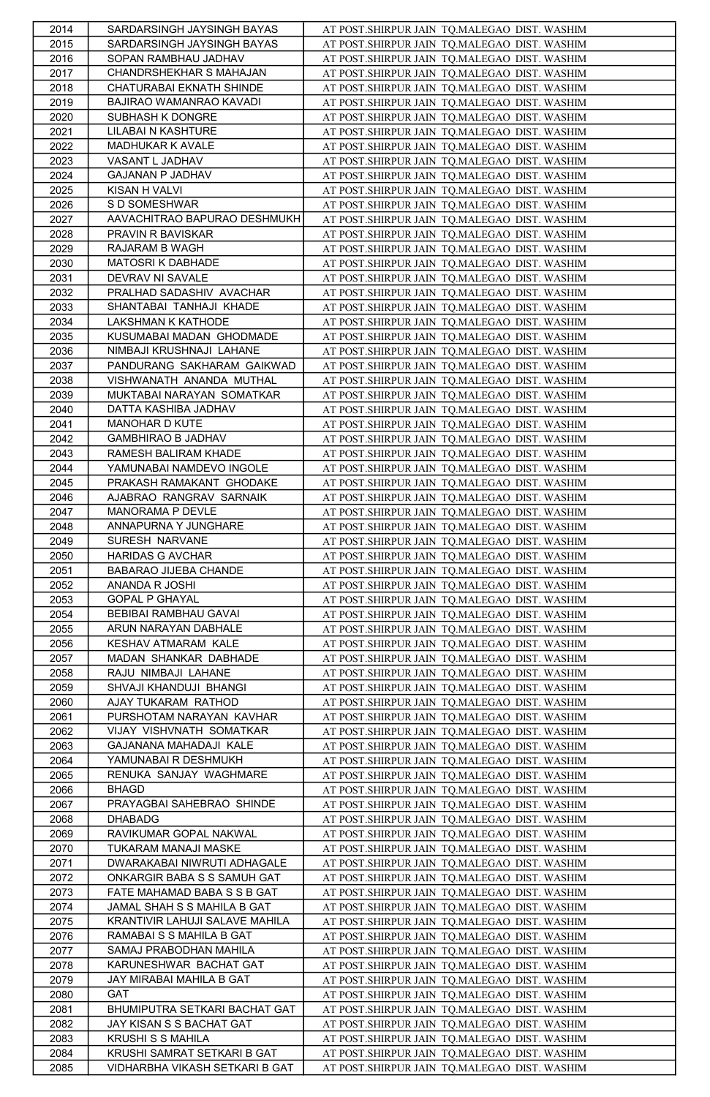| 2014         | SARDARSINGH JAYSINGH BAYAS                             | AT POST.SHIRPUR JAIN TO.MALEGAO DIST. WASHIM                                                 |
|--------------|--------------------------------------------------------|----------------------------------------------------------------------------------------------|
| 2015         | SARDARSINGH JAYSINGH BAYAS                             | AT POST.SHIRPUR JAIN TQ.MALEGAO DIST. WASHIM                                                 |
| 2016         | SOPAN RAMBHAU JADHAV                                   | AT POST.SHIRPUR JAIN TO.MALEGAO DIST. WASHIM                                                 |
| 2017         | CHANDRSHEKHAR S MAHAJAN                                | AT POST.SHIRPUR JAIN TQ.MALEGAO DIST. WASHIM                                                 |
| 2018         | CHATURABAI EKNATH SHINDE                               | AT POST.SHIRPUR JAIN TO.MALEGAO DIST. WASHIM                                                 |
| 2019         | BAJIRAO WAMANRAO KAVADI                                | AT POST.SHIRPUR JAIN TQ.MALEGAO DIST. WASHIM                                                 |
| 2020         | SUBHASH K DONGRE                                       | AT POST.SHIRPUR JAIN TQ.MALEGAO DIST. WASHIM                                                 |
| 2021         | LILABAI N KASHTURE                                     | AT POST.SHIRPUR JAIN TQ.MALEGAO DIST. WASHIM                                                 |
| 2022         | MADHUKAR K AVALE                                       | AT POST.SHIRPUR JAIN TQ.MALEGAO DIST. WASHIM                                                 |
| 2023         | VASANT L JADHAV                                        | AT POST.SHIRPUR JAIN TQ.MALEGAO DIST. WASHIM                                                 |
| 2024         | GAJANAN P JADHAV                                       | AT POST.SHIRPUR JAIN TQ.MALEGAO DIST. WASHIM                                                 |
| 2025         | KISAN H VALVI                                          | AT POST.SHIRPUR JAIN TQ.MALEGAO DIST. WASHIM                                                 |
| 2026         | S D SOMESHWAR                                          | AT POST.SHIRPUR JAIN TQ.MALEGAO DIST. WASHIM                                                 |
| 2027         | AAVACHITRAO BAPURAO DESHMUKH                           | AT POST.SHIRPUR JAIN TQ.MALEGAO DIST. WASHIM                                                 |
| 2028         | PRAVIN R BAVISKAR                                      | AT POST.SHIRPUR JAIN TQ.MALEGAO DIST. WASHIM                                                 |
| 2029         | RAJARAM B WAGH                                         | AT POST.SHIRPUR JAIN TQ.MALEGAO DIST. WASHIM                                                 |
| 2030         | MATOSRI K DABHADE                                      | AT POST.SHIRPUR JAIN TQ.MALEGAO DIST. WASHIM                                                 |
| 2031         | DEVRAV NI SAVALE                                       | AT POST.SHIRPUR JAIN TQ.MALEGAO DIST. WASHIM                                                 |
| 2032         | PRALHAD SADASHIV AVACHAR                               | AT POST.SHIRPUR JAIN TQ.MALEGAO DIST. WASHIM                                                 |
| 2033         | SHANTABAI TANHAJI KHADE                                | AT POST.SHIRPUR JAIN TQ.MALEGAO DIST. WASHIM                                                 |
| 2034         | LAKSHMAN K KATHODE                                     | AT POST.SHIRPUR JAIN TQ.MALEGAO DIST. WASHIM                                                 |
| 2035         | KUSUMABAI MADAN GHODMADE                               | AT POST.SHIRPUR JAIN TQ.MALEGAO DIST. WASHIM                                                 |
| 2036<br>2037 | NIMBAJI KRUSHNAJI LAHANE<br>PANDURANG SAKHARAM GAIKWAD | AT POST.SHIRPUR JAIN TQ.MALEGAO DIST. WASHIM                                                 |
|              | VISHWANATH ANANDA MUTHAL                               | AT POST.SHIRPUR JAIN TQ.MALEGAO DIST. WASHIM                                                 |
| 2038         | MUKTABAI NARAYAN SOMATKAR                              | AT POST.SHIRPUR JAIN TQ.MALEGAO DIST. WASHIM                                                 |
| 2039<br>2040 | DATTA KASHIBA JADHAV                                   | AT POST.SHIRPUR JAIN TQ.MALEGAO DIST. WASHIM                                                 |
| 2041         | MANOHAR D KUTE                                         | AT POST.SHIRPUR JAIN TQ.MALEGAO DIST. WASHIM<br>AT POST.SHIRPUR JAIN TQ.MALEGAO DIST. WASHIM |
| 2042         | GAMBHIRAO B JADHAV                                     | AT POST.SHIRPUR JAIN TQ.MALEGAO DIST. WASHIM                                                 |
| 2043         | RAMESH BALIRAM KHADE                                   | AT POST.SHIRPUR JAIN TO.MALEGAO DIST. WASHIM                                                 |
| 2044         | YAMUNABAI NAMDEVO INGOLE                               | AT POST.SHIRPUR JAIN TQ.MALEGAO DIST. WASHIM                                                 |
| 2045         | PRAKASH RAMAKANT GHODAKE                               | AT POST.SHIRPUR JAIN TQ.MALEGAO DIST. WASHIM                                                 |
| 2046         | AJABRAO RANGRAV SARNAIK                                | AT POST.SHIRPUR JAIN TQ.MALEGAO DIST. WASHIM                                                 |
| 2047         | MANORAMA P DEVLE                                       | AT POST.SHIRPUR JAIN TQ.MALEGAO DIST. WASHIM                                                 |
| 2048         | ANNAPURNA Y JUNGHARE                                   | AT POST.SHIRPUR JAIN TQ.MALEGAO DIST. WASHIM                                                 |
| 2049         | SURESH NARVANE                                         | AT POST.SHIRPUR JAIN TQ.MALEGAO DIST. WASHIM                                                 |
| 2050         | HARIDAS G AVCHAR                                       | AT POST.SHIRPUR JAIN TQ.MALEGAO DIST. WASHIM                                                 |
| 2051         | BABARAO JIJEBA CHANDE                                  | AT POST.SHIRPUR JAIN TQ.MALEGAO DIST. WASHIM                                                 |
| 2052         | ANANDA R JOSHI                                         | AT POST.SHIRPUR JAIN TQ.MALEGAO DIST. WASHIM                                                 |
| 2053         | <b>GOPAL P GHAYAL</b>                                  | AT POST.SHIRPUR JAIN TQ.MALEGAO DIST. WASHIM                                                 |
| 2054         | BEBIBAI RAMBHAU GAVAI                                  | AT POST.SHIRPUR JAIN TQ.MALEGAO DIST. WASHIM                                                 |
| 2055         | ARUN NARAYAN DABHALE                                   | AT POST.SHIRPUR JAIN TQ.MALEGAO DIST. WASHIM                                                 |
| 2056         | KESHAV ATMARAM KALE                                    | AT POST.SHIRPUR JAIN TQ.MALEGAO DIST. WASHIM                                                 |
| 2057         | MADAN SHANKAR DABHADE                                  | AT POST.SHIRPUR JAIN TQ.MALEGAO DIST. WASHIM                                                 |
| 2058         | RAJU NIMBAJI LAHANE                                    | AT POST.SHIRPUR JAIN TQ.MALEGAO DIST. WASHIM                                                 |
| 2059         | SHVAJI KHANDUJI BHANGI                                 | AT POST.SHIRPUR JAIN TQ.MALEGAO DIST. WASHIM                                                 |
| 2060         | AJAY TUKARAM RATHOD                                    | AT POST.SHIRPUR JAIN TQ.MALEGAO DIST. WASHIM                                                 |
| 2061         | PURSHOTAM NARAYAN KAVHAR                               | AT POST.SHIRPUR JAIN TQ.MALEGAO DIST. WASHIM                                                 |
| 2062         | VIJAY VISHVNATH SOMATKAR                               | AT POST.SHIRPUR JAIN TQ.MALEGAO DIST. WASHIM                                                 |
| 2063         | GAJANANA MAHADAJI KALE                                 | AT POST.SHIRPUR JAIN TQ.MALEGAO DIST. WASHIM                                                 |
| 2064         | YAMUNABAI R DESHMUKH                                   | AT POST.SHIRPUR JAIN TQ.MALEGAO DIST. WASHIM                                                 |
| 2065         | RENUKA SANJAY WAGHMARE                                 | AT POST.SHIRPUR JAIN TQ.MALEGAO DIST. WASHIM                                                 |
| 2066         | <b>BHAGD</b>                                           | AT POST.SHIRPUR JAIN TQ.MALEGAO DIST. WASHIM                                                 |
| 2067         | PRAYAGBAI SAHEBRAO SHINDE                              | AT POST.SHIRPUR JAIN TQ.MALEGAO DIST. WASHIM                                                 |
| 2068         | DHABADG                                                | AT POST.SHIRPUR JAIN TQ.MALEGAO DIST. WASHIM                                                 |
| 2069         | RAVIKUMAR GOPAL NAKWAL                                 | AT POST.SHIRPUR JAIN TQ.MALEGAO DIST. WASHIM                                                 |
| 2070         | TUKARAM MANAJI MASKE                                   | AT POST.SHIRPUR JAIN TQ.MALEGAO DIST. WASHIM                                                 |
| 2071         | DWARAKABAI NIWRUTI ADHAGALE                            | AT POST.SHIRPUR JAIN TQ.MALEGAO DIST. WASHIM                                                 |
| 2072         | ONKARGIR BABA S S SAMUH GAT                            | AT POST.SHIRPUR JAIN TQ.MALEGAO DIST. WASHIM                                                 |
| 2073         | FATE MAHAMAD BABA S S B GAT                            | AT POST.SHIRPUR JAIN TQ.MALEGAO DIST. WASHIM                                                 |
| 2074         | JAMAL SHAH S S MAHILA B GAT                            | AT POST.SHIRPUR JAIN TQ.MALEGAO DIST. WASHIM                                                 |
| 2075         | KRANTIVIR LAHUJI SALAVE MAHILA                         | AT POST.SHIRPUR JAIN TQ.MALEGAO DIST. WASHIM                                                 |
| 2076         | RAMABAI S S MAHILA B GAT                               | AT POST.SHIRPUR JAIN TQ.MALEGAO DIST. WASHIM                                                 |
| 2077         | SAMAJ PRABODHAN MAHILA                                 | AT POST.SHIRPUR JAIN TQ.MALEGAO DIST. WASHIM                                                 |
| 2078         | KARUNESHWAR BACHAT GAT                                 | AT POST.SHIRPUR JAIN TQ.MALEGAO DIST. WASHIM                                                 |
| 2079         | JAY MIRABAI MAHILA B GAT                               | AT POST.SHIRPUR JAIN TQ.MALEGAO DIST. WASHIM                                                 |
| 2080         | GAT<br>BHUMIPUTRA SETKARI BACHAT GAT                   | AT POST.SHIRPUR JAIN TQ.MALEGAO DIST. WASHIM                                                 |
| 2081         |                                                        | AT POST.SHIRPUR JAIN TO.MALEGAO DIST. WASHIM                                                 |
| 2082         | JAY KISAN S S BACHAT GAT<br>KRUSHI S S MAHILA          | AT POST.SHIRPUR JAIN TQ.MALEGAO DIST. WASHIM                                                 |
| 2083<br>2084 | KRUSHI SAMRAT SETKARI B GAT                            | AT POST.SHIRPUR JAIN TQ.MALEGAO DIST. WASHIM<br>AT POST.SHIRPUR JAIN TQ.MALEGAO DIST. WASHIM |
| 2085         | VIDHARBHA VIKASH SETKARI B GAT                         | AT POST.SHIRPUR JAIN TQ.MALEGAO DIST. WASHIM                                                 |
|              |                                                        |                                                                                              |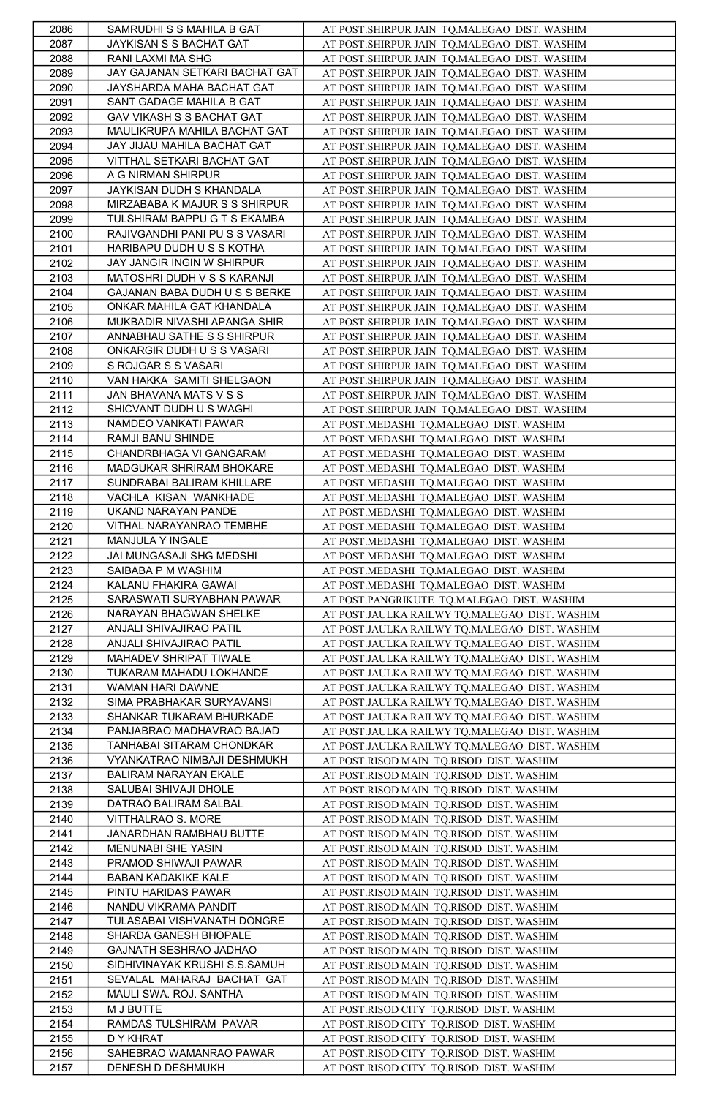| 2086 | SAMRUDHI S S MAHILA B GAT      | AT POST.SHIRPUR JAIN TQ.MALEGAO DIST. WASHIM  |
|------|--------------------------------|-----------------------------------------------|
| 2087 | JAYKISAN S S BACHAT GAT        | AT POST.SHIRPUR JAIN TQ.MALEGAO DIST. WASHIM  |
| 2088 | RANI LAXMI MA SHG              | AT POST.SHIRPUR JAIN TQ.MALEGAO DIST. WASHIM  |
| 2089 | JAY GAJANAN SETKARI BACHAT GAT | AT POST.SHIRPUR JAIN TQ.MALEGAO DIST. WASHIM  |
| 2090 | JAYSHARDA MAHA BACHAT GAT      | AT POST.SHIRPUR JAIN TO.MALEGAO DIST. WASHIM  |
| 2091 | SANT GADAGE MAHILA B GAT       | AT POST.SHIRPUR JAIN TQ.MALEGAO DIST. WASHIM  |
| 2092 | GAV VIKASH S S BACHAT GAT      | AT POST.SHIRPUR JAIN TQ.MALEGAO DIST. WASHIM  |
| 2093 | MAULIKRUPA MAHILA BACHAT GAT   | AT POST.SHIRPUR JAIN TQ.MALEGAO DIST. WASHIM  |
| 2094 | JAY JIJAU MAHILA BACHAT GAT    | AT POST.SHIRPUR JAIN TQ.MALEGAO DIST. WASHIM  |
| 2095 | VITTHAL SETKARI BACHAT GAT     | AT POST.SHIRPUR JAIN TQ.MALEGAO DIST. WASHIM  |
| 2096 | A G NIRMAN SHIRPUR             | AT POST.SHIRPUR JAIN TQ.MALEGAO DIST. WASHIM  |
| 2097 | JAYKISAN DUDH S KHANDALA       | AT POST.SHIRPUR JAIN TQ.MALEGAO DIST. WASHIM  |
| 2098 | MIRZABABA K MAJUR S S SHIRPUR  | AT POST.SHIRPUR JAIN TQ.MALEGAO DIST. WASHIM  |
| 2099 | TULSHIRAM BAPPU G T S EKAMBA   | AT POST.SHIRPUR JAIN TQ.MALEGAO DIST. WASHIM  |
| 2100 | RAJIVGANDHI PANI PU S S VASARI | AT POST.SHIRPUR JAIN TQ.MALEGAO DIST. WASHIM  |
| 2101 | HARIBAPU DUDH U S S KOTHA      | AT POST.SHIRPUR JAIN TQ.MALEGAO DIST. WASHIM  |
|      | JAY JANGIR INGIN W SHIRPUR     | AT POST.SHIRPUR JAIN TQ.MALEGAO DIST. WASHIM  |
| 2102 |                                |                                               |
| 2103 | MATOSHRI DUDH V S S KARANJI    | AT POST.SHIRPUR JAIN TQ.MALEGAO DIST. WASHIM  |
| 2104 | GAJANAN BABA DUDH U S S BERKE  | AT POST.SHIRPUR JAIN TQ.MALEGAO DIST. WASHIM  |
| 2105 | ONKAR MAHILA GAT KHANDALA      | AT POST.SHIRPUR JAIN TQ.MALEGAO DIST. WASHIM  |
| 2106 | MUKBADIR NIVASHI APANGA SHIR   | AT POST.SHIRPUR JAIN TQ.MALEGAO DIST. WASHIM  |
| 2107 | ANNABHAU SATHE S S SHIRPUR     | AT POST.SHIRPUR JAIN TQ.MALEGAO DIST. WASHIM  |
| 2108 | ONKARGIR DUDH U S S VASARI     | AT POST.SHIRPUR JAIN TQ.MALEGAO DIST. WASHIM  |
| 2109 | S ROJGAR S S VASARI            | AT POST.SHIRPUR JAIN TQ.MALEGAO DIST. WASHIM  |
| 2110 | VAN HAKKA SAMITI SHELGAON      | AT POST.SHIRPUR JAIN TQ.MALEGAO DIST. WASHIM  |
| 2111 | JAN BHAVANA MATS V S S         | AT POST.SHIRPUR JAIN TQ.MALEGAO DIST. WASHIM  |
| 2112 | SHICVANT DUDH U S WAGHI        | AT POST.SHIRPUR JAIN TQ.MALEGAO DIST. WASHIM  |
| 2113 | NAMDEO VANKATI PAWAR           | AT POST.MEDASHI TQ.MALEGAO DIST. WASHIM       |
| 2114 | RAMJI BANU SHINDE              | AT POST.MEDASHI TQ.MALEGAO DIST. WASHIM       |
| 2115 | CHANDRBHAGA VI GANGARAM        | AT POST.MEDASHI TQ.MALEGAO DIST. WASHIM       |
| 2116 | MADGUKAR SHRIRAM BHOKARE       | AT POST.MEDASHI TQ.MALEGAO DIST. WASHIM       |
| 2117 | SUNDRABAI BALIRAM KHILLARE     | AT POST.MEDASHI TQ.MALEGAO DIST. WASHIM       |
| 2118 | VACHLA KISAN WANKHADE          | AT POST.MEDASHI TQ.MALEGAO DIST. WASHIM       |
| 2119 | UKAND NARAYAN PANDE            | AT POST.MEDASHI TQ.MALEGAO DIST. WASHIM       |
| 2120 | VITHAL NARAYANRAO TEMBHE       | AT POST.MEDASHI TQ.MALEGAO DIST. WASHIM       |
| 2121 | MANJULA Y INGALE               | AT POST.MEDASHI TQ.MALEGAO DIST. WASHIM       |
| 2122 | JAI MUNGASAJI SHG MEDSHI       | AT POST.MEDASHI TQ.MALEGAO DIST. WASHIM       |
| 2123 | SAIBABA P M WASHIM             | AT POST.MEDASHI TQ.MALEGAO DIST. WASHIM       |
| 2124 | KALANU FHAKIRA GAWAI           | AT POST.MEDASHI TQ.MALEGAO DIST. WASHIM       |
| 2125 | SARASWATI SURYABHAN PAWAR      | AT POST.PANGRIKUTE TQ.MALEGAO DIST. WASHIM    |
| 2126 | NARAYAN BHAGWAN SHELKE         | AT POST.JAULKA RAILWY TQ.MALEGAO DIST. WASHIM |
| 2127 | ANJALI SHIVAJIRAO PATIL        | AT POST.JAULKA RAILWY TQ.MALEGAO DIST. WASHIM |
| 2128 | ANJALI SHIVAJIRAO PATIL        | AT POST.JAULKA RAILWY TQ.MALEGAO DIST. WASHIM |
| 2129 | MAHADEV SHRIPAT TIWALE         | AT POST.JAULKA RAILWY TQ.MALEGAO DIST. WASHIM |
| 2130 | TUKARAM MAHADU LOKHANDE        | AT POST.JAULKA RAILWY TQ.MALEGAO DIST. WASHIM |
| 2131 | WAMAN HARI DAWNE               | AT POST.JAULKA RAILWY TQ.MALEGAO DIST. WASHIM |
| 2132 | SIMA PRABHAKAR SURYAVANSI      | AT POST.JAULKA RAILWY TQ.MALEGAO DIST. WASHIM |
| 2133 | SHANKAR TUKARAM BHURKADE       | AT POST.JAULKA RAILWY TQ.MALEGAO DIST. WASHIM |
| 2134 | PANJABRAO MADHAVRAO BAJAD      | AT POST.JAULKA RAILWY TQ.MALEGAO DIST. WASHIM |
| 2135 | TANHABAI SITARAM CHONDKAR      | AT POST.JAULKA RAILWY TQ.MALEGAO DIST. WASHIM |
| 2136 | VYANKATRAO NIMBAJI DESHMUKH    | AT POST.RISOD MAIN TQ.RISOD DIST. WASHIM      |
| 2137 | BALIRAM NARAYAN EKALE          | AT POST.RISOD MAIN TQ.RISOD DIST. WASHIM      |
| 2138 | SALUBAI SHIVAJI DHOLE          | AT POST.RISOD MAIN TQ.RISOD DIST. WASHIM      |
| 2139 | DATRAO BALIRAM SALBAL          | AT POST.RISOD MAIN TQ.RISOD DIST. WASHIM      |
| 2140 | VITTHALRAO S. MORE             | AT POST.RISOD MAIN TQ.RISOD DIST. WASHIM      |
| 2141 | JANARDHAN RAMBHAU BUTTE        | AT POST.RISOD MAIN TQ.RISOD DIST. WASHIM      |
| 2142 | MENUNABI SHE YASIN             | AT POST.RISOD MAIN TQ.RISOD DIST. WASHIM      |
| 2143 | PRAMOD SHIWAJI PAWAR           | AT POST.RISOD MAIN TQ.RISOD DIST. WASHIM      |
| 2144 | BABAN KADAKIKE KALE            | AT POST.RISOD MAIN TQ.RISOD DIST. WASHIM      |
| 2145 | PINTU HARIDAS PAWAR            | AT POST.RISOD MAIN TQ.RISOD DIST. WASHIM      |
| 2146 | NANDU VIKRAMA PANDIT           | AT POST.RISOD MAIN TQ.RISOD DIST. WASHIM      |
| 2147 | TULASABAI VISHVANATH DONGRE    | AT POST.RISOD MAIN TQ.RISOD DIST. WASHIM      |
| 2148 | SHARDA GANESH BHOPALE          | AT POST.RISOD MAIN TQ.RISOD DIST. WASHIM      |
| 2149 | GAJNATH SESHRAO JADHAO         | AT POST.RISOD MAIN TQ.RISOD DIST. WASHIM      |
| 2150 | SIDHIVINAYAK KRUSHI S.S.SAMUH  | AT POST.RISOD MAIN TQ.RISOD DIST. WASHIM      |
| 2151 | SEVALAL MAHARAJ BACHAT GAT     | AT POST.RISOD MAIN TQ.RISOD DIST. WASHIM      |
| 2152 | MAULI SWA. ROJ. SANTHA         | AT POST.RISOD MAIN TQ.RISOD DIST. WASHIM      |
| 2153 | M J BUTTE                      | AT POST.RISOD CITY TQ.RISOD DIST. WASHIM      |
| 2154 | RAMDAS TULSHIRAM PAVAR         | AT POST.RISOD CITY TQ.RISOD DIST. WASHIM      |
| 2155 | D Y KHRAT                      | AT POST.RISOD CITY TQ.RISOD DIST. WASHIM      |
| 2156 | SAHEBRAO WAMANRAO PAWAR        | AT POST.RISOD CITY TQ.RISOD DIST. WASHIM      |
| 2157 | DENESH D DESHMUKH              | AT POST.RISOD CITY TQ.RISOD DIST. WASHIM      |
|      |                                |                                               |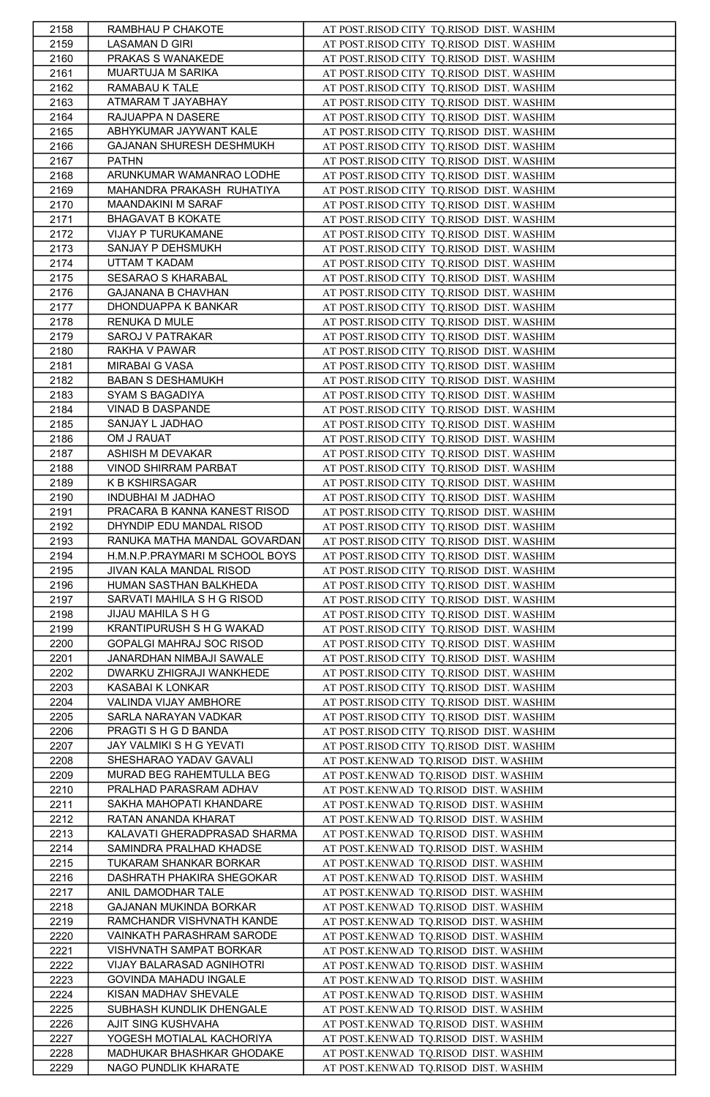| 2158         | RAMBHAU P CHAKOTE                              | AT POST.RISOD CITY TQ.RISOD DIST. WASHIM                                             |
|--------------|------------------------------------------------|--------------------------------------------------------------------------------------|
| 2159         | <b>LASAMAN D GIRI</b>                          | AT POST.RISOD CITY TQ.RISOD DIST. WASHIM                                             |
| 2160         | PRAKAS S WANAKEDE                              | AT POST.RISOD CITY TQ.RISOD DIST. WASHIM                                             |
| 2161         | MUARTUJA M SARIKA                              | AT POST.RISOD CITY TQ.RISOD DIST. WASHIM                                             |
| 2162         | RAMABAU K TALE                                 | AT POST.RISOD CITY TO.RISOD DIST. WASHIM                                             |
| 2163         | ATMARAM T JAYABHAY                             | AT POST.RISOD CITY TQ.RISOD DIST. WASHIM                                             |
| 2164         | RAJUAPPA N DASERE                              | AT POST.RISOD CITY TQ.RISOD DIST. WASHIM                                             |
| 2165         | ABHYKUMAR JAYWANT KALE                         | AT POST.RISOD CITY TQ.RISOD DIST. WASHIM                                             |
| 2166         | GAJANAN SHURESH DESHMUKH                       | AT POST.RISOD CITY TQ.RISOD DIST. WASHIM                                             |
| 2167         | <b>PATHN</b>                                   | AT POST.RISOD CITY TQ.RISOD DIST. WASHIM                                             |
| 2168         | ARUNKUMAR WAMANRAO LODHE                       | AT POST.RISOD CITY TQ.RISOD DIST. WASHIM                                             |
| 2169         | MAHANDRA PRAKASH RUHATIYA                      | AT POST.RISOD CITY TQ.RISOD DIST. WASHIM                                             |
| 2170         | MAANDAKINI M SARAF                             | AT POST.RISOD CITY TQ.RISOD DIST. WASHIM                                             |
| 2171         | BHAGAVAT B KOKATE                              | AT POST.RISOD CITY TO.RISOD DIST. WASHIM                                             |
| 2172         | VIJAY P TURUKAMANE                             | AT POST.RISOD CITY TQ.RISOD DIST. WASHIM                                             |
| 2173         | SANJAY P DEHSMUKH                              | AT POST.RISOD CITY TQ.RISOD DIST. WASHIM                                             |
| 2174         | UTTAM T KADAM                                  | AT POST.RISOD CITY TQ.RISOD DIST. WASHIM                                             |
| 2175         | SESARAO S KHARABAL                             | AT POST.RISOD CITY TO.RISOD DIST. WASHIM                                             |
| 2176         | GAJANANA B CHAVHAN                             | AT POST.RISOD CITY TQ.RISOD DIST. WASHIM                                             |
| 2177         | DHONDUAPPA K BANKAR                            | AT POST.RISOD CITY TQ.RISOD DIST. WASHIM                                             |
| 2178         | RENUKA D MULE                                  | AT POST.RISOD CITY TQ.RISOD DIST. WASHIM                                             |
| 2179         | SAROJ V PATRAKAR                               | AT POST.RISOD CITY TQ.RISOD DIST. WASHIM                                             |
| 2180         | RAKHA V PAWAR                                  | AT POST.RISOD CITY TQ.RISOD DIST. WASHIM                                             |
| 2181         | MIRABAI G VASA                                 | AT POST.RISOD CITY TQ.RISOD DIST. WASHIM                                             |
| 2182         | <b>BABAN S DESHAMUKH</b>                       | AT POST.RISOD CITY TQ.RISOD DIST. WASHIM                                             |
| 2183         | SYAM S BAGADIYA<br>VINAD B DASPANDE            | AT POST.RISOD CITY TQ.RISOD DIST. WASHIM                                             |
| 2184         | SANJAY L JADHAO                                | AT POST.RISOD CITY TQ.RISOD DIST. WASHIM                                             |
| 2185         | OM J RAUAT                                     | AT POST.RISOD CITY TQ.RISOD DIST. WASHIM                                             |
| 2186         | ASHISH M DEVAKAR                               | AT POST.RISOD CITY TQ.RISOD DIST. WASHIM                                             |
| 2187<br>2188 | VINOD SHIRRAM PARBAT                           | AT POST.RISOD CITY TQ.RISOD DIST. WASHIM<br>AT POST.RISOD CITY TQ.RISOD DIST. WASHIM |
| 2189         | K B KSHIRSAGAR                                 | AT POST.RISOD CITY TQ.RISOD DIST. WASHIM                                             |
| 2190         | INDUBHAI M JADHAO                              | AT POST.RISOD CITY TQ.RISOD DIST. WASHIM                                             |
| 2191         | PRACARA B KANNA KANEST RISOD                   | AT POST.RISOD CITY TQ.RISOD DIST. WASHIM                                             |
| 2192         | DHYNDIP EDU MANDAL RISOD                       | AT POST.RISOD CITY TQ.RISOD DIST. WASHIM                                             |
| 2193         | RANUKA MATHA MANDAL GOVARDAN                   | AT POST.RISOD CITY TQ.RISOD DIST. WASHIM                                             |
| 2194         | H.M.N.P.PRAYMARI M SCHOOL BOYS                 | AT POST.RISOD CITY TQ.RISOD DIST. WASHIM                                             |
| 2195         | JIVAN KALA MANDAL RISOD                        | AT POST.RISOD CITY TQ.RISOD DIST. WASHIM                                             |
| 2196         | HUMAN SASTHAN BALKHEDA                         | AT POST.RISOD CITY TQ.RISOD DIST. WASHIM                                             |
| 2197         | SARVATI MAHILA S H G RISOD                     | AT POST.RISOD CITY TQ.RISOD DIST. WASHIM                                             |
| 2198         | JIJAU MAHILA S H G                             | AT POST.RISOD CITY TQ.RISOD DIST. WASHIM                                             |
| 2199         | KRANTIPURUSH S H G WAKAD                       | AT POST.RISOD CITY TQ.RISOD DIST. WASHIM                                             |
| 2200         | GOPALGI MAHRAJ SOC RISOD                       | AT POST.RISOD CITY TQ.RISOD DIST. WASHIM                                             |
| 2201         | JANARDHAN NIMBAJI SAWALE                       | AT POST.RISOD CITY TQ.RISOD DIST. WASHIM                                             |
| 2202         | DWARKU ZHIGRAJI WANKHEDE                       | AT POST.RISOD CITY TQ.RISOD DIST. WASHIM                                             |
| 2203         | KASABAI K LONKAR                               | AT POST.RISOD CITY TQ.RISOD DIST. WASHIM                                             |
| 2204         | VALINDA VIJAY AMBHORE                          | AT POST.RISOD CITY TQ.RISOD DIST. WASHIM                                             |
| 2205         | SARLA NARAYAN VADKAR                           | AT POST.RISOD CITY TQ.RISOD DIST. WASHIM                                             |
| 2206         | PRAGTI S H G D BANDA                           | AT POST.RISOD CITY TO.RISOD DIST. WASHIM                                             |
| 2207         | JAY VALMIKI S H G YEVATI                       | AT POST.RISOD CITY TQ.RISOD DIST. WASHIM                                             |
| 2208         | SHESHARAO YADAV GAVALI                         | AT POST.KENWAD TO.RISOD DIST. WASHIM                                                 |
| 2209         | MURAD BEG RAHEMTULLA BEG                       | AT POST.KENWAD TQ.RISOD DIST. WASHIM                                                 |
| 2210         | PRALHAD PARASRAM ADHAV                         | AT POST.KENWAD TQ.RISOD DIST. WASHIM                                                 |
| 2211         | SAKHA MAHOPATI KHANDARE                        | AT POST.KENWAD TQ.RISOD DIST. WASHIM                                                 |
| 2212         | RATAN ANANDA KHARAT                            | AT POST.KENWAD TQ.RISOD DIST. WASHIM                                                 |
| 2213         | KALAVATI GHERADPRASAD SHARMA                   | AT POST.KENWAD TQ.RISOD DIST. WASHIM                                                 |
| 2214         | SAMINDRA PRALHAD KHADSE                        | AT POST.KENWAD TQ.RISOD DIST. WASHIM                                                 |
| 2215         | TUKARAM SHANKAR BORKAR                         | AT POST.KENWAD TQ.RISOD DIST. WASHIM                                                 |
| 2216         | DASHRATH PHAKIRA SHEGOKAR                      | AT POST.KENWAD TQ.RISOD DIST. WASHIM                                                 |
| 2217         | ANIL DAMODHAR TALE                             | AT POST.KENWAD TQ.RISOD DIST. WASHIM                                                 |
| 2218         | GAJANAN MUKINDA BORKAR                         | AT POST.KENWAD TQ.RISOD DIST. WASHIM                                                 |
| 2219         | RAMCHANDR VISHVNATH KANDE                      | AT POST.KENWAD TQ.RISOD DIST. WASHIM                                                 |
| 2220         | VAINKATH PARASHRAM SARODE                      | AT POST.KENWAD TQ.RISOD DIST. WASHIM                                                 |
| 2221         | VISHVNATH SAMPAT BORKAR                        | AT POST.KENWAD TQ.RISOD DIST. WASHIM                                                 |
| 2222         | VIJAY BALARASAD AGNIHOTRI                      | AT POST.KENWAD TQ.RISOD DIST. WASHIM                                                 |
| 2223         | GOVINDA MAHADU INGALE                          | AT POST.KENWAD TQ.RISOD DIST. WASHIM                                                 |
| 2224         | KISAN MADHAV SHEVALE                           | AT POST.KENWAD TQ.RISOD DIST. WASHIM                                                 |
| 2225         | SUBHASH KUNDLIK DHENGALE<br>AJIT SING KUSHVAHA | AT POST.KENWAD TQ.RISOD DIST. WASHIM                                                 |
| 2226         | YOGESH MOTIALAL KACHORIYA                      | AT POST.KENWAD TQ.RISOD DIST. WASHIM                                                 |
| 2227<br>2228 | MADHUKAR BHASHKAR GHODAKE                      | AT POST.KENWAD TQ.RISOD DIST. WASHIM<br>AT POST.KENWAD TQ.RISOD DIST. WASHIM         |
|              | NAGO PUNDLIK KHARATE                           | AT POST.KENWAD TQ.RISOD DIST. WASHIM                                                 |
| 2229         |                                                |                                                                                      |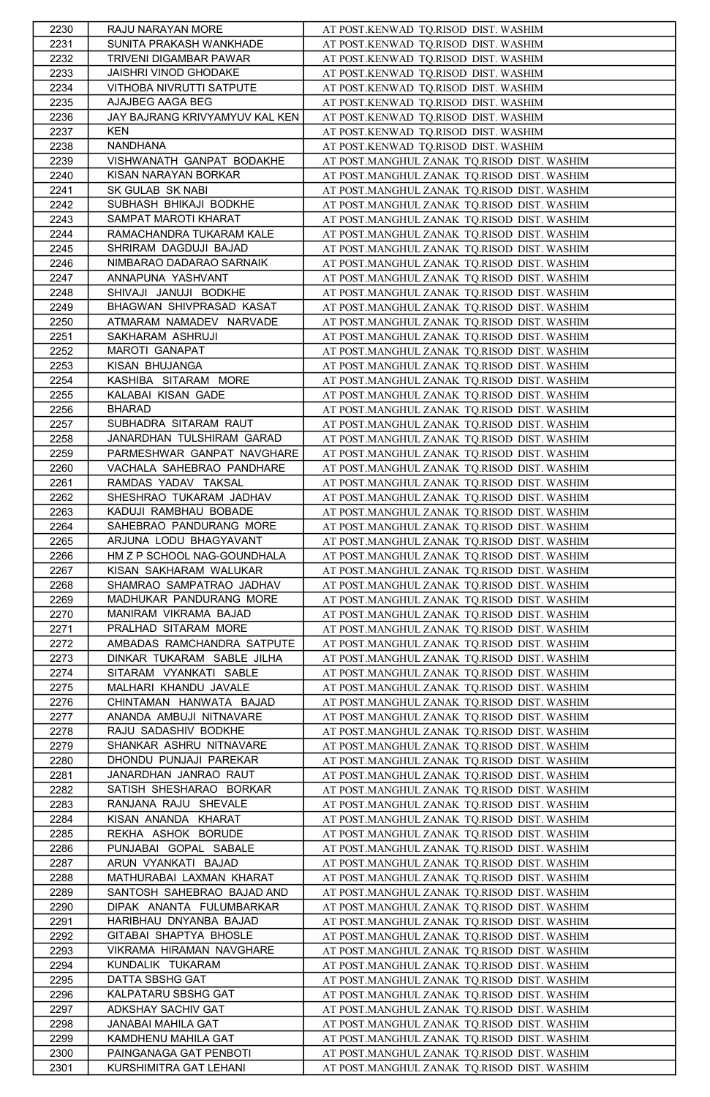| 2230         | RAJU NARAYAN MORE              | AT POST.KENWAD TQ.RISOD DIST. WASHIM                                                       |
|--------------|--------------------------------|--------------------------------------------------------------------------------------------|
| 2231         | SUNITA PRAKASH WANKHADE        | AT POST.KENWAD TQ.RISOD DIST. WASHIM                                                       |
| 2232         | TRIVENI DIGAMBAR PAWAR         | AT POST.KENWAD TQ.RISOD DIST. WASHIM                                                       |
| 2233         | JAISHRI VINOD GHODAKE          | AT POST.KENWAD TQ.RISOD DIST. WASHIM                                                       |
| 2234         | VITHOBA NIVRUTTI SATPUTE       | AT POST.KENWAD TQ.RISOD DIST. WASHIM                                                       |
| 2235         | AJAJBEG AAGA BEG               | AT POST.KENWAD TQ.RISOD DIST. WASHIM                                                       |
| 2236         | JAY BAJRANG KRIVYAMYUV KAL KEN | AT POST.KENWAD TQ.RISOD DIST. WASHIM                                                       |
| 2237         | <b>KEN</b>                     | AT POST.KENWAD TQ.RISOD DIST. WASHIM                                                       |
| 2238         | NANDHANA                       | AT POST.KENWAD TQ.RISOD DIST. WASHIM                                                       |
| 2239         | VISHWANATH GANPAT BODAKHE      | AT POST.MANGHUL ZANAK TQ.RISOD DIST. WASHIM                                                |
| 2240         | KISAN NARAYAN BORKAR           | AT POST.MANGHUL ZANAK TQ.RISOD DIST. WASHIM                                                |
| 2241         | SK GULAB SK NABI               | AT POST.MANGHUL ZANAK TQ.RISOD DIST. WASHIM                                                |
| 2242         | SUBHASH BHIKAJI BODKHE         | AT POST.MANGHUL ZANAK TO.RISOD DIST. WASHIM                                                |
| 2243         | SAMPAT MAROTI KHARAT           | AT POST.MANGHUL ZANAK TQ.RISOD DIST. WASHIM                                                |
| 2244         | RAMACHANDRA TUKARAM KALE       | AT POST.MANGHUL ZANAK TQ.RISOD DIST. WASHIM                                                |
| 2245         | SHRIRAM DAGDUJI BAJAD          | AT POST.MANGHUL ZANAK TQ.RISOD DIST. WASHIM                                                |
| 2246         | NIMBARAO DADARAO SARNAIK       | AT POST.MANGHUL ZANAK TQ.RISOD DIST. WASHIM                                                |
| 2247         | ANNAPUNA YASHVANT              | AT POST.MANGHUL ZANAK TQ.RISOD DIST. WASHIM                                                |
| 2248         | SHIVAJI JANUJI BODKHE          | AT POST.MANGHUL ZANAK TQ.RISOD DIST. WASHIM                                                |
| 2249         | BHAGWAN SHIVPRASAD KASAT       | AT POST.MANGHUL ZANAK TQ.RISOD DIST. WASHIM                                                |
|              | ATMARAM NAMADEV NARVADE        |                                                                                            |
| 2250<br>2251 | SAKHARAM ASHRUJI               | AT POST.MANGHUL ZANAK TQ.RISOD DIST. WASHIM<br>AT POST.MANGHUL ZANAK TQ.RISOD DIST. WASHIM |
|              | MAROTI GANAPAT                 |                                                                                            |
| 2252         | KISAN BHUJANGA                 | AT POST.MANGHUL ZANAK TQ.RISOD DIST. WASHIM                                                |
| 2253         | KASHIBA SITARAM MORE           | AT POST.MANGHUL ZANAK TQ.RISOD DIST. WASHIM                                                |
| 2254         |                                | AT POST.MANGHUL ZANAK TQ.RISOD DIST. WASHIM                                                |
| 2255         | KALABAI KISAN GADE             | AT POST.MANGHUL ZANAK TQ.RISOD DIST. WASHIM                                                |
| 2256         | <b>BHARAD</b>                  | AT POST.MANGHUL ZANAK TQ.RISOD DIST. WASHIM                                                |
| 2257         | SUBHADRA SITARAM RAUT          | AT POST.MANGHUL ZANAK TQ.RISOD DIST. WASHIM                                                |
| 2258         | JANARDHAN TULSHIRAM GARAD      | AT POST.MANGHUL ZANAK TQ.RISOD DIST. WASHIM                                                |
| 2259         | PARMESHWAR GANPAT NAVGHARE     | AT POST.MANGHUL ZANAK TQ.RISOD DIST. WASHIM                                                |
| 2260         | VACHALA SAHEBRAO PANDHARE      | AT POST.MANGHUL ZANAK TQ.RISOD DIST. WASHIM                                                |
| 2261         | RAMDAS YADAV TAKSAL            | AT POST.MANGHUL ZANAK TQ.RISOD DIST. WASHIM                                                |
| 2262         | SHESHRAO TUKARAM JADHAV        | AT POST.MANGHUL ZANAK TQ.RISOD DIST. WASHIM                                                |
| 2263         | KADUJI RAMBHAU BOBADE          | AT POST.MANGHUL ZANAK TQ.RISOD DIST. WASHIM                                                |
| 2264         | SAHEBRAO PANDURANG MORE        | AT POST.MANGHUL ZANAK TQ.RISOD DIST. WASHIM                                                |
| 2265         | ARJUNA LODU BHAGYAVANT         | AT POST.MANGHUL ZANAK TQ.RISOD DIST. WASHIM                                                |
| 2266         | HM Z P SCHOOL NAG-GOUNDHALA    | AT POST.MANGHUL ZANAK TQ.RISOD DIST. WASHIM                                                |
| 2267         | KISAN SAKHARAM WALUKAR         | AT POST.MANGHUL ZANAK TQ.RISOD DIST. WASHIM                                                |
| 2268         | SHAMRAO SAMPATRAO JADHAV       | AT POST.MANGHUL ZANAK TQ.RISOD DIST. WASHIM                                                |
| 2269         | MADHUKAR PANDURANG MORE        | AT POST.MANGHUL ZANAK TQ.RISOD DIST. WASHIM                                                |
| 2270         | MANIRAM VIKRAMA BAJAD          | AT POST.MANGHUL ZANAK TQ.RISOD DIST. WASHIM                                                |
| 2271         | PRALHAD SITARAM MORE           | AT POST.MANGHUL ZANAK TQ.RISOD DIST. WASHIM                                                |
| 2272         | AMBADAS RAMCHANDRA SATPUTE     | AT POST.MANGHUL ZANAK TQ.RISOD DIST. WASHIM                                                |
| 2273         | DINKAR TUKARAM SABLE JILHA     | AT POST.MANGHUL ZANAK TQ.RISOD DIST. WASHIM                                                |
| 2274         | SITARAM VYANKATI SABLE         | AT POST.MANGHUL ZANAK TQ.RISOD DIST. WASHIM                                                |
| 2275         | MALHARI KHANDU JAVALE          | AT POST.MANGHUL ZANAK TQ.RISOD DIST. WASHIM                                                |
| 2276         | CHINTAMAN HANWATA BAJAD        | AT POST.MANGHUL ZANAK TQ.RISOD DIST. WASHIM                                                |
| 2277         | ANANDA AMBUJI NITNAVARE        | AT POST.MANGHUL ZANAK TQ.RISOD DIST. WASHIM                                                |
| 2278         | RAJU SADASHIV BODKHE           | AT POST.MANGHUL ZANAK TQ.RISOD DIST. WASHIM                                                |
| 2279         | SHANKAR ASHRU NITNAVARE        | AT POST.MANGHUL ZANAK TQ.RISOD DIST. WASHIM                                                |
| 2280         | DHONDU PUNJAJI PAREKAR         | AT POST.MANGHUL ZANAK TQ.RISOD DIST. WASHIM                                                |
| 2281         | JANARDHAN JANRAO RAUT          | AT POST.MANGHUL ZANAK TQ.RISOD DIST. WASHIM                                                |
| 2282         | SATISH SHESHARAO BORKAR        | AT POST.MANGHUL ZANAK TQ.RISOD DIST. WASHIM                                                |
| 2283         | RANJANA RAJU SHEVALE           | AT POST.MANGHUL ZANAK TQ.RISOD DIST. WASHIM                                                |
| 2284         | KISAN ANANDA KHARAT            | AT POST.MANGHUL ZANAK TQ.RISOD DIST. WASHIM                                                |
| 2285         | REKHA ASHOK BORUDE             | AT POST.MANGHUL ZANAK TQ.RISOD DIST. WASHIM                                                |
| 2286         | PUNJABAI GOPAL SABALE          | AT POST.MANGHUL ZANAK TQ.RISOD DIST. WASHIM                                                |
| 2287         | ARUN VYANKATI BAJAD            | AT POST.MANGHUL ZANAK TQ.RISOD DIST. WASHIM                                                |
| 2288         | MATHURABAI LAXMAN KHARAT       | AT POST.MANGHUL ZANAK TQ.RISOD DIST. WASHIM                                                |
| 2289         | SANTOSH SAHEBRAO BAJAD AND     | AT POST.MANGHUL ZANAK TQ.RISOD DIST. WASHIM                                                |
| 2290         | DIPAK ANANTA FULUMBARKAR       | AT POST.MANGHUL ZANAK TQ.RISOD DIST. WASHIM                                                |
| 2291         | HARIBHAU DNYANBA BAJAD         | AT POST.MANGHUL ZANAK TQ.RISOD DIST. WASHIM                                                |
| 2292         | GITABAI SHAPTYA BHOSLE         | AT POST.MANGHUL ZANAK TQ.RISOD DIST. WASHIM                                                |
| 2293         | VIKRAMA HIRAMAN NAVGHARE       | AT POST.MANGHUL ZANAK TQ.RISOD DIST. WASHIM                                                |
| 2294         | KUNDALIK TUKARAM               | AT POST.MANGHUL ZANAK TQ.RISOD DIST. WASHIM                                                |
| 2295         | DATTA SBSHG GAT                | AT POST.MANGHUL ZANAK TQ.RISOD DIST. WASHIM                                                |
| 2296         | KALPATARU SBSHG GAT            | AT POST.MANGHUL ZANAK TQ.RISOD DIST. WASHIM                                                |
| 2297         | ADKSHAY SACHIV GAT             | AT POST.MANGHUL ZANAK TQ.RISOD DIST. WASHIM                                                |
| 2298         | <b>JANABAI MAHILA GAT</b>      | AT POST.MANGHUL ZANAK TQ.RISOD DIST. WASHIM                                                |
| 2299         | KAMDHENU MAHILA GAT            | AT POST.MANGHUL ZANAK TQ.RISOD DIST. WASHIM                                                |
| 2300         | PAINGANAGA GAT PENBOTI         | AT POST.MANGHUL ZANAK TQ.RISOD DIST. WASHIM                                                |
| 2301         | KURSHIMITRA GAT LEHANI         | AT POST.MANGHUL ZANAK TQ.RISOD DIST. WASHIM                                                |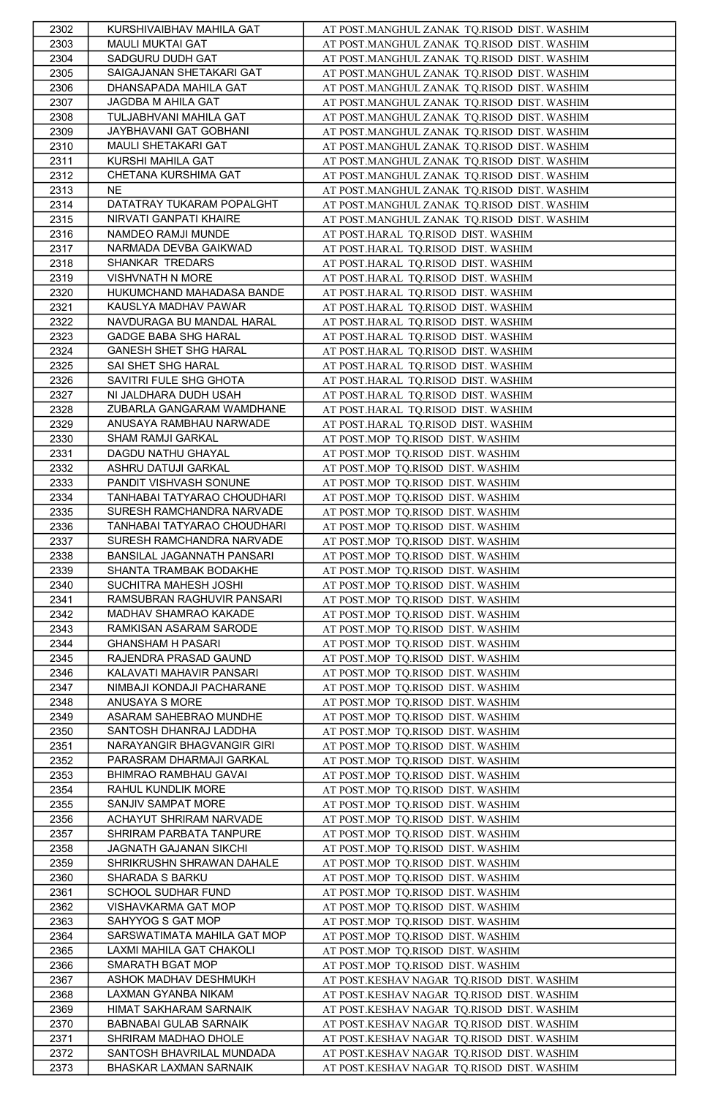| 2302 | KURSHIVAIBHAV MAHILA GAT      | AT POST.MANGHUL ZANAK TQ.RISOD DIST. WASHIM |
|------|-------------------------------|---------------------------------------------|
| 2303 | MAULI MUKTAI GAT              | AT POST.MANGHUL ZANAK TQ.RISOD DIST. WASHIM |
| 2304 | SADGURU DUDH GAT              | AT POST.MANGHUL ZANAK TQ.RISOD DIST. WASHIM |
| 2305 | SAIGAJANAN SHETAKARI GAT      | AT POST.MANGHUL ZANAK TQ.RISOD DIST. WASHIM |
| 2306 | DHANSAPADA MAHILA GAT         | AT POST.MANGHUL ZANAK TQ.RISOD DIST. WASHIM |
| 2307 | JAGDBA M AHILA GAT            | AT POST.MANGHUL ZANAK TQ.RISOD DIST. WASHIM |
| 2308 | TULJABHVANI MAHILA GAT        | AT POST.MANGHUL ZANAK TQ.RISOD DIST. WASHIM |
| 2309 | JAYBHAVANI GAT GOBHANI        | AT POST.MANGHUL ZANAK TQ.RISOD DIST. WASHIM |
| 2310 | MAULI SHETAKARI GAT           | AT POST.MANGHUL ZANAK TO.RISOD DIST. WASHIM |
| 2311 | KURSHI MAHILA GAT             | AT POST.MANGHUL ZANAK TQ.RISOD DIST. WASHIM |
| 2312 | CHETANA KURSHIMA GAT          | AT POST.MANGHUL ZANAK TQ.RISOD DIST. WASHIM |
| 2313 | <b>NE</b>                     | AT POST.MANGHUL ZANAK TQ.RISOD DIST. WASHIM |
| 2314 | DATATRAY TUKARAM POPALGHT     | AT POST.MANGHUL ZANAK TQ.RISOD DIST. WASHIM |
| 2315 | NIRVATI GANPATI KHAIRE        | AT POST.MANGHUL ZANAK TQ.RISOD DIST. WASHIM |
| 2316 | NAMDEO RAMJI MUNDE            | AT POST.HARAL TQ.RISOD DIST. WASHIM         |
| 2317 | NARMADA DEVBA GAIKWAD         | AT POST.HARAL TQ.RISOD DIST. WASHIM         |
| 2318 | SHANKAR TREDARS               | AT POST.HARAL TQ.RISOD DIST. WASHIM         |
| 2319 | VISHVNATH N MORE              | AT POST.HARAL TQ.RISOD DIST. WASHIM         |
| 2320 | HUKUMCHAND MAHADASA BANDE     | AT POST.HARAL TQ.RISOD DIST. WASHIM         |
| 2321 | KAUSLYA MADHAV PAWAR          | AT POST.HARAL TQ.RISOD DIST. WASHIM         |
| 2322 | NAVDURAGA BU MANDAL HARAL     | AT POST.HARAL TQ.RISOD DIST. WASHIM         |
| 2323 | <b>GADGE BABA SHG HARAL</b>   | AT POST.HARAL TQ.RISOD DIST. WASHIM         |
| 2324 | GANESH SHET SHG HARAL         | AT POST.HARAL TQ.RISOD DIST. WASHIM         |
| 2325 | SAI SHET SHG HARAL            | AT POST.HARAL TQ.RISOD DIST. WASHIM         |
| 2326 | SAVITRI FULE SHG GHOTA        | AT POST.HARAL TQ.RISOD DIST. WASHIM         |
| 2327 | NI JALDHARA DUDH USAH         | AT POST.HARAL TQ.RISOD DIST. WASHIM         |
| 2328 | ZUBARLA GANGARAM WAMDHANE     | AT POST.HARAL TQ.RISOD DIST. WASHIM         |
| 2329 | ANUSAYA RAMBHAU NARWADE       | AT POST.HARAL TQ.RISOD DIST. WASHIM         |
| 2330 | SHAM RAMJI GARKAL             | AT POST.MOP TQ.RISOD DIST. WASHIM           |
| 2331 | DAGDU NATHU GHAYAL            | AT POST.MOP TO.RISOD DIST. WASHIM           |
| 2332 | ASHRU DATUJI GARKAL           | AT POST.MOP TQ.RISOD DIST. WASHIM           |
| 2333 | PANDIT VISHVASH SONUNE        | AT POST.MOP TQ.RISOD DIST. WASHIM           |
| 2334 | TANHABAI TATYARAO CHOUDHARI   | AT POST.MOP TO.RISOD DIST. WASHIM           |
| 2335 | SURESH RAMCHANDRA NARVADE     | AT POST.MOP TO.RISOD DIST. WASHIM           |
| 2336 | TANHABAI TATYARAO CHOUDHARI   | AT POST.MOP TQ.RISOD DIST. WASHIM           |
| 2337 | SURESH RAMCHANDRA NARVADE     | AT POST.MOP TQ.RISOD DIST. WASHIM           |
| 2338 | BANSILAL JAGANNATH PANSARI    | AT POST.MOP TQ.RISOD DIST. WASHIM           |
| 2339 | SHANTA TRAMBAK BODAKHE        | AT POST.MOP TQ.RISOD DIST. WASHIM           |
| 2340 | SUCHITRA MAHESH JOSHI         | AT POST.MOP TQ.RISOD DIST. WASHIM           |
| 2341 | RAMSUBRAN RAGHUVIR PANSARI    | AT POST.MOP TQ.RISOD DIST. WASHIM           |
| 2342 | MADHAV SHAMRAO KAKADE         | AT POST.MOP TQ.RISOD DIST. WASHIM           |
| 2343 | RAMKISAN ASARAM SARODE        | AT POST.MOP TQ.RISOD DIST. WASHIM           |
| 2344 | <b>GHANSHAM H PASARI</b>      | AT POST.MOP TQ.RISOD DIST. WASHIM           |
| 2345 | RAJENDRA PRASAD GAUND         | AT POST.MOP TQ.RISOD DIST. WASHIM           |
| 2346 | KALAVATI MAHAVIR PANSARI      | AT POST.MOP TQ.RISOD DIST. WASHIM           |
| 2347 | NIMBAJI KONDAJI PACHARANE     | AT POST.MOP TQ.RISOD DIST. WASHIM           |
| 2348 | ANUSAYA S MORE                | AT POST.MOP TQ.RISOD DIST. WASHIM           |
| 2349 | ASARAM SAHEBRAO MUNDHE        | AT POST.MOP TQ.RISOD DIST. WASHIM           |
| 2350 | SANTOSH DHANRAJ LADDHA        | AT POST.MOP TQ.RISOD DIST. WASHIM           |
| 2351 | NARAYANGIR BHAGVANGIR GIRI    | AT POST.MOP TO.RISOD DIST. WASHIM           |
| 2352 | PARASRAM DHARMAJI GARKAL      | AT POST.MOP TQ.RISOD DIST. WASHIM           |
| 2353 | BHIMRAO RAMBHAU GAVAI         | AT POST.MOP TO.RISOD DIST. WASHIM           |
| 2354 | RAHUL KUNDLIK MORE            | AT POST.MOP TQ.RISOD DIST. WASHIM           |
| 2355 | SANJIV SAMPAT MORE            | AT POST.MOP TQ.RISOD DIST. WASHIM           |
| 2356 | ACHAYUT SHRIRAM NARVADE       | AT POST.MOP TQ.RISOD DIST. WASHIM           |
| 2357 | SHRIRAM PARBATA TANPURE       | AT POST.MOP TQ.RISOD DIST. WASHIM           |
| 2358 | JAGNATH GAJANAN SIKCHI        | AT POST.MOP TQ.RISOD DIST. WASHIM           |
| 2359 | SHRIKRUSHN SHRAWAN DAHALE     | AT POST.MOP TQ.RISOD DIST. WASHIM           |
| 2360 | SHARADA S BARKU               | AT POST.MOP TQ.RISOD DIST. WASHIM           |
| 2361 | SCHOOL SUDHAR FUND            | AT POST.MOP TQ.RISOD DIST. WASHIM           |
| 2362 | VISHAVKARMA GAT MOP           | AT POST.MOP TO.RISOD DIST. WASHIM           |
| 2363 | SAHYYOG S GAT MOP             | AT POST.MOP TO.RISOD DIST. WASHIM           |
| 2364 | SARSWATIMATA MAHILA GAT MOP   | AT POST.MOP TO.RISOD DIST. WASHIM           |
| 2365 | LAXMI MAHILA GAT CHAKOLI      | AT POST.MOP TQ.RISOD DIST. WASHIM           |
| 2366 | SMARATH BGAT MOP              | AT POST.MOP TQ.RISOD DIST. WASHIM           |
| 2367 | ASHOK MADHAV DESHMUKH         | AT POST.KESHAV NAGAR TQ.RISOD DIST. WASHIM  |
| 2368 | LAXMAN GYANBA NIKAM           | AT POST.KESHAV NAGAR TQ.RISOD DIST. WASHIM  |
| 2369 | HIMAT SAKHARAM SARNAIK        | AT POST.KESHAV NAGAR TQ.RISOD DIST. WASHIM  |
| 2370 | <b>BABNABAI GULAB SARNAIK</b> | AT POST.KESHAV NAGAR TQ.RISOD DIST. WASHIM  |
| 2371 | SHRIRAM MADHAO DHOLE          | AT POST.KESHAV NAGAR TQ.RISOD DIST. WASHIM  |
| 2372 | SANTOSH BHAVRILAL MUNDADA     | AT POST.KESHAV NAGAR TQ.RISOD DIST. WASHIM  |
| 2373 | BHASKAR LAXMAN SARNAIK        | AT POST.KESHAV NAGAR TQ.RISOD DIST. WASHIM  |